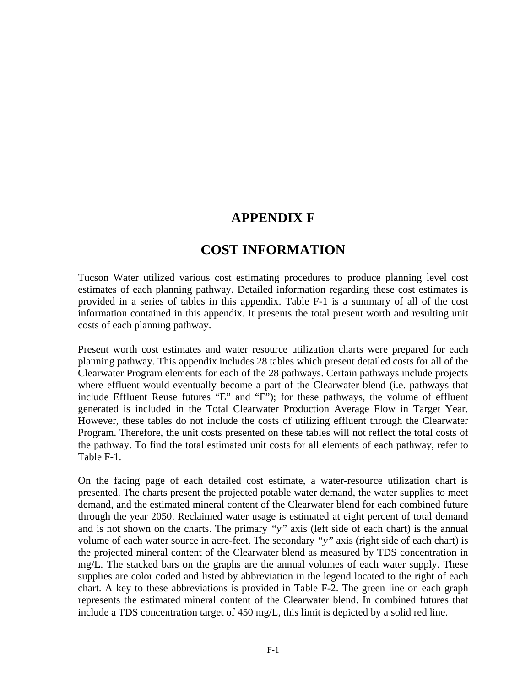## **APPENDIX F**

## **COST INFORMATION**

Tucson Water utilized various cost estimating procedures to produce planning level cost estimates of each planning pathway. Detailed information regarding these cost estimates is provided in a series of tables in this appendix. Table F-1 is a summary of all of the cost information contained in this appendix. It presents the total present worth and resulting unit costs of each planning pathway.

Present worth cost estimates and water resource utilization charts were prepared for each planning pathway. This appendix includes 28 tables which present detailed costs for all of the Clearwater Program elements for each of the 28 pathways. Certain pathways include projects where effluent would eventually become a part of the Clearwater blend (i.e. pathways that include Effluent Reuse futures "E" and "F"); for these pathways, the volume of effluent generated is included in the Total Clearwater Production Average Flow in Target Year. However, these tables do not include the costs of utilizing effluent through the Clearwater Program. Therefore, the unit costs presented on these tables will not reflect the total costs of the pathway. To find the total estimated unit costs for all elements of each pathway, refer to Table F-1.

On the facing page of each detailed cost estimate, a water-resource utilization chart is presented. The charts present the projected potable water demand, the water supplies to meet demand, and the estimated mineral content of the Clearwater blend for each combined future through the year 2050. Reclaimed water usage is estimated at eight percent of total demand and is not shown on the charts. The primary *"y"* axis (left side of each chart) is the annual volume of each water source in acre-feet. The secondary *"y"* axis (right side of each chart) is the projected mineral content of the Clearwater blend as measured by TDS concentration in mg/L. The stacked bars on the graphs are the annual volumes of each water supply. These supplies are color coded and listed by abbreviation in the legend located to the right of each chart. A key to these abbreviations is provided in Table F-2. The green line on each graph represents the estimated mineral content of the Clearwater blend. In combined futures that include a TDS concentration target of 450 mg/L, this limit is depicted by a solid red line.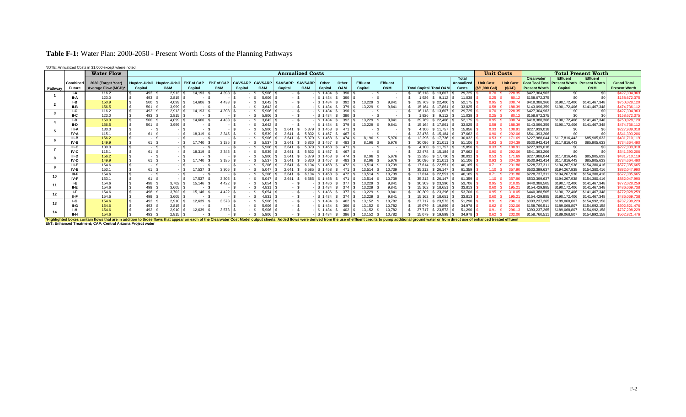## **Table F-1:** Water Plan: 2000-2050 - Present Worth Costs of the Planning Pathways

NOTE: Annualized Costs in \$1,000 except where noted.

|                         |              | <b>Water Flow</b>                                                                                                                                                                                                              |                     |                |                   |                       |                |                | <b>Annualized Costs</b> |                |                        |                |          |                 |                                    |                              |              | <b>Unit Costs</b> |                  |                                      |                 | <b>Total Present Worth</b> |                      |
|-------------------------|--------------|--------------------------------------------------------------------------------------------------------------------------------------------------------------------------------------------------------------------------------|---------------------|----------------|-------------------|-----------------------|----------------|----------------|-------------------------|----------------|------------------------|----------------|----------|-----------------|------------------------------------|------------------------------|--------------|-------------------|------------------|--------------------------------------|-----------------|----------------------------|----------------------|
|                         |              |                                                                                                                                                                                                                                |                     |                |                   |                       |                |                |                         |                |                        |                |          |                 |                                    |                              | <b>Total</b> |                   |                  | <b>Clearwater</b>                    | <b>Effluent</b> | <b>Effluent</b>            |                      |
|                         | Combined     | 2030 (Target Year)                                                                                                                                                                                                             | <b>Havden-Udall</b> | Havden-Udall   | EhT of CAP        | EhT of CAP            | <b>CAVSARP</b> | <b>CAVSARP</b> | <b>SAVSARP</b>          | <b>SAVSARP</b> | Other                  | Other          | Effluent | <b>Effluent</b> |                                    |                              | Annualized   | <b>Unit Cost</b>  | <b>Unit Cost</b> | <b>Cost Tool Total Present Worth</b> |                 | <b>Present Worth</b>       | <b>Grand Total</b>   |
| Pathway                 | Future       | Average Flow (MGD)*                                                                                                                                                                                                            | Capital             | <b>O&amp;M</b> | Capital           | <b>O&amp;M</b>        | Capital        | <b>O&amp;M</b> | Capital                 | <b>O&amp;M</b> | Capital                | <b>O&amp;M</b> | Capital  | <b>O&amp;M</b>  | <b>Total Capital Total O&amp;M</b> |                              | Costs        | (\$/1.000 Gal)    | (S/AF)           | <b>Present Worth</b>                 | Capital         | <b>O&amp;M</b>             | <b>Present Worth</b> |
|                         |              | 116.2                                                                                                                                                                                                                          | 492                 | 2,913          | 14.193            | 4.398                 |                | 5.906          |                         |                | 1.434                  | 390            |          |                 | 16.118                             | \$13,607                     | 29.725       | 0.70              |                  | \$427,304,963                        | ፍሰ              |                            | \$427.304.963        |
|                         | II-A         | 123.0                                                                                                                                                                                                                          | 493                 | 2,815          | . .               |                       |                | 5,906          |                         |                | $\frac{1}{3}$ 1.434    | 390            |          |                 | .926                               | 9.112                        | 11.038       | 0.25              |                  | \$158,672,375                        |                 |                            | \$158,672,375        |
| $\overline{\mathbf{2}}$ | I-B          | 150.9                                                                                                                                                                                                                          | 500                 | 4.099          | 14.606            | 4.433                 |                | 3.642          | - 55                    |                | $ \frac{1}{3}$ 1.434   | 392            | 13.229   | 9.841           | 29.769                             | \$22.406                     | 52.175       | 0.95              | 308.7            | \$418,388,366                        | \$190,172,406   | \$141,467,348              | \$750.028.120        |
|                         | II-B         | 156.5                                                                                                                                                                                                                          | 501                 | 3,999          |                   |                       |                | 3,642          | - 55                    |                | $-$ \ \ \$ 1.434       | 379            | 13,229   | 9,841           | 15.164                             | \$17,861                     | 33.025       | 0.58              |                  | \$143.096.359                        | \$190,172,406   | \$141.467.348              | \$474,736,112        |
|                         | ŀС           | 116.2                                                                                                                                                                                                                          | 492                 | $2,913$ \ \$   | 14,193            | 4,398 $ $             |                | 5.906          |                         |                | $-$ \ \$ 1.434         | 390 9          |          |                 | 16.118                             | \$13,607                     | 29.725       | 0.70              | 228.3            | \$427,304,963                        | \$0             |                            | \$427,304,963        |
|                         | IL C         | 123.0                                                                                                                                                                                                                          | 493                 |                | - 3               |                       |                | 5.906          | - \$                    |                | $-$ \ \$ 1.434         | 390            |          |                 | 1.926                              | 9.112                        | 11.038       | $0.25-5$          | 80. <sup>.</sup> | \$158,672,375                        |                 |                            | \$158,672,375        |
|                         | I-D          | 150.9                                                                                                                                                                                                                          | 500                 | 4,099          | 14.606 \$         | $4.433$ \.            |                | 3.642          |                         |                | $\frac{1}{2}$ \$ 1.434 | 392            | 13.229   | 9.841           | 29.769                             | \$22.406                     | 52.175       | 0.95              |                  | \$418,388,366                        | \$190.172.406   | \$141,467,348              | \$750.028.120        |
|                         | II-D         | 156.5                                                                                                                                                                                                                          | $501$ \$            | 3,999          | - 8               |                       |                | 3.642          |                         |                |                        | 379            | 13,229   | 9.841           | 15.164                             | 17.861                       | 33.025       | 0.58              |                  | \$143,096,359                        | \$190,172,406   | \$141,467,348              | \$474,736,112        |
|                         | <b>III-A</b> | 130.0                                                                                                                                                                                                                          | $\sim$ .            |                |                   |                       |                | 5.906          | 2.641                   | 5.379          | 1.458                  |                |          |                 | 4.100                              | \$11.757                     | 15.856       | 0.33              | 108.9            | \$227,939,018                        | \$0             |                            | \$227.939.018        |
|                         | IV-A         | 115.1                                                                                                                                                                                                                          | 61 \$               |                | $-1$ \$<br>18,319 | 3.345                 |                | 5.539          | 2641                    | 5.832          | 1.457                  |                |          |                 | 22.478                             | 15.184                       | 37.662       | 0.90              | 292.             | \$541,393,206                        |                 |                            | \$541,393,206        |
|                         | $III-B$      | 156.2                                                                                                                                                                                                                          | - 1                 |                |                   |                       |                | 5.906          | 2641                    | 5.379          | 1.458                  | $474$   \$     | 8.196    | 5.976           | 12.296                             | \$17,736                     | 30.032       | 0.53              | 1716             | \$227,988,044                        | \$117,816,443   | \$85,905,633               | \$431,710,119        |
|                         | IV-B         | 149.9                                                                                                                                                                                                                          | 61 S                |                | 17,740            | 3,185                 |                |                | 2.641                   | 5.830          | 1.457                  | 483            | 8,196    | 5.976           | 30.096                             | 21.011                       |              | 0.93              | 304.3            | \$530,942,414                        | \$117,816,443   | \$85,905,633               | \$734,664,490        |
|                         | $III-C$      | 130.0                                                                                                                                                                                                                          | - 1                 |                |                   |                       |                | 5.906          | 2.641                   | 5.379          | S 1.458                | $471 \mid$ \$  |          |                 | 4.100                              | $$11.757$ \ S                | 15.856       | 0.33              | 108.9            | \$227,939,018                        | \$0             |                            | \$227,939,018        |
|                         | IV-C         | 115.1                                                                                                                                                                                                                          | 61 S                |                | $-1$ \$<br>18.319 | 3.345                 |                | 5.539          | 2.641                   | 5.832          | 1.457                  |                |          |                 | 22.478                             | \$15.184                     | 37.662       | 0.90              | 292.             | \$541.393.206                        |                 |                            | \$541,393,206        |
| -8                      | III-D        | 156.2                                                                                                                                                                                                                          | - 3                 |                | $-1$ \$           |                       |                | 5.906          | 2.641                   | 5.379          | $\frac{1}{2}$ 1.458    | $474$   \$     | 8,196    | 5,976           | 12.296                             | \$17.736                     | 30.032       | 0.53              | 171.6            | \$227,988,044                        | \$117,816,443   | \$85,905,633               | \$431,710,119        |
|                         | IV-D         | 149.9                                                                                                                                                                                                                          | 61 S                |                | $-1$ \$<br>17.740 | $3.185$ $\frac{1}{3}$ |                | 5.537          | 2.641                   | 5.830          | \$1.457                | 483            | 8.196    | 5.976           | 30.096                             | \$21.011                     | 51.106       | 0.93              | 304.3            | \$530,942.41                         | \$117,816,443   | \$85,905,633               | \$734,664,490        |
| -9                      | III-E        | 154.6                                                                                                                                                                                                                          | . .                 | $-1$ \$        | . .               |                       |                | 5.206          | 2641                    | 6.134          | \$1.458                |                | 13.514   | 10.739          | 17.614 \$ 22.551                   |                              | 40.165       | 0.71              | 231.8            | \$228,737.31                         | \$194.267.938   | \$154.380.416              | \$577.385.665        |
|                         | IV-E         | 153.1                                                                                                                                                                                                                          | 61 S                |                | 17,537<br>$-1$ \$ | 3,305                 |                | 5.047          | 2.641                   | 6.585          | $\frac{1}{5}$ 1,458    |                | 13,514   | 10,739          |                                    | $35,212$ \$ 26,147 \ \$      | 61.359       | 1.10S             | 357.9            | \$533,399,637                        | \$194,267,938   | \$154,380,416              | \$882,047,990        |
| 10 <sup>1</sup>         | III-F        | 154.6                                                                                                                                                                                                                          | - 1                 |                |                   |                       |                | 5.206          | 2.641                   | 6.134          | \$1.458                |                | 13.514   | 10.739          | 17.614                             | $\overline{\text{ }322,551}$ | 40.165       | 0.71              | 231.8            | \$228,737.31                         | \$194.267.938   | \$154,380,416              | \$577,385,665        |
|                         | IV-F         | 153.1                                                                                                                                                                                                                          | 61                  |                | 17.537            | 3,305                 |                | 5.047          | 2.641                   | 6.585          | \$ 1.458               |                | 13.514   | 10.739          | 35.212                             | 26.147                       | 61.359       | $1.10 -$          | 357.9            | \$533,399,637                        | \$194,267,938   | \$154,380,416              | \$882,047,990        |
| 11                      | I-E          | 154.6                                                                                                                                                                                                                          | 498                 | 3,702          | 15.146            | 4.422                 |                | 5.054          |                         |                | $\frac{1}{2}$ 1.436    | 377            | 13.229   | 9.841           | 30.309                             | \$23.396                     | 53,706       | 0.95              | 310.0            | \$440,388,505                        | \$190,172,406   | \$141,467,348              | \$772,028,259        |
|                         | II-F         | 154.6                                                                                                                                                                                                                          | 499                 | 3,605          |                   |                       |                | 4.831          |                         |                | $\frac{1}{3}$ 1.434    |                | 13.229   | 9.841           | 15.162                             | 18.651                       | 33,813       | 0.60              |                  | \$154,429,985                        | \$190,172,406   | \$141.467.348              | \$486,069,738        |
| 12                      |              | 154.6                                                                                                                                                                                                                          | 498                 | 3,702          | 15.146            | 4.422                 |                | 5.054          |                         |                | S 1.436                |                | 13.229   | 9.841           | 30.309                             | \$23,396                     | 53.706       | 0.95              | 310.0            | \$440.388.505                        | \$190,172,406   | \$141,467,348              | \$772.028.259        |
|                         |              | 154.6                                                                                                                                                                                                                          | 499                 | 3.605          | $\sim$ $-$        |                       |                | 4.831          | - 8                     |                | $\frac{1}{3}$ 1.434    | -374           | 13.229   | 9.841           | 15.162                             | 18.651                       | 33.813       | 0.60              | 195.3            | \$154,429,985                        | \$190.172.406   | \$141,467,348              | \$486,069,738        |
| 13                      | I-G          | 154.6                                                                                                                                                                                                                          | 492                 | $2,910$   \$   | 12,639            | $3.573$   \$          |                | 5.906          | - \$                    |                | $\frac{1}{3}$ 1.434    | 402            | 13,152   | 10.782          | 27.717                             | $$23.573$ \ S                | 51.290       | 0.91              | 296.             | \$393,237,265                        | \$189.068.807   | \$154,992,158              | \$737,298,229        |
|                         | II-G         | 154.6                                                                                                                                                                                                                          | 493                 | $2.815$ \ \$   |                   |                       |                | 5.906          | $-9$                    |                | \$1.434                | 396            | 13.152   | 10.782          | 15.079                             | 19.899                       | 34.978       | 0.62              | 202.0            | \$158,760.51                         | \$189,068,807   | \$154,992,158              | \$502,821,476        |
| 14                      | ŀН           | 154.6                                                                                                                                                                                                                          | 492                 | $2,910$ \\$    | 12.639            | 3.573                 |                | 5.906          |                         |                | $\frac{1}{3}$ 1.434    | 402            | 13.152   | 10.782          |                                    | $27.717$ \$ 23.573   \$      | 51.290       | 0.91              |                  | \$393.237.265                        | \$189,068,807   | \$154,992,158              | \$737,298,229        |
|                         |              | 154.6                                                                                                                                                                                                                          | 493                 | $2,815$ \$     |                   |                       |                | 5,906          |                         |                |                        |                | 13.152   |                 | 15.079                             | 19,899                       | 34.978       | 1.62              |                  | \$158,760,51                         | \$189,068,807   | \$154,992,158              | \$502,821,476        |
|                         |              | *Highlighted boxes contain flows that are in addition to those flows that appear on each of the Clearwater Cost Model output sheets. Added flows were derived from the use of effluent credits to pump additional ground water |                     |                |                   |                       |                |                |                         |                |                        |                |          |                 |                                    |                              |              |                   |                  |                                      |                 |                            |                      |

**EhT: Enhanced Treatment; CAP: Central Arizona Project water**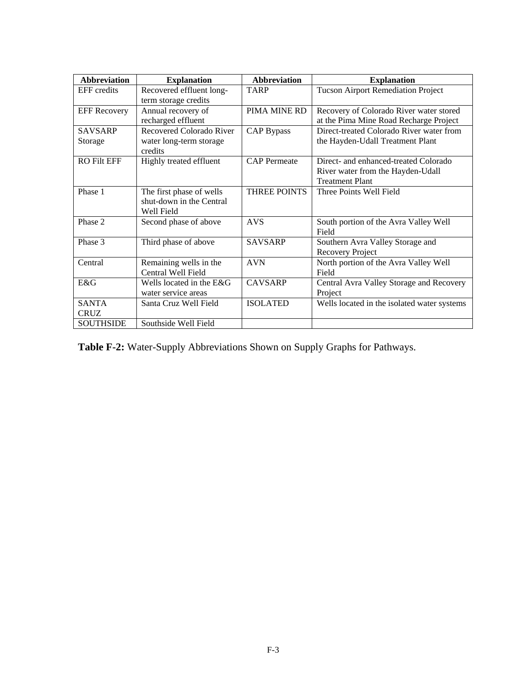| <b>Abbreviation</b> | <b>Explanation</b>                 | <b>Abbreviation</b> | <b>Explanation</b>                          |
|---------------------|------------------------------------|---------------------|---------------------------------------------|
| <b>EFF</b> credits  | Recovered effluent long-           | <b>TARP</b>         | <b>Tucson Airport Remediation Project</b>   |
|                     | term storage credits               |                     |                                             |
| <b>EFF Recovery</b> | Annual recovery of                 | PIMA MINE RD        | Recovery of Colorado River water stored     |
|                     | recharged effluent                 |                     | at the Pima Mine Road Recharge Project      |
| <b>SAVSARP</b>      | Recovered Colorado River           | <b>CAP Bypass</b>   | Direct-treated Colorado River water from    |
| Storage             | water long-term storage<br>credits |                     | the Hayden-Udall Treatment Plant            |
| <b>RO Filt EFF</b>  | Highly treated effluent            | <b>CAP</b> Permeate | Direct- and enhanced-treated Colorado       |
|                     |                                    |                     | River water from the Hayden-Udall           |
|                     |                                    |                     | <b>Treatment Plant</b>                      |
| Phase 1             | The first phase of wells           | <b>THREE POINTS</b> | Three Points Well Field                     |
|                     | shut-down in the Central           |                     |                                             |
|                     | Well Field                         |                     |                                             |
| Phase 2             | Second phase of above              | <b>AVS</b>          | South portion of the Avra Valley Well       |
|                     |                                    |                     | Field                                       |
| Phase 3             | Third phase of above               | <b>SAVSARP</b>      | Southern Avra Valley Storage and            |
|                     |                                    |                     | Recovery Project                            |
| Central             | Remaining wells in the             | <b>AVN</b>          | North portion of the Avra Valley Well       |
|                     | Central Well Field                 |                     | Field                                       |
| E&G                 | Wells located in the E&G           | <b>CAVSARP</b>      | Central Avra Valley Storage and Recovery    |
|                     | water service areas                |                     | Project                                     |
| <b>SANTA</b>        | Santa Cruz Well Field              | <b>ISOLATED</b>     | Wells located in the isolated water systems |
| <b>CRUZ</b>         |                                    |                     |                                             |
| <b>SOUTHSIDE</b>    | Southside Well Field               |                     |                                             |

**Table F-2:** Water-Supply Abbreviations Shown on Supply Graphs for Pathways.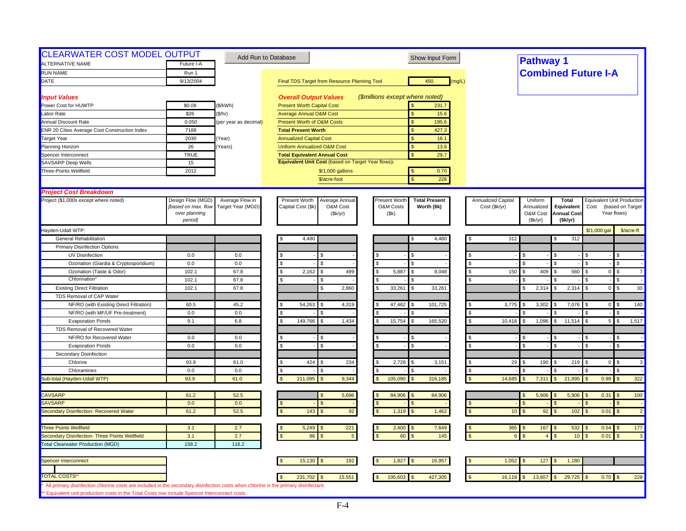| <b>CLEARWATER COST MODEL OUTPUT</b><br>ALTERNATIVE NAME                                                                             |                     |                       | Add Run to Database                                | Show Input Form                              |                    | <b>Pathway 1</b>           |                          |                |                                   |
|-------------------------------------------------------------------------------------------------------------------------------------|---------------------|-----------------------|----------------------------------------------------|----------------------------------------------|--------------------|----------------------------|--------------------------|----------------|-----------------------------------|
|                                                                                                                                     | Future I-A          |                       |                                                    |                                              |                    |                            |                          |                |                                   |
| <b>RUN NAME</b>                                                                                                                     | Run 1               |                       |                                                    |                                              |                    | <b>Combined Future I-A</b> |                          |                |                                   |
| DATE                                                                                                                                | 9/13/2004           |                       | Final TDS Target from Resource Planning Tool       | 450<br>(mq/L)                                |                    |                            |                          |                |                                   |
| <b>Input Values</b>                                                                                                                 |                     |                       | <b>Overall Output Values</b>                       | (\$millions except where noted)              |                    |                            |                          |                |                                   |
| Power Cost for HUWTP                                                                                                                | \$0.08              | (\$/kWh)              | <b>Present Worth Capital Cost</b>                  | 231.7                                        |                    |                            |                          |                |                                   |
| Labor Rate                                                                                                                          | \$26                | \$/hr)                | <b>Average Annual O&amp;M Cost</b>                 | 15.6<br>\$                                   |                    |                            |                          |                |                                   |
| <b>Annual Discount Rate</b>                                                                                                         | 0.050               | (per year as decimal) | <b>Present Worth of O&amp;M Costs</b>              | $\mathbf{s}$<br>195.6                        |                    |                            |                          |                |                                   |
| <b>ENR 20 Cities Average Cost Construction Index</b>                                                                                | 7188                |                       | <b>Total Present Worth</b>                         | 427.3<br>\$                                  |                    |                            |                          |                |                                   |
| <b>Target Year</b>                                                                                                                  | 2030                | (Year)                | <b>Annualized Capital Cost</b>                     | \$<br>16.1                                   |                    |                            |                          |                |                                   |
| Planning Horizon                                                                                                                    | 26                  | (Years)               | <b>Uniform Annualized O&amp;M Cost</b>             | \$.<br>13.6                                  |                    |                            |                          |                |                                   |
| Spencer Interconnect                                                                                                                | <b>TRUE</b>         |                       | <b>Total Equivalent Annual Cost</b>                | 29.7<br>$\mathbf{s}$                         |                    |                            |                          |                |                                   |
| SAVSARP Deep Wells                                                                                                                  | 15                  |                       | Equivalent Unit Cost (based on Target Year flows): |                                              |                    |                            |                          |                |                                   |
| Three-Points Wellfield                                                                                                              | 2012                |                       | \$/1,000 gallons                                   | 0.70                                         |                    |                            |                          |                |                                   |
|                                                                                                                                     |                     |                       | \$/acre-foot                                       | 228                                          |                    |                            |                          |                |                                   |
| <b>Project Cost Breakdown</b>                                                                                                       |                     |                       |                                                    |                                              |                    |                            |                          |                |                                   |
| Project (\$1,000s except where noted)                                                                                               | Design Flow (MGD)   | Average Flow in       | Present Worth<br>Average Annua                     | <b>Present Worth</b><br><b>Total Present</b> | Annualized Capital | Uniform                    | <b>Total</b>             |                | <b>Equivalent Unit Production</b> |
|                                                                                                                                     | [based on max. flow | Target Year (MGD)     | Capital Cost (\$k<br>O&M Cost                      | O&M Costs<br>Worth (\$k)                     | Cost (\$k/yr)      | Annualized                 | Equivalent               | Cost           | (based on Target                  |
|                                                                                                                                     | over planning       |                       | (\$k/yr)                                           | (Sk)                                         |                    | O&M Cost                   | <b>Annual Cost</b>       |                | Year flows)                       |
|                                                                                                                                     | period]             |                       |                                                    |                                              |                    | (Sk/yr)                    | (Sk/yr)                  |                |                                   |
| Hayden-Udall WTP:                                                                                                                   |                     |                       |                                                    |                                              |                    |                            |                          | \$/1,000 gal   | \$/acre-ft                        |
| General Rehabilitation                                                                                                              |                     |                       | 4,480                                              | 4,480                                        | 312                |                            | 312                      |                |                                   |
| <b>Primary Disinfection Options</b>                                                                                                 |                     |                       |                                                    |                                              |                    |                            |                          |                |                                   |
| UV Disinfection                                                                                                                     | 0.0                 | 0.0                   |                                                    |                                              |                    |                            |                          |                |                                   |
| Ozonation (Giardia & Cryptosporidium)                                                                                               | 0.0                 | 0.0                   | \$<br>\$.                                          |                                              | $\mathbf{f}$       |                            |                          | £.             | \$                                |
| Ozonation (Taste & Odor)                                                                                                            | 102.1               | 67.8                  | S.<br>2,162<br>499<br>S.                           | 5,887<br>\$<br>8,048                         | 150                | 409                        | 560                      | $\overline{0}$ | 7<br>\$.                          |
| Chlorination                                                                                                                        | 102.1               | 67.8                  | S.<br>\$                                           |                                              |                    |                            |                          |                | \$                                |
| <b>Existing Direct Filtration</b>                                                                                                   | 102.1               | 67.8                  | 2,860<br>S                                         | 33,261<br>33,261                             |                    | 2,314                      | 2,314                    | $\overline{0}$ | 30<br>$\mathfrak{L}$              |
| TDS Removal of CAP Water                                                                                                            |                     |                       |                                                    |                                              |                    |                            |                          |                |                                   |
| NF/RO (with Existing Direct Filtration)                                                                                             | 60.5                | 45.2                  | 54,263<br>4,319<br>\$<br>S                         | 47,462<br>101,725                            | 3,775              | 3,302                      | 7,076                    | $\mathbf{0}$   | 140                               |
| NF/RO (with MF/UF Pre-treatment)                                                                                                    | 0.0                 | 0.0                   |                                                    |                                              |                    |                            |                          |                |                                   |
| <b>Evaporation Ponds</b>                                                                                                            | 9.1                 | 6.8                   | 149,766<br>S<br>1,434<br>\$                        | 15,754<br>165,520<br>\$                      | 10,418             | 1,096                      | 11,514<br>$\mathfrak{L}$ | 5              | 1,517<br>\$                       |
| TDS Removal of Recovered Water                                                                                                      |                     |                       |                                                    |                                              |                    |                            |                          |                |                                   |
| NF/RO for Recovered Water                                                                                                           | 0.0                 | 0.0                   | <b>S</b><br>\$                                     |                                              |                    |                            |                          |                |                                   |
| <b>Evaporation Ponds</b>                                                                                                            | 0.0                 | 0.0                   | \$<br>S                                            | \$                                           |                    |                            |                          |                |                                   |
| Secondary Disinfection                                                                                                              |                     |                       |                                                    |                                              |                    |                            |                          |                |                                   |
| Chlorine                                                                                                                            | 93.9                | 61.0                  | \$<br>424<br>234<br>\$                             | 2,728<br>3,151<br>\$.                        | 29                 | 190                        | 219                      | $\overline{0}$ | $\mathbf{3}$<br>\$                |
| Chloramines                                                                                                                         | 0.0                 | 0.0                   | S<br>Я                                             |                                              |                    |                            |                          |                |                                   |
| Sub-total (Hayden-Udall WTP)                                                                                                        | 93.9                | 61.0                  | 211,095<br>9,344                                   | 105,090<br>316,185                           | 14,685             | 7,311                      | 21,995                   | 0.99           | 322                               |
| <b>CAVSARP</b>                                                                                                                      | 61.2                | 52.5                  | 5,696                                              | 84,906<br>84,906                             |                    | 5,906                      | 5,906                    | 0.31           | 100<br>-\$                        |
| <b>SAVSARP</b>                                                                                                                      | 0.0                 | 0.0                   | $\mathbf{s}$                                       | \$                                           |                    |                            |                          |                | \$                                |
| Secondary Disinfection- Recovered Water                                                                                             | 61.2                | 52.5                  | 143<br>92<br><b>S</b>                              | 1,319<br>1,462                               | 10                 | 92                         | 102                      | 0.01           | $\overline{2}$<br>$\mathfrak{s}$  |
|                                                                                                                                     |                     |                       |                                                    |                                              |                    |                            |                          |                |                                   |
| <b>Three Points Wellfield</b>                                                                                                       | 3.1                 | 2.7                   | 5,249<br>221<br>l \$                               | 2,400<br>7,649                               | $365$ \$           | 167                        | 532                      | 0.54           | 177<br>\$                         |
| Secondary Disinfection- Three Points Wellfield                                                                                      | 3.1                 | 2.7                   | $\mathbf{s}$<br>86<br>$5\phantom{.0}$              | 145<br>60                                    |                    |                            | 10 <sub>1</sub>          | 0.01           | $\mathbf{3}$                      |
| <b>Total Clearwater Production (MGD)</b>                                                                                            | 158.2               | 116.2                 |                                                    |                                              |                    |                            |                          |                |                                   |
|                                                                                                                                     |                     |                       |                                                    |                                              |                    |                            |                          |                |                                   |
| Spencer Interconnect                                                                                                                |                     |                       | 15,130<br>192<br>S                                 | 16,957<br>1,827                              | 1,052              | 127                        | 1,180                    |                |                                   |
| <b>TOTAL COSTS</b>                                                                                                                  |                     |                       | 15,551<br>231,702                                  | 195,603<br>427,305                           | 16,118             | 13,607                     | 29,725                   | 0.70           | 228                               |
| All primary disinfection chlorine costs are included in the secondary disinfection costs when chlorine is the primary disinfectant. |                     |                       |                                                    |                                              |                    |                            |                          |                |                                   |
| ** Equivalent unit production costs in the Total Costs row include Spencer Interconnect costs.                                      |                     |                       |                                                    |                                              |                    |                            |                          |                |                                   |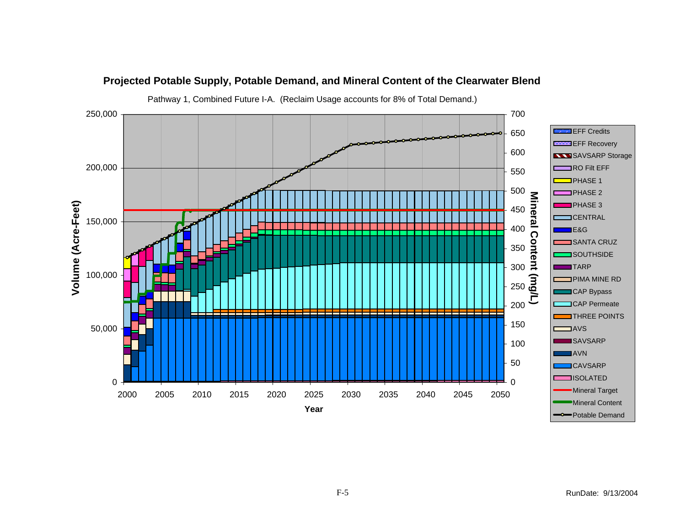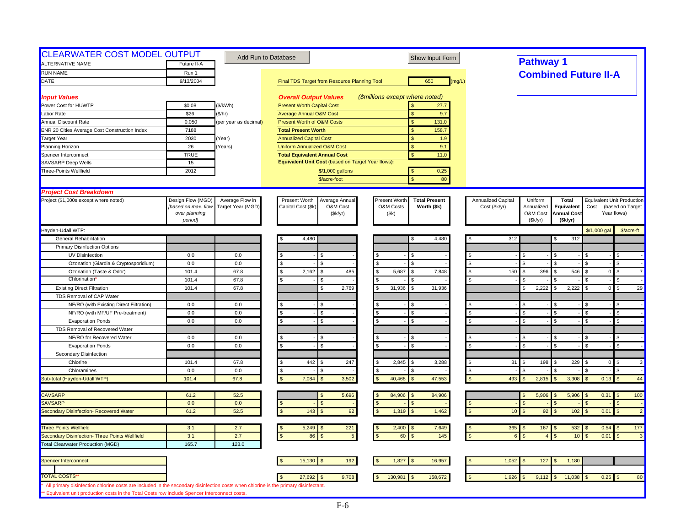| <b>CLEARWATER COST MODEL OUTPUT</b><br><b>ALTERNATIVE NAME</b>                                                                                                                                                                       | Future II-A                                               |                                      | Add Run to Database                                                           | Show Input Form                                                            |                                            | <b>Pathway 1</b>                  |                                           |                             |                                                                      |
|--------------------------------------------------------------------------------------------------------------------------------------------------------------------------------------------------------------------------------------|-----------------------------------------------------------|--------------------------------------|-------------------------------------------------------------------------------|----------------------------------------------------------------------------|--------------------------------------------|-----------------------------------|-------------------------------------------|-----------------------------|----------------------------------------------------------------------|
| <b>RUN NAME</b>                                                                                                                                                                                                                      | Run 1                                                     |                                      |                                                                               |                                                                            |                                            |                                   |                                           |                             |                                                                      |
| DATE                                                                                                                                                                                                                                 | 9/13/2004                                                 |                                      | Final TDS Target from Resource Planning Tool                                  | 650<br>(mg/L)                                                              |                                            |                                   |                                           | <b>Combined Future II-A</b> |                                                                      |
|                                                                                                                                                                                                                                      |                                                           |                                      |                                                                               |                                                                            |                                            |                                   |                                           |                             |                                                                      |
| <b>Input Values</b>                                                                                                                                                                                                                  |                                                           |                                      | <b>Overall Output Values</b>                                                  | (\$millions except where noted)                                            |                                            |                                   |                                           |                             |                                                                      |
| Power Cost for HUWTP                                                                                                                                                                                                                 | \$0.08                                                    | (\$/kWh)                             | <b>Present Worth Capital Cost</b>                                             | 27.7                                                                       |                                            |                                   |                                           |                             |                                                                      |
| Labor Rate                                                                                                                                                                                                                           | \$26                                                      | (\$/hr)                              | <b>Average Annual O&amp;M Cost</b>                                            | \$<br>9.7                                                                  |                                            |                                   |                                           |                             |                                                                      |
| Annual Discount Rate                                                                                                                                                                                                                 | 0.050                                                     | (per year as decimal)                | Present Worth of O&M Costs                                                    | S<br>131.0                                                                 |                                            |                                   |                                           |                             |                                                                      |
| ENR 20 Cities Average Cost Construction Index                                                                                                                                                                                        | 7188                                                      |                                      | <b>Total Present Worth</b>                                                    | 158.7                                                                      |                                            |                                   |                                           |                             |                                                                      |
| <b>Target Year</b>                                                                                                                                                                                                                   | 2030                                                      | Year)                                | <b>Annualized Capital Cost</b>                                                | <sub>\$</sub><br>1.9                                                       |                                            |                                   |                                           |                             |                                                                      |
| Planning Horizon                                                                                                                                                                                                                     | 26                                                        | Years)                               | Uniform Annualized O&M Cost                                                   | $\mathsf{S}$<br>9.1                                                        |                                            |                                   |                                           |                             |                                                                      |
| Spencer Interconnect                                                                                                                                                                                                                 | <b>TRUE</b>                                               |                                      | <b>Total Equivalent Annual Cost</b>                                           | $\mathbf{s}$<br>11.0                                                       |                                            |                                   |                                           |                             |                                                                      |
| <b>SAVSARP Deep Wells</b>                                                                                                                                                                                                            | 15                                                        |                                      | Equivalent Unit Cost (based on Target Year flows):                            |                                                                            |                                            |                                   |                                           |                             |                                                                      |
| Three-Points Wellfield                                                                                                                                                                                                               | 2012                                                      |                                      | \$/1,000 gallons                                                              | 0.25<br>-S                                                                 |                                            |                                   |                                           |                             |                                                                      |
|                                                                                                                                                                                                                                      |                                                           |                                      | \$/acre-foot                                                                  | 80<br>$\mathbf{\hat{S}}$                                                   |                                            |                                   |                                           |                             |                                                                      |
|                                                                                                                                                                                                                                      |                                                           |                                      |                                                                               |                                                                            |                                            |                                   |                                           |                             |                                                                      |
| <b>Project Cost Breakdown</b>                                                                                                                                                                                                        |                                                           |                                      |                                                                               |                                                                            |                                            |                                   |                                           |                             |                                                                      |
| Project (\$1,000s except where noted)                                                                                                                                                                                                | Design Flow (MGD)<br>[based on max. flow<br>over planning | Average Flow in<br>Target Year (MGD) | Present Worth<br>Average Annual<br>Capital Cost (\$k)<br>O&M Cost<br>(\$k/yr) | Present Worth<br><b>Total Present</b><br>O&M Costs<br>Worth (\$k)<br>(\$k) | <b>Annualized Capital</b><br>Cost (\$k/yr) | Uniform<br>Annualized<br>O&M Cost | Total<br>Equivalent<br><b>Annual Cost</b> | Cost                        | <b>Equivalent Unit Production</b><br>(based on Target<br>Year flows) |
|                                                                                                                                                                                                                                      | period]                                                   |                                      |                                                                               |                                                                            |                                            | (Sk/yr)                           | (\$k/yr)                                  |                             |                                                                      |
| Hayden-Udall WTP:                                                                                                                                                                                                                    |                                                           |                                      |                                                                               |                                                                            |                                            |                                   |                                           | \$/1,000 gal                | \$/acre-ft                                                           |
| <b>General Rehabilitation</b>                                                                                                                                                                                                        |                                                           |                                      | 4,480                                                                         | 4,480                                                                      | 312                                        |                                   | 312                                       |                             |                                                                      |
| <b>Primary Disinfection Options</b>                                                                                                                                                                                                  |                                                           |                                      |                                                                               |                                                                            |                                            |                                   |                                           |                             |                                                                      |
| UV Disinfection                                                                                                                                                                                                                      | 0.0                                                       | 0.0                                  |                                                                               | ¢                                                                          |                                            | \$                                |                                           |                             | \$                                                                   |
| Ozonation (Giardia & Cryptosporidium)                                                                                                                                                                                                | 0.0                                                       | 0.0                                  | \$<br>\$.                                                                     | <b>S</b>                                                                   |                                            | \$                                |                                           |                             | \$                                                                   |
| Ozonation (Taste & Odor)                                                                                                                                                                                                             | 101.4                                                     | 67.8                                 | 2,162<br>485<br>\$.<br>£.                                                     | 5,687<br>7,848<br>$\mathbf{s}$<br>£.                                       | \$<br>150                                  | 396<br>\$                         | 546<br>ς.                                 | $\overline{0}$              | $\mathbf{s}$<br>$\overline{7}$                                       |
| Chlorination                                                                                                                                                                                                                         | 101.4                                                     | 67.8                                 |                                                                               |                                                                            |                                            |                                   |                                           |                             | $\mathfrak{s}$                                                       |
| <b>Existing Direct Filtration</b>                                                                                                                                                                                                    | 101.4                                                     | 67.8                                 | 2.769<br>\$.                                                                  | 31.936<br>31,936<br>$\mathcal{F}$                                          |                                            | 2,222<br>£.                       | 2,222                                     | $\overline{0}$              | 29<br>\$                                                             |
| TDS Removal of CAP Water                                                                                                                                                                                                             |                                                           |                                      |                                                                               |                                                                            |                                            |                                   |                                           |                             |                                                                      |
| NF/RO (with Existing Direct Filtration)                                                                                                                                                                                              | 0.0                                                       | 0.0                                  |                                                                               |                                                                            |                                            |                                   |                                           |                             |                                                                      |
| NF/RO (with MF/UF Pre-treatment)                                                                                                                                                                                                     | 0.0                                                       | 0.0                                  | \$.<br>ፍ                                                                      | $\mathbf{\hat{s}}$                                                         |                                            | \$                                |                                           |                             | \$                                                                   |
| <b>Evaporation Ponds</b>                                                                                                                                                                                                             | 0.0                                                       | 0.0                                  | \$.                                                                           | <b>S</b>                                                                   |                                            | $\mathfrak{L}$                    |                                           |                             | $\mathfrak{L}$                                                       |
| TDS Removal of Recovered Water                                                                                                                                                                                                       |                                                           |                                      |                                                                               |                                                                            |                                            |                                   |                                           |                             |                                                                      |
| NF/RO for Recovered Water                                                                                                                                                                                                            | 0.0                                                       | 0.0                                  |                                                                               | .S                                                                         |                                            | $\mathfrak{L}$                    |                                           |                             | \$                                                                   |
| <b>Evaporation Ponds</b>                                                                                                                                                                                                             | 0.0                                                       | 0.0                                  | \$.                                                                           | $\mathbf{s}$                                                               |                                            | $\mathfrak{L}$                    | $\mathcal{F}$                             | ፍ                           | \$                                                                   |
| Secondary Disinfection                                                                                                                                                                                                               |                                                           |                                      |                                                                               |                                                                            |                                            |                                   |                                           |                             |                                                                      |
| Chlorine                                                                                                                                                                                                                             | 101.4                                                     | 67.8                                 | 442<br>247                                                                    | 2,845<br>3,288                                                             | 31                                         | 198                               | 229                                       | $\overline{0}$              | \$<br>3                                                              |
| Chloramines                                                                                                                                                                                                                          | 0.0                                                       | 0.0                                  | \$                                                                            |                                                                            | \$                                         |                                   |                                           |                             | \$                                                                   |
| Sub-total (Hayden-Udall WTP)                                                                                                                                                                                                         | 101.4                                                     | 67.8                                 | 3,502<br>7,084                                                                | 47,553<br>40,468<br>$\mathcal{F}$                                          | 493                                        | 2,815<br>$\mathfrak{L}$           | 3,308                                     | 0.13                        | 44<br>$\sqrt{3}$                                                     |
| <b>CAVSARP</b>                                                                                                                                                                                                                       | 61.2                                                      | 52.5                                 | 5,696                                                                         | 84,906<br>84,906                                                           |                                            | 5,906                             | 5,906                                     | $0.31$ \$                   | 100                                                                  |
| SAVSARP                                                                                                                                                                                                                              | 0.0                                                       | 0.0                                  |                                                                               |                                                                            |                                            |                                   |                                           |                             |                                                                      |
| Secondary Disinfection- Recovered Water                                                                                                                                                                                              | 61.2                                                      | 52.5                                 | 92<br>143                                                                     | 1,319<br>1,462<br><sub>S</sub>                                             | 10 <sup>°</sup>                            | 92                                | 102                                       | 0.01                        | $\overline{2}$                                                       |
| <b>Three Points Wellfield</b>                                                                                                                                                                                                        | 3.1                                                       | 2.7                                  | 5,249<br>221                                                                  | 2,400<br>7,649                                                             | - \$                                       | $365$ \$<br>167                   | 532                                       | $0.54$ \$                   | 177                                                                  |
| Secondary Disinfection- Three Points Wellfield                                                                                                                                                                                       | 3.1                                                       | 2.7                                  | 86<br>$5\phantom{.0}$                                                         | 145<br>60                                                                  |                                            | $\kappa$<br>$\overline{A}$        | 10                                        | 0.01                        | $\mathfrak{L}$<br>$\mathbf{3}$                                       |
| <b>Total Clearwater Production (MGD)</b>                                                                                                                                                                                             | 165.7                                                     | 123.0                                |                                                                               |                                                                            |                                            |                                   |                                           |                             |                                                                      |
| Spencer Interconnect                                                                                                                                                                                                                 |                                                           |                                      | 15,130<br>192                                                                 | 1,827<br>16,957                                                            | 1,052                                      | 127                               | 1,180                                     |                             |                                                                      |
|                                                                                                                                                                                                                                      |                                                           |                                      |                                                                               |                                                                            |                                            |                                   |                                           |                             |                                                                      |
| <b>TOTAL COSTS</b>                                                                                                                                                                                                                   |                                                           |                                      | 27,692<br>9,708                                                               | 130,981<br>158,672<br>\$                                                   | 1,926                                      | 9,112                             | 11,038                                    | $0.25$ \$                   | 80                                                                   |
| All primary disinfection chlorine costs are included in the secondary disinfection costs when chlorine is the primary disinfectant.<br>** Equivalent unit production costs in the Total Costs row include Spencer Interconnect costs |                                                           |                                      |                                                                               |                                                                            |                                            |                                   |                                           |                             |                                                                      |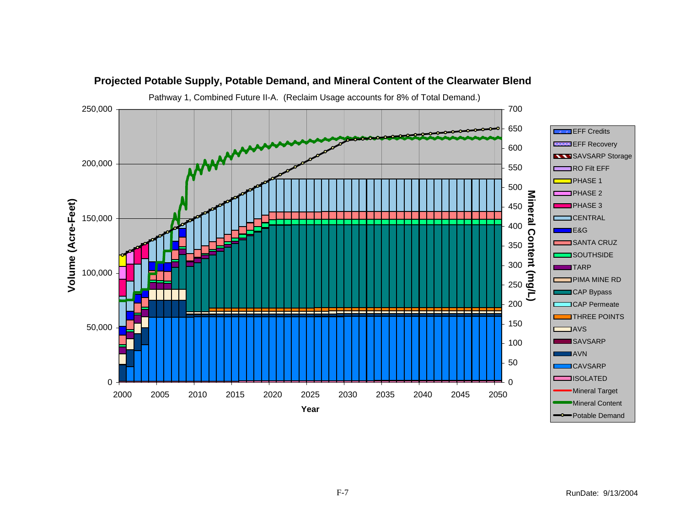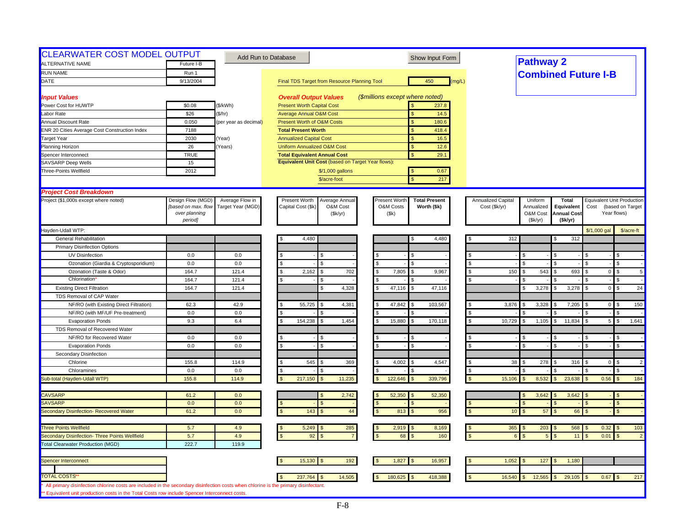| <b>CLEARWATER COST MODEL OUTPUT</b>                                                                                                 |                     |                       | Add Run to Database                                | Show Input Form                       |                    | <b>Pathway 2</b>      |                    |                            |                                      |
|-------------------------------------------------------------------------------------------------------------------------------------|---------------------|-----------------------|----------------------------------------------------|---------------------------------------|--------------------|-----------------------|--------------------|----------------------------|--------------------------------------|
| <b>ALTERNATIVE NAME</b>                                                                                                             | Future I-B          |                       |                                                    |                                       |                    |                       |                    |                            |                                      |
| <b>RUN NAME</b>                                                                                                                     | Run 1               |                       |                                                    |                                       |                    |                       |                    | <b>Combined Future I-B</b> |                                      |
| DATE                                                                                                                                | 9/13/2004           |                       | Final TDS Target from Resource Planning Tool       | 450<br>(mg/L)                         |                    |                       |                    |                            |                                      |
| <b>Input Values</b>                                                                                                                 |                     |                       | <b>Overall Output Values</b>                       | (\$millions except where noted)       |                    |                       |                    |                            |                                      |
| Power Cost for HUWTP                                                                                                                | \$0.08              | (\$/kWh)              | <b>Present Worth Capital Cost</b>                  | 237.8                                 |                    |                       |                    |                            |                                      |
| Labor Rate                                                                                                                          | \$26                | (\$/hr)               | <b>Average Annual O&amp;M Cost</b>                 | \$<br>14.5                            |                    |                       |                    |                            |                                      |
| Annual Discount Rate                                                                                                                | 0.050               | (per year as decimal) | Present Worth of O&M Costs                         | 180.6<br><sub>S</sub>                 |                    |                       |                    |                            |                                      |
| ENR 20 Cities Average Cost Construction Index                                                                                       | 7188                |                       | <b>Total Present Worth</b>                         | 418.4                                 |                    |                       |                    |                            |                                      |
| <b>Target Year</b>                                                                                                                  | 2030                | (Year)                | <b>Annualized Capital Cost</b>                     | <sub>S</sub><br>16.5                  |                    |                       |                    |                            |                                      |
| Planning Horizon                                                                                                                    | 26                  | Years)                | <b>Uniform Annualized O&amp;M Cost</b>             | $\mathbf{s}$<br>12.6                  |                    |                       |                    |                            |                                      |
| Spencer Interconnect                                                                                                                | <b>TRUE</b>         |                       | <b>Total Equivalent Annual Cost</b>                | $\mathbf{s}$<br>29.1                  |                    |                       |                    |                            |                                      |
| <b>SAVSARP</b> Deep Wells                                                                                                           | 15                  |                       | Equivalent Unit Cost (based on Target Year flows): |                                       |                    |                       |                    |                            |                                      |
| Three-Points Wellfield                                                                                                              | 2012                |                       | \$/1,000 gallons                                   | 0.67<br>$\mathbf{s}$                  |                    |                       |                    |                            |                                      |
|                                                                                                                                     |                     |                       | \$/acre-foot                                       | $\mathbf{\hat{S}}$<br>217             |                    |                       |                    |                            |                                      |
| <b>Project Cost Breakdown</b>                                                                                                       |                     |                       |                                                    |                                       |                    |                       |                    |                            |                                      |
| Project (\$1,000s except where noted)                                                                                               | Design Flow (MGD)   | Average Flow in       | Present Worth<br>Average Annual                    | Present Worth<br><b>Total Present</b> | Annualized Capital | Uniform               | <b>Total</b>       |                            | <b>Equivalent Unit Production</b>    |
|                                                                                                                                     | [based on max. flow | Target Year (MGD)     | Capital Cost (\$k)<br>O&M Cost                     | O&M Costs<br>Worth (\$k)              | Cost (\$k/yr)      | Annualized            | Equivalent         | Cost                       | (based on Target                     |
|                                                                                                                                     | over planning       |                       | (\$k/yr)                                           | (\$k)                                 |                    | O&M Cost              | <b>Annual Cost</b> |                            | Year flows)                          |
|                                                                                                                                     | period]             |                       |                                                    |                                       |                    | (Sk/yr)               | (\$k/yr)           |                            |                                      |
| Hayden-Udall WTP:<br><b>General Rehabilitation</b>                                                                                  |                     |                       | 4,480                                              |                                       |                    | 312                   |                    | \$/1,000 gal               | \$/acre-ft                           |
|                                                                                                                                     |                     |                       |                                                    | 4,480<br>S                            |                    |                       | 312                |                            |                                      |
| <b>Primary Disinfection Options</b>                                                                                                 |                     |                       |                                                    |                                       |                    |                       |                    |                            |                                      |
| UV Disinfection                                                                                                                     | 0.0                 | 0.0                   |                                                    |                                       |                    |                       |                    |                            | $\mathfrak{L}$                       |
| Ozonation (Giardia & Cryptosporidium)                                                                                               | 0.0                 | 0.0                   | \$<br>\$.                                          | $\mathcal{F}$                         | $\mathbb{S}$       | £.                    |                    |                            | \$                                   |
| Ozonation (Taste & Odor)<br><b>Chlorination</b>                                                                                     | 164.7               | 121.4                 | 2,162<br>702<br>\$                                 | 7,805<br>9,967<br><b>S</b>            | <sup>\$</sup>      | 543<br>150            | 693                | $\overline{0}$             | <b>S</b><br>$5\phantom{.0}$          |
|                                                                                                                                     | 164.7<br>164.7      | 121.4<br>121.4        | 4,328                                              | 47,116<br>47,116<br>$\mathbf{S}$      |                    | 3,278<br>\$           | 3,278              | 0                          | $\mathfrak{L}$<br>$\mathbf{s}$<br>24 |
| <b>Existing Direct Filtration</b><br>TDS Removal of CAP Water                                                                       |                     |                       |                                                    |                                       |                    |                       |                    |                            |                                      |
|                                                                                                                                     |                     |                       |                                                    |                                       |                    | 3,876                 |                    |                            | 150<br>£.                            |
| NF/RO (with Existing Direct Filtration)                                                                                             | 62.3<br>0.0         | 42.9<br>0.0           | 55,725<br>4,381                                    | 47,842<br>103,567                     |                    | 3,328                 | 7,205              | $\overline{0}$             | \$                                   |
| NF/RO (with MF/UF Pre-treatment)<br><b>Evaporation Ponds</b>                                                                        | 9.3                 | 6.4                   | 154,238<br>1,454<br>\$.                            | 15,880<br>170,118<br>$\mathbf{S}$     | \$                 | 10,729<br>1,105<br>\$ | 11,834<br>s.       | 5 <sup>1</sup>             | $\mathfrak{s}$<br>1,641              |
|                                                                                                                                     |                     |                       |                                                    |                                       |                    |                       |                    |                            |                                      |
| TDS Removal of Recovered Water<br>NF/RO for Recovered Water                                                                         | 0.0                 | 0.0                   |                                                    | -S                                    |                    | \$                    |                    |                            | \$                                   |
| <b>Evaporation Ponds</b>                                                                                                            | 0.0                 | 0.0                   |                                                    | \$                                    |                    | $\mathbf{s}$          |                    |                            | $\mathfrak{L}$                       |
| Secondary Disinfection                                                                                                              |                     |                       |                                                    |                                       |                    |                       |                    |                            |                                      |
| Chlorine                                                                                                                            | 155.8               | 114.9                 | 545<br>369                                         | 4,002<br>4,547                        |                    | 38<br>278<br>\$.      | 316                | $\overline{0}$             | $\mathfrak{L}$<br>$\overline{2}$     |
| Chloramines                                                                                                                         | 0.0                 | 0.0                   |                                                    | l \$                                  | \$                 |                       |                    |                            | \$.                                  |
| Sub-total (Hayden-Udall WTP)                                                                                                        | 155.8               | 114.9                 | 217,150<br>11,235                                  | 122,646<br>339,796                    |                    | 15,106<br>8,532       | 23,638             | 0.56                       | 184<br>$\mathfrak{s}$                |
|                                                                                                                                     |                     |                       |                                                    |                                       |                    |                       |                    |                            |                                      |
| <b>CAVSARP</b>                                                                                                                      | 61.2                | 0.0                   | 2,742                                              | 52,350<br>52,350<br>l S               |                    | 3,642                 | 3,642              |                            | $\mathfrak{s}$                       |
| <b>SAVSARP</b>                                                                                                                      | 0.0                 | 0.0                   |                                                    | <sub>S</sub>                          |                    | $\mathcal{F}$         |                    |                            | $\mathfrak{s}$                       |
| Secondary Disinfection- Recovered Water                                                                                             | 61.2                | 0.0                   | 143<br>44                                          | 956<br>813<br><sub>S</sub>            |                    | 57<br>10 <sup>°</sup> | 66                 |                            | $\mathfrak{s}$                       |
|                                                                                                                                     |                     |                       |                                                    |                                       |                    |                       |                    |                            |                                      |
| <b>Three Points Wellfield</b>                                                                                                       | 5.7                 | 4.9                   | 5,249<br>285                                       | 2,919<br>8,169                        |                    | $365$ \$<br>203       | 568                | $0.32$ \$                  | 103                                  |
| Secondary Disinfection- Three Points Wellfield                                                                                      | 5.7                 | 4.9                   | 92                                                 | 160<br>68                             |                    | $5\overline{5}$       | 11                 | 0.01                       | $\mathbf{\hat{f}}$<br>$\overline{2}$ |
| <b>Total Clearwater Production (MGD)</b>                                                                                            | 222.7               | 119.9                 |                                                    |                                       |                    |                       |                    |                            |                                      |
| Spencer Interconnect                                                                                                                |                     |                       | 192<br>15,130                                      | 1,827<br>16,957                       |                    | 1,052<br>127          | 1,180              |                            |                                      |
|                                                                                                                                     |                     |                       |                                                    |                                       |                    |                       |                    |                            |                                      |
| <b>TOTAL COSTS</b>                                                                                                                  |                     |                       | 14,505<br>237,764                                  | 180,625<br>418,388                    |                    | 16,540<br>12,565      | 29,105             | $0.67$ \$                  | 217                                  |
| All primary disinfection chlorine costs are included in the secondary disinfection costs when chlorine is the primary disinfectant. |                     |                       |                                                    |                                       |                    |                       |                    |                            |                                      |
| ** Equivalent unit production costs in the Total Costs row include Spencer Interconnect costs.                                      |                     |                       |                                                    |                                       |                    |                       |                    |                            |                                      |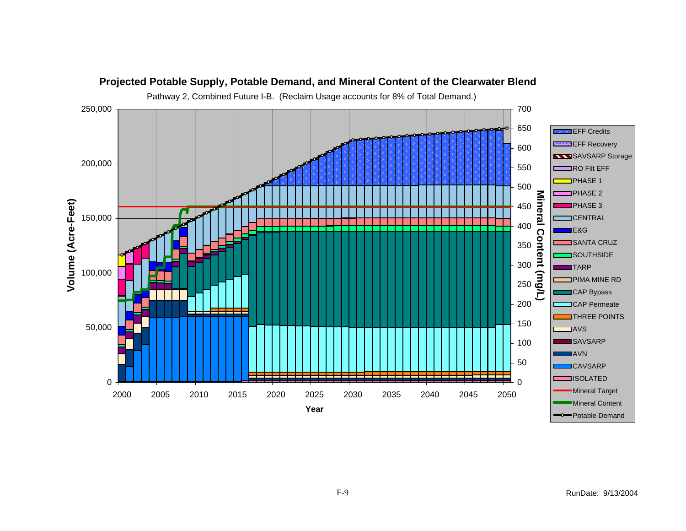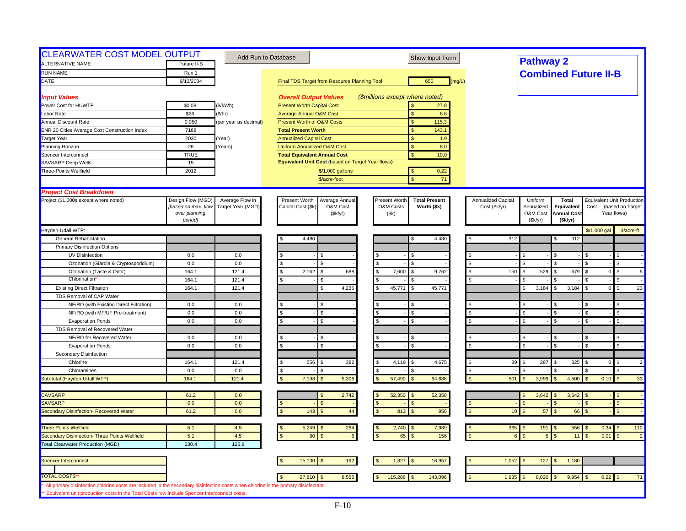| <b>CLEARWATER COST MODEL OUTPUT</b><br>ALTERNATIVE NAME                                                                                                                                                                               | Future II-B         |                       | Add Run to Database                                | Show Input Form                       |                    | <b>Pathway 2</b>      |                             |                |                                   |
|---------------------------------------------------------------------------------------------------------------------------------------------------------------------------------------------------------------------------------------|---------------------|-----------------------|----------------------------------------------------|---------------------------------------|--------------------|-----------------------|-----------------------------|----------------|-----------------------------------|
| <b>RUN NAME</b>                                                                                                                                                                                                                       | Run 1               |                       |                                                    |                                       |                    |                       |                             |                |                                   |
| DATE                                                                                                                                                                                                                                  | 9/13/2004           |                       | Final TDS Target from Resource Planning Tool       | 650<br>(mq/L)                         |                    |                       | <b>Combined Future II-B</b> |                |                                   |
|                                                                                                                                                                                                                                       |                     |                       |                                                    |                                       |                    |                       |                             |                |                                   |
| <b>Input Values</b>                                                                                                                                                                                                                   |                     |                       | <b>Overall Output Values</b>                       | (\$millions except where noted)       |                    |                       |                             |                |                                   |
| Power Cost for HUWTP                                                                                                                                                                                                                  | \$0.08              | (\$/kWh)              | <b>Present Worth Capital Cost</b>                  | 27.8                                  |                    |                       |                             |                |                                   |
| Labor Rate                                                                                                                                                                                                                            | \$26                | (\$/hr)               | <b>Average Annual O&amp;M Cost</b>                 | 8.6<br>$\mathbf{s}$                   |                    |                       |                             |                |                                   |
| <b>Annual Discount Rate</b>                                                                                                                                                                                                           | 0.050               | (per year as decimal) | Present Worth of O&M Costs                         | $\mathbf{s}$<br>115.3                 |                    |                       |                             |                |                                   |
| <b>ENR 20 Cities Average Cost Construction Index</b>                                                                                                                                                                                  | 7188                |                       | <b>Total Present Worth</b>                         | 143.1<br>$\mathbf{s}$                 |                    |                       |                             |                |                                   |
| <b>Target Year</b>                                                                                                                                                                                                                    | 2030                | Year)                 | <b>Annualized Capital Cost</b>                     | \$<br>1.9                             |                    |                       |                             |                |                                   |
| Planning Horizon                                                                                                                                                                                                                      | 26                  | Years)                | <b>Uniform Annualized O&amp;M Cost</b>             | <sub>S</sub><br>8.0                   |                    |                       |                             |                |                                   |
| Spencer Interconnect                                                                                                                                                                                                                  | <b>TRUE</b>         |                       | <b>Total Equivalent Annual Cost</b>                | \$<br>10.0                            |                    |                       |                             |                |                                   |
| SAVSARP Deep Wells                                                                                                                                                                                                                    | 15                  |                       | Equivalent Unit Cost (based on Target Year flows): |                                       |                    |                       |                             |                |                                   |
| Three-Points Wellfield                                                                                                                                                                                                                | 2012                |                       | \$/1,000 gallons                                   | 0.22                                  |                    |                       |                             |                |                                   |
|                                                                                                                                                                                                                                       |                     |                       | \$/acre-foot                                       | 71<br>$\mathbf{\hat{S}}$              |                    |                       |                             |                |                                   |
| <b>Project Cost Breakdown</b>                                                                                                                                                                                                         |                     |                       |                                                    |                                       |                    |                       |                             |                |                                   |
| Project (\$1,000s except where noted)                                                                                                                                                                                                 | Design Flow (MGD)   | Average Flow in       | Present Worth<br>Average Annual                    | Present Worth<br><b>Total Present</b> | Annualized Capital | Uniform               | <b>Total</b>                |                | <b>Equivalent Unit Production</b> |
|                                                                                                                                                                                                                                       | [based on max. flow | Target Year (MGD)     | Capital Cost (\$k)<br>O&M Cost                     | O&M Costs<br>Worth (\$k)              | Cost (\$k/yr)      | Annualized            | Equivalent                  | Cost           | (based on Target                  |
|                                                                                                                                                                                                                                       | over planning       |                       | (\$k/yr)                                           | (Sk)                                  |                    | O&M Cost              | <b>Annual Cost</b>          |                | Year flows)                       |
|                                                                                                                                                                                                                                       | period]             |                       |                                                    |                                       |                    | (Sk/yr)               | (\$k/yr)                    |                |                                   |
| Hayden-Udall WTP:                                                                                                                                                                                                                     |                     |                       |                                                    |                                       |                    |                       |                             | \$/1,000 gal   | \$/acre-ft                        |
| <b>General Rehabilitation</b>                                                                                                                                                                                                         |                     |                       | 4,480                                              | 4,480<br>S                            | 312                |                       | 312                         |                |                                   |
| <b>Primary Disinfection Options</b>                                                                                                                                                                                                   |                     |                       |                                                    |                                       |                    |                       |                             |                |                                   |
| UV Disinfection                                                                                                                                                                                                                       | 0.0                 | 0.0                   |                                                    |                                       |                    | \$.                   |                             |                |                                   |
| Ozonation (Giardia & Cryptosporidium)                                                                                                                                                                                                 | 0.0                 | 0.0                   | \$.<br>\$.                                         | $\mathfrak{L}$<br>$\mathbf{S}$        | <b>S</b>           | $\mathfrak{L}$        |                             |                | \$                                |
| Ozonation (Taste & Odor)                                                                                                                                                                                                              | 164.1               | 121.4                 | s.<br>2,162<br>688<br>\$.                          | 7,600<br>l S<br>9,762                 | 150<br>- \$        | 529<br>\$             | 679                         | $\overline{0}$ | $\mathfrak{L}$<br>5               |
| Chlorination                                                                                                                                                                                                                          | 164.1               | 121.4                 | \$                                                 | l \$                                  |                    |                       |                             |                | \$                                |
| <b>Existing Direct Filtration</b>                                                                                                                                                                                                     | 164.1               | 121.4                 | 4,235                                              | 45,771<br>45,771<br>l S               |                    | 3,184<br>\$           | 3,184                       | $\overline{0}$ | $\mathbb{S}$<br>23                |
| TDS Removal of CAP Water                                                                                                                                                                                                              |                     |                       |                                                    |                                       |                    |                       |                             |                |                                   |
| NF/RO (with Existing Direct Filtration)                                                                                                                                                                                               | 0.0                 | 0.0                   |                                                    | l \$                                  |                    |                       |                             |                | \$                                |
| NF/RO (with MF/UF Pre-treatment)                                                                                                                                                                                                      | 0.0                 | 0.0                   | $\mathcal{S}$                                      | $\mathbf{s}$                          |                    | $\mathfrak{L}$        |                             |                | $\mathfrak{L}$                    |
| <b>Evaporation Ponds</b>                                                                                                                                                                                                              | 0.0                 | $0.0\,$               | ፍ<br>s.                                            | $\mathbf{s}$                          | <b>S</b>           | \$                    | $\mathfrak{L}$              |                | \$                                |
| TDS Removal of Recovered Water                                                                                                                                                                                                        |                     |                       |                                                    |                                       |                    |                       |                             |                |                                   |
| NF/RO for Recovered Water                                                                                                                                                                                                             | 0.0                 | 0.0                   |                                                    |                                       |                    |                       |                             |                | \$                                |
| <b>Evaporation Ponds</b>                                                                                                                                                                                                              | 0.0                 | 0.0                   |                                                    | \$.                                   |                    | $\mathfrak{L}$        |                             |                | $\mathfrak{L}$                    |
| Secondary Disinfection                                                                                                                                                                                                                |                     |                       |                                                    |                                       |                    |                       |                             |                |                                   |
| Chlorine                                                                                                                                                                                                                              | 164.1               | 121.4                 | 556<br>382<br>\$                                   | 4,119<br>4,675                        | 39                 | 287                   | 325                         | $\overline{0}$ | $\mathfrak{L}$<br>$\overline{2}$  |
| Chloramines                                                                                                                                                                                                                           | 0.0                 | 0.0                   | \$.                                                | .S                                    | $\mathfrak{L}$     |                       |                             |                | £.                                |
| Sub-total (Hayden-Udall WTP)                                                                                                                                                                                                          | 164.1               | 121.4                 | 7,198<br>5,306                                     | 57,490<br>64,688                      | 501                | 3,999                 | 4,500                       | 0.10           | 33                                |
| <b>CAVSARP</b>                                                                                                                                                                                                                        | 61.2                | 0.0                   | 2,742                                              | 52,350<br>52,350<br><b>S</b>          |                    | 3,642                 | 3,642                       |                | -\$                               |
| <b>SAVSARP</b>                                                                                                                                                                                                                        | 0.0                 | 0.0                   |                                                    | <sub>S</sub>                          |                    | ፍ                     |                             |                | $\mathfrak{s}$                    |
| Secondary Disinfection- Recovered Water                                                                                                                                                                                               | 61.2                | 0.0                   | 143<br>$44\,$                                      | 956<br>813<br>$\sqrt{3}$              |                    | 57<br>10 <sup>°</sup> | 66                          |                | $\mathfrak{s}$                    |
|                                                                                                                                                                                                                                       |                     |                       |                                                    |                                       |                    |                       |                             |                |                                   |
| <b>Three Points Wellfield</b>                                                                                                                                                                                                         | 5.1                 | 4.5                   | 5,249<br>264                                       | 2,740<br>7,989                        |                    | $365$ \$<br>191       | 556                         | $0.34$ \$      | 110                               |
| Secondary Disinfection- Three Points Wellfield                                                                                                                                                                                        | 5.1                 | 4.5                   | 90<br>6                                            | 156<br>65                             |                    | $5\overline{5}$       | 11                          | 0.01           | $\mathfrak{s}$<br>$\overline{2}$  |
| <b>Total Clearwater Production (MGD)</b>                                                                                                                                                                                              | 230.4               | 125.9                 |                                                    |                                       |                    |                       |                             |                |                                   |
|                                                                                                                                                                                                                                       |                     |                       |                                                    |                                       |                    |                       |                             |                |                                   |
| Spencer Interconnect                                                                                                                                                                                                                  |                     |                       | 192<br>15,130                                      | 1,827<br>16,957                       | 1,052              | 127<br>-\$            | 1,180                       |                |                                   |
| <b>TOTAL COSTS'</b>                                                                                                                                                                                                                   |                     |                       |                                                    |                                       |                    |                       |                             |                |                                   |
|                                                                                                                                                                                                                                       |                     |                       | 8,555<br>27,810                                    | 115,286<br>143,096                    | 1,935              | 8,020                 | 9,954                       | $0.22$ \$      | 71                                |
| All primary disinfection chlorine costs are included in the secondary disinfection costs when chlorine is the primary disinfectant.<br>** Equivalent unit production costs in the Total Costs row include Spencer Interconnect costs. |                     |                       |                                                    |                                       |                    |                       |                             |                |                                   |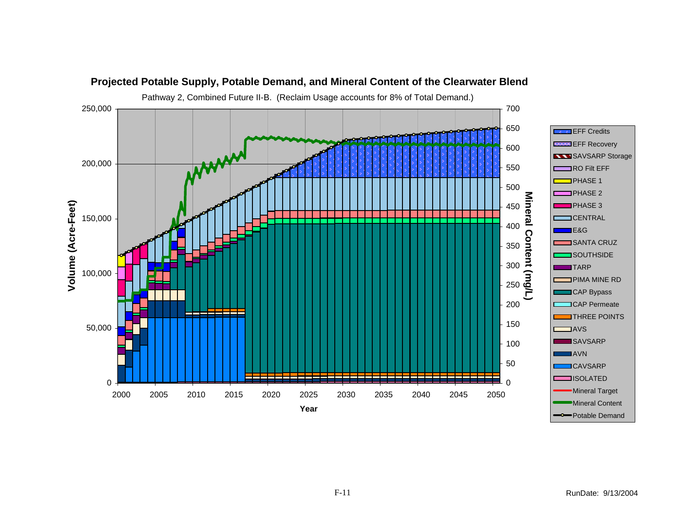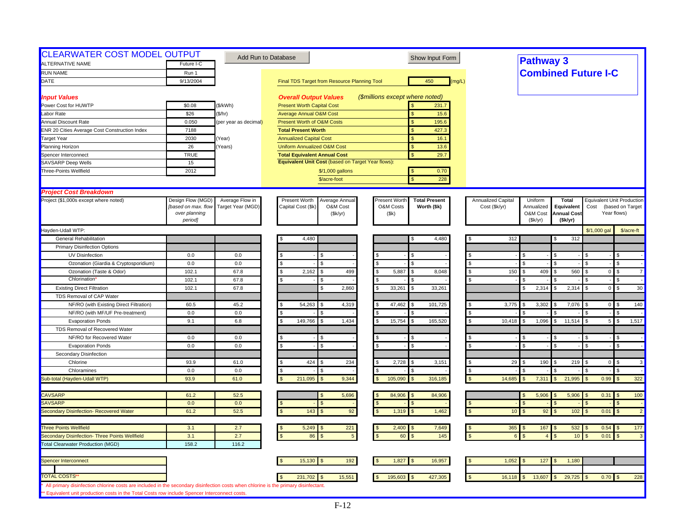| <b>CLEARWATER COST MODEL OUTPUT</b><br>ALTERNATIVE NAME                                                                             |                     |                       | Add Run to Database                                | Show Input Form                              |                    | <b>Pathway 3</b>           |                    |                |                                   |
|-------------------------------------------------------------------------------------------------------------------------------------|---------------------|-----------------------|----------------------------------------------------|----------------------------------------------|--------------------|----------------------------|--------------------|----------------|-----------------------------------|
|                                                                                                                                     | Future I-C          |                       |                                                    |                                              |                    |                            |                    |                |                                   |
| <b>RUN NAME</b>                                                                                                                     | Run 1               |                       |                                                    |                                              |                    | <b>Combined Future I-C</b> |                    |                |                                   |
| DATE                                                                                                                                | 9/13/2004           |                       | Final TDS Target from Resource Planning Tool       | 450<br>(mq/L)                                |                    |                            |                    |                |                                   |
| <b>Input Values</b>                                                                                                                 |                     |                       | <b>Overall Output Values</b>                       | (\$millions except where noted)              |                    |                            |                    |                |                                   |
| Power Cost for HUWTP                                                                                                                | \$0.08              | (\$/kWh)              | <b>Present Worth Capital Cost</b>                  | 231.7                                        |                    |                            |                    |                |                                   |
| Labor Rate                                                                                                                          | \$26                | \$/hr)                | <b>Average Annual O&amp;M Cost</b>                 | 15.6<br>\$                                   |                    |                            |                    |                |                                   |
| <b>Annual Discount Rate</b>                                                                                                         | 0.050               | (per year as decimal) | <b>Present Worth of O&amp;M Costs</b>              | $\mathbf{s}$<br>195.6                        |                    |                            |                    |                |                                   |
| <b>ENR 20 Cities Average Cost Construction Index</b>                                                                                | 7188                |                       | <b>Total Present Worth</b>                         | 427.3<br>\$                                  |                    |                            |                    |                |                                   |
| <b>Target Year</b>                                                                                                                  | 2030                | (Year)                | <b>Annualized Capital Cost</b>                     | \$<br>16.1                                   |                    |                            |                    |                |                                   |
| Planning Horizon                                                                                                                    | 26                  | (Years)               | <b>Uniform Annualized O&amp;M Cost</b>             | \$.<br>13.6                                  |                    |                            |                    |                |                                   |
| Spencer Interconnect                                                                                                                | <b>TRUE</b>         |                       | <b>Total Equivalent Annual Cost</b>                | 29.7<br>$\mathbf{s}$                         |                    |                            |                    |                |                                   |
| <b>SAVSARP Deep Wells</b>                                                                                                           | 15                  |                       | Equivalent Unit Cost (based on Target Year flows): |                                              |                    |                            |                    |                |                                   |
| Three-Points Wellfield                                                                                                              | 2012                |                       | \$/1,000 gallons                                   | 0.70                                         |                    |                            |                    |                |                                   |
|                                                                                                                                     |                     |                       | \$/acre-foot                                       | 228                                          |                    |                            |                    |                |                                   |
| <b>Project Cost Breakdown</b>                                                                                                       |                     |                       |                                                    |                                              |                    |                            |                    |                |                                   |
| Project (\$1,000s except where noted)                                                                                               | Design Flow (MGD)   | Average Flow in       | Present Worth<br>Average Annua                     | <b>Present Worth</b><br><b>Total Present</b> | Annualized Capital | Uniform                    | <b>Total</b>       |                | <b>Equivalent Unit Production</b> |
|                                                                                                                                     | [based on max. flow | Target Year (MGD)     | Capital Cost (\$k<br>O&M Cost                      | O&M Costs<br>Worth (\$k)                     | Cost (\$k/yr)      | Annualized                 | Equivalent         | Cost           | (based on Target                  |
|                                                                                                                                     | over planning       |                       | (\$k/yr)                                           | (Sk)                                         |                    | O&M Cost                   | <b>Annual Cost</b> |                | Year flows)                       |
|                                                                                                                                     | period]             |                       |                                                    |                                              |                    | (Sk/yr)                    | (Sk/yr)            |                |                                   |
| Hayden-Udall WTP:                                                                                                                   |                     |                       |                                                    |                                              |                    |                            |                    | \$/1,000 gal   | \$/acre-ft                        |
| General Rehabilitation                                                                                                              |                     |                       | 4,480                                              | 4,480                                        | 312                |                            | 312                |                |                                   |
| <b>Primary Disinfection Options</b>                                                                                                 |                     |                       |                                                    |                                              |                    |                            |                    |                |                                   |
| UV Disinfection                                                                                                                     | 0.0                 | 0.0                   |                                                    |                                              |                    |                            |                    |                |                                   |
| Ozonation (Giardia & Cryptosporidium)                                                                                               | 0.0                 | 0.0                   | \$<br>\$.                                          |                                              | $\mathbf{f}$       |                            |                    | £.             | \$                                |
| Ozonation (Taste & Odor)                                                                                                            | 102.1               | 67.8                  | S.<br>2,162<br>499<br>S.                           | 5,887<br>\$.<br>8,048                        | 150                | 409                        | 560                | $\overline{0}$ | $\overline{7}$<br>\$.             |
| Chlorination                                                                                                                        | 102.1               | 67.8                  | S.<br>\$                                           |                                              |                    |                            |                    |                | \$                                |
| <b>Existing Direct Filtration</b>                                                                                                   | 102.1               | 67.8                  | 2,860<br>S                                         | 33,261<br>33,261                             |                    | 2,314                      | 2,314              | $\overline{0}$ | 30<br>$\mathfrak{L}$              |
| TDS Removal of CAP Water                                                                                                            |                     |                       |                                                    |                                              |                    |                            |                    |                |                                   |
| NF/RO (with Existing Direct Filtration)                                                                                             | 60.5                | 45.2                  | 54,263<br>4,319<br>\$<br>S                         | 47,462<br>101,725                            | 3,775              | 3,302                      | 7,076              | $\mathbf{0}$   | 140                               |
| NF/RO (with MF/UF Pre-treatment)                                                                                                    | 0.0                 | 0.0                   |                                                    |                                              |                    |                            |                    |                |                                   |
| <b>Evaporation Ponds</b>                                                                                                            | 9.1                 | 6.8                   | 149,766<br>S<br>1,434<br>\$                        | 15,754<br>165,520<br>\$                      | 10,418             | 1,096                      | 11,514<br><b>S</b> | 5              | 1,517<br>\$                       |
| TDS Removal of Recovered Water                                                                                                      |                     |                       |                                                    |                                              |                    |                            |                    |                |                                   |
| NF/RO for Recovered Water                                                                                                           | 0.0                 | 0.0                   | Ŝ.<br>\$                                           |                                              |                    |                            |                    |                |                                   |
| <b>Evaporation Ponds</b>                                                                                                            | 0.0                 | 0.0                   | \$<br>S                                            | \$                                           |                    |                            |                    |                |                                   |
| Secondary Disinfection                                                                                                              |                     |                       |                                                    |                                              |                    |                            |                    |                |                                   |
| Chlorine                                                                                                                            | 93.9                | 61.0                  | \$<br>424<br>234<br>\$                             | 2,728<br>3,151<br>\$.                        | 29                 | 190                        | 219                | $\overline{0}$ | $\mathbf{3}$<br>\$                |
| Chloramines                                                                                                                         | 0.0                 | 0.0                   | S<br>Я                                             |                                              |                    |                            |                    |                |                                   |
| Sub-total (Hayden-Udall WTP)                                                                                                        | 93.9                | 61.0                  | 211,095<br>9,344                                   | 105,090<br>316,185                           | 14,685             | 7,311                      | 21,995             | 0.99           | 322                               |
| <b>CAVSARP</b>                                                                                                                      | 61.2                | 52.5                  | 5,696                                              | 84,906<br>84,906                             |                    | 5,906                      | 5,906              | 0.31           | 100<br>-\$                        |
| <b>SAVSARP</b>                                                                                                                      | 0.0                 | 0.0                   | $\mathbf{s}$                                       | \$                                           |                    |                            |                    |                | \$                                |
| Secondary Disinfection- Recovered Water                                                                                             | 61.2                | 52.5                  | 143<br>92<br><b>S</b>                              | 1,319<br>1,462                               | 10                 | 92                         | 102                | 0.01           | $\overline{2}$<br>$\mathfrak{s}$  |
|                                                                                                                                     |                     |                       |                                                    |                                              |                    |                            |                    |                |                                   |
| <b>Three Points Wellfield</b>                                                                                                       | 3.1                 | 2.7                   | 5,249<br>221<br>l \$                               | 2,400<br>7,649                               | $365$ \$           | 167                        | 532                | 0.54           | 177<br>\$                         |
| Secondary Disinfection- Three Points Wellfield                                                                                      | 3.1                 | 2.7                   | $\mathbf{s}$<br>86<br>$5\phantom{.0}$              | 145<br>60                                    |                    |                            | 10 <sub>1</sub>    | 0.01           | $\mathbf{3}$                      |
| <b>Total Clearwater Production (MGD)</b>                                                                                            | 158.2               | 116.2                 |                                                    |                                              |                    |                            |                    |                |                                   |
|                                                                                                                                     |                     |                       |                                                    |                                              |                    |                            |                    |                |                                   |
| Spencer Interconnect                                                                                                                |                     |                       | 15,130<br>192<br>S                                 | 16,957<br>1,827                              | 1,052              | 127                        | 1,180              |                |                                   |
| <b>TOTAL COSTS</b>                                                                                                                  |                     |                       | 15,551<br>231,702                                  | 195,603<br>427,305                           | 16,118             | 13,607                     | 29,725             | 0.70           | 228                               |
| All primary disinfection chlorine costs are included in the secondary disinfection costs when chlorine is the primary disinfectant. |                     |                       |                                                    |                                              |                    |                            |                    |                |                                   |
| ** Equivalent unit production costs in the Total Costs row include Spencer Interconnect costs.                                      |                     |                       |                                                    |                                              |                    |                            |                    |                |                                   |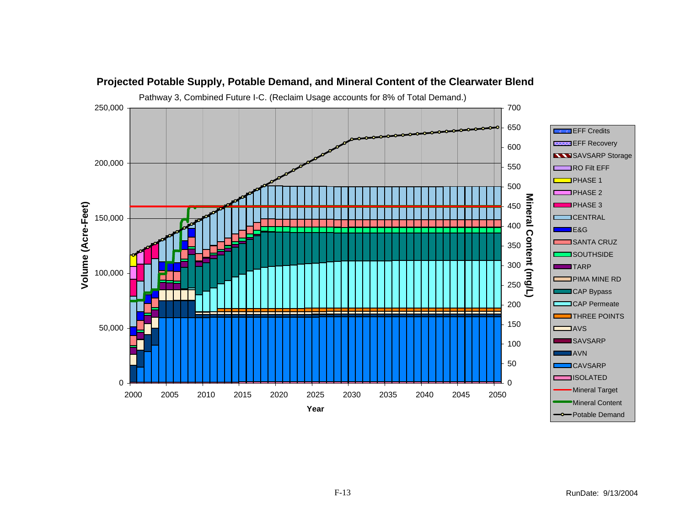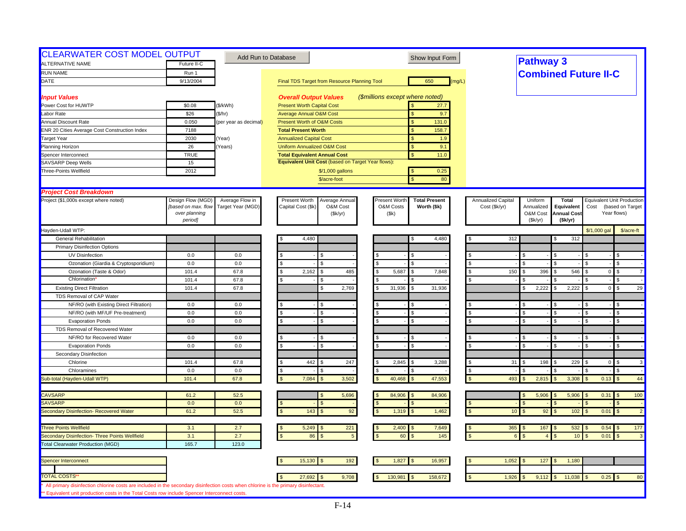| Final TDS Target from Resource Planning Tool<br><b>Overall Output Values</b><br><b>Present Worth Capital Cost</b><br><b>Average Annual O&amp;M Cost</b><br><b>Present Worth of O&amp;M Costs</b><br><b>Total Present Worth</b><br><b>Annualized Capital Cost</b><br><b>Uniform Annualized O&amp;M Cost</b><br><b>Total Equivalent Annual Cost</b><br>Equivalent Unit Cost (based on Target Year flows):<br>\$/1,000 gallons<br>\$/acre-foot<br>Present Worth<br>Average Annual<br>Capital Cost (\$k)<br>O&M Cost<br>(\$k/yr)<br>4,480<br>\$.<br>2,162<br>485<br>\$.<br>\$<br>2,769 | $\mathfrak{L}$                                              | (\$millions except where noted)<br>$\mathbf{s}$<br>$\mathbf{s}$<br>\$<br>\$<br><sub>S</sub><br>\$<br>$\mathbf{\hat{S}}$<br>Present Worth<br>O&M Costs<br>(Sk)<br>S<br>S.<br>$\mathbf{S}$ | 650<br>27.7<br>9.7<br>131.0<br>158.7<br>1.9<br>9.1<br>11.0<br>0.25<br>80<br><b>Total Present</b><br>Worth (\$k)<br>4,480 | (mq/L)<br><b>S</b>              | Annualized Capital<br>Cost (\$k/yr)<br>312 | <b>Pathway 3</b><br>Uniform<br>Annualized<br>O&M Cost<br>(Sk/yr)<br>\$. |                                   | <b>Total</b><br>Equivalent<br><b>Annual Cost</b><br>(\$k/yr)<br>312 | <b>Combined Future II-C</b><br><b>Equivalent Unit Production</b><br>Cost<br>\$/1,000 gal | (based on Target<br>Year flows)<br>\$/acre-ft |
|------------------------------------------------------------------------------------------------------------------------------------------------------------------------------------------------------------------------------------------------------------------------------------------------------------------------------------------------------------------------------------------------------------------------------------------------------------------------------------------------------------------------------------------------------------------------------------|-------------------------------------------------------------|------------------------------------------------------------------------------------------------------------------------------------------------------------------------------------------|--------------------------------------------------------------------------------------------------------------------------|---------------------------------|--------------------------------------------|-------------------------------------------------------------------------|-----------------------------------|---------------------------------------------------------------------|------------------------------------------------------------------------------------------|-----------------------------------------------|
|                                                                                                                                                                                                                                                                                                                                                                                                                                                                                                                                                                                    |                                                             |                                                                                                                                                                                          |                                                                                                                          |                                 |                                            |                                                                         |                                   |                                                                     |                                                                                          |                                               |
|                                                                                                                                                                                                                                                                                                                                                                                                                                                                                                                                                                                    |                                                             |                                                                                                                                                                                          |                                                                                                                          |                                 |                                            |                                                                         |                                   |                                                                     |                                                                                          |                                               |
|                                                                                                                                                                                                                                                                                                                                                                                                                                                                                                                                                                                    |                                                             |                                                                                                                                                                                          |                                                                                                                          |                                 |                                            |                                                                         |                                   |                                                                     |                                                                                          |                                               |
|                                                                                                                                                                                                                                                                                                                                                                                                                                                                                                                                                                                    |                                                             |                                                                                                                                                                                          |                                                                                                                          |                                 |                                            |                                                                         |                                   |                                                                     |                                                                                          |                                               |
|                                                                                                                                                                                                                                                                                                                                                                                                                                                                                                                                                                                    |                                                             |                                                                                                                                                                                          |                                                                                                                          |                                 |                                            |                                                                         |                                   |                                                                     |                                                                                          |                                               |
|                                                                                                                                                                                                                                                                                                                                                                                                                                                                                                                                                                                    |                                                             |                                                                                                                                                                                          |                                                                                                                          |                                 |                                            |                                                                         |                                   |                                                                     |                                                                                          |                                               |
|                                                                                                                                                                                                                                                                                                                                                                                                                                                                                                                                                                                    |                                                             |                                                                                                                                                                                          |                                                                                                                          |                                 |                                            |                                                                         |                                   |                                                                     |                                                                                          |                                               |
|                                                                                                                                                                                                                                                                                                                                                                                                                                                                                                                                                                                    |                                                             |                                                                                                                                                                                          |                                                                                                                          |                                 |                                            |                                                                         |                                   |                                                                     |                                                                                          |                                               |
|                                                                                                                                                                                                                                                                                                                                                                                                                                                                                                                                                                                    |                                                             |                                                                                                                                                                                          |                                                                                                                          |                                 |                                            |                                                                         |                                   |                                                                     |                                                                                          |                                               |
|                                                                                                                                                                                                                                                                                                                                                                                                                                                                                                                                                                                    |                                                             |                                                                                                                                                                                          |                                                                                                                          |                                 |                                            |                                                                         |                                   |                                                                     |                                                                                          |                                               |
|                                                                                                                                                                                                                                                                                                                                                                                                                                                                                                                                                                                    |                                                             |                                                                                                                                                                                          |                                                                                                                          |                                 |                                            |                                                                         |                                   |                                                                     |                                                                                          |                                               |
|                                                                                                                                                                                                                                                                                                                                                                                                                                                                                                                                                                                    |                                                             |                                                                                                                                                                                          |                                                                                                                          |                                 |                                            |                                                                         |                                   |                                                                     |                                                                                          |                                               |
|                                                                                                                                                                                                                                                                                                                                                                                                                                                                                                                                                                                    |                                                             |                                                                                                                                                                                          |                                                                                                                          |                                 |                                            |                                                                         |                                   |                                                                     |                                                                                          |                                               |
|                                                                                                                                                                                                                                                                                                                                                                                                                                                                                                                                                                                    |                                                             |                                                                                                                                                                                          |                                                                                                                          |                                 |                                            |                                                                         |                                   |                                                                     |                                                                                          |                                               |
|                                                                                                                                                                                                                                                                                                                                                                                                                                                                                                                                                                                    |                                                             |                                                                                                                                                                                          |                                                                                                                          |                                 |                                            |                                                                         |                                   |                                                                     |                                                                                          |                                               |
|                                                                                                                                                                                                                                                                                                                                                                                                                                                                                                                                                                                    |                                                             |                                                                                                                                                                                          |                                                                                                                          |                                 |                                            |                                                                         |                                   |                                                                     |                                                                                          |                                               |
|                                                                                                                                                                                                                                                                                                                                                                                                                                                                                                                                                                                    |                                                             |                                                                                                                                                                                          |                                                                                                                          |                                 |                                            |                                                                         |                                   |                                                                     |                                                                                          |                                               |
|                                                                                                                                                                                                                                                                                                                                                                                                                                                                                                                                                                                    |                                                             |                                                                                                                                                                                          |                                                                                                                          |                                 |                                            |                                                                         |                                   |                                                                     |                                                                                          |                                               |
|                                                                                                                                                                                                                                                                                                                                                                                                                                                                                                                                                                                    |                                                             |                                                                                                                                                                                          |                                                                                                                          |                                 |                                            |                                                                         |                                   |                                                                     |                                                                                          |                                               |
|                                                                                                                                                                                                                                                                                                                                                                                                                                                                                                                                                                                    |                                                             |                                                                                                                                                                                          |                                                                                                                          |                                 |                                            |                                                                         |                                   |                                                                     |                                                                                          |                                               |
|                                                                                                                                                                                                                                                                                                                                                                                                                                                                                                                                                                                    |                                                             |                                                                                                                                                                                          |                                                                                                                          |                                 |                                            |                                                                         |                                   |                                                                     |                                                                                          |                                               |
|                                                                                                                                                                                                                                                                                                                                                                                                                                                                                                                                                                                    |                                                             |                                                                                                                                                                                          |                                                                                                                          |                                 |                                            |                                                                         |                                   |                                                                     |                                                                                          |                                               |
|                                                                                                                                                                                                                                                                                                                                                                                                                                                                                                                                                                                    |                                                             |                                                                                                                                                                                          |                                                                                                                          |                                 |                                            |                                                                         |                                   |                                                                     |                                                                                          | \$                                            |
|                                                                                                                                                                                                                                                                                                                                                                                                                                                                                                                                                                                    |                                                             |                                                                                                                                                                                          |                                                                                                                          |                                 |                                            | $\mathfrak{L}$                                                          |                                   |                                                                     |                                                                                          | \$                                            |
|                                                                                                                                                                                                                                                                                                                                                                                                                                                                                                                                                                                    |                                                             | 5,687<br>l \$                                                                                                                                                                            |                                                                                                                          | - \$                            | 150                                        | 396<br>\$                                                               |                                   | 546                                                                 |                                                                                          | $\mathfrak{L}$                                |
|                                                                                                                                                                                                                                                                                                                                                                                                                                                                                                                                                                                    |                                                             | S.                                                                                                                                                                                       | 7,848                                                                                                                    |                                 |                                            |                                                                         |                                   |                                                                     | $\overline{0}$                                                                           | $\overline{7}$<br>\$                          |
|                                                                                                                                                                                                                                                                                                                                                                                                                                                                                                                                                                                    |                                                             | 31,936<br>l \$                                                                                                                                                                           | 31,936                                                                                                                   |                                 |                                            | 2,222<br>\$                                                             |                                   | 2,222                                                               | $\mathbf{0}$                                                                             | $\mathsf{\$}$<br>29                           |
|                                                                                                                                                                                                                                                                                                                                                                                                                                                                                                                                                                                    |                                                             |                                                                                                                                                                                          |                                                                                                                          |                                 |                                            |                                                                         |                                   |                                                                     |                                                                                          |                                               |
|                                                                                                                                                                                                                                                                                                                                                                                                                                                                                                                                                                                    |                                                             |                                                                                                                                                                                          |                                                                                                                          |                                 |                                            |                                                                         |                                   |                                                                     |                                                                                          |                                               |
|                                                                                                                                                                                                                                                                                                                                                                                                                                                                                                                                                                                    |                                                             | l \$<br>$\mathbf{s}$                                                                                                                                                                     |                                                                                                                          |                                 |                                            | $\mathfrak{L}$                                                          |                                   |                                                                     |                                                                                          | \$<br>$\mathfrak{L}$                          |
| s.                                                                                                                                                                                                                                                                                                                                                                                                                                                                                                                                                                                 |                                                             | $\mathbf{s}$                                                                                                                                                                             |                                                                                                                          | <b>S</b>                        |                                            | \$                                                                      | $\mathfrak{L}$                    |                                                                     |                                                                                          | \$                                            |
|                                                                                                                                                                                                                                                                                                                                                                                                                                                                                                                                                                                    |                                                             |                                                                                                                                                                                          |                                                                                                                          |                                 |                                            |                                                                         |                                   |                                                                     |                                                                                          |                                               |
|                                                                                                                                                                                                                                                                                                                                                                                                                                                                                                                                                                                    |                                                             |                                                                                                                                                                                          |                                                                                                                          |                                 |                                            |                                                                         |                                   |                                                                     |                                                                                          |                                               |
|                                                                                                                                                                                                                                                                                                                                                                                                                                                                                                                                                                                    |                                                             |                                                                                                                                                                                          |                                                                                                                          |                                 |                                            |                                                                         |                                   |                                                                     |                                                                                          | \$<br>$\mathfrak{L}$                          |
|                                                                                                                                                                                                                                                                                                                                                                                                                                                                                                                                                                                    |                                                             | \$.                                                                                                                                                                                      |                                                                                                                          |                                 |                                            | $\mathfrak{L}$                                                          |                                   |                                                                     |                                                                                          |                                               |
|                                                                                                                                                                                                                                                                                                                                                                                                                                                                                                                                                                                    |                                                             |                                                                                                                                                                                          |                                                                                                                          |                                 |                                            |                                                                         |                                   |                                                                     |                                                                                          |                                               |
| 442<br>247                                                                                                                                                                                                                                                                                                                                                                                                                                                                                                                                                                         |                                                             | 2,845                                                                                                                                                                                    | 3,288                                                                                                                    |                                 | 31                                         | 198                                                                     |                                   | 229                                                                 | $\overline{0}$                                                                           | $\mathfrak{L}$<br>$\mathbf{3}$                |
|                                                                                                                                                                                                                                                                                                                                                                                                                                                                                                                                                                                    |                                                             | .S                                                                                                                                                                                       |                                                                                                                          | $\mathfrak{L}$                  |                                            |                                                                         |                                   |                                                                     |                                                                                          | \$                                            |
| 7,084<br>3,502                                                                                                                                                                                                                                                                                                                                                                                                                                                                                                                                                                     |                                                             | 40,468                                                                                                                                                                                   | 47,553                                                                                                                   |                                 | 493                                        | 2,815                                                                   |                                   | 3,308                                                               | 0.13                                                                                     | $\mathbf{s}$<br>44                            |
|                                                                                                                                                                                                                                                                                                                                                                                                                                                                                                                                                                                    |                                                             |                                                                                                                                                                                          |                                                                                                                          |                                 |                                            |                                                                         |                                   |                                                                     |                                                                                          |                                               |
|                                                                                                                                                                                                                                                                                                                                                                                                                                                                                                                                                                                    |                                                             |                                                                                                                                                                                          |                                                                                                                          |                                 |                                            |                                                                         |                                   |                                                                     |                                                                                          | 100                                           |
|                                                                                                                                                                                                                                                                                                                                                                                                                                                                                                                                                                                    |                                                             |                                                                                                                                                                                          |                                                                                                                          |                                 |                                            |                                                                         |                                   |                                                                     |                                                                                          | $\mathfrak{s}$                                |
|                                                                                                                                                                                                                                                                                                                                                                                                                                                                                                                                                                                    |                                                             |                                                                                                                                                                                          |                                                                                                                          |                                 |                                            |                                                                         |                                   |                                                                     |                                                                                          | $\overline{2}$<br>$\sqrt{3}$                  |
|                                                                                                                                                                                                                                                                                                                                                                                                                                                                                                                                                                                    |                                                             |                                                                                                                                                                                          |                                                                                                                          |                                 |                                            |                                                                         |                                   |                                                                     |                                                                                          | 177                                           |
|                                                                                                                                                                                                                                                                                                                                                                                                                                                                                                                                                                                    |                                                             |                                                                                                                                                                                          |                                                                                                                          |                                 |                                            |                                                                         |                                   |                                                                     |                                                                                          | $\mathbf{\hat{f}}$<br>$\mathbf{3}$            |
|                                                                                                                                                                                                                                                                                                                                                                                                                                                                                                                                                                                    |                                                             |                                                                                                                                                                                          |                                                                                                                          |                                 |                                            |                                                                         |                                   |                                                                     |                                                                                          |                                               |
|                                                                                                                                                                                                                                                                                                                                                                                                                                                                                                                                                                                    |                                                             |                                                                                                                                                                                          |                                                                                                                          |                                 |                                            |                                                                         |                                   |                                                                     |                                                                                          |                                               |
|                                                                                                                                                                                                                                                                                                                                                                                                                                                                                                                                                                                    |                                                             |                                                                                                                                                                                          |                                                                                                                          |                                 |                                            |                                                                         |                                   |                                                                     |                                                                                          |                                               |
|                                                                                                                                                                                                                                                                                                                                                                                                                                                                                                                                                                                    |                                                             |                                                                                                                                                                                          |                                                                                                                          |                                 |                                            |                                                                         |                                   |                                                                     |                                                                                          |                                               |
|                                                                                                                                                                                                                                                                                                                                                                                                                                                                                                                                                                                    |                                                             | 1,827                                                                                                                                                                                    | 16,957                                                                                                                   |                                 | 1,052                                      | -\$                                                                     |                                   | 1,180                                                               |                                                                                          |                                               |
| 9,708<br>27,692                                                                                                                                                                                                                                                                                                                                                                                                                                                                                                                                                                    |                                                             | 130,981                                                                                                                                                                                  | 158,672                                                                                                                  |                                 | 1,926                                      | 9,112                                                                   |                                   | 11,038                                                              | $0.25$ \$                                                                                | 80                                            |
|                                                                                                                                                                                                                                                                                                                                                                                                                                                                                                                                                                                    | 5,696<br>143<br>92<br>5,249<br>221<br>86<br>$5\phantom{.0}$ |                                                                                                                                                                                          | 84,906<br><b>S</b><br>$\mathbf{s}$<br>1,319<br>$\mathbf{s}$<br>2,400<br>60                                               | 84,906<br>1,462<br>7,649<br>145 |                                            | 10 <sup>°</sup>                                                         | $\mathfrak{L}$<br>\$.<br>$365$ \$ | 5,906<br>92<br>167                                                  | 5,906<br>102<br>532<br>10<br>192<br>15,130<br>127                                        | $0.31$ \$<br>0.01<br>$0.54$ \$<br>0.01        |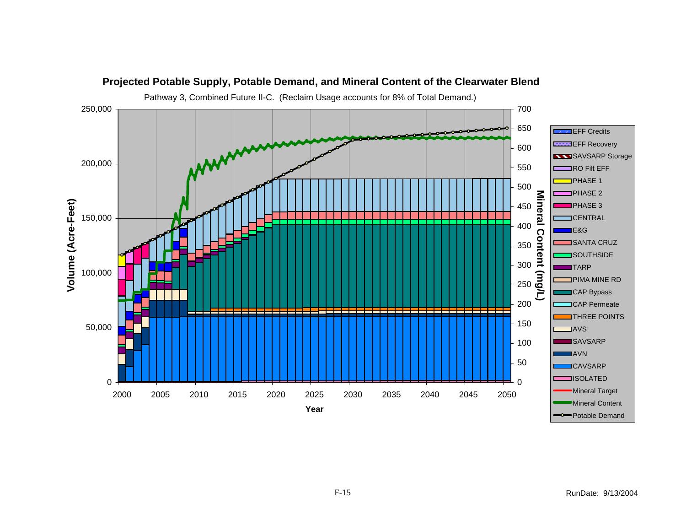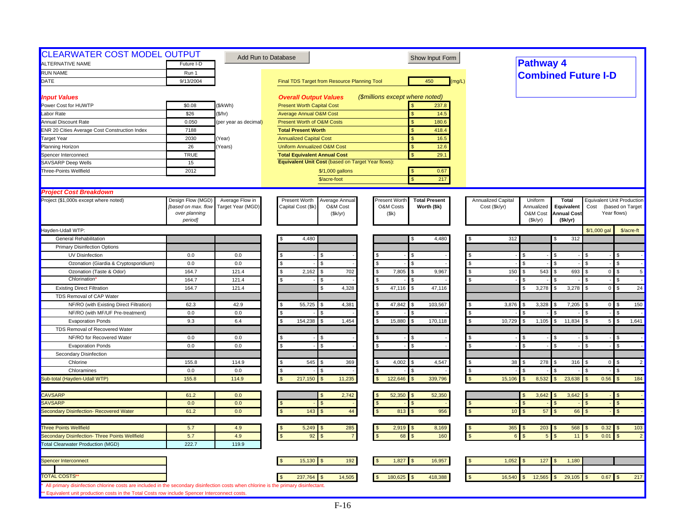| <b>CLEARWATER COST MODEL OUTPUT</b>                                                                                                 |                          |                       | Add Run to Database                                | Show Input Form                       |                    |                            |                                |                |                                      |
|-------------------------------------------------------------------------------------------------------------------------------------|--------------------------|-----------------------|----------------------------------------------------|---------------------------------------|--------------------|----------------------------|--------------------------------|----------------|--------------------------------------|
| <b>ALTERNATIVE NAME</b>                                                                                                             | Future I-D               |                       |                                                    |                                       |                    | <b>Pathway 4</b>           |                                |                |                                      |
| <b>RUN NAME</b>                                                                                                                     | Run 1                    |                       |                                                    |                                       |                    | <b>Combined Future I-D</b> |                                |                |                                      |
| DATE                                                                                                                                | 9/13/2004                |                       | Final TDS Target from Resource Planning Tool       | 450<br>(mg/L)                         |                    |                            |                                |                |                                      |
| <b>Input Values</b>                                                                                                                 |                          |                       | <b>Overall Output Values</b>                       | (\$millions except where noted)       |                    |                            |                                |                |                                      |
| Power Cost for HUWTP                                                                                                                | \$0.08                   | (\$/kWh)              | <b>Present Worth Capital Cost</b>                  | 237.8                                 |                    |                            |                                |                |                                      |
| Labor Rate                                                                                                                          | \$26                     | (\$/hr)               | <b>Average Annual O&amp;M Cost</b>                 | 14.5<br>$\mathbf{s}$                  |                    |                            |                                |                |                                      |
| Annual Discount Rate                                                                                                                | 0.050                    | (per year as decimal) | Present Worth of O&M Costs                         | 180.6<br><sub>S</sub>                 |                    |                            |                                |                |                                      |
| ENR 20 Cities Average Cost Construction Index                                                                                       | 7188                     |                       | <b>Total Present Worth</b>                         | 418.4                                 |                    |                            |                                |                |                                      |
| <b>Target Year</b>                                                                                                                  | 2030                     | (Year)                | <b>Annualized Capital Cost</b>                     | <sub>S</sub><br>16.5                  |                    |                            |                                |                |                                      |
| Planning Horizon                                                                                                                    | 26                       | Years)                | <b>Uniform Annualized O&amp;M Cost</b>             | $\mathbf{s}$<br>12.6                  |                    |                            |                                |                |                                      |
| Spencer Interconnect                                                                                                                | <b>TRUE</b>              |                       | <b>Total Equivalent Annual Cost</b>                | $\mathbf{s}$<br>29.1                  |                    |                            |                                |                |                                      |
| <b>SAVSARP Deep Wells</b>                                                                                                           | 15                       |                       | Equivalent Unit Cost (based on Target Year flows): |                                       |                    |                            |                                |                |                                      |
| Three-Points Wellfield                                                                                                              | 2012                     |                       | \$/1,000 gallons                                   | 0.67<br>$\mathbf{s}$                  |                    |                            |                                |                |                                      |
|                                                                                                                                     |                          |                       | \$/acre-foot                                       | $\mathbf{\hat{S}}$<br>217             |                    |                            |                                |                |                                      |
| <b>Project Cost Breakdown</b>                                                                                                       |                          |                       |                                                    |                                       |                    |                            |                                |                |                                      |
| Project (\$1,000s except where noted)                                                                                               | Design Flow (MGD)        | Average Flow in       | Present Worth<br>Average Annual                    | Present Worth<br><b>Total Present</b> | Annualized Capital | Uniform                    | <b>Total</b>                   |                | <b>Equivalent Unit Production</b>    |
|                                                                                                                                     | [based on max. flow      | Target Year (MGD)     | Capital Cost (\$k)<br>O&M Cost                     | O&M Costs<br>Worth (\$k)              | Cost (\$k/yr)      | Annualized                 | Equivalent                     | Cost           | (based on Target                     |
|                                                                                                                                     | over planning<br>period] |                       | (\$k/yr)                                           | (\$k)                                 |                    | O&M Cost<br>(Sk/yr)        | <b>Annual Cost</b><br>(\$k/yr) |                | Year flows)                          |
| Hayden-Udall WTP:                                                                                                                   |                          |                       |                                                    |                                       |                    |                            |                                | \$/1,000 gal   | \$/acre-ft                           |
| <b>General Rehabilitation</b>                                                                                                       |                          |                       | 4,480                                              | 4,480<br>S                            | 312                |                            | 312                            |                |                                      |
| <b>Primary Disinfection Options</b>                                                                                                 |                          |                       |                                                    |                                       |                    |                            |                                |                |                                      |
| UV Disinfection                                                                                                                     | 0.0                      | 0.0                   |                                                    |                                       |                    |                            |                                |                | $\mathfrak{L}$                       |
| Ozonation (Giardia & Cryptosporidium)                                                                                               | 0.0                      | 0.0                   | \$<br>\$.                                          | $\mathcal{F}$                         | $\mathbb{S}$       | £.                         |                                |                | \$                                   |
|                                                                                                                                     |                          |                       | \$                                                 |                                       | <sup>\$</sup>      |                            |                                |                | <b>S</b>                             |
| Ozonation (Taste & Odor)<br>Chlorination                                                                                            | 164.7<br>164.7           | 121.4<br>121.4        | 2,162<br>702                                       | 7,805<br>9,967<br><b>S</b>            | 150                | 543                        | 693                            | $\overline{0}$ | $5\phantom{.0}$<br>$\mathfrak{L}$    |
| <b>Existing Direct Filtration</b>                                                                                                   | 164.7                    | 121.4                 | 4,328                                              | 47,116<br>47,116<br>$\mathbf{S}$      |                    | 3,278<br>\$                | 3,278                          | 0              | $\mathbf{s}$<br>24                   |
| TDS Removal of CAP Water                                                                                                            |                          |                       |                                                    |                                       |                    |                            |                                |                |                                      |
| NF/RO (with Existing Direct Filtration)                                                                                             | 62.3                     | 42.9                  | 55,725<br>4,381                                    | 47,842<br>103,567                     | 3,876              | 3,328                      | 7,205                          |                | 150                                  |
| NF/RO (with MF/UF Pre-treatment)                                                                                                    | 0.0                      | 0.0                   |                                                    |                                       |                    |                            |                                | $\overline{0}$ | \$                                   |
| <b>Evaporation Ponds</b>                                                                                                            | 9.3                      | 6.4                   | 154,238<br>1,454<br>\$.                            | 15,880<br>170,118<br>$\mathbf{S}$     | 10,729<br>\$       | 1,105<br>\$                | 11,834<br>s.                   | 5 <sup>1</sup> | $\mathfrak{s}$<br>1,641              |
| TDS Removal of Recovered Water                                                                                                      |                          |                       |                                                    |                                       |                    |                            |                                |                |                                      |
| NF/RO for Recovered Water                                                                                                           | 0.0                      | 0.0                   |                                                    | -S                                    |                    | \$                         |                                |                | \$                                   |
| <b>Evaporation Ponds</b>                                                                                                            | 0.0                      | 0.0                   |                                                    | \$                                    |                    | $\mathbf{s}$               |                                |                | $\mathfrak{L}$                       |
| Secondary Disinfection                                                                                                              |                          |                       |                                                    |                                       |                    |                            |                                |                |                                      |
| Chlorine                                                                                                                            | 155.8                    | 114.9                 | 545<br>369                                         | 4,002<br>4,547                        |                    | 38<br>278<br>\$.           | 316                            | $\overline{0}$ | $\mathfrak{L}$<br>$\overline{2}$     |
| Chloramines                                                                                                                         | 0.0                      | 0.0                   |                                                    | l \$                                  | \$                 |                            |                                |                | \$.                                  |
| Sub-total (Hayden-Udall WTP)                                                                                                        | 155.8                    | 114.9                 | 217,150<br>11,235                                  | 122,646<br>339,796                    | 15,106             | 8,532                      | 23,638                         | 0.56           | 184<br>$\mathfrak{s}$                |
|                                                                                                                                     |                          |                       |                                                    |                                       |                    |                            |                                |                |                                      |
| <b>CAVSARP</b>                                                                                                                      | 61.2                     | 0.0                   | 2,742                                              | 52,350<br>52,350<br>l S               |                    | 3,642                      | 3,642                          |                | -\$                                  |
| <b>SAVSARP</b>                                                                                                                      | 0.0                      | 0.0                   |                                                    | <sub>S</sub>                          |                    | $\mathcal{F}$              |                                |                | $\mathfrak{s}$                       |
| Secondary Disinfection- Recovered Water                                                                                             | 61.2                     | 0.0                   | 143<br>44                                          | 956<br>813<br><sub>S</sub>            |                    | 57<br>10 <sup>°</sup>      | 66                             |                | $\mathfrak{s}$                       |
| <b>Three Points Wellfield</b>                                                                                                       | 5.7                      | 4.9                   | 5,249<br>285                                       | 2,919<br>8,169                        |                    | $365$ \$<br>203            | 568                            | $0.32$ \$      | 103                                  |
| Secondary Disinfection- Three Points Wellfield                                                                                      | 5.7                      | 4.9                   | 92                                                 | 160<br>68                             |                    | $5\overline{5}$            | 11                             | 0.01           | $\overline{2}$<br>$\mathbf{\hat{f}}$ |
| <b>Total Clearwater Production (MGD)</b>                                                                                            | 222.7                    | 119.9                 |                                                    |                                       |                    |                            |                                |                |                                      |
|                                                                                                                                     |                          |                       |                                                    |                                       |                    |                            |                                |                |                                      |
| Spencer Interconnect                                                                                                                |                          |                       | 192<br>15,130                                      | 1,827<br>16,957                       | 1,052              | 127                        | 1,180                          |                |                                      |
| <b>TOTAL COSTS'</b>                                                                                                                 |                          |                       | 14,505<br>237,764                                  | 180,625<br>418,388                    | 16,540             | 12,565                     | 29,105                         | $0.67$ \$      | 217                                  |
| All primary disinfection chlorine costs are included in the secondary disinfection costs when chlorine is the primary disinfectant. |                          |                       |                                                    |                                       |                    |                            |                                |                |                                      |
| ** Equivalent unit production costs in the Total Costs row include Spencer Interconnect costs.                                      |                          |                       |                                                    |                                       |                    |                            |                                |                |                                      |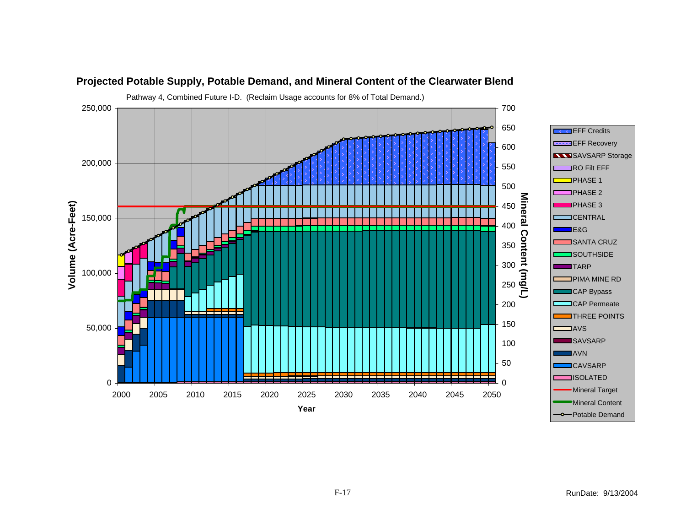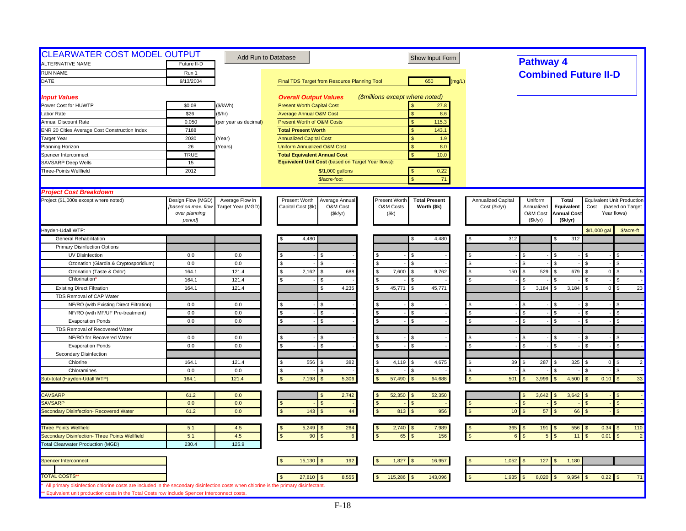| <b>CLEARWATER COST MODEL OUTPUT</b><br>ALTERNATIVE NAME                                                                                                                                                                               | Future II-D                          |                       | Add Run to Database                                | Show Input Form                          |                    | <b>Pathway 4</b>                   |                                  |                             |                                   |
|---------------------------------------------------------------------------------------------------------------------------------------------------------------------------------------------------------------------------------------|--------------------------------------|-----------------------|----------------------------------------------------|------------------------------------------|--------------------|------------------------------------|----------------------------------|-----------------------------|-----------------------------------|
| <b>RUN NAME</b>                                                                                                                                                                                                                       |                                      |                       |                                                    |                                          |                    |                                    |                                  |                             |                                   |
| DATE                                                                                                                                                                                                                                  | Run 1<br>9/13/2004                   |                       |                                                    | 650<br>(mq/L)                            |                    |                                    |                                  | <b>Combined Future II-D</b> |                                   |
|                                                                                                                                                                                                                                       |                                      |                       | Final TDS Target from Resource Planning Tool       |                                          |                    |                                    |                                  |                             |                                   |
| <b>Input Values</b>                                                                                                                                                                                                                   |                                      |                       | <b>Overall Output Values</b>                       | (\$millions except where noted)          |                    |                                    |                                  |                             |                                   |
| Power Cost for HUWTP                                                                                                                                                                                                                  | \$0.08                               | (\$/kWh)              | <b>Present Worth Capital Cost</b>                  | 27.8                                     |                    |                                    |                                  |                             |                                   |
| Labor Rate                                                                                                                                                                                                                            | \$26                                 | (\$/hr)               | <b>Average Annual O&amp;M Cost</b>                 | 8.6<br>$\mathbf{s}$                      |                    |                                    |                                  |                             |                                   |
| <b>Annual Discount Rate</b>                                                                                                                                                                                                           | 0.050                                | (per year as decimal) | Present Worth of O&M Costs                         | 115.3<br>$\mathbf{s}$                    |                    |                                    |                                  |                             |                                   |
| <b>ENR 20 Cities Average Cost Construction Index</b>                                                                                                                                                                                  | 7188                                 |                       | <b>Total Present Worth</b>                         | 143.1<br>$\mathbf{s}$                    |                    |                                    |                                  |                             |                                   |
| <b>Target Year</b>                                                                                                                                                                                                                    | 2030                                 | Year)                 | <b>Annualized Capital Cost</b>                     | \$<br>1.9                                |                    |                                    |                                  |                             |                                   |
| Planning Horizon                                                                                                                                                                                                                      | 26                                   | Years)                | <b>Uniform Annualized O&amp;M Cost</b>             | <sub>S</sub><br>8.0                      |                    |                                    |                                  |                             |                                   |
| Spencer Interconnect                                                                                                                                                                                                                  | <b>TRUE</b>                          |                       | <b>Total Equivalent Annual Cost</b>                | \$<br>10.0                               |                    |                                    |                                  |                             |                                   |
| SAVSARP Deep Wells                                                                                                                                                                                                                    | 15                                   |                       | Equivalent Unit Cost (based on Target Year flows): |                                          |                    |                                    |                                  |                             |                                   |
| Three-Points Wellfield                                                                                                                                                                                                                | 2012                                 |                       | \$/1,000 gallons                                   | 0.22                                     |                    |                                    |                                  |                             |                                   |
|                                                                                                                                                                                                                                       |                                      |                       | \$/acre-foot                                       | 71<br>$\mathbf{\hat{S}}$                 |                    |                                    |                                  |                             |                                   |
|                                                                                                                                                                                                                                       |                                      |                       |                                                    |                                          |                    |                                    |                                  |                             |                                   |
| <b>Project Cost Breakdown</b>                                                                                                                                                                                                         |                                      |                       |                                                    |                                          |                    |                                    |                                  |                             |                                   |
| Project (\$1,000s except where noted)                                                                                                                                                                                                 | Design Flow (MGD)                    | Average Flow in       | Present Worth<br>Average Annual                    | Present Worth<br><b>Total Present</b>    | Annualized Capital | Uniform                            | <b>Total</b>                     |                             | <b>Equivalent Unit Production</b> |
|                                                                                                                                                                                                                                       | [based on max. flow<br>over planning | Target Year (MGD)     | Capital Cost (\$k)<br>O&M Cost<br>(\$k/yr)         | O&M Costs<br>Worth (\$k)<br>(Sk)         | Cost (\$k/yr)      | Annualized<br>O&M Cost             | Equivalent<br><b>Annual Cost</b> | Cost                        | (based on Target<br>Year flows)   |
|                                                                                                                                                                                                                                       | period]                              |                       |                                                    |                                          |                    | (Sk/yr)                            | (\$k/yr)                         |                             |                                   |
| Hayden-Udall WTP:                                                                                                                                                                                                                     |                                      |                       |                                                    |                                          |                    |                                    |                                  | \$/1,000 gal                | \$/acre-ft                        |
| <b>General Rehabilitation</b>                                                                                                                                                                                                         |                                      |                       | 4,480                                              | 4,480<br>S                               | 312                |                                    | 312                              |                             |                                   |
| <b>Primary Disinfection Options</b>                                                                                                                                                                                                   |                                      |                       |                                                    |                                          |                    |                                    |                                  |                             |                                   |
| UV Disinfection                                                                                                                                                                                                                       | 0.0                                  | 0.0                   |                                                    | S.                                       |                    | \$.                                |                                  |                             |                                   |
| Ozonation (Giardia & Cryptosporidium)                                                                                                                                                                                                 | 0.0                                  | 0.0                   | \$.<br>\$.                                         | $\mathfrak{L}$<br>$\mathbf{S}$           | <b>S</b>           | $\mathfrak{L}$                     |                                  |                             | \$                                |
|                                                                                                                                                                                                                                       |                                      | 121.4                 | s.<br>\$.                                          |                                          | - \$               |                                    |                                  |                             | $\mathfrak{L}$                    |
| Ozonation (Taste & Odor)<br>Chlorination                                                                                                                                                                                              | 164.1                                |                       | 2,162<br>688                                       | 7,600<br>l S<br>9,762                    | 150                | 529<br>\$                          | 679                              | $\overline{0}$              | 5                                 |
|                                                                                                                                                                                                                                       | 164.1<br>164.1                       | 121.4<br>121.4        | \$<br>4,235                                        | l \$<br>45,771<br>45,771<br>$\mathbf{S}$ |                    | 3,184<br>\$                        | 3,184                            | $\mathbf{0}$                | \$<br>$\mathsf{\$}$<br>23         |
| <b>Existing Direct Filtration</b>                                                                                                                                                                                                     |                                      |                       |                                                    |                                          |                    |                                    |                                  |                             |                                   |
| TDS Removal of CAP Water                                                                                                                                                                                                              |                                      |                       |                                                    |                                          |                    |                                    |                                  |                             |                                   |
| NF/RO (with Existing Direct Filtration)                                                                                                                                                                                               | 0.0                                  | 0.0                   |                                                    | l \$                                     |                    |                                    |                                  |                             | \$                                |
| NF/RO (with MF/UF Pre-treatment)                                                                                                                                                                                                      | 0.0                                  | 0.0                   | $\mathcal{S}$<br>ፍ                                 | $\mathbf{s}$                             |                    | $\mathfrak{L}$                     |                                  |                             | $\mathfrak{L}$                    |
| <b>Evaporation Ponds</b>                                                                                                                                                                                                              | 0.0                                  | $0.0\,$               | s.                                                 | <b>S</b>                                 | <b>S</b>           | \$                                 | $\mathfrak{L}$                   |                             | \$                                |
| TDS Removal of Recovered Water                                                                                                                                                                                                        |                                      |                       |                                                    |                                          |                    |                                    |                                  |                             |                                   |
| NF/RO for Recovered Water                                                                                                                                                                                                             | 0.0                                  | 0.0                   |                                                    |                                          |                    |                                    |                                  |                             | \$                                |
| <b>Evaporation Ponds</b>                                                                                                                                                                                                              | 0.0                                  | 0.0                   |                                                    | \$.                                      |                    | $\mathfrak{L}$                     |                                  |                             | $\mathfrak{L}$                    |
| Secondary Disinfection                                                                                                                                                                                                                |                                      |                       |                                                    |                                          |                    |                                    |                                  |                             |                                   |
| Chlorine                                                                                                                                                                                                                              | 164.1                                | 121.4                 | 556<br>382<br>\$                                   | 4,119<br>4,675                           |                    | 39<br>287                          | 325                              | $\overline{0}$              | $\mathfrak{L}$<br>$\overline{2}$  |
| Chloramines                                                                                                                                                                                                                           | 0.0                                  | 0.0                   | \$.                                                | .S                                       | $\mathfrak{L}$     |                                    |                                  |                             | \$.                               |
| Sub-total (Hayden-Udall WTP)                                                                                                                                                                                                          | 164.1                                | 121.4                 | 7,198<br>5,306                                     | 57,490<br>64,688                         | 501                | 3,999                              | 4,500                            | 0.10                        | 33                                |
|                                                                                                                                                                                                                                       |                                      |                       |                                                    |                                          |                    |                                    |                                  |                             |                                   |
| <b>CAVSARP</b>                                                                                                                                                                                                                        | 61.2                                 | 0.0                   | 2,742                                              | 52,350<br>52,350<br><b>S</b>             |                    | 3,642                              | 3,642                            |                             | -\$                               |
| <b>SAVSARP</b>                                                                                                                                                                                                                        | 0.0                                  | 0.0                   |                                                    | <sub>S</sub>                             |                    | ፍ                                  |                                  |                             | $\mathfrak{s}$                    |
| Secondary Disinfection- Recovered Water                                                                                                                                                                                               | 61.2                                 | 0.0                   | 143<br>$44\,$                                      | 956<br>813<br>$\sqrt{3}$                 |                    | 57<br>10 <sup>°</sup>              | 66                               |                             | $\mathfrak{s}$                    |
| <b>Three Points Wellfield</b>                                                                                                                                                                                                         |                                      |                       |                                                    |                                          |                    |                                    |                                  | $0.34$ \$                   |                                   |
| Secondary Disinfection- Three Points Wellfield                                                                                                                                                                                        | 5.1<br>5.1                           | 4.5<br>4.5            | 5,249<br>264<br>90                                 | 2,740<br>7,989<br>156<br>65              |                    | $365$ \$<br>191<br>$5\overline{5}$ | 556                              | 0.01                        | 110                               |
|                                                                                                                                                                                                                                       |                                      |                       | 6                                                  |                                          |                    |                                    | 11                               |                             | $\mathfrak{s}$<br>$\overline{2}$  |
| <b>Total Clearwater Production (MGD)</b>                                                                                                                                                                                              | 230.4                                | 125.9                 |                                                    |                                          |                    |                                    |                                  |                             |                                   |
|                                                                                                                                                                                                                                       |                                      |                       | 15,130<br>192                                      | 1,827<br>16,957                          | 1,052              | 127<br>-\$                         | 1,180                            |                             |                                   |
| Spencer Interconnect                                                                                                                                                                                                                  |                                      |                       |                                                    |                                          |                    |                                    |                                  |                             |                                   |
| <b>TOTAL COSTS'</b>                                                                                                                                                                                                                   |                                      |                       | 8,555<br>27,810                                    | 115,286<br>143,096                       | 1,935              | 8,020                              | 9,954                            | $0.22$ \$                   | 71                                |
|                                                                                                                                                                                                                                       |                                      |                       |                                                    |                                          |                    |                                    |                                  |                             |                                   |
| All primary disinfection chlorine costs are included in the secondary disinfection costs when chlorine is the primary disinfectant.<br>** Equivalent unit production costs in the Total Costs row include Spencer Interconnect costs. |                                      |                       |                                                    |                                          |                    |                                    |                                  |                             |                                   |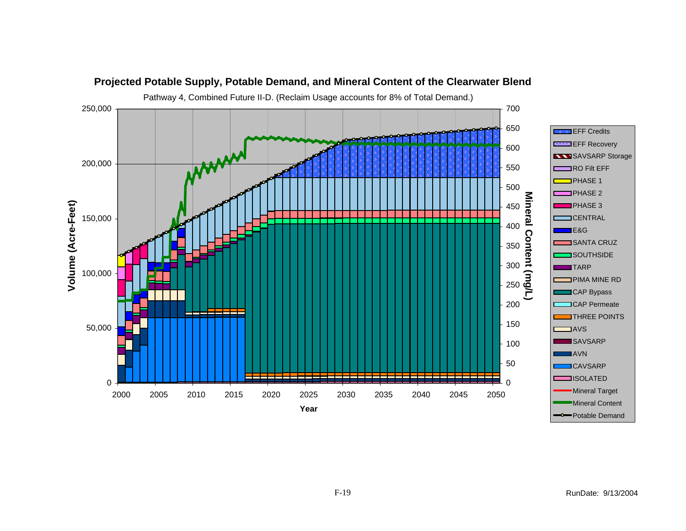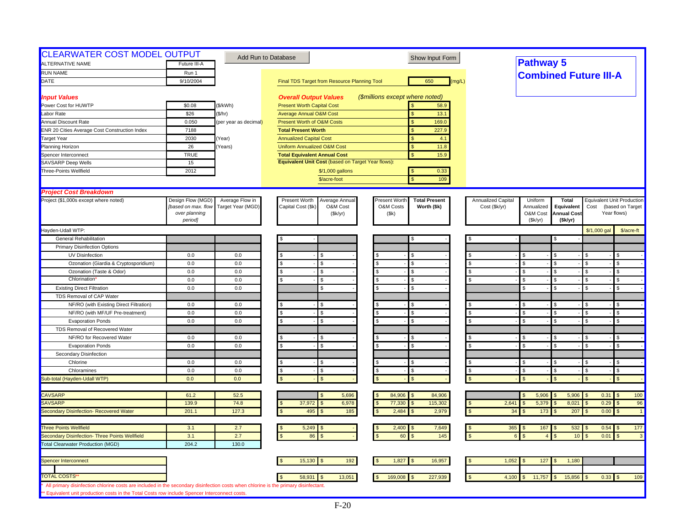| <b>CLEARWATER COST MODEL OUTPUT</b><br>ALTERNATIVE NAME                                                                                                                                                                              | Future III-A                                                         |                                      | Add Run to Database                                                           | Show Input Form                                                            |                                     | <b>Pathway 5</b>                             |                                                             |                    |                                                               |
|--------------------------------------------------------------------------------------------------------------------------------------------------------------------------------------------------------------------------------------|----------------------------------------------------------------------|--------------------------------------|-------------------------------------------------------------------------------|----------------------------------------------------------------------------|-------------------------------------|----------------------------------------------|-------------------------------------------------------------|--------------------|---------------------------------------------------------------|
| <b>RUN NAME</b>                                                                                                                                                                                                                      | Run 1                                                                |                                      |                                                                               |                                                                            |                                     | <b>Combined Future III-A</b>                 |                                                             |                    |                                                               |
| DATE                                                                                                                                                                                                                                 | 9/10/2004                                                            |                                      | Final TDS Target from Resource Planning Tool                                  | 650<br>(mg/L)                                                              |                                     |                                              |                                                             |                    |                                                               |
| <b>Input Values</b>                                                                                                                                                                                                                  |                                                                      |                                      | <b>Overall Output Values</b>                                                  | (\$millions except where noted)                                            |                                     |                                              |                                                             |                    |                                                               |
| Power Cost for HUWTP                                                                                                                                                                                                                 | \$0.08                                                               | (\$/kWh)                             | <b>Present Worth Capital Cost</b>                                             | 58.9                                                                       |                                     |                                              |                                                             |                    |                                                               |
| Labor Rate                                                                                                                                                                                                                           | \$26                                                                 | (\$/hr)                              | <b>Average Annual O&amp;M Cost</b>                                            | 13.1<br>$\mathbf{s}$                                                       |                                     |                                              |                                                             |                    |                                                               |
| <b>Annual Discount Rate</b>                                                                                                                                                                                                          | 0.050                                                                | (per year as decimal)                | <b>Present Worth of O&amp;M Costs</b>                                         | $\mathbf{s}$<br>169.0                                                      |                                     |                                              |                                                             |                    |                                                               |
| <b>ENR 20 Cities Average Cost Construction Index</b>                                                                                                                                                                                 | 7188                                                                 |                                      | <b>Total Present Worth</b>                                                    | 227.9<br>$\mathsf{\$}$                                                     |                                     |                                              |                                                             |                    |                                                               |
| <b>Target Year</b>                                                                                                                                                                                                                   | 2030                                                                 | Year)                                | <b>Annualized Capital Cost</b>                                                | \$<br>4.1                                                                  |                                     |                                              |                                                             |                    |                                                               |
| Planning Horizon                                                                                                                                                                                                                     | 26                                                                   | Years)                               | <b>Uniform Annualized O&amp;M Cost</b>                                        | 11.8<br>$\mathbf{s}$                                                       |                                     |                                              |                                                             |                    |                                                               |
| Spencer Interconnect                                                                                                                                                                                                                 | <b>TRUE</b>                                                          |                                      | <b>Total Equivalent Annual Cost</b>                                           | $\mathbf{s}$<br>15.9                                                       |                                     |                                              |                                                             |                    |                                                               |
| <b>SAVSARP Deep Wells</b>                                                                                                                                                                                                            | 15                                                                   |                                      | Equivalent Unit Cost (based on Target Year flows):                            |                                                                            |                                     |                                              |                                                             |                    |                                                               |
| Three-Points Wellfield                                                                                                                                                                                                               | 2012                                                                 |                                      | \$/1,000 gallons<br>\$/acre-foot                                              | 0.33<br>$\mathbf{s}$<br>$\mathbf{\hat{S}}$<br>109                          |                                     |                                              |                                                             |                    |                                                               |
|                                                                                                                                                                                                                                      |                                                                      |                                      |                                                                               |                                                                            |                                     |                                              |                                                             |                    |                                                               |
| <b>Project Cost Breakdown</b>                                                                                                                                                                                                        |                                                                      |                                      |                                                                               |                                                                            |                                     |                                              |                                                             |                    |                                                               |
| Project (\$1,000s except where noted)                                                                                                                                                                                                | Design Flow (MGD)<br>[based on max. flow<br>over planning<br>period] | Average Flow in<br>Target Year (MGD) | Present Worth<br>Average Annual<br>Capital Cost (\$k)<br>O&M Cost<br>(\$k/yr) | Present Worth<br><b>Total Present</b><br>O&M Costs<br>Worth (\$k)<br>(\$k) | Annualized Capital<br>Cost (\$k/yr) | Uniform<br>Annualized<br>O&M Cost<br>(Sk/yr) | <b>Total</b><br>Equivalent<br><b>Annual Cost</b><br>(Sk/yr) | Cost               | Equivalent Unit Production<br>(based on Target<br>Year flows) |
| Hayden-Udall WTP:                                                                                                                                                                                                                    |                                                                      |                                      |                                                                               |                                                                            |                                     |                                              |                                                             | \$/1,000 gal       | \$/acre-ft                                                    |
| General Rehabilitation                                                                                                                                                                                                               |                                                                      |                                      |                                                                               | S                                                                          |                                     |                                              |                                                             |                    |                                                               |
| <b>Primary Disinfection Options</b>                                                                                                                                                                                                  |                                                                      |                                      |                                                                               |                                                                            |                                     |                                              |                                                             |                    |                                                               |
| UV Disinfection                                                                                                                                                                                                                      | 0.0                                                                  | $0.0\,$                              |                                                                               |                                                                            |                                     | \$                                           |                                                             |                    | \$                                                            |
| Ozonation (Giardia & Cryptosporidium)                                                                                                                                                                                                | 0.0                                                                  | 0.0                                  | \$.<br>\$.                                                                    | <b>S</b>                                                                   | $\mathbf{s}$                        | \$                                           |                                                             |                    | \$                                                            |
| Ozonation (Taste & Odor)                                                                                                                                                                                                             | 0.0                                                                  | 0.0                                  | \$.<br>S                                                                      | $\mathbf{\hat{s}}$                                                         | \$                                  | \$                                           |                                                             |                    | \$                                                            |
| Chlorination                                                                                                                                                                                                                         | 0.0                                                                  | 0.0                                  |                                                                               | <b>S</b>                                                                   |                                     | $\mathfrak{L}$                               |                                                             |                    | $\mathfrak{L}$                                                |
| <b>Existing Direct Filtration</b>                                                                                                                                                                                                    | 0.0                                                                  | 0.0                                  | \$                                                                            | <b>S</b>                                                                   |                                     | $\mathfrak{L}$                               | ς.                                                          | ፍ                  | \$                                                            |
| TDS Removal of CAP Water                                                                                                                                                                                                             |                                                                      |                                      |                                                                               |                                                                            |                                     |                                              |                                                             |                    |                                                               |
| NF/RO (with Existing Direct Filtration)                                                                                                                                                                                              | 0.0                                                                  | 0.0                                  |                                                                               | <b>S</b>                                                                   |                                     | \$                                           |                                                             |                    | \$                                                            |
| NF/RO (with MF/UF Pre-treatment)                                                                                                                                                                                                     | 0.0                                                                  | 0.0                                  | \$                                                                            | <b>S</b>                                                                   |                                     |                                              |                                                             |                    | \$                                                            |
| <b>Evaporation Ponds</b>                                                                                                                                                                                                             | 0.0                                                                  | 0.0                                  | \$.<br>\$.                                                                    | $\mathbf{s}$                                                               |                                     | $\mathfrak{L}$                               | $\mathcal{F}$                                               | $\mathbf{\hat{S}}$ | $\mathfrak{L}$                                                |
| TDS Removal of Recovered Water                                                                                                                                                                                                       |                                                                      |                                      |                                                                               |                                                                            |                                     |                                              |                                                             |                    |                                                               |
| NF/RO for Recovered Water                                                                                                                                                                                                            | 0.0                                                                  | 0.0                                  |                                                                               | £.                                                                         |                                     | $\mathfrak{L}$                               |                                                             |                    | $\mathfrak{L}$                                                |
| <b>Evaporation Ponds</b>                                                                                                                                                                                                             | 0.0                                                                  | 0.0                                  | \$.                                                                           | <b>S</b>                                                                   |                                     | $\mathbf{s}$                                 | $\mathcal{S}$                                               |                    | $\mathfrak{L}$                                                |
| Secondary Disinfection                                                                                                                                                                                                               |                                                                      |                                      |                                                                               |                                                                            |                                     |                                              |                                                             |                    |                                                               |
| Chlorine                                                                                                                                                                                                                             | 0.0                                                                  | 0.0                                  |                                                                               | l \$                                                                       |                                     | \$                                           |                                                             | - 56               | \$                                                            |
| Chloramines                                                                                                                                                                                                                          | 0.0                                                                  | 0.0                                  | $\mathbf{s}$<br>\$.                                                           | \$<br>$\mathbf{\hat{s}}$                                                   | $\mathfrak s$                       | \$                                           |                                                             | \$.                | \$                                                            |
| Sub-total (Hayden-Udall WTP)                                                                                                                                                                                                         | 0.0                                                                  | 0.0                                  |                                                                               | $\mathbf{S}$                                                               |                                     |                                              |                                                             |                    | $\mathfrak{L}$                                                |
| <b>CAVSARP</b>                                                                                                                                                                                                                       | 61.2                                                                 | 52.5                                 | 5,696                                                                         | 84,906<br>84,906<br>$\mathcal{S}$                                          |                                     | 5,906<br>$\mathfrak{L}$                      | 5,906                                                       | 0.31               | 100<br>$\mathbf{s}$                                           |
| SAVSARP                                                                                                                                                                                                                              | 139.9                                                                | 74.8                                 | 37,972<br>6,978                                                               | 77,330<br>115,302                                                          | 2,641                               | 5,379                                        | 8,021                                                       | 0.29               | 96                                                            |
| Secondary Disinfection- Recovered Water                                                                                                                                                                                              | 201.1                                                                | 127.3                                | 495<br>185                                                                    | 2,484<br>2,979                                                             | 34                                  | 173                                          | 207                                                         | 0.00               | $\overline{1}$<br>$\mathfrak{L}$                              |
|                                                                                                                                                                                                                                      |                                                                      |                                      |                                                                               |                                                                            |                                     |                                              |                                                             |                    |                                                               |
| <b>Three Points Wellfield</b>                                                                                                                                                                                                        | 3.1                                                                  | 2.7                                  | 5,249                                                                         | 2,400<br>7,649                                                             | 365                                 | 167<br>$\mathbf{s}$                          | 532                                                         | $0.54$ \$          | 177                                                           |
| Secondary Disinfection- Three Points Wellfield                                                                                                                                                                                       | 3.1                                                                  | 2.7                                  | 86                                                                            | 145<br>60                                                                  | $\kappa$                            | $\overline{4}$                               | 10                                                          | 0.01               | $\mathbf{3}$<br>$\mathfrak{L}$                                |
| <b>Total Clearwater Production (MGD)</b>                                                                                                                                                                                             | 204.2                                                                | 130.0                                |                                                                               |                                                                            |                                     |                                              |                                                             |                    |                                                               |
| Spencer Interconnect                                                                                                                                                                                                                 |                                                                      |                                      | 15,130<br>192                                                                 | 16,957<br>1,827                                                            | 1,052                               | 127                                          | 1,180                                                       |                    |                                                               |
| <b>TOTAL COSTS'</b>                                                                                                                                                                                                                  |                                                                      |                                      | 58,931<br>13,051                                                              | 169,008<br>227,939                                                         | 4,100                               | 11,757                                       | 15,856                                                      | $0.33$ \$          | 109                                                           |
| All primary disinfection chlorine costs are included in the secondary disinfection costs when chlorine is the primary disinfectant.<br>** Equivalent unit production costs in the Total Costs row include Spencer Interconnect costs |                                                                      |                                      |                                                                               |                                                                            |                                     |                                              |                                                             |                    |                                                               |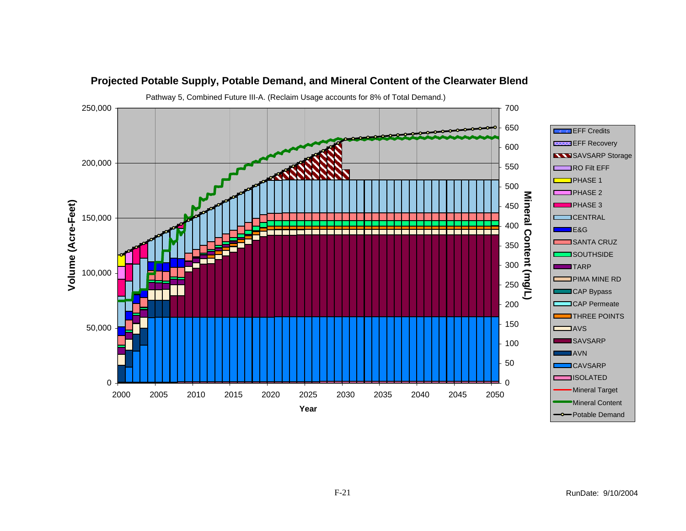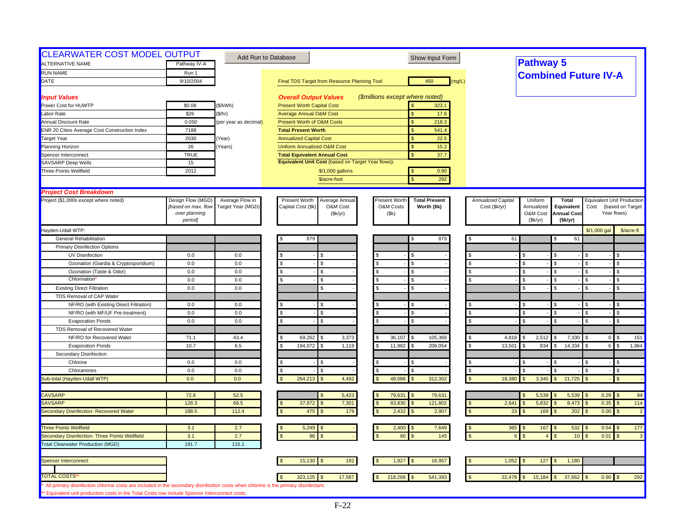| <b>CLEARWATER COST MODEL OUTPUT</b>                                                                                                                                                                                                   |                     |                       | Add Run to Database                                | Show Input Form                       |                      |                                  |                    |                                   |                                    |
|---------------------------------------------------------------------------------------------------------------------------------------------------------------------------------------------------------------------------------------|---------------------|-----------------------|----------------------------------------------------|---------------------------------------|----------------------|----------------------------------|--------------------|-----------------------------------|------------------------------------|
| <b>ALTERNATIVE NAME</b>                                                                                                                                                                                                               | Pathway IV-A        |                       |                                                    |                                       |                      | <b>Pathway 5</b>                 |                    |                                   |                                    |
| <b>RUN NAME</b>                                                                                                                                                                                                                       | Run 1               |                       |                                                    |                                       |                      | <b>Combined Future IV-A</b>      |                    |                                   |                                    |
| DATE                                                                                                                                                                                                                                  | 9/10/2004           |                       | Final TDS Target from Resource Planning Tool       | 450<br>(mg/L)                         |                      |                                  |                    |                                   |                                    |
| <b>Input Values</b>                                                                                                                                                                                                                   |                     |                       | <b>Overall Output Values</b>                       | (\$millions except where noted)       |                      |                                  |                    |                                   |                                    |
| Power Cost for HUWTP                                                                                                                                                                                                                  | \$0.08              | (\$/kWh)              | <b>Present Worth Capital Cost</b>                  | 323.1                                 |                      |                                  |                    |                                   |                                    |
| Labor Rate                                                                                                                                                                                                                            | \$26                | (\$/hr)               | <b>Average Annual O&amp;M Cost</b>                 | 17.6<br>$\mathbf{s}$                  |                      |                                  |                    |                                   |                                    |
| Annual Discount Rate                                                                                                                                                                                                                  | 0.050               | (per year as decimal) | Present Worth of O&M Costs                         | 218.3<br><sub>S</sub>                 |                      |                                  |                    |                                   |                                    |
| ENR 20 Cities Average Cost Construction Index                                                                                                                                                                                         | 7188                |                       | <b>Total Present Worth</b>                         | 541.4                                 |                      |                                  |                    |                                   |                                    |
| <b>Target Year</b>                                                                                                                                                                                                                    | 2030                | Year)                 | <b>Annualized Capital Cost</b>                     | <sub>S</sub><br>22.5                  |                      |                                  |                    |                                   |                                    |
| Planning Horizon                                                                                                                                                                                                                      | 26                  | Years)                | <b>Uniform Annualized O&amp;M Cost</b>             | $\mathbf{s}$<br>15.2                  |                      |                                  |                    |                                   |                                    |
| Spencer Interconnect                                                                                                                                                                                                                  | <b>TRUE</b>         |                       | <b>Total Equivalent Annual Cost</b>                | $\mathbf{s}$<br>37.7                  |                      |                                  |                    |                                   |                                    |
| <b>SAVSARP Deep Wells</b>                                                                                                                                                                                                             | 15                  |                       | Equivalent Unit Cost (based on Target Year flows): |                                       |                      |                                  |                    |                                   |                                    |
| Three-Points Wellfield                                                                                                                                                                                                                | 2012                |                       | \$/1,000 gallons                                   | 0.90<br>$\mathbf{s}$                  |                      |                                  |                    |                                   |                                    |
|                                                                                                                                                                                                                                       |                     |                       | \$/acre-foot                                       | $\mathbf{\hat{S}}$<br>292             |                      |                                  |                    |                                   |                                    |
| <b>Project Cost Breakdown</b>                                                                                                                                                                                                         |                     |                       |                                                    |                                       |                      |                                  |                    |                                   |                                    |
| Project (\$1,000s except where noted)                                                                                                                                                                                                 | Design Flow (MGD)   | Average Flow in       | Present Worth<br>Average Annual                    | Present Worth<br><b>Total Present</b> | Annualized Capital   | Uniform                          | <b>Total</b>       | <b>Equivalent Unit Production</b> |                                    |
|                                                                                                                                                                                                                                       | [based on max. flow | Target Year (MGD)     | Capital Cost (\$k)<br>O&M Cost                     | O&M Costs<br>Worth (\$k)              | Cost (\$k/yr)        | Annualized                       | Equivalent         | Cost                              | (based on Target                   |
|                                                                                                                                                                                                                                       | over planning       |                       | (\$k/yr)                                           | (\$k)                                 |                      | O&M Cost                         | <b>Annual Cost</b> | Year flows)                       |                                    |
|                                                                                                                                                                                                                                       | period]             |                       |                                                    |                                       |                      | (Sk/yr)                          | (\$k/yr)           |                                   |                                    |
| Hayden-Udall WTP:                                                                                                                                                                                                                     |                     |                       |                                                    |                                       |                      |                                  |                    | \$/1,000 gal                      | \$/acre-ft                         |
| <b>General Rehabilitation</b>                                                                                                                                                                                                         |                     |                       | 879                                                | 879<br>S                              | 61                   |                                  | 61                 |                                   |                                    |
| <b>Primary Disinfection Options</b>                                                                                                                                                                                                   |                     |                       |                                                    |                                       |                      |                                  |                    |                                   |                                    |
| <b>UV Disinfection</b>                                                                                                                                                                                                                | 0.0                 | 0.0                   |                                                    | S.                                    |                      | \$                               |                    |                                   | \$                                 |
| Ozonation (Giardia & Cryptosporidium)                                                                                                                                                                                                 | 0.0                 | 0.0                   | \$<br>S.                                           | <b>S</b><br>\$.                       | $\mathbf{s}$         | \$.<br>$\mathcal{F}$             |                    | -96                               | \$                                 |
| Ozonation (Taste & Odor)                                                                                                                                                                                                              | 0.0                 | 0.0                   | \$<br>S                                            | $\mathbf{\hat{s}}$                    |                      | \$<br>- \$                       |                    |                                   | \$                                 |
| <b>Chlorination</b>                                                                                                                                                                                                                   | 0.0                 | 0.0                   |                                                    | <b>S</b>                              |                      | $\mathfrak{L}$                   |                    |                                   | \$.                                |
| <b>Existing Direct Filtration</b>                                                                                                                                                                                                     | 0.0                 | 0.0                   | \$.                                                | $\mathbf{s}$                          |                      | $\mathfrak{L}$<br>$\mathfrak{R}$ |                    |                                   | $\mathfrak{L}$                     |
| TDS Removal of CAP Water                                                                                                                                                                                                              |                     |                       |                                                    |                                       |                      |                                  |                    |                                   |                                    |
| NF/RO (with Existing Direct Filtration)                                                                                                                                                                                               | 0.0                 | 0.0                   |                                                    |                                       |                      |                                  |                    |                                   |                                    |
| NF/RO (with MF/UF Pre-treatment)                                                                                                                                                                                                      | 0.0                 | 0.0                   |                                                    | $\mathcal{S}$                         |                      | \$                               |                    |                                   | $\mathbf S$                        |
| <b>Evaporation Ponds</b>                                                                                                                                                                                                              | 0.0                 | 0.0                   | \$.                                                | <b>S</b>                              | \$                   | \$<br>$\mathcal{S}$              |                    | £.                                | \$                                 |
| TDS Removal of Recovered Water                                                                                                                                                                                                        |                     |                       |                                                    |                                       |                      |                                  |                    |                                   |                                    |
| NF/RO for Recovered Water                                                                                                                                                                                                             | 71.1                | 43.4                  | 69,262<br>3,373                                    | 36,107<br>105,369                     | 4,818                | 2,512                            | 7,330              | $\overline{0}$                    | 151                                |
| <b>Evaporation Ponds</b>                                                                                                                                                                                                              | 10.7                | 6.5                   | 194,072<br>1,119                                   | 11,982<br>206,054                     | 13,501               | 834<br>\$.                       | 14,334             | 6 <sup>1</sup>                    | $\mathfrak{s}$<br>1,964            |
| Secondary Disinfection                                                                                                                                                                                                                |                     |                       |                                                    |                                       |                      |                                  |                    |                                   |                                    |
| Chlorine                                                                                                                                                                                                                              | 0.0                 | 0.0                   | \$.<br>\$.                                         | -S                                    |                      | \$                               |                    | \$.                               | \$.                                |
| Chloramines                                                                                                                                                                                                                           | 0.0                 | 0.0                   | \$<br>£.                                           | l \$                                  | \$                   |                                  |                    | \$.                               | \$                                 |
| Sub-total (Hayden-Udall WTP)                                                                                                                                                                                                          | 0.0                 | 0.0                   | 264,213<br>4,492                                   | 48,088<br>312,302                     | 18,380               | 3,345                            | 21,725             |                                   | $\mathfrak{s}$                     |
|                                                                                                                                                                                                                                       |                     |                       |                                                    |                                       |                      |                                  |                    |                                   |                                    |
| <b>CAVSARP</b>                                                                                                                                                                                                                        | 72.8                | 52.5                  | 5,423                                              | 79,631<br>79,631<br><b>S</b>          |                      | 5,539                            | 5,539              | $0.29$ \$                         | 94                                 |
| <b>SAVSARP</b>                                                                                                                                                                                                                        | 128.3               | 66.5                  | 37,972<br>7,301                                    | 83,830<br>121,802                     | 2,641                | 5,832                            | 8,473              | 0.35                              | 114<br>$\mathfrak{L}$              |
| Secondary Disinfection- Recovered Water                                                                                                                                                                                               | 188.5               | 112.4                 | 475<br>179                                         | 2,432<br>2,907                        | $\mathfrak{s}$<br>33 | 169                              | 202                | 0.00                              | $\mathfrak{L}$<br>$\overline{2}$   |
| <b>Three Points Wellfield</b>                                                                                                                                                                                                         | 3.1                 | 2.7                   | 5,249                                              | 2,400<br>7,649                        | $365$ \$             | 167                              | 532                | $0.54$ \$                         | 177                                |
| Secondary Disinfection- Three Points Wellfield                                                                                                                                                                                        | 3.1                 | 2.7                   | 86                                                 | 145<br>60                             |                      |                                  | 10 <sup>1</sup>    | 0.01                              | $\mathbf{3}$<br>$\mathbf{\hat{f}}$ |
| <b>Total Clearwater Production (MGD)</b>                                                                                                                                                                                              | 191.7               | 115.1                 |                                                    |                                       |                      |                                  |                    |                                   |                                    |
|                                                                                                                                                                                                                                       |                     |                       |                                                    |                                       |                      |                                  |                    |                                   |                                    |
| Spencer Interconnect                                                                                                                                                                                                                  |                     |                       | 192<br>15,130                                      | 1,827<br>16,957                       | 1,052                | 127                              | 1,180              |                                   |                                    |
| <b>TOTAL COSTS'</b>                                                                                                                                                                                                                   |                     |                       |                                                    |                                       |                      |                                  |                    |                                   |                                    |
|                                                                                                                                                                                                                                       |                     |                       | 17,587<br>323,125                                  | 218,268<br>541,393                    | 22,478               | 15,184                           | 37,662             | $0.90$ \$                         | 292                                |
| All primary disinfection chlorine costs are included in the secondary disinfection costs when chlorine is the primary disinfectant.<br>** Equivalent unit production costs in the Total Costs row include Spencer Interconnect costs. |                     |                       |                                                    |                                       |                      |                                  |                    |                                   |                                    |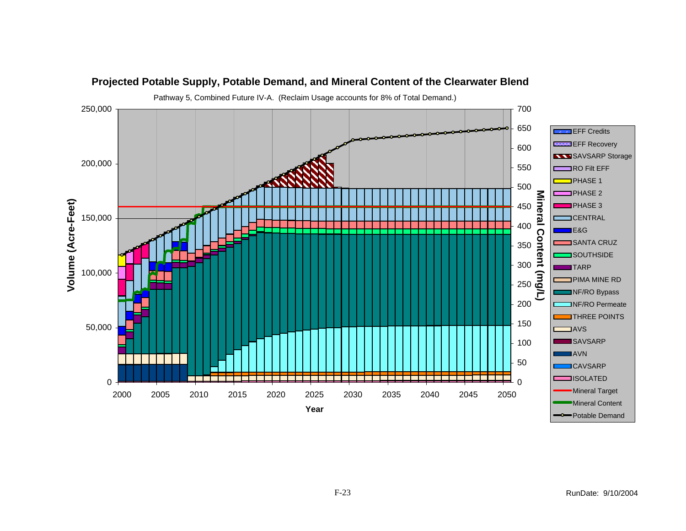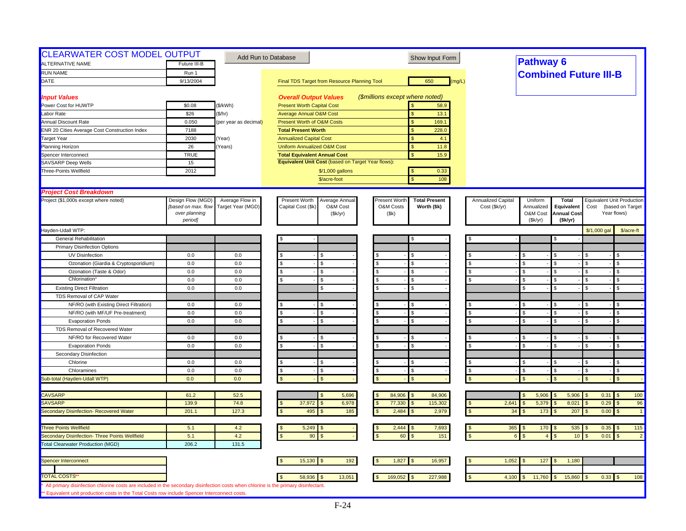| <b>CLEARWATER COST MODEL OUTPUT</b><br>ALTERNATIVE NAME                                                                                                                                                                              | Future III-B                                                         |                                      | Add Run to Database                                                           | Show Input Form                                                            |                                     | <b>Pathway 6</b>                             |                                                             |                    |                                                               |
|--------------------------------------------------------------------------------------------------------------------------------------------------------------------------------------------------------------------------------------|----------------------------------------------------------------------|--------------------------------------|-------------------------------------------------------------------------------|----------------------------------------------------------------------------|-------------------------------------|----------------------------------------------|-------------------------------------------------------------|--------------------|---------------------------------------------------------------|
| <b>RUN NAME</b>                                                                                                                                                                                                                      | Run 1                                                                |                                      |                                                                               |                                                                            |                                     | <b>Combined Future III-B</b>                 |                                                             |                    |                                                               |
| DATE                                                                                                                                                                                                                                 | 9/13/2004                                                            |                                      | Final TDS Target from Resource Planning Tool                                  | 650<br>(mg/L)                                                              |                                     |                                              |                                                             |                    |                                                               |
|                                                                                                                                                                                                                                      |                                                                      |                                      |                                                                               |                                                                            |                                     |                                              |                                                             |                    |                                                               |
| <b>Input Values</b>                                                                                                                                                                                                                  |                                                                      |                                      | <b>Overall Output Values</b>                                                  | (\$millions except where noted)                                            |                                     |                                              |                                                             |                    |                                                               |
| Power Cost for HUWTP                                                                                                                                                                                                                 | \$0.08                                                               | (\$/kWh)                             | <b>Present Worth Capital Cost</b>                                             | 58.9                                                                       |                                     |                                              |                                                             |                    |                                                               |
| Labor Rate                                                                                                                                                                                                                           | \$26                                                                 | (\$/hr)                              | <b>Average Annual O&amp;M Cost</b>                                            | 13.1<br>$\mathsf{\$}$                                                      |                                     |                                              |                                                             |                    |                                                               |
| <b>Annual Discount Rate</b>                                                                                                                                                                                                          | 0.050                                                                | (per year as decimal)                | <b>Present Worth of O&amp;M Costs</b>                                         | $\mathbf{s}$<br>169.1                                                      |                                     |                                              |                                                             |                    |                                                               |
| <b>ENR 20 Cities Average Cost Construction Index</b>                                                                                                                                                                                 | 7188                                                                 |                                      | <b>Total Present Worth</b>                                                    | 228.0<br>$\mathsf{\$}$                                                     |                                     |                                              |                                                             |                    |                                                               |
| <b>Target Year</b>                                                                                                                                                                                                                   | 2030                                                                 | Year)                                | <b>Annualized Capital Cost</b>                                                | \$<br>4.1                                                                  |                                     |                                              |                                                             |                    |                                                               |
| Planning Horizon                                                                                                                                                                                                                     | 26                                                                   | Years)                               | <b>Uniform Annualized O&amp;M Cost</b>                                        | 11.8<br>$\mathbf{s}$                                                       |                                     |                                              |                                                             |                    |                                                               |
| Spencer Interconnect                                                                                                                                                                                                                 | <b>TRUE</b>                                                          |                                      | <b>Total Equivalent Annual Cost</b>                                           | $\mathbf{s}$<br>15.9                                                       |                                     |                                              |                                                             |                    |                                                               |
| <b>SAVSARP Deep Wells</b>                                                                                                                                                                                                            | 15                                                                   |                                      | Equivalent Unit Cost (based on Target Year flows):                            |                                                                            |                                     |                                              |                                                             |                    |                                                               |
| Three-Points Wellfield                                                                                                                                                                                                               | 2012                                                                 |                                      | \$/1,000 gallons                                                              | 0.33<br>$\mathbf{s}$                                                       |                                     |                                              |                                                             |                    |                                                               |
|                                                                                                                                                                                                                                      |                                                                      |                                      | \$/acre-foot                                                                  | $\mathbf{\hat{S}}$<br>108                                                  |                                     |                                              |                                                             |                    |                                                               |
|                                                                                                                                                                                                                                      |                                                                      |                                      |                                                                               |                                                                            |                                     |                                              |                                                             |                    |                                                               |
| <b>Project Cost Breakdown</b>                                                                                                                                                                                                        |                                                                      |                                      |                                                                               |                                                                            |                                     |                                              |                                                             |                    |                                                               |
| Project (\$1,000s except where noted)                                                                                                                                                                                                | Design Flow (MGD)<br>[based on max. flow<br>over planning<br>period] | Average Flow in<br>Target Year (MGD) | Present Worth<br>Average Annual<br>Capital Cost (\$k)<br>O&M Cost<br>(\$k/yr) | Present Worth<br><b>Total Present</b><br>O&M Costs<br>Worth (\$k)<br>(\$k) | Annualized Capital<br>Cost (\$k/yr) | Uniform<br>Annualized<br>O&M Cost<br>(Sk/yr) | <b>Total</b><br>Equivalent<br><b>Annual Cost</b><br>(Sk/yr) | Cost               | Equivalent Unit Production<br>(based on Target<br>Year flows) |
|                                                                                                                                                                                                                                      |                                                                      |                                      |                                                                               |                                                                            |                                     |                                              |                                                             |                    |                                                               |
| Hayden-Udall WTP:                                                                                                                                                                                                                    |                                                                      |                                      |                                                                               |                                                                            |                                     |                                              |                                                             | \$/1,000 gal       | \$/acre-ft                                                    |
| General Rehabilitation                                                                                                                                                                                                               |                                                                      |                                      |                                                                               | S                                                                          |                                     |                                              |                                                             |                    |                                                               |
| <b>Primary Disinfection Options</b>                                                                                                                                                                                                  |                                                                      |                                      |                                                                               |                                                                            |                                     |                                              |                                                             |                    |                                                               |
| UV Disinfection                                                                                                                                                                                                                      | 0.0                                                                  | $0.0\,$                              |                                                                               |                                                                            |                                     | \$                                           |                                                             |                    | \$                                                            |
| Ozonation (Giardia & Cryptosporidium)                                                                                                                                                                                                | 0.0                                                                  | 0.0                                  | \$.<br>\$.                                                                    | <b>S</b>                                                                   | $\mathbf{s}$                        | \$                                           |                                                             |                    | \$                                                            |
| Ozonation (Taste & Odor)                                                                                                                                                                                                             | 0.0                                                                  | 0.0                                  | \$.<br>S                                                                      | $\mathbf{\hat{s}}$                                                         | \$                                  | \$                                           |                                                             |                    | \$                                                            |
| Chlorination                                                                                                                                                                                                                         | 0.0                                                                  | 0.0                                  |                                                                               | <b>S</b>                                                                   |                                     | $\mathfrak{L}$                               |                                                             |                    | $\mathfrak{L}$                                                |
| <b>Existing Direct Filtration</b>                                                                                                                                                                                                    | 0.0                                                                  | 0.0                                  | \$                                                                            | <b>S</b>                                                                   |                                     | $\mathfrak{L}$                               | ς.                                                          | ፍ                  | \$                                                            |
| TDS Removal of CAP Water                                                                                                                                                                                                             |                                                                      |                                      |                                                                               |                                                                            |                                     |                                              |                                                             |                    |                                                               |
| NF/RO (with Existing Direct Filtration)                                                                                                                                                                                              | 0.0                                                                  | 0.0                                  |                                                                               | <b>S</b>                                                                   |                                     | \$                                           |                                                             |                    | \$                                                            |
| NF/RO (with MF/UF Pre-treatment)                                                                                                                                                                                                     | 0.0                                                                  | 0.0                                  | \$                                                                            | <b>S</b>                                                                   |                                     |                                              |                                                             |                    | \$                                                            |
| <b>Evaporation Ponds</b>                                                                                                                                                                                                             | 0.0                                                                  | 0.0                                  | \$.<br>\$.                                                                    | $\mathbf{s}$                                                               |                                     | $\mathfrak{L}$                               | $\mathbf{s}$                                                | $\mathbf{\hat{S}}$ | $\mathbf{s}$                                                  |
| TDS Removal of Recovered Water                                                                                                                                                                                                       |                                                                      |                                      |                                                                               |                                                                            |                                     |                                              |                                                             |                    |                                                               |
| NF/RO for Recovered Water                                                                                                                                                                                                            | 0.0                                                                  | 0.0                                  |                                                                               | £.                                                                         |                                     | $\mathfrak{L}$                               |                                                             |                    | $\mathfrak{L}$                                                |
| <b>Evaporation Ponds</b>                                                                                                                                                                                                             | 0.0                                                                  | 0.0                                  | \$.                                                                           | <b>S</b>                                                                   |                                     | $\mathbf{s}$                                 | $\mathcal{S}$                                               |                    | $\mathfrak{L}$                                                |
| Secondary Disinfection                                                                                                                                                                                                               |                                                                      |                                      |                                                                               |                                                                            |                                     |                                              |                                                             |                    |                                                               |
| Chlorine                                                                                                                                                                                                                             | 0.0                                                                  | 0.0                                  |                                                                               | l \$                                                                       |                                     | \$                                           |                                                             | - 56               | \$                                                            |
| Chloramines                                                                                                                                                                                                                          | 0.0                                                                  | 0.0                                  | $\mathbf{s}$<br>\$.                                                           | \$<br>$\mathbf{\hat{s}}$                                                   | $\mathfrak s$                       | \$                                           |                                                             | \$.                | \$                                                            |
| Sub-total (Hayden-Udall WTP)                                                                                                                                                                                                         | 0.0                                                                  | 0.0                                  |                                                                               | $\mathbf{S}$                                                               |                                     |                                              |                                                             |                    | $\mathfrak{L}$                                                |
|                                                                                                                                                                                                                                      |                                                                      |                                      |                                                                               |                                                                            |                                     |                                              |                                                             |                    |                                                               |
| <b>CAVSARP</b>                                                                                                                                                                                                                       | 61.2                                                                 | 52.5                                 | 5,696                                                                         | 84,906<br>84,906<br>$\mathcal{S}$                                          |                                     | 5,906<br>$\mathfrak{L}$                      | 5,906                                                       | 0.31               | 100<br>$\mathbb{S}$                                           |
| SAVSARP                                                                                                                                                                                                                              | 139.9                                                                | 74.8                                 | 37,972<br>6,978                                                               | 77,330<br>115,302                                                          | 2,641                               | 5,379                                        | 8,021                                                       | 0.29               | 96                                                            |
| Secondary Disinfection- Recovered Water                                                                                                                                                                                              | 201.1                                                                | 127.3                                | 495<br>185                                                                    | 2,484<br>2,979                                                             | 34                                  | 173                                          | 207                                                         | 0.00               | $\overline{1}$<br>$\mathfrak{L}$                              |
|                                                                                                                                                                                                                                      |                                                                      |                                      |                                                                               |                                                                            |                                     |                                              |                                                             |                    |                                                               |
| <b>Three Points Wellfield</b>                                                                                                                                                                                                        | 5.1                                                                  | 4.2                                  | 5,249                                                                         | 2,444<br>7,693                                                             | 365                                 | 170<br>$\mathbf{s}$                          | 535                                                         | 0.35               | 115<br>\$                                                     |
| Secondary Disinfection- Three Points Wellfield                                                                                                                                                                                       | 5.1                                                                  | 4.2                                  | 90                                                                            | 60<br>151                                                                  | $\kappa$                            | $\overline{a}$                               | 10                                                          | 0.01               | $\mathfrak{L}$<br>$\overline{2}$                              |
| <b>Total Clearwater Production (MGD)</b>                                                                                                                                                                                             | 206.2                                                                | 131.5                                |                                                                               |                                                                            |                                     |                                              |                                                             |                    |                                                               |
|                                                                                                                                                                                                                                      |                                                                      |                                      |                                                                               |                                                                            |                                     |                                              |                                                             |                    |                                                               |
| Spencer Interconnect                                                                                                                                                                                                                 |                                                                      |                                      | 15,130<br>192                                                                 | 16,957<br>1,827                                                            | 1,052                               | 127                                          | 1,180                                                       |                    |                                                               |
|                                                                                                                                                                                                                                      |                                                                      |                                      |                                                                               |                                                                            |                                     |                                              |                                                             |                    |                                                               |
| <b>TOTAL COSTS'</b>                                                                                                                                                                                                                  |                                                                      |                                      | 58,936<br>13,051                                                              | 169,052<br>227,988                                                         | 4,100                               | 11,760                                       | 15,860                                                      | $0.33$ \$          | 108                                                           |
| All primary disinfection chlorine costs are included in the secondary disinfection costs when chlorine is the primary disinfectant.<br>** Equivalent unit production costs in the Total Costs row include Spencer Interconnect costs |                                                                      |                                      |                                                                               |                                                                            |                                     |                                              |                                                             |                    |                                                               |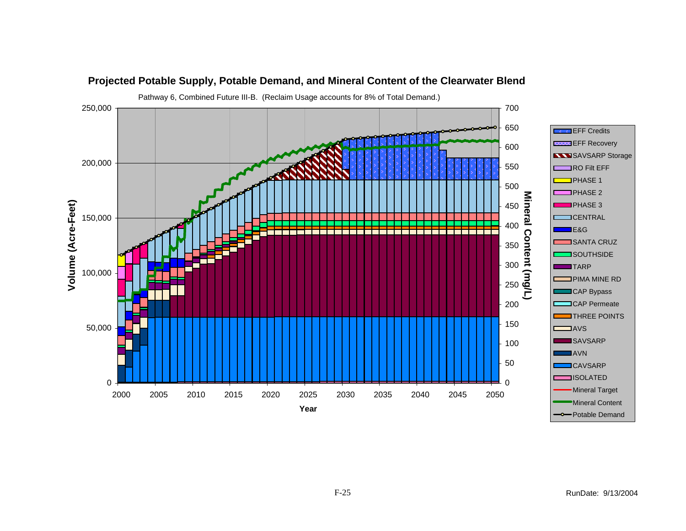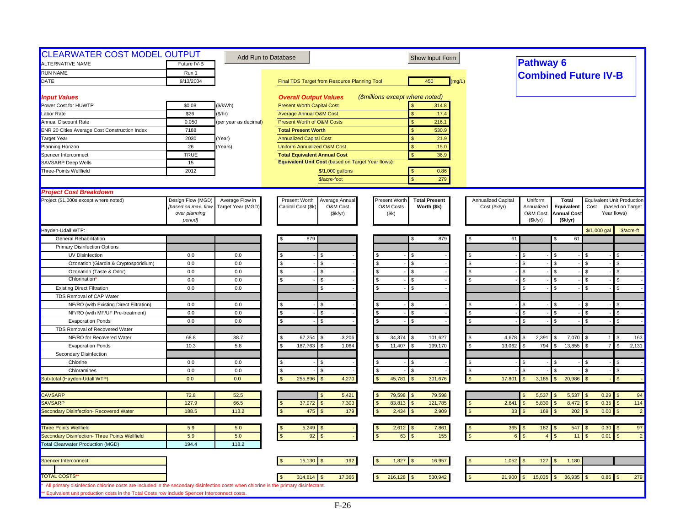| <b>CLEARWATER COST MODEL OUTPUT</b> |                                                                                                                                                                                                                                                                                                                              |                                                                                                                                                                                                                                                     | Show Input Form                                                                                                                                                                                                                                                                                                                                                                                                                                                                                                                                                                                                                    |                                                                                                                                                                                                                                                                                                                                                                                                                                                                                                                                                                                                                                                                                                                                                                                                                               |                                                                                                                                                                                                                                                    |                                                                                                                                                                                                                                                                                                                                                          |
|-------------------------------------|------------------------------------------------------------------------------------------------------------------------------------------------------------------------------------------------------------------------------------------------------------------------------------------------------------------------------|-----------------------------------------------------------------------------------------------------------------------------------------------------------------------------------------------------------------------------------------------------|------------------------------------------------------------------------------------------------------------------------------------------------------------------------------------------------------------------------------------------------------------------------------------------------------------------------------------------------------------------------------------------------------------------------------------------------------------------------------------------------------------------------------------------------------------------------------------------------------------------------------------|-------------------------------------------------------------------------------------------------------------------------------------------------------------------------------------------------------------------------------------------------------------------------------------------------------------------------------------------------------------------------------------------------------------------------------------------------------------------------------------------------------------------------------------------------------------------------------------------------------------------------------------------------------------------------------------------------------------------------------------------------------------------------------------------------------------------------------|----------------------------------------------------------------------------------------------------------------------------------------------------------------------------------------------------------------------------------------------------|----------------------------------------------------------------------------------------------------------------------------------------------------------------------------------------------------------------------------------------------------------------------------------------------------------------------------------------------------------|
|                                     |                                                                                                                                                                                                                                                                                                                              |                                                                                                                                                                                                                                                     |                                                                                                                                                                                                                                                                                                                                                                                                                                                                                                                                                                                                                                    |                                                                                                                                                                                                                                                                                                                                                                                                                                                                                                                                                                                                                                                                                                                                                                                                                               |                                                                                                                                                                                                                                                    |                                                                                                                                                                                                                                                                                                                                                          |
|                                     |                                                                                                                                                                                                                                                                                                                              |                                                                                                                                                                                                                                                     |                                                                                                                                                                                                                                                                                                                                                                                                                                                                                                                                                                                                                                    |                                                                                                                                                                                                                                                                                                                                                                                                                                                                                                                                                                                                                                                                                                                                                                                                                               |                                                                                                                                                                                                                                                    |                                                                                                                                                                                                                                                                                                                                                          |
|                                     |                                                                                                                                                                                                                                                                                                                              |                                                                                                                                                                                                                                                     |                                                                                                                                                                                                                                                                                                                                                                                                                                                                                                                                                                                                                                    |                                                                                                                                                                                                                                                                                                                                                                                                                                                                                                                                                                                                                                                                                                                                                                                                                               |                                                                                                                                                                                                                                                    |                                                                                                                                                                                                                                                                                                                                                          |
|                                     |                                                                                                                                                                                                                                                                                                                              |                                                                                                                                                                                                                                                     |                                                                                                                                                                                                                                                                                                                                                                                                                                                                                                                                                                                                                                    |                                                                                                                                                                                                                                                                                                                                                                                                                                                                                                                                                                                                                                                                                                                                                                                                                               |                                                                                                                                                                                                                                                    |                                                                                                                                                                                                                                                                                                                                                          |
|                                     |                                                                                                                                                                                                                                                                                                                              |                                                                                                                                                                                                                                                     |                                                                                                                                                                                                                                                                                                                                                                                                                                                                                                                                                                                                                                    |                                                                                                                                                                                                                                                                                                                                                                                                                                                                                                                                                                                                                                                                                                                                                                                                                               |                                                                                                                                                                                                                                                    |                                                                                                                                                                                                                                                                                                                                                          |
|                                     |                                                                                                                                                                                                                                                                                                                              |                                                                                                                                                                                                                                                     |                                                                                                                                                                                                                                                                                                                                                                                                                                                                                                                                                                                                                                    |                                                                                                                                                                                                                                                                                                                                                                                                                                                                                                                                                                                                                                                                                                                                                                                                                               |                                                                                                                                                                                                                                                    |                                                                                                                                                                                                                                                                                                                                                          |
|                                     |                                                                                                                                                                                                                                                                                                                              |                                                                                                                                                                                                                                                     |                                                                                                                                                                                                                                                                                                                                                                                                                                                                                                                                                                                                                                    |                                                                                                                                                                                                                                                                                                                                                                                                                                                                                                                                                                                                                                                                                                                                                                                                                               |                                                                                                                                                                                                                                                    |                                                                                                                                                                                                                                                                                                                                                          |
|                                     |                                                                                                                                                                                                                                                                                                                              |                                                                                                                                                                                                                                                     |                                                                                                                                                                                                                                                                                                                                                                                                                                                                                                                                                                                                                                    |                                                                                                                                                                                                                                                                                                                                                                                                                                                                                                                                                                                                                                                                                                                                                                                                                               |                                                                                                                                                                                                                                                    |                                                                                                                                                                                                                                                                                                                                                          |
|                                     |                                                                                                                                                                                                                                                                                                                              |                                                                                                                                                                                                                                                     |                                                                                                                                                                                                                                                                                                                                                                                                                                                                                                                                                                                                                                    |                                                                                                                                                                                                                                                                                                                                                                                                                                                                                                                                                                                                                                                                                                                                                                                                                               |                                                                                                                                                                                                                                                    |                                                                                                                                                                                                                                                                                                                                                          |
|                                     |                                                                                                                                                                                                                                                                                                                              |                                                                                                                                                                                                                                                     |                                                                                                                                                                                                                                                                                                                                                                                                                                                                                                                                                                                                                                    |                                                                                                                                                                                                                                                                                                                                                                                                                                                                                                                                                                                                                                                                                                                                                                                                                               |                                                                                                                                                                                                                                                    |                                                                                                                                                                                                                                                                                                                                                          |
|                                     |                                                                                                                                                                                                                                                                                                                              |                                                                                                                                                                                                                                                     |                                                                                                                                                                                                                                                                                                                                                                                                                                                                                                                                                                                                                                    |                                                                                                                                                                                                                                                                                                                                                                                                                                                                                                                                                                                                                                                                                                                                                                                                                               |                                                                                                                                                                                                                                                    |                                                                                                                                                                                                                                                                                                                                                          |
|                                     |                                                                                                                                                                                                                                                                                                                              |                                                                                                                                                                                                                                                     |                                                                                                                                                                                                                                                                                                                                                                                                                                                                                                                                                                                                                                    |                                                                                                                                                                                                                                                                                                                                                                                                                                                                                                                                                                                                                                                                                                                                                                                                                               |                                                                                                                                                                                                                                                    |                                                                                                                                                                                                                                                                                                                                                          |
|                                     |                                                                                                                                                                                                                                                                                                                              |                                                                                                                                                                                                                                                     |                                                                                                                                                                                                                                                                                                                                                                                                                                                                                                                                                                                                                                    |                                                                                                                                                                                                                                                                                                                                                                                                                                                                                                                                                                                                                                                                                                                                                                                                                               |                                                                                                                                                                                                                                                    |                                                                                                                                                                                                                                                                                                                                                          |
|                                     |                                                                                                                                                                                                                                                                                                                              |                                                                                                                                                                                                                                                     |                                                                                                                                                                                                                                                                                                                                                                                                                                                                                                                                                                                                                                    |                                                                                                                                                                                                                                                                                                                                                                                                                                                                                                                                                                                                                                                                                                                                                                                                                               |                                                                                                                                                                                                                                                    |                                                                                                                                                                                                                                                                                                                                                          |
|                                     |                                                                                                                                                                                                                                                                                                                              |                                                                                                                                                                                                                                                     |                                                                                                                                                                                                                                                                                                                                                                                                                                                                                                                                                                                                                                    |                                                                                                                                                                                                                                                                                                                                                                                                                                                                                                                                                                                                                                                                                                                                                                                                                               |                                                                                                                                                                                                                                                    |                                                                                                                                                                                                                                                                                                                                                          |
|                                     |                                                                                                                                                                                                                                                                                                                              |                                                                                                                                                                                                                                                     |                                                                                                                                                                                                                                                                                                                                                                                                                                                                                                                                                                                                                                    |                                                                                                                                                                                                                                                                                                                                                                                                                                                                                                                                                                                                                                                                                                                                                                                                                               |                                                                                                                                                                                                                                                    |                                                                                                                                                                                                                                                                                                                                                          |
|                                     |                                                                                                                                                                                                                                                                                                                              |                                                                                                                                                                                                                                                     |                                                                                                                                                                                                                                                                                                                                                                                                                                                                                                                                                                                                                                    |                                                                                                                                                                                                                                                                                                                                                                                                                                                                                                                                                                                                                                                                                                                                                                                                                               |                                                                                                                                                                                                                                                    | <b>Equivalent Unit Production</b>                                                                                                                                                                                                                                                                                                                        |
|                                     |                                                                                                                                                                                                                                                                                                                              |                                                                                                                                                                                                                                                     |                                                                                                                                                                                                                                                                                                                                                                                                                                                                                                                                                                                                                                    |                                                                                                                                                                                                                                                                                                                                                                                                                                                                                                                                                                                                                                                                                                                                                                                                                               |                                                                                                                                                                                                                                                    | Cost<br>(based on Target<br>Year flows)                                                                                                                                                                                                                                                                                                                  |
|                                     |                                                                                                                                                                                                                                                                                                                              |                                                                                                                                                                                                                                                     |                                                                                                                                                                                                                                                                                                                                                                                                                                                                                                                                                                                                                                    |                                                                                                                                                                                                                                                                                                                                                                                                                                                                                                                                                                                                                                                                                                                                                                                                                               |                                                                                                                                                                                                                                                    |                                                                                                                                                                                                                                                                                                                                                          |
|                                     |                                                                                                                                                                                                                                                                                                                              |                                                                                                                                                                                                                                                     |                                                                                                                                                                                                                                                                                                                                                                                                                                                                                                                                                                                                                                    |                                                                                                                                                                                                                                                                                                                                                                                                                                                                                                                                                                                                                                                                                                                                                                                                                               |                                                                                                                                                                                                                                                    | \$/1,000 gal<br>\$/acre-ft                                                                                                                                                                                                                                                                                                                               |
|                                     |                                                                                                                                                                                                                                                                                                                              |                                                                                                                                                                                                                                                     |                                                                                                                                                                                                                                                                                                                                                                                                                                                                                                                                                                                                                                    |                                                                                                                                                                                                                                                                                                                                                                                                                                                                                                                                                                                                                                                                                                                                                                                                                               |                                                                                                                                                                                                                                                    |                                                                                                                                                                                                                                                                                                                                                          |
|                                     |                                                                                                                                                                                                                                                                                                                              |                                                                                                                                                                                                                                                     |                                                                                                                                                                                                                                                                                                                                                                                                                                                                                                                                                                                                                                    |                                                                                                                                                                                                                                                                                                                                                                                                                                                                                                                                                                                                                                                                                                                                                                                                                               |                                                                                                                                                                                                                                                    |                                                                                                                                                                                                                                                                                                                                                          |
|                                     |                                                                                                                                                                                                                                                                                                                              |                                                                                                                                                                                                                                                     |                                                                                                                                                                                                                                                                                                                                                                                                                                                                                                                                                                                                                                    |                                                                                                                                                                                                                                                                                                                                                                                                                                                                                                                                                                                                                                                                                                                                                                                                                               |                                                                                                                                                                                                                                                    |                                                                                                                                                                                                                                                                                                                                                          |
|                                     |                                                                                                                                                                                                                                                                                                                              |                                                                                                                                                                                                                                                     |                                                                                                                                                                                                                                                                                                                                                                                                                                                                                                                                                                                                                                    |                                                                                                                                                                                                                                                                                                                                                                                                                                                                                                                                                                                                                                                                                                                                                                                                                               |                                                                                                                                                                                                                                                    | \$                                                                                                                                                                                                                                                                                                                                                       |
|                                     |                                                                                                                                                                                                                                                                                                                              |                                                                                                                                                                                                                                                     |                                                                                                                                                                                                                                                                                                                                                                                                                                                                                                                                                                                                                                    |                                                                                                                                                                                                                                                                                                                                                                                                                                                                                                                                                                                                                                                                                                                                                                                                                               |                                                                                                                                                                                                                                                    | \$<br>-S                                                                                                                                                                                                                                                                                                                                                 |
|                                     |                                                                                                                                                                                                                                                                                                                              |                                                                                                                                                                                                                                                     |                                                                                                                                                                                                                                                                                                                                                                                                                                                                                                                                                                                                                                    |                                                                                                                                                                                                                                                                                                                                                                                                                                                                                                                                                                                                                                                                                                                                                                                                                               |                                                                                                                                                                                                                                                    | \$<br>\$.                                                                                                                                                                                                                                                                                                                                                |
|                                     |                                                                                                                                                                                                                                                                                                                              |                                                                                                                                                                                                                                                     |                                                                                                                                                                                                                                                                                                                                                                                                                                                                                                                                                                                                                                    |                                                                                                                                                                                                                                                                                                                                                                                                                                                                                                                                                                                                                                                                                                                                                                                                                               |                                                                                                                                                                                                                                                    | \$                                                                                                                                                                                                                                                                                                                                                       |
|                                     |                                                                                                                                                                                                                                                                                                                              |                                                                                                                                                                                                                                                     |                                                                                                                                                                                                                                                                                                                                                                                                                                                                                                                                                                                                                                    |                                                                                                                                                                                                                                                                                                                                                                                                                                                                                                                                                                                                                                                                                                                                                                                                                               |                                                                                                                                                                                                                                                    |                                                                                                                                                                                                                                                                                                                                                          |
|                                     |                                                                                                                                                                                                                                                                                                                              |                                                                                                                                                                                                                                                     |                                                                                                                                                                                                                                                                                                                                                                                                                                                                                                                                                                                                                                    |                                                                                                                                                                                                                                                                                                                                                                                                                                                                                                                                                                                                                                                                                                                                                                                                                               |                                                                                                                                                                                                                                                    | \$                                                                                                                                                                                                                                                                                                                                                       |
|                                     |                                                                                                                                                                                                                                                                                                                              |                                                                                                                                                                                                                                                     |                                                                                                                                                                                                                                                                                                                                                                                                                                                                                                                                                                                                                                    |                                                                                                                                                                                                                                                                                                                                                                                                                                                                                                                                                                                                                                                                                                                                                                                                                               |                                                                                                                                                                                                                                                    | \$.                                                                                                                                                                                                                                                                                                                                                      |
|                                     |                                                                                                                                                                                                                                                                                                                              |                                                                                                                                                                                                                                                     |                                                                                                                                                                                                                                                                                                                                                                                                                                                                                                                                                                                                                                    |                                                                                                                                                                                                                                                                                                                                                                                                                                                                                                                                                                                                                                                                                                                                                                                                                               |                                                                                                                                                                                                                                                    | \$<br>ፍ                                                                                                                                                                                                                                                                                                                                                  |
|                                     |                                                                                                                                                                                                                                                                                                                              |                                                                                                                                                                                                                                                     |                                                                                                                                                                                                                                                                                                                                                                                                                                                                                                                                                                                                                                    |                                                                                                                                                                                                                                                                                                                                                                                                                                                                                                                                                                                                                                                                                                                                                                                                                               |                                                                                                                                                                                                                                                    |                                                                                                                                                                                                                                                                                                                                                          |
|                                     |                                                                                                                                                                                                                                                                                                                              |                                                                                                                                                                                                                                                     |                                                                                                                                                                                                                                                                                                                                                                                                                                                                                                                                                                                                                                    |                                                                                                                                                                                                                                                                                                                                                                                                                                                                                                                                                                                                                                                                                                                                                                                                                               |                                                                                                                                                                                                                                                    | 163                                                                                                                                                                                                                                                                                                                                                      |
|                                     |                                                                                                                                                                                                                                                                                                                              |                                                                                                                                                                                                                                                     |                                                                                                                                                                                                                                                                                                                                                                                                                                                                                                                                                                                                                                    |                                                                                                                                                                                                                                                                                                                                                                                                                                                                                                                                                                                                                                                                                                                                                                                                                               |                                                                                                                                                                                                                                                    | 2,131<br>$\overline{7}$<br>$\sqrt{3}$                                                                                                                                                                                                                                                                                                                    |
|                                     |                                                                                                                                                                                                                                                                                                                              |                                                                                                                                                                                                                                                     |                                                                                                                                                                                                                                                                                                                                                                                                                                                                                                                                                                                                                                    |                                                                                                                                                                                                                                                                                                                                                                                                                                                                                                                                                                                                                                                                                                                                                                                                                               |                                                                                                                                                                                                                                                    |                                                                                                                                                                                                                                                                                                                                                          |
|                                     |                                                                                                                                                                                                                                                                                                                              |                                                                                                                                                                                                                                                     |                                                                                                                                                                                                                                                                                                                                                                                                                                                                                                                                                                                                                                    |                                                                                                                                                                                                                                                                                                                                                                                                                                                                                                                                                                                                                                                                                                                                                                                                                               |                                                                                                                                                                                                                                                    | \$.<br>\$.                                                                                                                                                                                                                                                                                                                                               |
|                                     |                                                                                                                                                                                                                                                                                                                              |                                                                                                                                                                                                                                                     |                                                                                                                                                                                                                                                                                                                                                                                                                                                                                                                                                                                                                                    |                                                                                                                                                                                                                                                                                                                                                                                                                                                                                                                                                                                                                                                                                                                                                                                                                               |                                                                                                                                                                                                                                                    | \$                                                                                                                                                                                                                                                                                                                                                       |
|                                     |                                                                                                                                                                                                                                                                                                                              |                                                                                                                                                                                                                                                     |                                                                                                                                                                                                                                                                                                                                                                                                                                                                                                                                                                                                                                    |                                                                                                                                                                                                                                                                                                                                                                                                                                                                                                                                                                                                                                                                                                                                                                                                                               |                                                                                                                                                                                                                                                    | -S<br>$\mathbf{s}$                                                                                                                                                                                                                                                                                                                                       |
|                                     |                                                                                                                                                                                                                                                                                                                              |                                                                                                                                                                                                                                                     |                                                                                                                                                                                                                                                                                                                                                                                                                                                                                                                                                                                                                                    |                                                                                                                                                                                                                                                                                                                                                                                                                                                                                                                                                                                                                                                                                                                                                                                                                               |                                                                                                                                                                                                                                                    |                                                                                                                                                                                                                                                                                                                                                          |
|                                     |                                                                                                                                                                                                                                                                                                                              |                                                                                                                                                                                                                                                     |                                                                                                                                                                                                                                                                                                                                                                                                                                                                                                                                                                                                                                    |                                                                                                                                                                                                                                                                                                                                                                                                                                                                                                                                                                                                                                                                                                                                                                                                                               |                                                                                                                                                                                                                                                    | $0.29$ \$                                                                                                                                                                                                                                                                                                                                                |
|                                     |                                                                                                                                                                                                                                                                                                                              |                                                                                                                                                                                                                                                     |                                                                                                                                                                                                                                                                                                                                                                                                                                                                                                                                                                                                                                    |                                                                                                                                                                                                                                                                                                                                                                                                                                                                                                                                                                                                                                                                                                                                                                                                                               |                                                                                                                                                                                                                                                    | 0.35<br>114<br>$\mathfrak{L}$                                                                                                                                                                                                                                                                                                                            |
|                                     |                                                                                                                                                                                                                                                                                                                              |                                                                                                                                                                                                                                                     |                                                                                                                                                                                                                                                                                                                                                                                                                                                                                                                                                                                                                                    |                                                                                                                                                                                                                                                                                                                                                                                                                                                                                                                                                                                                                                                                                                                                                                                                                               |                                                                                                                                                                                                                                                    | 0.00<br>$\mathfrak{s}$                                                                                                                                                                                                                                                                                                                                   |
|                                     |                                                                                                                                                                                                                                                                                                                              |                                                                                                                                                                                                                                                     |                                                                                                                                                                                                                                                                                                                                                                                                                                                                                                                                                                                                                                    |                                                                                                                                                                                                                                                                                                                                                                                                                                                                                                                                                                                                                                                                                                                                                                                                                               |                                                                                                                                                                                                                                                    |                                                                                                                                                                                                                                                                                                                                                          |
|                                     |                                                                                                                                                                                                                                                                                                                              |                                                                                                                                                                                                                                                     |                                                                                                                                                                                                                                                                                                                                                                                                                                                                                                                                                                                                                                    |                                                                                                                                                                                                                                                                                                                                                                                                                                                                                                                                                                                                                                                                                                                                                                                                                               |                                                                                                                                                                                                                                                    | $0.30$ \$                                                                                                                                                                                                                                                                                                                                                |
|                                     |                                                                                                                                                                                                                                                                                                                              | 92                                                                                                                                                                                                                                                  |                                                                                                                                                                                                                                                                                                                                                                                                                                                                                                                                                                                                                                    |                                                                                                                                                                                                                                                                                                                                                                                                                                                                                                                                                                                                                                                                                                                                                                                                                               |                                                                                                                                                                                                                                                    | 0.01<br>$\mathfrak{L}$                                                                                                                                                                                                                                                                                                                                   |
| 194.4                               |                                                                                                                                                                                                                                                                                                                              |                                                                                                                                                                                                                                                     |                                                                                                                                                                                                                                                                                                                                                                                                                                                                                                                                                                                                                                    |                                                                                                                                                                                                                                                                                                                                                                                                                                                                                                                                                                                                                                                                                                                                                                                                                               |                                                                                                                                                                                                                                                    |                                                                                                                                                                                                                                                                                                                                                          |
|                                     |                                                                                                                                                                                                                                                                                                                              |                                                                                                                                                                                                                                                     |                                                                                                                                                                                                                                                                                                                                                                                                                                                                                                                                                                                                                                    |                                                                                                                                                                                                                                                                                                                                                                                                                                                                                                                                                                                                                                                                                                                                                                                                                               |                                                                                                                                                                                                                                                    |                                                                                                                                                                                                                                                                                                                                                          |
|                                     |                                                                                                                                                                                                                                                                                                                              | 192<br>15,130                                                                                                                                                                                                                                       | 1,827<br>16,957                                                                                                                                                                                                                                                                                                                                                                                                                                                                                                                                                                                                                    | 1,052<br>.\$                                                                                                                                                                                                                                                                                                                                                                                                                                                                                                                                                                                                                                                                                                                                                                                                                  | 127<br>1,180                                                                                                                                                                                                                                       |                                                                                                                                                                                                                                                                                                                                                          |
|                                     |                                                                                                                                                                                                                                                                                                                              |                                                                                                                                                                                                                                                     |                                                                                                                                                                                                                                                                                                                                                                                                                                                                                                                                                                                                                                    |                                                                                                                                                                                                                                                                                                                                                                                                                                                                                                                                                                                                                                                                                                                                                                                                                               |                                                                                                                                                                                                                                                    |                                                                                                                                                                                                                                                                                                                                                          |
|                                     |                                                                                                                                                                                                                                                                                                                              |                                                                                                                                                                                                                                                     |                                                                                                                                                                                                                                                                                                                                                                                                                                                                                                                                                                                                                                    | 21,900                                                                                                                                                                                                                                                                                                                                                                                                                                                                                                                                                                                                                                                                                                                                                                                                                        | 15,035<br>36,935                                                                                                                                                                                                                                   | $0.86$ \$<br>279                                                                                                                                                                                                                                                                                                                                         |
|                                     |                                                                                                                                                                                                                                                                                                                              |                                                                                                                                                                                                                                                     |                                                                                                                                                                                                                                                                                                                                                                                                                                                                                                                                                                                                                                    |                                                                                                                                                                                                                                                                                                                                                                                                                                                                                                                                                                                                                                                                                                                                                                                                                               |                                                                                                                                                                                                                                                    |                                                                                                                                                                                                                                                                                                                                                          |
|                                     | Future IV-B<br>Run 1<br>9/13/2004<br>\$0.08<br>\$26<br>0.050<br>7188<br>2030<br>26<br><b>TRUE</b><br>15<br>2012<br>Design Flow (MGD)<br>[based on max. flow<br>over planning<br>period]<br>0.0<br>0.0<br>0.0<br>0.0<br>0.0<br>0.0<br>0.0<br>0.0<br>68.8<br>10.3<br>0.0<br>0.0<br>0.0<br>72.8<br>127.9<br>188.5<br>5.9<br>5.9 | (\$/kWh)<br>(\$/hr)<br>(per year as decimal)<br>Year)<br>Years)<br>Average Flow in<br>Target Year (MGD)<br>0.0<br>0.0<br>0.0<br>0.0<br>0.0<br>0.0<br>0.0<br>0.0<br>38.7<br>5.8<br>0.0<br>0.0<br>0.0<br>52.5<br>66.5<br>113.2<br>5.0<br>5.0<br>118.2 | Add Run to Database<br><b>Overall Output Values</b><br><b>Present Worth Capital Cost</b><br><b>Average Annual O&amp;M Cost</b><br><b>Present Worth of O&amp;M Costs</b><br><b>Total Present Worth</b><br><b>Annualized Capital Cost</b><br><b>Uniform Annualized O&amp;M Cost</b><br><b>Total Equivalent Annual Cost</b><br>\$/1,000 gallons<br>\$/acre-foot<br>Present Worth<br>Average Annual<br>Capital Cost (\$k<br>O&M Cost<br>(\$k/yr)<br>879<br>\$.<br>\$.<br>\$<br>s.<br>s.<br>\$<br>$\mathcal{S}$<br>ፍ<br>ፍ<br>67,254<br>3,206<br>187,763<br>1,064<br>255,896<br>4,270<br>5,421<br>37,972<br>7,303<br>475<br>179<br>5,249 | 450<br>Final TDS Target from Resource Planning Tool<br>(\$millions except where noted)<br>314.8<br>17.4<br>$\mathbf{s}$<br>$\mathbf{s}$<br>216.1<br>530.9<br>$\mathbf{s}$<br>\$<br>21.9<br>$\mathbf{s}$<br>15.0<br>$\mathbf{s}$<br>36.9<br>Equivalent Unit Cost (based on Target Year flows):<br>0.86<br><b>S</b><br>279<br>$\mathbf{\hat{S}}$<br>Present Worth<br><b>Total Present</b><br>O&M Costs<br>Worth (\$k)<br>(Sk)<br>879<br>S<br>S.<br>$\mathfrak{L}$<br><b>S</b><br><b>S</b><br>$\mathbf{\hat{s}}$<br><b>S</b><br><b>S</b><br>$\mathbf{s}$<br>£.<br><b>S</b><br>34,374<br>101,627<br>199,170<br>11,407<br><b>S</b><br>l \$<br>45,781<br>301,676<br>79,598<br>79,598<br>l \$<br>83,813<br>121,785<br>$\mathbf{s}$<br>2,434<br>2,909<br>-S<br>2,612<br>7,861<br>155<br>63<br>17,366<br>216,128<br>530,942<br>314,814 | (mq/L)<br>Annualized Capital<br>Cost (\$k/yr)<br>61<br>\$.<br><b>S</b><br>$\mathfrak{L}$<br>\$.<br>$\mathfrak{L}$<br>\$<br>S<br>$\mathfrak{L}$<br>\$<br><b>S</b><br>4,678<br>13,062<br>\$<br>\$.<br>$\mathfrak{L}$<br>17,801<br>2,641<br>33<br>365 | <b>Pathway 6</b><br><b>Combined Future IV-B</b><br>Uniform<br><b>Total</b><br>Annualized<br>Equivalent<br>O&M Cost<br><b>Annual Cost</b><br>(Sk/yr)<br>(\$k/yr)<br>61<br>$\mathfrak{L}$<br>l \$<br>\$<br>$\mathfrak{L}$<br>ፍ<br>2,391<br>7,070<br>13,855<br>794<br>3,185<br>20,986<br>5,537<br>5,537<br>5,830<br>8,472<br>169<br>202<br>547<br>182<br>11 |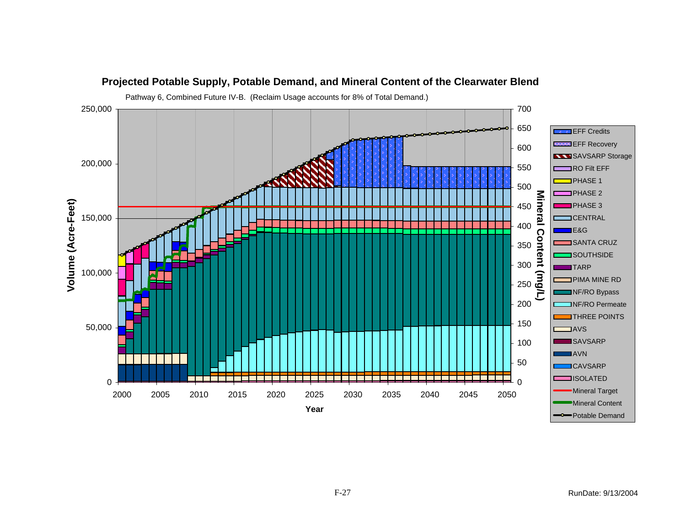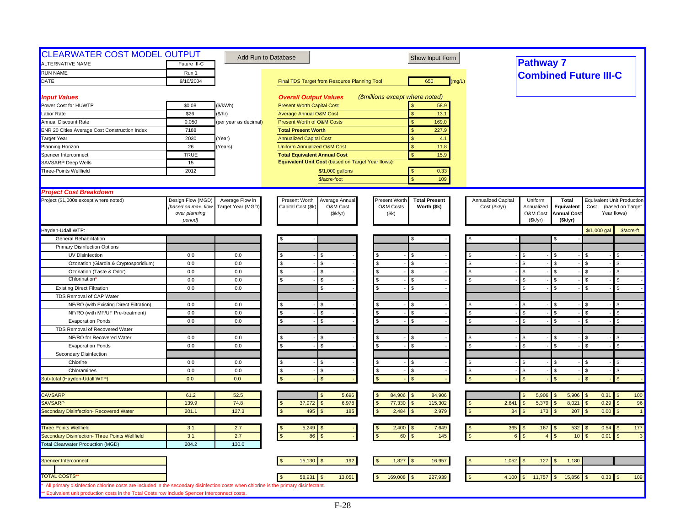| <b>CLEARWATER COST MODEL OUTPUT</b><br>ALTERNATIVE NAME                                                                                                                                                                              | Future III-C        | Add Run to Database   |                                                    | Show Input Form                       |                       | <b>Pathway 7</b>                   |                                        |
|--------------------------------------------------------------------------------------------------------------------------------------------------------------------------------------------------------------------------------------|---------------------|-----------------------|----------------------------------------------------|---------------------------------------|-----------------------|------------------------------------|----------------------------------------|
|                                                                                                                                                                                                                                      |                     |                       |                                                    |                                       |                       |                                    |                                        |
| <b>RUN NAME</b>                                                                                                                                                                                                                      | Run 1               |                       |                                                    |                                       |                       | <b>Combined Future III-C</b>       |                                        |
| DATE                                                                                                                                                                                                                                 | 9/10/2004           |                       | Final TDS Target from Resource Planning Tool       | 650<br>(mg/L)                         |                       |                                    |                                        |
| <b>Input Values</b>                                                                                                                                                                                                                  |                     |                       | <b>Overall Output Values</b>                       | (\$millions except where noted)       |                       |                                    |                                        |
| Power Cost for HUWTP                                                                                                                                                                                                                 | \$0.08              | (\$/kWh)              | <b>Present Worth Capital Cost</b>                  | 58.9                                  |                       |                                    |                                        |
| Labor Rate                                                                                                                                                                                                                           | \$26                | (\$/hr)               | <b>Average Annual O&amp;M Cost</b>                 | 13.1<br><b>S</b>                      |                       |                                    |                                        |
| Annual Discount Rate                                                                                                                                                                                                                 | 0.050               | (per year as decimal) | Present Worth of O&M Costs                         | $\sqrt{3}$<br>169.0                   |                       |                                    |                                        |
| ENR 20 Cities Average Cost Construction Index                                                                                                                                                                                        | 7188                |                       | <b>Total Present Worth</b>                         | 227.9                                 |                       |                                    |                                        |
| <b>Target Year</b>                                                                                                                                                                                                                   | 2030                | Year)                 | <b>Annualized Capital Cost</b>                     | S<br>4.1                              |                       |                                    |                                        |
| Planning Horizon                                                                                                                                                                                                                     | 26                  | Years)                | <b>Uniform Annualized O&amp;M Cost</b>             | $\mathbf{s}$<br>11.8                  |                       |                                    |                                        |
| Spencer Interconnect                                                                                                                                                                                                                 | <b>TRUE</b>         |                       | <b>Total Equivalent Annual Cost</b>                | $\mathbf{s}$<br>15.9                  |                       |                                    |                                        |
| <b>SAVSARP Deep Wells</b>                                                                                                                                                                                                            | 15                  |                       | Equivalent Unit Cost (based on Target Year flows): |                                       |                       |                                    |                                        |
| Three-Points Wellfield                                                                                                                                                                                                               | 2012                |                       | \$/1,000 gallons                                   | 0.33<br>$\sqrt{3}$                    |                       |                                    |                                        |
|                                                                                                                                                                                                                                      |                     |                       | \$/acre-foot                                       | 109<br><b>S</b>                       |                       |                                    |                                        |
| <b>Project Cost Breakdown</b>                                                                                                                                                                                                        |                     |                       |                                                    |                                       |                       |                                    |                                        |
| Project (\$1,000s except where noted)                                                                                                                                                                                                | Design Flow (MGD)   | Average Flow in       | Present Worth<br>Average Annual                    | Present Worth<br><b>Total Present</b> | Annualized Capital    | Uniform<br><b>Total</b>            | <b>Equivalent Unit Production</b>      |
|                                                                                                                                                                                                                                      | [based on max. flow | Target Year (MGD)     | Capital Cost (\$k)<br>O&M Cost                     | O&M Costs<br>Worth (\$k)              | Cost (\$k/yr)         | Annualized<br>Equivalent           | Cost<br>(based on Target               |
|                                                                                                                                                                                                                                      | over planning       |                       | (\$k/yr)                                           | (\$k)                                 |                       | O&M Cost<br><b>Annual Cost</b>     | Year flows)                            |
|                                                                                                                                                                                                                                      | period]             |                       |                                                    |                                       |                       | (Sk/yr)<br>(\$k/yr)                |                                        |
| Hayden-Udall WTP:                                                                                                                                                                                                                    |                     |                       |                                                    |                                       |                       |                                    | \$/1,000 gal<br>\$/acre-ft             |
| <b>General Rehabilitation</b>                                                                                                                                                                                                        |                     |                       |                                                    | S                                     |                       |                                    |                                        |
| <b>Primary Disinfection Options</b>                                                                                                                                                                                                  |                     |                       |                                                    |                                       |                       |                                    |                                        |
| <b>UV Disinfection</b>                                                                                                                                                                                                               | 0.0                 | 0.0                   |                                                    | £.                                    |                       | $\mathfrak{L}$                     | \$.                                    |
| Ozonation (Giardia & Cryptosporidium)                                                                                                                                                                                                | 0.0                 | 0.0                   | \$<br>\$.                                          | <b>S</b>                              |                       | \$                                 | \$.                                    |
| Ozonation (Taste & Odor)                                                                                                                                                                                                             | 0.0                 | 0.0                   | \$<br>\$.                                          | $\mathbf{s}$<br>$\mathbf{s}$          | $\mathfrak{s}$        | $\mathbf{s}$<br>$\mathcal{S}$      | $\mathbf{\$}$<br>£.                    |
| Chlorination                                                                                                                                                                                                                         | 0.0                 | 0.0                   | \$.                                                | $\mathbf{\hat{s}}$                    |                       | \$.                                | \$.                                    |
| <b>Existing Direct Filtration</b>                                                                                                                                                                                                    | 0.0                 | 0.0                   | \$.                                                | <b>S</b>                              |                       | $\mathfrak{L}$<br>$\mathbf{R}$     | £.<br>\$.                              |
| TDS Removal of CAP Water                                                                                                                                                                                                             |                     |                       |                                                    |                                       |                       |                                    |                                        |
| NF/RO (with Existing Direct Filtration)                                                                                                                                                                                              | 0.0                 | 0.0                   |                                                    | <b>S</b>                              |                       | \$                                 | $\mathfrak{s}$                         |
| NF/RO (with MF/UF Pre-treatment)                                                                                                                                                                                                     | 0.0                 | 0.0                   | s.<br>\$                                           | $\mathfrak{L}$<br><b>S</b>            | <b>S</b>              | \$                                 | $\mathfrak{s}$                         |
| <b>Evaporation Ponds</b>                                                                                                                                                                                                             | 0.0                 | 0.0                   | \$<br>\$.                                          | <b>S</b>                              |                       | \$<br>ፍ                            | $\mathbf{\$}$<br>\$.                   |
| TDS Removal of Recovered Water                                                                                                                                                                                                       |                     |                       |                                                    |                                       |                       |                                    |                                        |
| NF/RO for Recovered Water                                                                                                                                                                                                            | 0.0                 | 0.0                   |                                                    | <b>S</b>                              |                       | \$                                 | <b>S</b>                               |
| <b>Evaporation Ponds</b>                                                                                                                                                                                                             | 0.0                 | 0.0                   | \$                                                 | <b>S</b><br>£.                        | \$                    | $\mathbf{\hat{s}}$<br>$\mathbf{s}$ | \$<br>£.                               |
| Secondary Disinfection                                                                                                                                                                                                               |                     |                       |                                                    |                                       |                       |                                    |                                        |
| Chlorine                                                                                                                                                                                                                             | 0.0                 | 0.0                   | \$                                                 | <b>S</b><br>£.                        |                       | \$.                                | \$.<br>£.                              |
| Chloramines                                                                                                                                                                                                                          | 0.0                 | 0.0                   | <b>S</b><br>S                                      | \$<br>$\mathbf{\hat{s}}$              | \$                    | \$                                 | <b>S</b>                               |
| Sub-total (Hayden-Udall WTP)                                                                                                                                                                                                         | 0.0                 | 0.0                   |                                                    | $\mathbf{s}$                          |                       | $\mathfrak{F}$                     | $\mathbb{S}$                           |
| <b>CAVSARP</b>                                                                                                                                                                                                                       | 61.2                | 52.5                  | 5,696                                              | 84,906<br>84,906                      |                       | 5,906<br>5,906<br>\$               | 0.31<br>100<br>$\mathcal{S}$           |
| SAVSARP                                                                                                                                                                                                                              | 139.9               | 74.8                  | 37,972<br>6,978                                    | 77,330<br>115,302                     | 2,641                 | 5,379<br>8,021                     | 0.29<br>96                             |
| Secondary Disinfection- Recovered Water                                                                                                                                                                                              | 201.1               | 127.3                 | 495<br>185                                         | 2,484<br>2,979                        | 34                    | 207<br>173                         | 0.00<br>$\overline{1}$                 |
|                                                                                                                                                                                                                                      |                     |                       |                                                    |                                       |                       |                                    |                                        |
| <b>Three Points Wellfield</b>                                                                                                                                                                                                        | 3.1                 | 2.7                   | 5,249                                              | 2,400<br>7,649                        | 365<br><b>S</b><br>\$ | 167<br>532                         | $0.54$ \$<br>177                       |
| Secondary Disinfection- Three Points Wellfield                                                                                                                                                                                       | 3.1                 | 2.7                   | 86                                                 | 145<br>60                             | $\kappa$              | $\overline{A}$<br>10               | 0.01<br>$\mathfrak{L}$<br>$\mathbf{3}$ |
| <b>Total Clearwater Production (MGD)</b>                                                                                                                                                                                             | 204.2               | 130.0                 |                                                    |                                       |                       |                                    |                                        |
| Spencer Interconnect                                                                                                                                                                                                                 |                     |                       | 15,130<br>192                                      | 16,957<br>1,827                       | 1,052                 | 127<br>1,180                       |                                        |
|                                                                                                                                                                                                                                      |                     |                       |                                                    |                                       |                       |                                    |                                        |
| <b>TOTAL COSTS'</b>                                                                                                                                                                                                                  |                     |                       | 58,931<br>13,051                                   | 169,008<br>227,939                    | 4,100                 | 11,757<br>15,856                   | $0.33$ \$<br>109                       |
| All primary disinfection chlorine costs are included in the secondary disinfection costs when chlorine is the primary disinfectant.<br>** Equivalent unit production costs in the Total Costs row include Spencer Interconnect costs |                     |                       |                                                    |                                       |                       |                                    |                                        |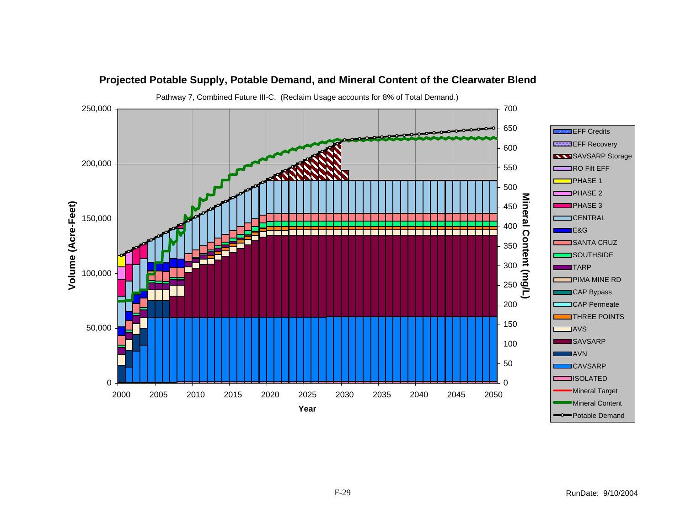

RunDate: 9/10/2004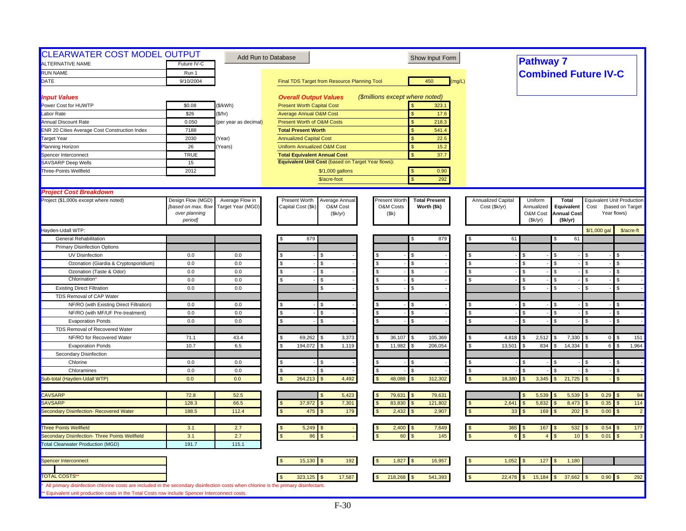| <b>CLEARWATER COST MODEL OUTPUT</b><br><b>ALTERNATIVE NAME</b>                                                                      | Future IV-C         |                       | Add Run to Database                                | Show Input Form                       |                    | <b>Pathway 7</b>                 |                    |                                   |                                    |
|-------------------------------------------------------------------------------------------------------------------------------------|---------------------|-----------------------|----------------------------------------------------|---------------------------------------|--------------------|----------------------------------|--------------------|-----------------------------------|------------------------------------|
|                                                                                                                                     |                     |                       |                                                    |                                       |                    |                                  |                    |                                   |                                    |
| <b>RUN NAME</b>                                                                                                                     | Run 1               |                       |                                                    |                                       |                    |                                  |                    | <b>Combined Future IV-C</b>       |                                    |
| DATE                                                                                                                                | 9/10/2004           |                       | Final TDS Target from Resource Planning Tool       | 450<br>(mg/L)                         |                    |                                  |                    |                                   |                                    |
| <b>Input Values</b>                                                                                                                 |                     |                       | <b>Overall Output Values</b>                       | (\$millions except where noted)       |                    |                                  |                    |                                   |                                    |
| Power Cost for HUWTP                                                                                                                | \$0.08              | (\$/kWh)              | <b>Present Worth Capital Cost</b>                  | 323.1                                 |                    |                                  |                    |                                   |                                    |
| Labor Rate                                                                                                                          | \$26                | (\$/hr)               | <b>Average Annual O&amp;M Cost</b>                 | 17.6<br>$\mathbf{s}$                  |                    |                                  |                    |                                   |                                    |
| Annual Discount Rate                                                                                                                | 0.050               | (per year as decimal) | Present Worth of O&M Costs                         | 218.3<br><sub>S</sub>                 |                    |                                  |                    |                                   |                                    |
| ENR 20 Cities Average Cost Construction Index                                                                                       | 7188                |                       | <b>Total Present Worth</b>                         | 541.4                                 |                    |                                  |                    |                                   |                                    |
| <b>Target Year</b>                                                                                                                  | 2030                | Year)                 | <b>Annualized Capital Cost</b>                     | <sub>S</sub><br>22.5                  |                    |                                  |                    |                                   |                                    |
| Planning Horizon                                                                                                                    | 26                  | Years)                | <b>Uniform Annualized O&amp;M Cost</b>             | $\mathbf{s}$<br>15.2                  |                    |                                  |                    |                                   |                                    |
| Spencer Interconnect                                                                                                                | <b>TRUE</b>         |                       | <b>Total Equivalent Annual Cost</b>                | $\mathbf{s}$<br>37.7                  |                    |                                  |                    |                                   |                                    |
| <b>SAVSARP Deep Wells</b>                                                                                                           | 15                  |                       | Equivalent Unit Cost (based on Target Year flows): |                                       |                    |                                  |                    |                                   |                                    |
| Three-Points Wellfield                                                                                                              | 2012                |                       | \$/1,000 gallons                                   | 0.90<br>$\mathbf{s}$                  |                    |                                  |                    |                                   |                                    |
|                                                                                                                                     |                     |                       | \$/acre-foot                                       | $\mathbf{\hat{S}}$<br>292             |                    |                                  |                    |                                   |                                    |
| <b>Project Cost Breakdown</b>                                                                                                       |                     |                       |                                                    |                                       |                    |                                  |                    |                                   |                                    |
| Project (\$1,000s except where noted)                                                                                               | Design Flow (MGD)   | Average Flow in       | Present Worth<br>Average Annual                    | Present Worth<br><b>Total Present</b> | Annualized Capital | Uniform                          | <b>Total</b>       | <b>Equivalent Unit Production</b> |                                    |
|                                                                                                                                     | [based on max. flow | Target Year (MGD)     | Capital Cost (\$k)<br>O&M Cost                     | O&M Costs<br>Worth (\$k)              | Cost (\$k/yr)      | Annualized                       | Equivalent         | Cost                              | (based on Target                   |
|                                                                                                                                     | over planning       |                       | (\$k/yr)                                           | (\$k)                                 |                    | O&M Cost                         | <b>Annual Cost</b> |                                   | Year flows)                        |
|                                                                                                                                     | period]             |                       |                                                    |                                       |                    | (Sk/yr)                          | (\$k/yr)           |                                   |                                    |
| Hayden-Udall WTP:<br><b>General Rehabilitation</b>                                                                                  |                     |                       | 879                                                | 879<br>S                              |                    | 61                               | 61                 | \$/1,000 gal                      | \$/acre-ft                         |
|                                                                                                                                     |                     |                       |                                                    |                                       |                    |                                  |                    |                                   |                                    |
| <b>Primary Disinfection Options</b>                                                                                                 |                     |                       |                                                    |                                       |                    |                                  |                    |                                   |                                    |
| UV Disinfection                                                                                                                     | 0.0<br>0.0          | 0.0<br>0.0            | \$                                                 | S.<br><b>S</b><br>\$.                 | $\mathbf{s}$       | \$<br>\$.                        | $\mathcal{F}$      | -96                               | \$<br>$\mathbb{S}$                 |
| Ozonation (Giardia & Cryptosporidium)                                                                                               |                     |                       | S.                                                 |                                       |                    |                                  |                    |                                   |                                    |
| Ozonation (Taste & Odor)<br><b>Chlorination</b>                                                                                     | 0.0<br>0.0          | 0.0                   | \$<br>S                                            | $\mathbf{\hat{s}}$                    |                    | \$                               | - \$               |                                   | \$                                 |
| <b>Existing Direct Filtration</b>                                                                                                   | 0.0                 | 0.0<br>0.0            | \$.                                                | <b>S</b><br>$\mathbf{s}$              |                    | $\mathfrak{L}$<br>$\mathfrak{L}$ | $\mathfrak{L}$     |                                   | \$.<br>$\mathfrak{L}$              |
| TDS Removal of CAP Water                                                                                                            |                     |                       |                                                    |                                       |                    |                                  |                    |                                   |                                    |
|                                                                                                                                     |                     |                       |                                                    |                                       |                    |                                  |                    |                                   |                                    |
| NF/RO (with Existing Direct Filtration)                                                                                             | 0.0<br>0.0          | 0.0<br>0.0            |                                                    | $\mathcal{S}$                         |                    | \$                               |                    |                                   | $\mathbb{S}$                       |
| NF/RO (with MF/UF Pre-treatment)<br><b>Evaporation Ponds</b>                                                                        | 0.0                 | 0.0                   | \$.                                                | <b>S</b>                              | \$                 | \$                               | $\mathcal{S}$      | £.                                | \$                                 |
|                                                                                                                                     |                     |                       |                                                    |                                       |                    |                                  |                    |                                   |                                    |
| TDS Removal of Recovered Water<br>NF/RO for Recovered Water                                                                         | 71.1                | 43.4                  | 69,262<br>3,373                                    | 36,107<br>105,369                     | 4,818              | 2,512                            | 7,330              | $\overline{0}$                    | 151                                |
| <b>Evaporation Ponds</b>                                                                                                            | 10.7                | 6.5                   | 194,072<br>1,119                                   | 11,982<br>206,054                     | 13,501             | 834<br>\$.                       | 14,334             | 6 <sup>1</sup>                    | $\mathfrak{s}$<br>1,964            |
| Secondary Disinfection                                                                                                              |                     |                       |                                                    |                                       |                    |                                  |                    |                                   |                                    |
| Chlorine                                                                                                                            | 0.0                 | 0.0                   | \$.<br>\$.                                         | -S                                    |                    | \$                               |                    | \$.                               | \$.                                |
| Chloramines                                                                                                                         | 0.0                 | 0.0                   | \$<br>£.                                           | l \$                                  | \$                 |                                  |                    | \$.                               | \$                                 |
| Sub-total (Hayden-Udall WTP)                                                                                                        | 0.0                 | 0.0                   | 264,213<br>4,492                                   | 48,088<br>312,302                     | 18,380             | 3,345                            | 21,725             |                                   | $\mathfrak{s}$                     |
|                                                                                                                                     |                     |                       |                                                    |                                       |                    |                                  |                    |                                   |                                    |
| <b>CAVSARP</b>                                                                                                                      | 72.8                | 52.5                  | 5,423                                              | 79,631<br>79,631<br><b>S</b>          |                    | 5,539                            | 5,539              | $0.29$ \$                         | 94                                 |
| <b>SAVSARP</b>                                                                                                                      | 128.3               | 66.5                  | 7,301<br>37,972                                    | 83,830<br>121,802                     | 2,641              | 5,832                            | 8,473              | 0.35                              | 114<br>$\mathfrak{L}$              |
| Secondary Disinfection- Recovered Water                                                                                             | 188.5               | 112.4                 | 475<br>179                                         | 2,432<br>2,907                        | $\mathfrak{s}$     | 169<br>33                        | 202                | 0.00                              | $\mathfrak{L}$<br>$\overline{2}$   |
|                                                                                                                                     |                     |                       |                                                    |                                       |                    |                                  |                    |                                   |                                    |
| <b>Three Points Wellfield</b>                                                                                                       | 3.1                 | 2.7                   | 5,249                                              | 2,400<br>7,649                        |                    | $365$ \$<br>167                  | 532                | $0.54$ \$                         | 177                                |
| Secondary Disinfection- Three Points Wellfield                                                                                      | 3.1                 | 2.7                   | 86                                                 | 145<br>60                             |                    |                                  | 10 <sup>1</sup>    | 0.01                              | $\mathbf{\hat{f}}$<br>$\mathbf{3}$ |
| <b>Total Clearwater Production (MGD)</b>                                                                                            | 191.7               | 115.1                 |                                                    |                                       |                    |                                  |                    |                                   |                                    |
| Spencer Interconnect                                                                                                                |                     |                       | 192<br>15,130                                      | 1,827<br>16,957                       | 1,052              | 127                              | 1,180              |                                   |                                    |
|                                                                                                                                     |                     |                       |                                                    |                                       |                    |                                  |                    |                                   |                                    |
| <b>TOTAL COSTS'</b>                                                                                                                 |                     |                       | 17,587<br>323,125                                  | 218,268<br>541,393                    | 22,478             | 15,184                           | 37,662             | $0.90$ \$                         | 292                                |
| All primary disinfection chlorine costs are included in the secondary disinfection costs when chlorine is the primary disinfectant. |                     |                       |                                                    |                                       |                    |                                  |                    |                                   |                                    |
| ** Equivalent unit production costs in the Total Costs row include Spencer Interconnect costs.                                      |                     |                       |                                                    |                                       |                    |                                  |                    |                                   |                                    |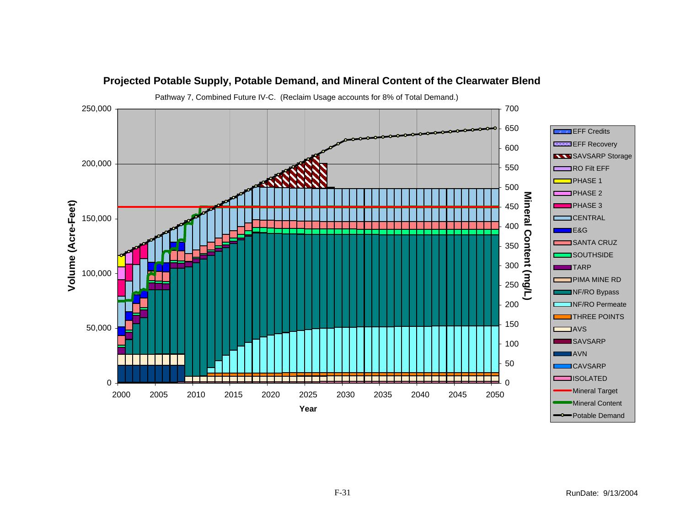![](_page_30_Figure_0.jpeg)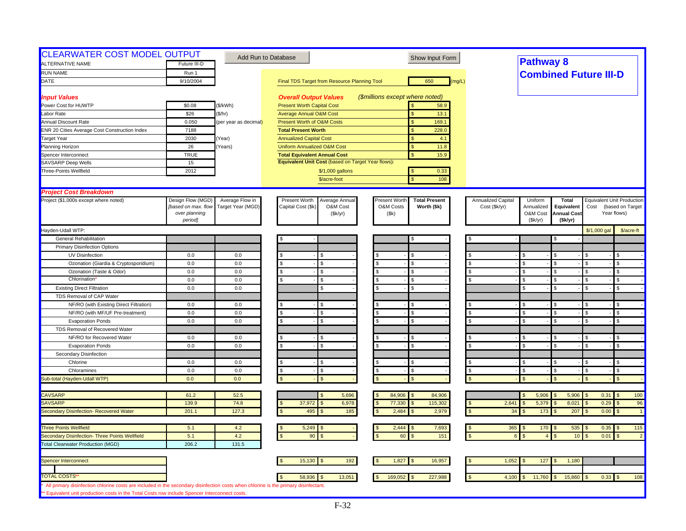| <b>CLEARWATER COST MODEL OUTPUT</b><br>ALTERNATIVE NAME                                                                             | Future III-D                             |                                      | Add Run to Database                                               | Show Input Form                                                   |                                     | <b>Pathway 8</b>             |                                   |                    |                                                       |
|-------------------------------------------------------------------------------------------------------------------------------------|------------------------------------------|--------------------------------------|-------------------------------------------------------------------|-------------------------------------------------------------------|-------------------------------------|------------------------------|-----------------------------------|--------------------|-------------------------------------------------------|
| <b>RUN NAME</b>                                                                                                                     | Run 1                                    |                                      |                                                                   |                                                                   |                                     | <b>Combined Future III-D</b> |                                   |                    |                                                       |
| DATE                                                                                                                                | 9/10/2004                                |                                      | Final TDS Target from Resource Planning Tool                      | 650<br>(mg/L)                                                     |                                     |                              |                                   |                    |                                                       |
|                                                                                                                                     |                                          |                                      |                                                                   |                                                                   |                                     |                              |                                   |                    |                                                       |
| <b>Input Values</b>                                                                                                                 |                                          |                                      | <b>Overall Output Values</b>                                      | (\$millions except where noted)                                   |                                     |                              |                                   |                    |                                                       |
| Power Cost for HUWTP                                                                                                                | \$0.08                                   | (\$/kWh)                             | <b>Present Worth Capital Cost</b>                                 | 58.9                                                              |                                     |                              |                                   |                    |                                                       |
| Labor Rate                                                                                                                          | \$26                                     | \$/hr)                               | <b>Average Annual O&amp;M Cost</b>                                | 13.1<br>\$                                                        |                                     |                              |                                   |                    |                                                       |
| <b>Annual Discount Rate</b>                                                                                                         | 0.050                                    | (per year as decimal)                | Present Worth of O&M Costs                                        | 169.1<br>$\mathbb{S}$                                             |                                     |                              |                                   |                    |                                                       |
| <b>ENR 20 Cities Average Cost Construction Index</b>                                                                                | 7188                                     |                                      | <b>Total Present Worth</b>                                        | 228.0<br>\$                                                       |                                     |                              |                                   |                    |                                                       |
| <b>Target Year</b>                                                                                                                  | 2030                                     | Year)                                | <b>Annualized Capital Cost</b>                                    | \$<br>4.1                                                         |                                     |                              |                                   |                    |                                                       |
| Planning Horizon                                                                                                                    | 26                                       | Years)                               | Uniform Annualized O&M Cost                                       | 11.8<br>\$                                                        |                                     |                              |                                   |                    |                                                       |
| Spencer Interconnect                                                                                                                | <b>TRUE</b>                              |                                      | <b>Total Equivalent Annual Cost</b>                               | \$<br>15.9                                                        |                                     |                              |                                   |                    |                                                       |
| <b>SAVSARP Deep Wells</b>                                                                                                           | 15                                       |                                      | Equivalent Unit Cost (based on Target Year flows):                |                                                                   |                                     |                              |                                   |                    |                                                       |
| Three-Points Wellfield                                                                                                              | 2012                                     |                                      | \$/1,000 gallons                                                  | 0.33<br>$\mathbf{s}$                                              |                                     |                              |                                   |                    |                                                       |
|                                                                                                                                     |                                          |                                      | \$/acre-foot                                                      | $\mathbf{\hat{S}}$<br>108                                         |                                     |                              |                                   |                    |                                                       |
|                                                                                                                                     |                                          |                                      |                                                                   |                                                                   |                                     |                              |                                   |                    |                                                       |
| <b>Project Cost Breakdown</b>                                                                                                       |                                          |                                      |                                                                   |                                                                   |                                     |                              |                                   |                    |                                                       |
| Project (\$1,000s except where noted)                                                                                               | Design Flow (MGD)<br>[based on max. flow | Average Flow in<br>Target Year (MGD) | Present Worth<br>Average Annual<br>Capital Cost (\$k)<br>O&M Cost | Present Wortl<br><b>Total Present</b><br>O&M Costs<br>Worth (\$k) | Annualized Capital<br>Cost (\$k/yr) | Uniform<br>Annualized        | Total<br>Equivalent               | Cost               | <b>Equivalent Unit Production</b><br>(based on Target |
|                                                                                                                                     | over planning                            |                                      | (\$k/yr)                                                          | (\$k)                                                             |                                     | O&M Cost                     | <b>Annual Cost</b>                |                    | Year flows)                                           |
|                                                                                                                                     | period]                                  |                                      |                                                                   |                                                                   |                                     | (Sk/yr)                      | (Sk/yr)                           |                    |                                                       |
| Hayden-Udall WTP:                                                                                                                   |                                          |                                      |                                                                   |                                                                   |                                     |                              |                                   | $$/1,000$ gal      | \$/acre-ft                                            |
| General Rehabilitation                                                                                                              |                                          |                                      |                                                                   | S                                                                 |                                     |                              | \$                                |                    |                                                       |
| <b>Primary Disinfection Options</b>                                                                                                 |                                          |                                      |                                                                   |                                                                   |                                     |                              |                                   |                    |                                                       |
| UV Disinfection                                                                                                                     | 0.0                                      | 0.0                                  | \$                                                                |                                                                   |                                     | \$                           | <b>S</b>                          |                    |                                                       |
| Ozonation (Giardia & Cryptosporidium)                                                                                               | 0.0                                      | 0.0                                  | \$<br>\$.                                                         | $\mathbf{s}$                                                      | - \$                                | $\mathbf{s}$                 | $\mathfrak{S}$                    | $\mathbf{s}$       | \$                                                    |
| Ozonation (Taste & Odor)                                                                                                            | 0.0                                      | 0.0                                  | \$<br>S                                                           | <b>S</b>                                                          |                                     | \$                           | <b>S</b>                          |                    |                                                       |
| Chlorination                                                                                                                        | 0.0                                      | 0.0                                  | \$                                                                | \$                                                                |                                     | $\mathfrak{L}$               | $\mathbf{s}$                      | $\mathbf{s}$       | \$                                                    |
| <b>Existing Direct Filtration</b>                                                                                                   | 0.0                                      | 0.0                                  | S                                                                 | $\mathcal{S}$                                                     |                                     | \$                           | <b>S</b>                          | <b>S</b>           | \$                                                    |
| TDS Removal of CAP Water                                                                                                            |                                          |                                      |                                                                   |                                                                   |                                     |                              |                                   |                    |                                                       |
| NF/RO (with Existing Direct Filtration)                                                                                             | 0.0                                      | 0.0                                  | £.<br>£.                                                          | $\mathcal{S}$                                                     |                                     | \$                           | \$                                | Ŝ.                 | \$                                                    |
| NF/RO (with MF/UF Pre-treatment)                                                                                                    | 0.0                                      | 0.0                                  | S<br>\$                                                           | $\mathfrak{L}$<br><b>S</b>                                        |                                     | -S                           | <b>S</b>                          | <b>S</b>           | $\mathfrak{s}$                                        |
| <b>Evaporation Ponds</b>                                                                                                            | 0.0                                      | 0.0                                  | $\mathbf{s}$<br>\$                                                | \$.                                                               | $\mathcal{S}$                       | $\mathbf{\hat{S}}$           | l \$                              | $\mathbf{\hat{S}}$ | £.                                                    |
| TDS Removal of Recovered Water                                                                                                      |                                          |                                      |                                                                   |                                                                   |                                     |                              |                                   |                    |                                                       |
| NF/RO for Recovered Water                                                                                                           | 0.0                                      | 0.0                                  | \$.                                                               | £.                                                                |                                     | $\mathbf{\hat{S}}$           | l \$                              | £.                 | ς.                                                    |
| <b>Evaporation Ponds</b>                                                                                                            | 0.0                                      | 0.0                                  | \$<br>\$                                                          | \$                                                                |                                     | $\mathbf{s}$                 | S                                 | \$                 |                                                       |
| Secondary Disinfection                                                                                                              |                                          |                                      |                                                                   |                                                                   |                                     |                              |                                   |                    |                                                       |
| Chlorine                                                                                                                            | 0.0                                      | 0.0                                  | \$                                                                | -S                                                                |                                     | \$                           | <b>S</b>                          | $\mathbf{s}$       |                                                       |
|                                                                                                                                     |                                          | 0.0                                  | \$.                                                               | $\mathbf{s}$<br>\$.                                               | $\sqrt{2}$                          | -S                           | - \$                              | $\mathbf{s}$       | $\mathfrak{s}$                                        |
| Chloramines                                                                                                                         | 0.0<br>0.0                               | 0.0                                  | \$                                                                | $\mathcal{R}$                                                     |                                     |                              | $\mathcal{R}$                     |                    | $\mathfrak{s}$                                        |
| Sub-total (Hayden-Udall WTP)                                                                                                        |                                          |                                      |                                                                   |                                                                   |                                     |                              |                                   |                    |                                                       |
| <b>CAVSARP</b>                                                                                                                      | 61.2                                     | 52.5                                 | 5,696                                                             | 84,906<br>84,906                                                  |                                     | 5,906<br>$\mathfrak{L}$      | 5,906<br>$\mathfrak{F}$           | 0.31               | 100<br>$\mathbf{s}$                                   |
| SAVSARP                                                                                                                             | 139.9                                    | 74.8                                 | 37,972<br>6,978                                                   | 77,330<br>115,302                                                 | 2,641                               | 5,379                        | 8,021                             | 0.29               | 96                                                    |
| Secondary Disinfection- Recovered Water                                                                                             | 201.1                                    | 127.3                                | 495<br>185<br>$\mathbf{s}$                                        | 2,484<br>2,979                                                    | 34                                  | 173                          | 207                               | 0.00               | $\overline{1}$                                        |
|                                                                                                                                     |                                          |                                      |                                                                   |                                                                   |                                     |                              |                                   |                    |                                                       |
| <b>Three Points Wellfield</b>                                                                                                       | 5.1                                      | 4.2                                  | 5,249                                                             | 2,444<br>7,693                                                    |                                     | $365$ \$<br>170 \$           | 535                               | 0.35               | 115                                                   |
| Secondary Disinfection- Three Points Wellfield                                                                                      | 5.1                                      | 4.2                                  | $\mathcal{S}$<br>90                                               | 60<br>151                                                         | 6                                   | $\overline{4}$               | 10 <sup>°</sup><br>$\overline{9}$ | 0.01               | $\vert$ 2                                             |
| <b>Total Clearwater Production (MGD)</b>                                                                                            | 206.2                                    | 131.5                                |                                                                   |                                                                   |                                     |                              |                                   |                    |                                                       |
|                                                                                                                                     |                                          |                                      |                                                                   |                                                                   |                                     |                              |                                   |                    |                                                       |
| Spencer Interconnect                                                                                                                |                                          |                                      | 15,130<br>192                                                     | 1,827<br>16,957                                                   | 1,052                               | 127                          | 1,180<br><b>S</b>                 |                    |                                                       |
|                                                                                                                                     |                                          |                                      |                                                                   |                                                                   |                                     |                              |                                   |                    |                                                       |
| <b>TOTAL COSTS</b>                                                                                                                  |                                          |                                      | 58,936<br>13,051                                                  | 169,052<br>227,988                                                | 4,100                               | 11,760                       | 15,860<br>$\mathfrak{s}$          | $0.33$ \$          | 108                                                   |
| All primary disinfection chlorine costs are included in the secondary disinfection costs when chlorine is the primary disinfectant. |                                          |                                      |                                                                   |                                                                   |                                     |                              |                                   |                    |                                                       |
| ** Equivalent unit production costs in the Total Costs row include Spencer Interconnect costs                                       |                                          |                                      |                                                                   |                                                                   |                                     |                              |                                   |                    |                                                       |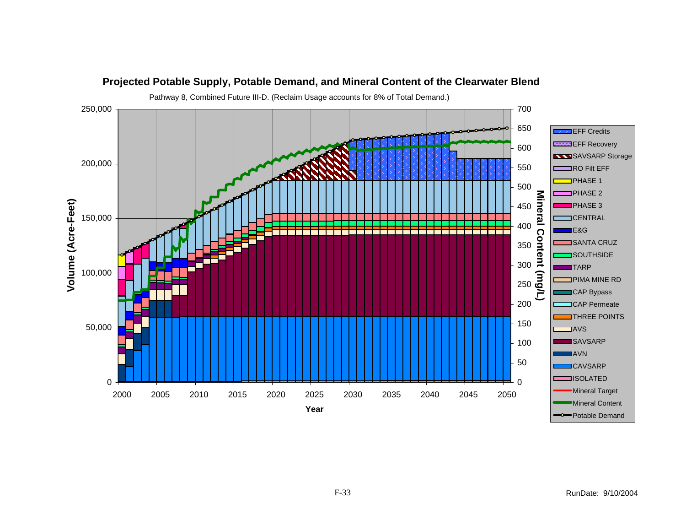![](_page_32_Figure_0.jpeg)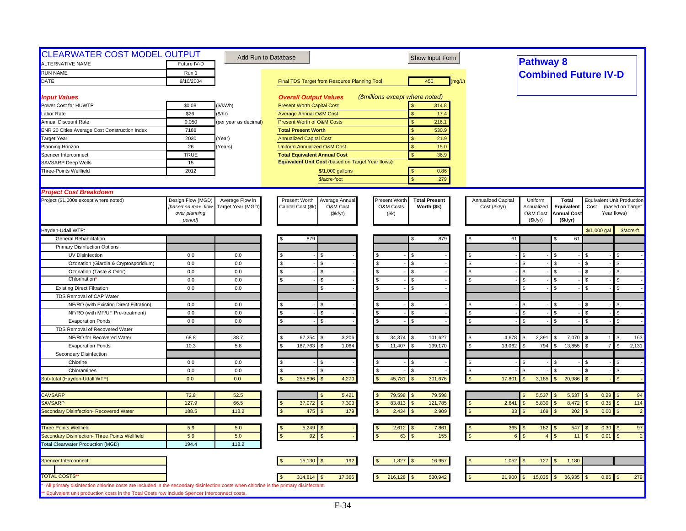| <b>CLEARWATER COST MODEL OUTPUT</b>                                                                                                 |                     |                       |                                                    |                                              |                    |                  |                    |                                   |                                  |
|-------------------------------------------------------------------------------------------------------------------------------------|---------------------|-----------------------|----------------------------------------------------|----------------------------------------------|--------------------|------------------|--------------------|-----------------------------------|----------------------------------|
| <b>ALTERNATIVE NAME</b>                                                                                                             | Future IV-D         |                       | Add Run to Database                                | Show Input Form                              |                    | <b>Pathway 8</b> |                    |                                   |                                  |
|                                                                                                                                     |                     |                       |                                                    |                                              |                    |                  |                    |                                   |                                  |
| <b>RUN NAME</b>                                                                                                                     | Run 1<br>9/10/2004  |                       |                                                    | 450                                          |                    |                  |                    | <b>Combined Future IV-D</b>       |                                  |
| DATE                                                                                                                                |                     |                       | Final TDS Target from Resource Planning Tool       | (mg/L)                                       |                    |                  |                    |                                   |                                  |
| <b>Input Values</b>                                                                                                                 |                     |                       | <b>Overall Output Values</b>                       | (\$millions except where noted)              |                    |                  |                    |                                   |                                  |
| Power Cost for HUWTP                                                                                                                | \$0.08              | (\$/kWh)              | <b>Present Worth Capital Cost</b>                  | 314.8                                        |                    |                  |                    |                                   |                                  |
| Labor Rate                                                                                                                          | \$26                | (\$/hr)               | <b>Average Annual O&amp;M Cost</b>                 | 17.4<br><b>S</b>                             |                    |                  |                    |                                   |                                  |
| Annual Discount Rate                                                                                                                | 0.050               | (per year as decimal) | Present Worth of O&M Costs                         | <sub>S</sub><br>216.1                        |                    |                  |                    |                                   |                                  |
| ENR 20 Cities Average Cost Construction Index                                                                                       | 7188                |                       | <b>Total Present Worth</b>                         | 530.9                                        |                    |                  |                    |                                   |                                  |
| <b>Target Year</b>                                                                                                                  | 2030                | Year)                 | <b>Annualized Capital Cost</b>                     | <sub>S</sub><br>21.9                         |                    |                  |                    |                                   |                                  |
| Planning Horizon                                                                                                                    | 26                  | Years)                | <b>Uniform Annualized O&amp;M Cost</b>             | $\mathbf{s}$<br>15.0                         |                    |                  |                    |                                   |                                  |
| Spencer Interconnect                                                                                                                | <b>TRUE</b>         |                       | <b>Total Equivalent Annual Cost</b>                | $\mathbf{s}$<br>36.9                         |                    |                  |                    |                                   |                                  |
| <b>SAVSARP Deep Wells</b>                                                                                                           | 15                  |                       | Equivalent Unit Cost (based on Target Year flows): |                                              |                    |                  |                    |                                   |                                  |
| Three-Points Wellfield                                                                                                              | 2012                |                       | \$/1,000 gallons                                   | 0.86<br>$\mathbf{s}$                         |                    |                  |                    |                                   |                                  |
|                                                                                                                                     |                     |                       | \$/acre-foot                                       | $\mathbf{\hat{S}}$<br>279                    |                    |                  |                    |                                   |                                  |
| <b>Project Cost Breakdown</b>                                                                                                       |                     |                       |                                                    |                                              |                    |                  |                    |                                   |                                  |
| Project (\$1,000s except where noted)                                                                                               | Design Flow (MGD)   | Average Flow in       | Present Worth<br>Average Annual                    | Present Worth<br><b>Total Present</b>        | Annualized Capital | Uniform          | <b>Total</b>       | <b>Equivalent Unit Production</b> |                                  |
|                                                                                                                                     | [based on max. flow | Target Year (MGD)     | Capital Cost (\$k)<br>O&M Cost                     | O&M Costs<br>Worth (\$k)                     | Cost (\$k/yr)      | Annualized       | Equivalent         | Cost                              | (based on Target                 |
|                                                                                                                                     | over planning       |                       | (\$k/yr)                                           | (\$k)                                        |                    | O&M Cost         | <b>Annual Cost</b> | Year flows)                       |                                  |
|                                                                                                                                     | period]             |                       |                                                    |                                              |                    | (Sk/yr)          | (\$k/yr)           |                                   |                                  |
| Hayden-Udall WTP:                                                                                                                   |                     |                       |                                                    |                                              |                    |                  |                    | \$/1,000 gal                      | \$/acre-ft                       |
| <b>General Rehabilitation</b>                                                                                                       |                     |                       | 879                                                | 879<br>S                                     |                    | 61               | 61                 |                                   |                                  |
| <b>Primary Disinfection Options</b>                                                                                                 |                     |                       |                                                    |                                              |                    |                  |                    |                                   |                                  |
| UV Disinfection                                                                                                                     | 0.0                 | 0.0                   |                                                    | S.                                           |                    | \$               |                    |                                   | \$                               |
| Ozonation (Giardia & Cryptosporidium)                                                                                               | 0.0                 | 0.0                   | \$<br>S.                                           | <b>S</b><br>\$.                              | $\mathbf{s}$       | \$.              | $\mathcal{F}$      | -96                               | $\mathbb{S}$                     |
| Ozonation (Taste & Odor)                                                                                                            | 0.0                 | 0.0                   | \$<br>S                                            | $\mathbf{\hat{s}}$                           |                    | \$               | - \$               |                                   | \$                               |
| <b>Chlorination</b>                                                                                                                 | 0.0                 | 0.0                   |                                                    | <b>S</b>                                     |                    | $\mathfrak{L}$   |                    |                                   | \$.                              |
| <b>Existing Direct Filtration</b>                                                                                                   | 0.0                 | 0.0                   | \$.                                                | $\mathbf{s}$                                 |                    | $\mathfrak{L}$   | $\mathfrak{R}$     |                                   | $\mathfrak{L}$                   |
| TDS Removal of CAP Water                                                                                                            |                     |                       |                                                    |                                              |                    |                  |                    |                                   |                                  |
| NF/RO (with Existing Direct Filtration)                                                                                             | 0.0                 | 0.0                   |                                                    |                                              |                    |                  |                    |                                   |                                  |
| NF/RO (with MF/UF Pre-treatment)                                                                                                    | 0.0                 | 0.0                   |                                                    | $\mathcal{S}$                                |                    | \$               |                    |                                   | $\mathbb{S}$                     |
| <b>Evaporation Ponds</b>                                                                                                            | 0.0                 | 0.0                   | \$.                                                | <b>S</b>                                     | \$                 | \$               | $\mathcal{S}$      | £.                                | \$                               |
| TDS Removal of Recovered Water                                                                                                      |                     |                       |                                                    |                                              |                    |                  |                    |                                   |                                  |
| NF/RO for Recovered Water                                                                                                           | 68.8                | 38.7                  | 67,254<br>3,206                                    | 34,374<br>101,627                            | 4,678              | 2,391            | 7,070              |                                   | 163                              |
| <b>Evaporation Ponds</b>                                                                                                            | 10.3                | 5.8                   | 187,763<br>1,064                                   | 199,170<br>11,407                            | 13,062             | 794<br>\$        | 13,855             | $\overline{7}$                    | $\mathfrak{s}$<br>2,131          |
| Secondary Disinfection                                                                                                              |                     |                       |                                                    |                                              |                    |                  |                    |                                   |                                  |
| Chlorine                                                                                                                            | 0.0                 | 0.0                   | \$.<br>\$.                                         | -S                                           |                    | \$               |                    | \$.                               | \$.                              |
| Chloramines                                                                                                                         | 0.0                 | 0.0                   | \$<br>£.                                           | $\mathbf{\hat{s}}$                           | \$                 |                  |                    | \$.                               | \$                               |
| Sub-total (Hayden-Udall WTP)                                                                                                        | 0.0                 | 0.0                   | 255,896<br>4,270                                   | 45,781<br>301,676<br>$\mathbf{s}$            | 17,801             | 3,185            | 20,986             |                                   | $\mathfrak{s}$                   |
|                                                                                                                                     |                     |                       |                                                    |                                              |                    |                  |                    |                                   |                                  |
| <b>CAVSARP</b>                                                                                                                      | 72.8                | 52.5                  | 5,421                                              | 79,598<br>79,598<br><b>S</b><br>$\mathbf{S}$ |                    | 5,537            | 5,537              | $0.29$ \$                         | 94                               |
| <b>SAVSARP</b>                                                                                                                      | 127.9               | 66.5                  | 7,303<br>37,972                                    | 83,813<br>121,785                            | 2,641              | 5,830            | 8,472              | 0.35                              | 114<br>$\mathfrak{L}$            |
| Secondary Disinfection- Recovered Water                                                                                             | 188.5               | 113.2                 | 475<br>179                                         | 2,434<br>2,909                               | $\mathfrak{s}$     | 169<br>33        | 202                | 0.00                              | $\mathfrak{L}$<br>$\overline{2}$ |
| <b>Three Points Wellfield</b>                                                                                                       | 5.9                 | 5.0                   | 5,249                                              | 7,861<br>2,612                               |                    | $365$ \$<br>182  | 547                | $0.30$ \$                         | 97                               |
| Secondary Disinfection- Three Points Wellfield                                                                                      | 5.9                 | 5.0                   | 92                                                 | 155<br>63                                    |                    |                  | 11                 | 0.01                              | $\overline{2}$<br>$\mathfrak{L}$ |
| <b>Total Clearwater Production (MGD)</b>                                                                                            | 194.4               | 118.2                 |                                                    |                                              |                    |                  |                    |                                   |                                  |
|                                                                                                                                     |                     |                       |                                                    |                                              |                    |                  |                    |                                   |                                  |
| Spencer Interconnect                                                                                                                |                     |                       | 15,130<br>192                                      | 1,827<br>16,957                              | 1,052              | 127              | 1,180              |                                   |                                  |
| <b>TOTAL COSTS'</b>                                                                                                                 |                     |                       |                                                    |                                              |                    |                  |                    |                                   |                                  |
| All primary disinfection chlorine costs are included in the secondary disinfection costs when chlorine is the primary disinfectant. |                     |                       | 17,366<br>314,814                                  | 216,128<br>530,942                           | 21,900             | 15,035           | 36,935             | $0.86$ \$                         | 279                              |
| ** Equivalent unit production costs in the Total Costs row include Spencer Interconnect costs.                                      |                     |                       |                                                    |                                              |                    |                  |                    |                                   |                                  |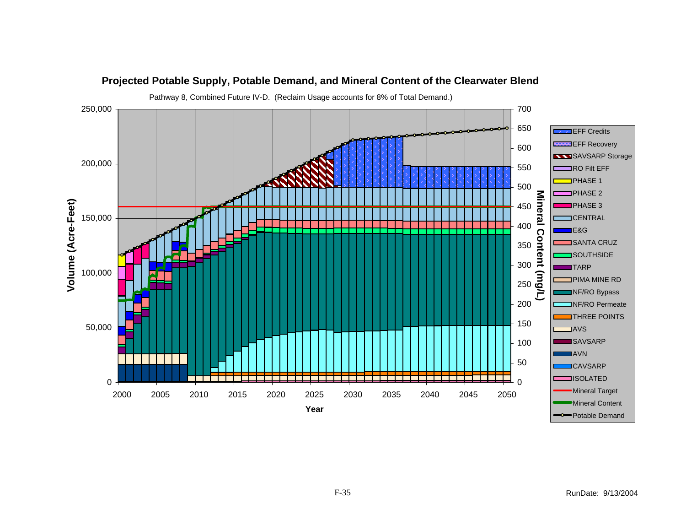![](_page_34_Figure_0.jpeg)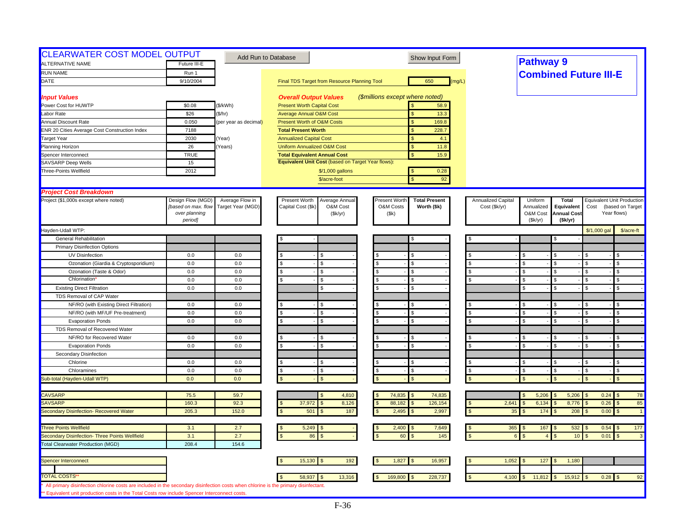| <b>CLEARWATER COST MODEL OUTPUT</b><br>ALTERNATIVE NAME                                                                                                                                                                              | Future III-E        | Add Run to Database   |                                                    | Show Input Form                       |                           | <b>Pathway 9</b>                    |                    |              |                                   |
|--------------------------------------------------------------------------------------------------------------------------------------------------------------------------------------------------------------------------------------|---------------------|-----------------------|----------------------------------------------------|---------------------------------------|---------------------------|-------------------------------------|--------------------|--------------|-----------------------------------|
|                                                                                                                                                                                                                                      |                     |                       |                                                    |                                       |                           |                                     |                    |              |                                   |
| <b>RUN NAME</b>                                                                                                                                                                                                                      | Run 1               |                       |                                                    |                                       |                           | <b>Combined Future III-E</b>        |                    |              |                                   |
| DATE                                                                                                                                                                                                                                 | 9/10/2004           |                       | Final TDS Target from Resource Planning Tool       | 650<br>(mg/L)                         |                           |                                     |                    |              |                                   |
| <b>Input Values</b>                                                                                                                                                                                                                  |                     |                       | <b>Overall Output Values</b>                       | (\$millions except where noted)       |                           |                                     |                    |              |                                   |
| Power Cost for HUWTP                                                                                                                                                                                                                 | \$0.08              | (\$/kWh)              | <b>Present Worth Capital Cost</b>                  | 58.9                                  |                           |                                     |                    |              |                                   |
| Labor Rate                                                                                                                                                                                                                           | \$26                | (\$/hr)               | <b>Average Annual O&amp;M Cost</b>                 | 13.3<br><b>S</b>                      |                           |                                     |                    |              |                                   |
| Annual Discount Rate                                                                                                                                                                                                                 | 0.050               | (per year as decimal) | Present Worth of O&M Costs                         | $\sqrt{3}$<br>169.8                   |                           |                                     |                    |              |                                   |
| ENR 20 Cities Average Cost Construction Index                                                                                                                                                                                        | 7188                |                       | <b>Total Present Worth</b>                         | 228.7                                 |                           |                                     |                    |              |                                   |
| <b>Target Year</b>                                                                                                                                                                                                                   | 2030                | Year)                 | <b>Annualized Capital Cost</b>                     | S<br>4.1                              |                           |                                     |                    |              |                                   |
| Planning Horizon                                                                                                                                                                                                                     | 26                  | Years)                | <b>Uniform Annualized O&amp;M Cost</b>             | $\mathbf{s}$<br>11.8                  |                           |                                     |                    |              |                                   |
| Spencer Interconnect                                                                                                                                                                                                                 | <b>TRUE</b>         |                       | <b>Total Equivalent Annual Cost</b>                | $\mathbf{s}$<br>15.9                  |                           |                                     |                    |              |                                   |
| <b>SAVSARP Deep Wells</b>                                                                                                                                                                                                            | 15                  |                       | Equivalent Unit Cost (based on Target Year flows): |                                       |                           |                                     |                    |              |                                   |
| Three-Points Wellfield                                                                                                                                                                                                               | 2012                |                       | \$/1,000 gallons                                   | 0.28<br>$\sqrt{3}$                    |                           |                                     |                    |              |                                   |
|                                                                                                                                                                                                                                      |                     |                       | \$/acre-foot                                       | 92<br><b>S</b>                        |                           |                                     |                    |              |                                   |
| <b>Project Cost Breakdown</b>                                                                                                                                                                                                        |                     |                       |                                                    |                                       |                           |                                     |                    |              |                                   |
| Project (\$1,000s except where noted)                                                                                                                                                                                                | Design Flow (MGD)   | Average Flow in       | Present Worth<br>Average Annual                    | Present Worth<br><b>Total Present</b> | Annualized Capital        | Uniform                             | <b>Total</b>       |              | <b>Equivalent Unit Production</b> |
|                                                                                                                                                                                                                                      | [based on max. flow | Target Year (MGD)     | Capital Cost (\$k)<br>O&M Cost                     | O&M Costs<br>Worth (\$k)              | Cost (\$k/yr)             | Annualized                          | Equivalent         | Cost         | (based on Target                  |
|                                                                                                                                                                                                                                      | over planning       |                       | (\$k/yr)                                           | (\$k)                                 |                           | O&M Cost                            | <b>Annual Cost</b> |              | Year flows)                       |
|                                                                                                                                                                                                                                      | period]             |                       |                                                    |                                       |                           | (Sk/yr)                             | (\$k/yr)           |              |                                   |
| Hayden-Udall WTP:                                                                                                                                                                                                                    |                     |                       |                                                    |                                       |                           |                                     |                    | \$/1,000 gal | \$/acre-ft                        |
| <b>General Rehabilitation</b>                                                                                                                                                                                                        |                     |                       |                                                    | S                                     |                           |                                     |                    |              |                                   |
| <b>Primary Disinfection Options</b>                                                                                                                                                                                                  |                     |                       |                                                    |                                       |                           |                                     |                    |              |                                   |
| <b>UV Disinfection</b>                                                                                                                                                                                                               | 0.0                 | 0.0                   |                                                    | £.                                    |                           | $\mathfrak{L}$                      |                    |              | \$.                               |
| Ozonation (Giardia & Cryptosporidium)                                                                                                                                                                                                | 0.0                 | 0.0                   | \$<br>\$.                                          | <b>S</b>                              |                           | \$.                                 |                    |              | \$.                               |
| Ozonation (Taste & Odor)                                                                                                                                                                                                             | 0.0                 | 0.0                   | \$<br>\$.                                          | $\mathbf{s}$<br>$\mathbf{s}$          | $\mathfrak{s}$            | \$                                  | $\mathcal{S}$      | \$.          | $\mathbf{\$}$                     |
| Chlorination                                                                                                                                                                                                                         | 0.0                 | 0.0                   | \$.                                                | $\mathbf{\hat{s}}$                    |                           | \$.                                 |                    |              | \$.                               |
| <b>Existing Direct Filtration</b>                                                                                                                                                                                                    | 0.0                 | 0.0                   | \$.                                                | <b>S</b>                              |                           | $\mathfrak{L}$                      | $\mathcal{F}$      | £.           | \$.                               |
| TDS Removal of CAP Water                                                                                                                                                                                                             |                     |                       |                                                    |                                       |                           |                                     |                    |              |                                   |
| NF/RO (with Existing Direct Filtration)                                                                                                                                                                                              | 0.0                 | 0.0                   |                                                    | <b>S</b>                              |                           | $\mathfrak{L}$                      |                    |              | $\mathfrak{s}$                    |
| NF/RO (with MF/UF Pre-treatment)                                                                                                                                                                                                     | 0.0                 | 0.0                   | s.<br>\$                                           | $\mathfrak{L}$<br><b>S</b>            | <b>S</b>                  | $\mathfrak{s}$                      |                    |              | $\mathfrak{s}$                    |
| <b>Evaporation Ponds</b>                                                                                                                                                                                                             | 0.0                 | 0.0                   | \$<br>\$.                                          | <b>S</b>                              |                           | \$                                  | ፍ                  | \$           | $\mathbf{\$}$                     |
| TDS Removal of Recovered Water                                                                                                                                                                                                       |                     |                       |                                                    |                                       |                           |                                     |                    |              |                                   |
| NF/RO for Recovered Water                                                                                                                                                                                                            | 0.0                 | 0.0                   |                                                    | <b>S</b>                              |                           | \$                                  |                    |              | <b>S</b>                          |
| <b>Evaporation Ponds</b>                                                                                                                                                                                                             | 0.0                 | 0.0                   | \$                                                 | <b>S</b><br>£.                        | \$                        | $\mathbf{\hat{s}}$                  | $\mathbf{s}$       | -96          | $\mathbf{\$}$                     |
| Secondary Disinfection                                                                                                                                                                                                               |                     |                       |                                                    |                                       |                           |                                     |                    |              |                                   |
| Chlorine                                                                                                                                                                                                                             | 0.0                 | 0.0                   | \$                                                 | <b>S</b><br>£.                        |                           | \$.                                 | \$                 | £.           | \$.                               |
| Chloramines                                                                                                                                                                                                                          | 0.0                 | 0.0                   | <b>S</b><br>S                                      | \$<br>$\mathbf{\hat{s}}$              | \$                        | \$                                  |                    |              | \$                                |
| Sub-total (Hayden-Udall WTP)                                                                                                                                                                                                         | 0.0                 | 0.0                   |                                                    | $\mathbf{s}$                          |                           | $\mathfrak{F}$                      |                    |              | $\mathbb{S}$                      |
| <b>CAVSARP</b>                                                                                                                                                                                                                       | 75.5                | 59.7                  | 4,810                                              | 74,835<br>74,835                      |                           | 5,206<br>\$.                        | 5,206              | 0.24         | 78                                |
| SAVSARP                                                                                                                                                                                                                              | 160.3               | 92.3                  | 37,972<br>8,126                                    | 88,182<br>126,154                     | 2,641                     | 6,134                               | 8,776              | 0.26         | 85                                |
| Secondary Disinfection- Recovered Water                                                                                                                                                                                              | 205.3               | 152.0                 | 501<br>187                                         | 2,495<br>2,997                        | 35                        | 174                                 | 208                | 0.00         | $\overline{1}$                    |
|                                                                                                                                                                                                                                      |                     |                       |                                                    |                                       |                           |                                     |                    |              |                                   |
| <b>Three Points Wellfield</b>                                                                                                                                                                                                        | 3.1                 | 2.7                   | 5,249                                              | 2,400<br>7,649                        | 365<br>- \$<br>$\epsilon$ | 167<br>$\sqrt{3}$<br>$\overline{A}$ | 532                | $0.54$ \$    | 177<br>$\mathfrak{L}$             |
| Secondary Disinfection- Three Points Wellfield<br><b>Total Clearwater Production (MGD)</b>                                                                                                                                           | 3.1<br>208.4        | 2.7<br>154.6          | 86                                                 | 145<br>60                             |                           |                                     | 10                 | 0.01         | $\mathbf{3}$                      |
|                                                                                                                                                                                                                                      |                     |                       |                                                    |                                       |                           |                                     |                    |              |                                   |
| Spencer Interconnect                                                                                                                                                                                                                 |                     |                       | 15,130<br>192                                      | 1,827<br>16,957                       | 1,052                     | 127                                 | 1,180              |              |                                   |
|                                                                                                                                                                                                                                      |                     |                       |                                                    |                                       |                           |                                     |                    |              |                                   |
| <b>TOTAL COSTS'</b>                                                                                                                                                                                                                  |                     |                       | 58,937<br>13,316                                   | 169,800<br>228,737<br>\$              | 4,100                     | 11,812                              | 15,912             | $0.28$ \$    | 92                                |
| All primary disinfection chlorine costs are included in the secondary disinfection costs when chlorine is the primary disinfectant.<br>** Equivalent unit production costs in the Total Costs row include Spencer Interconnect costs |                     |                       |                                                    |                                       |                           |                                     |                    |              |                                   |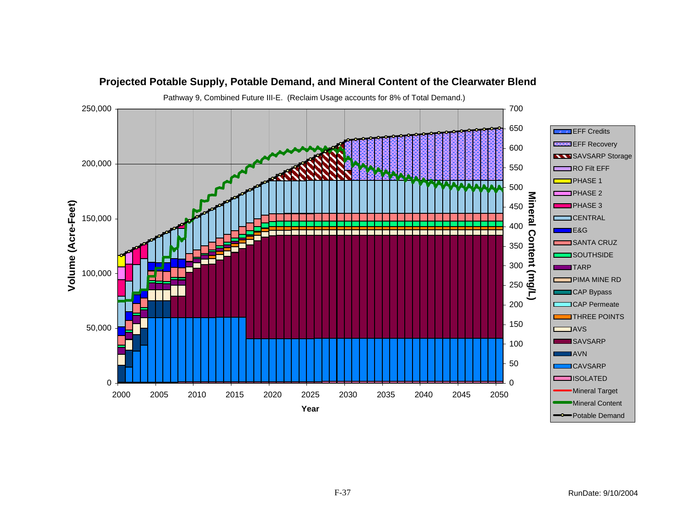![](_page_36_Figure_0.jpeg)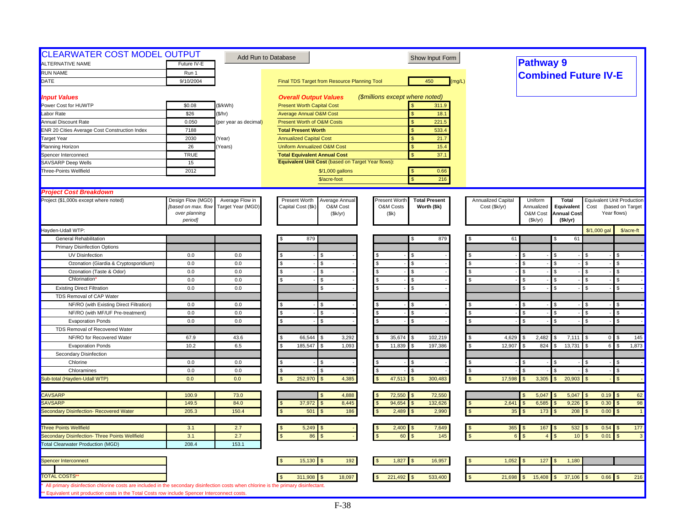| Future IV-E<br>Run 1<br>9/10/2004<br>\$0.08<br>\$26<br>0.050<br>7188<br>2030<br>26<br><b>TRUE</b><br>15 | (\$/kWh)<br>(\$/hr)<br>(per year as decimal)<br>Year)<br>Years)                                                                                                                                                     |                                                                                                                                                                                                                                                                         | <b>Overall Output Values</b><br><b>Present Worth Capital Cost</b><br><b>Average Annual O&amp;M Cost</b><br><b>Present Worth of O&amp;M Costs</b><br><b>Total Present Worth</b><br><b>Annualized Capital Cost</b><br><b>Uniform Annualized O&amp;M Cost</b><br><b>Total Equivalent Annual Cost</b> | Final TDS Target from Resource Planning Tool                                                                                   |                                                                                                                                                                                                                                                                                                     |                      | 450<br>(\$millions except where noted)<br>311.9<br>18.1<br>$\mathbf{s}$<br>$\mathbf{s}$<br>221.5                                 | (mq/L)                                                                                                                                                                                                                                                                                                           |                                        | <b>Pathway 9</b><br><b>Combined Future IV-E</b>                                           |                                                                                                                                 |                                                                                                                                                   |                                                                                                                                                          |                                                                                                                                                                       |
|---------------------------------------------------------------------------------------------------------|---------------------------------------------------------------------------------------------------------------------------------------------------------------------------------------------------------------------|-------------------------------------------------------------------------------------------------------------------------------------------------------------------------------------------------------------------------------------------------------------------------|---------------------------------------------------------------------------------------------------------------------------------------------------------------------------------------------------------------------------------------------------------------------------------------------------|--------------------------------------------------------------------------------------------------------------------------------|-----------------------------------------------------------------------------------------------------------------------------------------------------------------------------------------------------------------------------------------------------------------------------------------------------|----------------------|----------------------------------------------------------------------------------------------------------------------------------|------------------------------------------------------------------------------------------------------------------------------------------------------------------------------------------------------------------------------------------------------------------------------------------------------------------|----------------------------------------|-------------------------------------------------------------------------------------------|---------------------------------------------------------------------------------------------------------------------------------|---------------------------------------------------------------------------------------------------------------------------------------------------|----------------------------------------------------------------------------------------------------------------------------------------------------------|-----------------------------------------------------------------------------------------------------------------------------------------------------------------------|
|                                                                                                         |                                                                                                                                                                                                                     |                                                                                                                                                                                                                                                                         |                                                                                                                                                                                                                                                                                                   |                                                                                                                                |                                                                                                                                                                                                                                                                                                     |                      |                                                                                                                                  |                                                                                                                                                                                                                                                                                                                  |                                        |                                                                                           |                                                                                                                                 |                                                                                                                                                   |                                                                                                                                                          |                                                                                                                                                                       |
|                                                                                                         |                                                                                                                                                                                                                     |                                                                                                                                                                                                                                                                         |                                                                                                                                                                                                                                                                                                   |                                                                                                                                |                                                                                                                                                                                                                                                                                                     |                      |                                                                                                                                  |                                                                                                                                                                                                                                                                                                                  |                                        |                                                                                           |                                                                                                                                 |                                                                                                                                                   |                                                                                                                                                          |                                                                                                                                                                       |
|                                                                                                         |                                                                                                                                                                                                                     |                                                                                                                                                                                                                                                                         |                                                                                                                                                                                                                                                                                                   |                                                                                                                                |                                                                                                                                                                                                                                                                                                     |                      |                                                                                                                                  |                                                                                                                                                                                                                                                                                                                  |                                        |                                                                                           |                                                                                                                                 |                                                                                                                                                   |                                                                                                                                                          |                                                                                                                                                                       |
|                                                                                                         |                                                                                                                                                                                                                     |                                                                                                                                                                                                                                                                         |                                                                                                                                                                                                                                                                                                   |                                                                                                                                |                                                                                                                                                                                                                                                                                                     |                      |                                                                                                                                  |                                                                                                                                                                                                                                                                                                                  |                                        |                                                                                           |                                                                                                                                 |                                                                                                                                                   |                                                                                                                                                          |                                                                                                                                                                       |
|                                                                                                         |                                                                                                                                                                                                                     |                                                                                                                                                                                                                                                                         |                                                                                                                                                                                                                                                                                                   |                                                                                                                                |                                                                                                                                                                                                                                                                                                     |                      |                                                                                                                                  |                                                                                                                                                                                                                                                                                                                  |                                        |                                                                                           |                                                                                                                                 |                                                                                                                                                   |                                                                                                                                                          |                                                                                                                                                                       |
|                                                                                                         |                                                                                                                                                                                                                     |                                                                                                                                                                                                                                                                         |                                                                                                                                                                                                                                                                                                   |                                                                                                                                |                                                                                                                                                                                                                                                                                                     |                      |                                                                                                                                  |                                                                                                                                                                                                                                                                                                                  |                                        |                                                                                           |                                                                                                                                 |                                                                                                                                                   |                                                                                                                                                          |                                                                                                                                                                       |
|                                                                                                         |                                                                                                                                                                                                                     |                                                                                                                                                                                                                                                                         |                                                                                                                                                                                                                                                                                                   |                                                                                                                                |                                                                                                                                                                                                                                                                                                     |                      |                                                                                                                                  |                                                                                                                                                                                                                                                                                                                  |                                        |                                                                                           |                                                                                                                                 |                                                                                                                                                   |                                                                                                                                                          |                                                                                                                                                                       |
|                                                                                                         |                                                                                                                                                                                                                     |                                                                                                                                                                                                                                                                         |                                                                                                                                                                                                                                                                                                   |                                                                                                                                |                                                                                                                                                                                                                                                                                                     |                      | 533.4<br>$\mathbf{s}$                                                                                                            |                                                                                                                                                                                                                                                                                                                  |                                        |                                                                                           |                                                                                                                                 |                                                                                                                                                   |                                                                                                                                                          |                                                                                                                                                                       |
|                                                                                                         |                                                                                                                                                                                                                     |                                                                                                                                                                                                                                                                         |                                                                                                                                                                                                                                                                                                   |                                                                                                                                |                                                                                                                                                                                                                                                                                                     |                      | \$<br>21.7                                                                                                                       |                                                                                                                                                                                                                                                                                                                  |                                        |                                                                                           |                                                                                                                                 |                                                                                                                                                   |                                                                                                                                                          |                                                                                                                                                                       |
|                                                                                                         |                                                                                                                                                                                                                     |                                                                                                                                                                                                                                                                         |                                                                                                                                                                                                                                                                                                   |                                                                                                                                |                                                                                                                                                                                                                                                                                                     |                      | <sub>S</sub><br>15.4                                                                                                             |                                                                                                                                                                                                                                                                                                                  |                                        |                                                                                           |                                                                                                                                 |                                                                                                                                                   |                                                                                                                                                          |                                                                                                                                                                       |
|                                                                                                         |                                                                                                                                                                                                                     |                                                                                                                                                                                                                                                                         |                                                                                                                                                                                                                                                                                                   |                                                                                                                                |                                                                                                                                                                                                                                                                                                     |                      | $\mathbf{s}$<br>37.1                                                                                                             |                                                                                                                                                                                                                                                                                                                  |                                        |                                                                                           |                                                                                                                                 |                                                                                                                                                   |                                                                                                                                                          |                                                                                                                                                                       |
|                                                                                                         |                                                                                                                                                                                                                     |                                                                                                                                                                                                                                                                         |                                                                                                                                                                                                                                                                                                   | Equivalent Unit Cost (based on Target Year flows):                                                                             |                                                                                                                                                                                                                                                                                                     |                      |                                                                                                                                  |                                                                                                                                                                                                                                                                                                                  |                                        |                                                                                           |                                                                                                                                 |                                                                                                                                                   |                                                                                                                                                          |                                                                                                                                                                       |
|                                                                                                         |                                                                                                                                                                                                                     |                                                                                                                                                                                                                                                                         |                                                                                                                                                                                                                                                                                                   |                                                                                                                                |                                                                                                                                                                                                                                                                                                     |                      |                                                                                                                                  |                                                                                                                                                                                                                                                                                                                  |                                        |                                                                                           |                                                                                                                                 |                                                                                                                                                   |                                                                                                                                                          |                                                                                                                                                                       |
|                                                                                                         |                                                                                                                                                                                                                     |                                                                                                                                                                                                                                                                         |                                                                                                                                                                                                                                                                                                   |                                                                                                                                |                                                                                                                                                                                                                                                                                                     |                      |                                                                                                                                  |                                                                                                                                                                                                                                                                                                                  |                                        |                                                                                           |                                                                                                                                 |                                                                                                                                                   |                                                                                                                                                          |                                                                                                                                                                       |
|                                                                                                         |                                                                                                                                                                                                                     |                                                                                                                                                                                                                                                                         |                                                                                                                                                                                                                                                                                                   |                                                                                                                                |                                                                                                                                                                                                                                                                                                     |                      |                                                                                                                                  |                                                                                                                                                                                                                                                                                                                  |                                        |                                                                                           |                                                                                                                                 |                                                                                                                                                   |                                                                                                                                                          |                                                                                                                                                                       |
|                                                                                                         |                                                                                                                                                                                                                     |                                                                                                                                                                                                                                                                         |                                                                                                                                                                                                                                                                                                   |                                                                                                                                |                                                                                                                                                                                                                                                                                                     |                      |                                                                                                                                  |                                                                                                                                                                                                                                                                                                                  |                                        |                                                                                           |                                                                                                                                 |                                                                                                                                                   |                                                                                                                                                          |                                                                                                                                                                       |
|                                                                                                         | Average Flow in                                                                                                                                                                                                     |                                                                                                                                                                                                                                                                         |                                                                                                                                                                                                                                                                                                   | Average Annual                                                                                                                 |                                                                                                                                                                                                                                                                                                     |                      | <b>Total Present</b>                                                                                                             |                                                                                                                                                                                                                                                                                                                  |                                        | Uniform                                                                                   |                                                                                                                                 |                                                                                                                                                   |                                                                                                                                                          | <b>Equivalent Unit Production</b>                                                                                                                                     |
|                                                                                                         |                                                                                                                                                                                                                     |                                                                                                                                                                                                                                                                         |                                                                                                                                                                                                                                                                                                   |                                                                                                                                |                                                                                                                                                                                                                                                                                                     |                      |                                                                                                                                  |                                                                                                                                                                                                                                                                                                                  |                                        |                                                                                           |                                                                                                                                 |                                                                                                                                                   |                                                                                                                                                          | (based on Target                                                                                                                                                      |
|                                                                                                         |                                                                                                                                                                                                                     |                                                                                                                                                                                                                                                                         |                                                                                                                                                                                                                                                                                                   |                                                                                                                                |                                                                                                                                                                                                                                                                                                     |                      |                                                                                                                                  |                                                                                                                                                                                                                                                                                                                  |                                        |                                                                                           |                                                                                                                                 |                                                                                                                                                   |                                                                                                                                                          |                                                                                                                                                                       |
|                                                                                                         |                                                                                                                                                                                                                     |                                                                                                                                                                                                                                                                         |                                                                                                                                                                                                                                                                                                   |                                                                                                                                |                                                                                                                                                                                                                                                                                                     |                      |                                                                                                                                  |                                                                                                                                                                                                                                                                                                                  |                                        |                                                                                           |                                                                                                                                 |                                                                                                                                                   |                                                                                                                                                          | \$/acre-ft                                                                                                                                                            |
|                                                                                                         |                                                                                                                                                                                                                     |                                                                                                                                                                                                                                                                         |                                                                                                                                                                                                                                                                                                   |                                                                                                                                |                                                                                                                                                                                                                                                                                                     |                      |                                                                                                                                  |                                                                                                                                                                                                                                                                                                                  |                                        |                                                                                           |                                                                                                                                 |                                                                                                                                                   |                                                                                                                                                          |                                                                                                                                                                       |
|                                                                                                         |                                                                                                                                                                                                                     |                                                                                                                                                                                                                                                                         |                                                                                                                                                                                                                                                                                                   |                                                                                                                                |                                                                                                                                                                                                                                                                                                     |                      |                                                                                                                                  |                                                                                                                                                                                                                                                                                                                  |                                        |                                                                                           |                                                                                                                                 |                                                                                                                                                   |                                                                                                                                                          |                                                                                                                                                                       |
|                                                                                                         |                                                                                                                                                                                                                     |                                                                                                                                                                                                                                                                         |                                                                                                                                                                                                                                                                                                   |                                                                                                                                |                                                                                                                                                                                                                                                                                                     |                      |                                                                                                                                  |                                                                                                                                                                                                                                                                                                                  |                                        |                                                                                           |                                                                                                                                 |                                                                                                                                                   |                                                                                                                                                          |                                                                                                                                                                       |
|                                                                                                         |                                                                                                                                                                                                                     |                                                                                                                                                                                                                                                                         |                                                                                                                                                                                                                                                                                                   |                                                                                                                                |                                                                                                                                                                                                                                                                                                     |                      |                                                                                                                                  |                                                                                                                                                                                                                                                                                                                  |                                        |                                                                                           |                                                                                                                                 |                                                                                                                                                   |                                                                                                                                                          | \$                                                                                                                                                                    |
|                                                                                                         |                                                                                                                                                                                                                     |                                                                                                                                                                                                                                                                         |                                                                                                                                                                                                                                                                                                   |                                                                                                                                |                                                                                                                                                                                                                                                                                                     |                      |                                                                                                                                  |                                                                                                                                                                                                                                                                                                                  |                                        |                                                                                           |                                                                                                                                 |                                                                                                                                                   |                                                                                                                                                          | \$                                                                                                                                                                    |
|                                                                                                         |                                                                                                                                                                                                                     |                                                                                                                                                                                                                                                                         |                                                                                                                                                                                                                                                                                                   |                                                                                                                                |                                                                                                                                                                                                                                                                                                     |                      |                                                                                                                                  |                                                                                                                                                                                                                                                                                                                  |                                        |                                                                                           |                                                                                                                                 |                                                                                                                                                   |                                                                                                                                                          | \$                                                                                                                                                                    |
|                                                                                                         |                                                                                                                                                                                                                     |                                                                                                                                                                                                                                                                         |                                                                                                                                                                                                                                                                                                   |                                                                                                                                |                                                                                                                                                                                                                                                                                                     |                      |                                                                                                                                  |                                                                                                                                                                                                                                                                                                                  |                                        |                                                                                           |                                                                                                                                 |                                                                                                                                                   |                                                                                                                                                          | \$                                                                                                                                                                    |
|                                                                                                         |                                                                                                                                                                                                                     |                                                                                                                                                                                                                                                                         |                                                                                                                                                                                                                                                                                                   |                                                                                                                                |                                                                                                                                                                                                                                                                                                     |                      |                                                                                                                                  |                                                                                                                                                                                                                                                                                                                  |                                        |                                                                                           |                                                                                                                                 |                                                                                                                                                   |                                                                                                                                                          |                                                                                                                                                                       |
|                                                                                                         |                                                                                                                                                                                                                     |                                                                                                                                                                                                                                                                         |                                                                                                                                                                                                                                                                                                   |                                                                                                                                |                                                                                                                                                                                                                                                                                                     |                      |                                                                                                                                  |                                                                                                                                                                                                                                                                                                                  |                                        |                                                                                           |                                                                                                                                 |                                                                                                                                                   |                                                                                                                                                          |                                                                                                                                                                       |
|                                                                                                         |                                                                                                                                                                                                                     |                                                                                                                                                                                                                                                                         |                                                                                                                                                                                                                                                                                                   |                                                                                                                                |                                                                                                                                                                                                                                                                                                     |                      |                                                                                                                                  |                                                                                                                                                                                                                                                                                                                  |                                        |                                                                                           |                                                                                                                                 |                                                                                                                                                   |                                                                                                                                                          | \$<br>\$.                                                                                                                                                             |
|                                                                                                         |                                                                                                                                                                                                                     |                                                                                                                                                                                                                                                                         |                                                                                                                                                                                                                                                                                                   |                                                                                                                                |                                                                                                                                                                                                                                                                                                     |                      |                                                                                                                                  |                                                                                                                                                                                                                                                                                                                  |                                        |                                                                                           |                                                                                                                                 |                                                                                                                                                   |                                                                                                                                                          | \$                                                                                                                                                                    |
|                                                                                                         |                                                                                                                                                                                                                     |                                                                                                                                                                                                                                                                         |                                                                                                                                                                                                                                                                                                   |                                                                                                                                |                                                                                                                                                                                                                                                                                                     |                      |                                                                                                                                  |                                                                                                                                                                                                                                                                                                                  |                                        |                                                                                           |                                                                                                                                 |                                                                                                                                                   |                                                                                                                                                          |                                                                                                                                                                       |
|                                                                                                         |                                                                                                                                                                                                                     |                                                                                                                                                                                                                                                                         |                                                                                                                                                                                                                                                                                                   |                                                                                                                                |                                                                                                                                                                                                                                                                                                     |                      |                                                                                                                                  |                                                                                                                                                                                                                                                                                                                  |                                        |                                                                                           |                                                                                                                                 |                                                                                                                                                   |                                                                                                                                                          |                                                                                                                                                                       |
|                                                                                                         |                                                                                                                                                                                                                     |                                                                                                                                                                                                                                                                         |                                                                                                                                                                                                                                                                                                   |                                                                                                                                |                                                                                                                                                                                                                                                                                                     |                      |                                                                                                                                  |                                                                                                                                                                                                                                                                                                                  |                                        |                                                                                           |                                                                                                                                 |                                                                                                                                                   |                                                                                                                                                          | 145                                                                                                                                                                   |
|                                                                                                         |                                                                                                                                                                                                                     |                                                                                                                                                                                                                                                                         |                                                                                                                                                                                                                                                                                                   |                                                                                                                                |                                                                                                                                                                                                                                                                                                     |                      |                                                                                                                                  |                                                                                                                                                                                                                                                                                                                  |                                        |                                                                                           |                                                                                                                                 |                                                                                                                                                   |                                                                                                                                                          | 1,873<br>$\mathfrak s$                                                                                                                                                |
|                                                                                                         |                                                                                                                                                                                                                     |                                                                                                                                                                                                                                                                         |                                                                                                                                                                                                                                                                                                   |                                                                                                                                |                                                                                                                                                                                                                                                                                                     |                      |                                                                                                                                  |                                                                                                                                                                                                                                                                                                                  |                                        |                                                                                           |                                                                                                                                 |                                                                                                                                                   |                                                                                                                                                          |                                                                                                                                                                       |
|                                                                                                         |                                                                                                                                                                                                                     |                                                                                                                                                                                                                                                                         |                                                                                                                                                                                                                                                                                                   |                                                                                                                                |                                                                                                                                                                                                                                                                                                     |                      |                                                                                                                                  |                                                                                                                                                                                                                                                                                                                  |                                        |                                                                                           |                                                                                                                                 |                                                                                                                                                   |                                                                                                                                                          | \$.                                                                                                                                                                   |
|                                                                                                         |                                                                                                                                                                                                                     |                                                                                                                                                                                                                                                                         |                                                                                                                                                                                                                                                                                                   |                                                                                                                                |                                                                                                                                                                                                                                                                                                     |                      |                                                                                                                                  |                                                                                                                                                                                                                                                                                                                  |                                        |                                                                                           |                                                                                                                                 |                                                                                                                                                   |                                                                                                                                                          | \$                                                                                                                                                                    |
|                                                                                                         |                                                                                                                                                                                                                     |                                                                                                                                                                                                                                                                         |                                                                                                                                                                                                                                                                                                   |                                                                                                                                |                                                                                                                                                                                                                                                                                                     |                      |                                                                                                                                  |                                                                                                                                                                                                                                                                                                                  |                                        |                                                                                           |                                                                                                                                 |                                                                                                                                                   |                                                                                                                                                          | $\mathbf{s}$                                                                                                                                                          |
|                                                                                                         |                                                                                                                                                                                                                     |                                                                                                                                                                                                                                                                         |                                                                                                                                                                                                                                                                                                   |                                                                                                                                |                                                                                                                                                                                                                                                                                                     |                      |                                                                                                                                  |                                                                                                                                                                                                                                                                                                                  |                                        |                                                                                           |                                                                                                                                 |                                                                                                                                                   |                                                                                                                                                          |                                                                                                                                                                       |
|                                                                                                         |                                                                                                                                                                                                                     |                                                                                                                                                                                                                                                                         |                                                                                                                                                                                                                                                                                                   |                                                                                                                                |                                                                                                                                                                                                                                                                                                     |                      |                                                                                                                                  |                                                                                                                                                                                                                                                                                                                  |                                        |                                                                                           |                                                                                                                                 |                                                                                                                                                   |                                                                                                                                                          | 62<br>$\mathfrak{L}$                                                                                                                                                  |
|                                                                                                         |                                                                                                                                                                                                                     |                                                                                                                                                                                                                                                                         |                                                                                                                                                                                                                                                                                                   |                                                                                                                                |                                                                                                                                                                                                                                                                                                     |                      |                                                                                                                                  |                                                                                                                                                                                                                                                                                                                  |                                        |                                                                                           |                                                                                                                                 |                                                                                                                                                   |                                                                                                                                                          | 98                                                                                                                                                                    |
|                                                                                                         |                                                                                                                                                                                                                     |                                                                                                                                                                                                                                                                         |                                                                                                                                                                                                                                                                                                   |                                                                                                                                |                                                                                                                                                                                                                                                                                                     |                      |                                                                                                                                  |                                                                                                                                                                                                                                                                                                                  |                                        |                                                                                           |                                                                                                                                 |                                                                                                                                                   |                                                                                                                                                          | $\mathbf{1}$<br>$\mathfrak{s}$                                                                                                                                        |
|                                                                                                         |                                                                                                                                                                                                                     |                                                                                                                                                                                                                                                                         |                                                                                                                                                                                                                                                                                                   |                                                                                                                                |                                                                                                                                                                                                                                                                                                     |                      |                                                                                                                                  |                                                                                                                                                                                                                                                                                                                  |                                        |                                                                                           |                                                                                                                                 |                                                                                                                                                   |                                                                                                                                                          | 177                                                                                                                                                                   |
|                                                                                                         |                                                                                                                                                                                                                     |                                                                                                                                                                                                                                                                         |                                                                                                                                                                                                                                                                                                   |                                                                                                                                |                                                                                                                                                                                                                                                                                                     |                      |                                                                                                                                  |                                                                                                                                                                                                                                                                                                                  |                                        |                                                                                           |                                                                                                                                 |                                                                                                                                                   |                                                                                                                                                          | $\mathfrak{L}$<br>$\mathbf{3}$                                                                                                                                        |
|                                                                                                         |                                                                                                                                                                                                                     |                                                                                                                                                                                                                                                                         |                                                                                                                                                                                                                                                                                                   |                                                                                                                                |                                                                                                                                                                                                                                                                                                     |                      |                                                                                                                                  |                                                                                                                                                                                                                                                                                                                  |                                        |                                                                                           |                                                                                                                                 |                                                                                                                                                   |                                                                                                                                                          |                                                                                                                                                                       |
|                                                                                                         |                                                                                                                                                                                                                     |                                                                                                                                                                                                                                                                         |                                                                                                                                                                                                                                                                                                   |                                                                                                                                |                                                                                                                                                                                                                                                                                                     |                      |                                                                                                                                  |                                                                                                                                                                                                                                                                                                                  |                                        |                                                                                           |                                                                                                                                 |                                                                                                                                                   |                                                                                                                                                          |                                                                                                                                                                       |
|                                                                                                         |                                                                                                                                                                                                                     |                                                                                                                                                                                                                                                                         |                                                                                                                                                                                                                                                                                                   |                                                                                                                                |                                                                                                                                                                                                                                                                                                     |                      |                                                                                                                                  |                                                                                                                                                                                                                                                                                                                  |                                        | .\$                                                                                       |                                                                                                                                 |                                                                                                                                                   |                                                                                                                                                          |                                                                                                                                                                       |
|                                                                                                         |                                                                                                                                                                                                                     |                                                                                                                                                                                                                                                                         |                                                                                                                                                                                                                                                                                                   |                                                                                                                                |                                                                                                                                                                                                                                                                                                     |                      |                                                                                                                                  |                                                                                                                                                                                                                                                                                                                  |                                        |                                                                                           |                                                                                                                                 |                                                                                                                                                   |                                                                                                                                                          |                                                                                                                                                                       |
|                                                                                                         |                                                                                                                                                                                                                     |                                                                                                                                                                                                                                                                         |                                                                                                                                                                                                                                                                                                   |                                                                                                                                |                                                                                                                                                                                                                                                                                                     |                      |                                                                                                                                  |                                                                                                                                                                                                                                                                                                                  |                                        |                                                                                           |                                                                                                                                 |                                                                                                                                                   |                                                                                                                                                          | 216                                                                                                                                                                   |
|                                                                                                         |                                                                                                                                                                                                                     |                                                                                                                                                                                                                                                                         |                                                                                                                                                                                                                                                                                                   |                                                                                                                                |                                                                                                                                                                                                                                                                                                     |                      |                                                                                                                                  |                                                                                                                                                                                                                                                                                                                  |                                        |                                                                                           |                                                                                                                                 |                                                                                                                                                   |                                                                                                                                                          |                                                                                                                                                                       |
|                                                                                                         | Design Flow (MGD)<br>[based on max. flow<br>over planning<br>period]<br>0.0<br>0.0<br>0.0<br>0.0<br>0.0<br>0.0<br>0.0<br>0.0<br>67.9<br>10.2<br>0.0<br>0.0<br>0.0<br>100.9<br>149.5<br>205.3<br>3.1<br>3.1<br>208.4 | 2012<br>Target Year (MGD)<br>0.0<br>0.0<br>0.0<br>0.0<br>0.0<br>0.0<br>0.0<br>0.0<br>43.6<br>6.5<br>0.0<br>0.0<br>0.0<br>73.0<br>84.0<br>150.4<br>2.7<br>2.7<br>153.1<br>** Equivalent unit production costs in the Total Costs row include Spencer Interconnect costs. | \$.<br>\$<br>ፍ                                                                                                                                                                                                                                                                                    | Present Worth<br>Capital Cost (\$k<br>879<br>66,544<br>185,547<br>252,970<br>37,972<br>501<br>5,249<br>86<br>15,130<br>311,908 | \$/1,000 gallons<br>\$/acre-foot<br>O&M Cost<br>(\$k/yr)<br>\$.<br>s.<br>s.<br>\$<br>\$<br>3,292<br>1,093<br>4,385<br>4,888<br>8,445<br>186<br>192<br>18,097<br>All primary disinfection chlorine costs are included in the secondary disinfection costs when chlorine is the primary disinfectant. | $\mathfrak{L}$<br>£. | Present Worth<br>O&M Costs<br>(Sk)<br>35,674<br>11,839<br>47,513<br>72,550<br>94,654<br>2,489<br>2,400<br>60<br>1,827<br>221,492 | 0.66<br><b>S</b><br>216<br>$\mathbf{\hat{S}}$<br>Worth (\$k)<br>879<br>S<br>S.<br><b>S</b><br><b>S</b><br>$\mathbf{\hat{s}}$<br><b>S</b><br><b>S</b><br>$\mathbf{s}$<br><b>S</b><br>102,219<br>197,386<br><b>S</b><br>l \$<br>300,483<br>72,550<br>l \$<br>132,626<br>2,990<br>7,649<br>145<br>16,957<br>533,400 | <b>S</b><br><b>S</b><br>$\mathfrak{L}$ | Annualized Capital<br>Cost (\$k/yr)<br>61<br>4,629<br>12,907<br>17,598<br>2,641<br>21,698 | (Sk/yr)<br>\$.<br>$\mathfrak{L}$<br>\$.<br>$\mathfrak{L}$<br>\$<br>S<br>$\mathfrak{L}$<br>\$<br>\$<br>\$.<br>35<br>365<br>1,052 | Annualized<br>O&M Cost<br>ς.<br>l \$<br>\$<br>$\mathfrak{L}$<br>ፍ<br>2,482<br>824<br>\$<br>3,305<br>5,047<br>6,585<br>173<br>167<br>127<br>15,408 | <b>Total</b><br>Equivalent<br><b>Annual Cost</b><br>(\$k/yr)<br>61<br>7,111<br>13,731<br>20,903<br>5,047<br>9,226<br>208<br>532<br>10<br>1,180<br>37,106 | Cost<br>Year flows)<br>\$/1,000 gal<br>-S<br>\$.<br>ፍ<br>$\overline{0}$<br>6 <sup>1</sup><br>\$.<br>-S<br>$0.19$ \$<br>0.30<br>0.00<br>$0.54$ \$<br>0.01<br>$0.66$ \$ |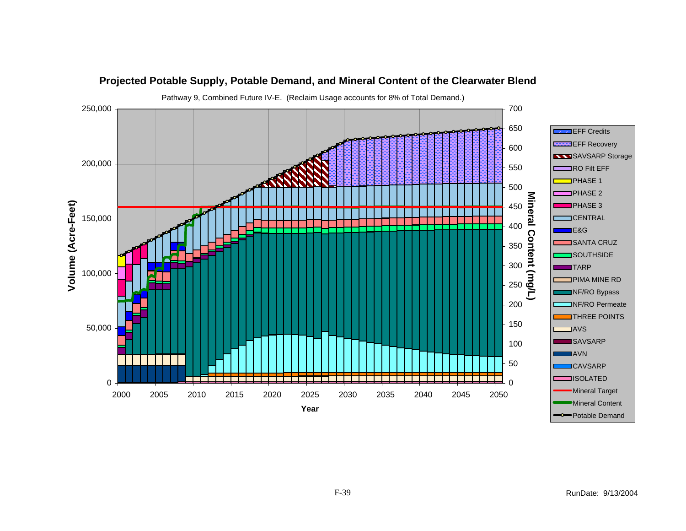![](_page_38_Figure_0.jpeg)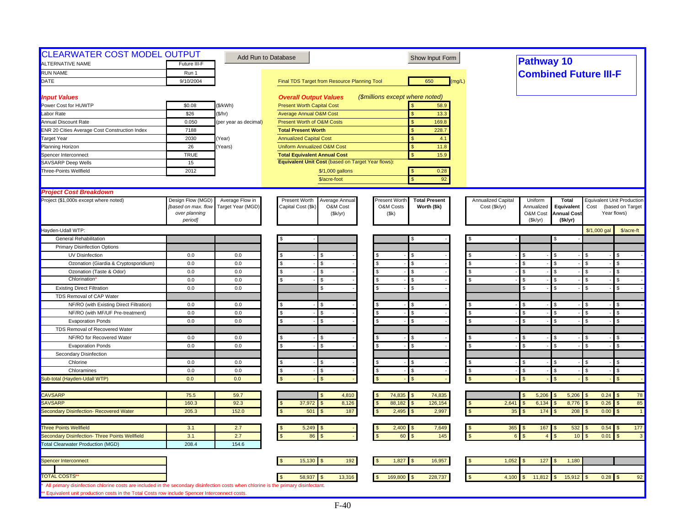| <b>CLEARWATER COST MODEL OUTPUT</b><br><b>ALTERNATIVE NAME</b>                                                                                                                                                                        | Future III-F                             |                                      | Add Run to Database                                               | Show Input Form                       |                                     | <b>Pathway 10</b>            |                    |              |                                                       |
|---------------------------------------------------------------------------------------------------------------------------------------------------------------------------------------------------------------------------------------|------------------------------------------|--------------------------------------|-------------------------------------------------------------------|---------------------------------------|-------------------------------------|------------------------------|--------------------|--------------|-------------------------------------------------------|
| <b>RUN NAME</b>                                                                                                                                                                                                                       | Run 1                                    |                                      |                                                                   |                                       |                                     |                              |                    |              |                                                       |
| DATE                                                                                                                                                                                                                                  | 9/10/2004                                |                                      | Final TDS Target from Resource Planning Tool                      | 650<br>(mq/L)                         |                                     | <b>Combined Future III-F</b> |                    |              |                                                       |
|                                                                                                                                                                                                                                       |                                          |                                      |                                                                   |                                       |                                     |                              |                    |              |                                                       |
| <b>Input Values</b>                                                                                                                                                                                                                   |                                          |                                      | <b>Overall Output Values</b>                                      | (\$millions except where noted)       |                                     |                              |                    |              |                                                       |
| Power Cost for HUWTP                                                                                                                                                                                                                  | \$0.08                                   | (\$/kWh)                             | <b>Present Worth Capital Cost</b>                                 | 58.9                                  |                                     |                              |                    |              |                                                       |
| Labor Rate                                                                                                                                                                                                                            | \$26                                     | (\$/hr)                              | <b>Average Annual O&amp;M Cost</b>                                | 13.3<br>$\mathbf{s}$                  |                                     |                              |                    |              |                                                       |
| <b>Annual Discount Rate</b>                                                                                                                                                                                                           | 0.050                                    | (per year as decimal)                | <b>Present Worth of O&amp;M Costs</b>                             | 169.8<br>$\mathbf{s}$                 |                                     |                              |                    |              |                                                       |
| <b>ENR 20 Cities Average Cost Construction Index</b>                                                                                                                                                                                  | 7188                                     |                                      | <b>Total Present Worth</b>                                        | 228.7<br>$\mathsf{\$}$                |                                     |                              |                    |              |                                                       |
| <b>Target Year</b>                                                                                                                                                                                                                    | 2030                                     | Year)                                | <b>Annualized Capital Cost</b>                                    | \$<br>4.1                             |                                     |                              |                    |              |                                                       |
| Planning Horizon                                                                                                                                                                                                                      | 26                                       | Years)                               | <b>Uniform Annualized O&amp;M Cost</b>                            | 11.8<br><sub>S</sub>                  |                                     |                              |                    |              |                                                       |
| Spencer Interconnect                                                                                                                                                                                                                  | <b>TRUE</b>                              |                                      | <b>Total Equivalent Annual Cost</b>                               | $\mathbf{s}$<br>15.9                  |                                     |                              |                    |              |                                                       |
| SAVSARP Deep Wells                                                                                                                                                                                                                    | 15                                       |                                      | Equivalent Unit Cost (based on Target Year flows):                |                                       |                                     |                              |                    |              |                                                       |
| Three-Points Wellfield                                                                                                                                                                                                                | 2012                                     |                                      | \$/1,000 gallons                                                  | 0.28<br><b>S</b>                      |                                     |                              |                    |              |                                                       |
|                                                                                                                                                                                                                                       |                                          |                                      | \$/acre-foot                                                      | 92<br>$\mathbf{\hat{S}}$              |                                     |                              |                    |              |                                                       |
|                                                                                                                                                                                                                                       |                                          |                                      |                                                                   |                                       |                                     |                              |                    |              |                                                       |
| <b>Project Cost Breakdown</b>                                                                                                                                                                                                         |                                          |                                      |                                                                   | Present Worth<br><b>Total Present</b> |                                     | Uniform                      | <b>Total</b>       |              |                                                       |
| Project (\$1,000s except where noted)                                                                                                                                                                                                 | Design Flow (MGD)<br>[based on max. flow | Average Flow in<br>Target Year (MGD) | Present Worth<br>Average Annual<br>Capital Cost (\$k)<br>O&M Cost | O&M Costs<br>Worth (\$k)              | Annualized Capital<br>Cost (\$k/yr) | Annualized                   | Equivalent         | Cost         | <b>Equivalent Unit Production</b><br>(based on Target |
|                                                                                                                                                                                                                                       | over planning                            |                                      | (\$k/yr)                                                          | (Sk)                                  |                                     | O&M Cost                     | <b>Annual Cost</b> |              | Year flows)                                           |
|                                                                                                                                                                                                                                       | period]                                  |                                      |                                                                   |                                       |                                     | (Sk/yr)                      | (\$k/yr)           |              |                                                       |
| Hayden-Udall WTP:                                                                                                                                                                                                                     |                                          |                                      |                                                                   |                                       |                                     |                              |                    | \$/1,000 gal | \$/acre-ft                                            |
| <b>General Rehabilitation</b>                                                                                                                                                                                                         |                                          |                                      |                                                                   | S                                     |                                     |                              |                    |              |                                                       |
| <b>Primary Disinfection Options</b>                                                                                                                                                                                                   |                                          |                                      |                                                                   |                                       |                                     |                              |                    |              |                                                       |
| UV Disinfection                                                                                                                                                                                                                       | 0.0                                      | 0.0                                  |                                                                   | S.                                    |                                     | \$                           |                    |              | \$.                                                   |
| Ozonation (Giardia & Cryptosporidium)                                                                                                                                                                                                 | 0.0                                      | 0.0                                  | s.<br>\$.                                                         | $\mathfrak{L}$<br><b>S</b>            | <b>S</b>                            | $\mathfrak{L}$               | \$                 | £.           | \$                                                    |
| Ozonation (Taste & Odor)                                                                                                                                                                                                              | 0.0                                      | 0.0                                  | $\mathbf{s}$<br>s.                                                | <b>S</b>                              |                                     | \$                           | l \$               | -S           | \$                                                    |
| Chlorination                                                                                                                                                                                                                          | 0.0                                      | 0.0                                  | s.<br>ፍ                                                           | $\mathbf{s}$<br>$\mathfrak{L}$        |                                     | \$                           | \$                 | \$.          | \$                                                    |
| <b>Existing Direct Filtration</b>                                                                                                                                                                                                     | 0.0                                      | 0.0                                  | \$                                                                | <b>S</b>                              |                                     | \$                           | <b>S</b>           |              | \$                                                    |
| TDS Removal of CAP Water                                                                                                                                                                                                              |                                          |                                      |                                                                   |                                       |                                     |                              |                    |              |                                                       |
| NF/RO (with Existing Direct Filtration)                                                                                                                                                                                               | 0.0                                      | 0.0                                  |                                                                   | <b>S</b>                              |                                     | \$                           |                    |              | \$                                                    |
| NF/RO (with MF/UF Pre-treatment)                                                                                                                                                                                                      | 0.0                                      | 0.0                                  | $\mathcal{S}$                                                     | $\mathbf{s}$                          |                                     | $\mathfrak{L}$               |                    |              | \$.                                                   |
| <b>Evaporation Ponds</b>                                                                                                                                                                                                              | 0.0                                      | $0.0\,$                              | \$<br>ፍ                                                           | <b>S</b>                              | <b>S</b>                            | \$                           | ፍ                  | ፍ            | \$                                                    |
| TDS Removal of Recovered Water                                                                                                                                                                                                        |                                          |                                      |                                                                   |                                       |                                     |                              |                    |              |                                                       |
| NF/RO for Recovered Water                                                                                                                                                                                                             | 0.0                                      | 0.0                                  |                                                                   | S                                     |                                     | \$                           |                    |              | \$                                                    |
| <b>Evaporation Ponds</b>                                                                                                                                                                                                              | 0.0                                      | 0.0                                  |                                                                   | $\mathbf{s}$                          |                                     | $\mathfrak{L}$               |                    |              | $\mathfrak{L}$                                        |
| Secondary Disinfection                                                                                                                                                                                                                |                                          |                                      |                                                                   |                                       |                                     |                              |                    |              |                                                       |
| Chlorine                                                                                                                                                                                                                              | 0.0                                      | 0.0                                  | \$<br>\$.                                                         | <b>S</b>                              |                                     | \$.                          |                    | -S           | \$                                                    |
| Chloramines                                                                                                                                                                                                                           | 0.0                                      | 0.0                                  | S.<br>\$.                                                         | $\mathbf{s}$<br>-S                    | $\mathfrak{L}$                      | \$.                          | \$                 | - \$         | \$                                                    |
| Sub-total (Hayden-Udall WTP)                                                                                                                                                                                                          | 0.0                                      | 0.0                                  |                                                                   | $\mathbf{S}$                          |                                     |                              |                    |              | $\mathfrak{s}$                                        |
|                                                                                                                                                                                                                                       |                                          |                                      |                                                                   |                                       |                                     |                              |                    |              |                                                       |
| <b>CAVSARP</b>                                                                                                                                                                                                                        | 75.5                                     | 59.7                                 | 4,810                                                             | 74,835<br>74,835<br>l S               |                                     | 5,206                        | 5,206              | $0.24$ \$    | 78                                                    |
| <b>SAVSARP</b>                                                                                                                                                                                                                        | 160.3                                    | 92.3                                 | 8,126<br>37,972                                                   | 88,182<br>126,154<br>$\mathbf{s}$     | 2,641                               | 6,134                        | 8,776              | 0.26         | 85<br>$\mathfrak{L}$                                  |
| Secondary Disinfection- Recovered Water                                                                                                                                                                                               | 205.3                                    | 152.0                                | 501<br>187                                                        | 2,997<br>2,495<br>-S                  | 35<br>$\mathfrak{s}$                | 174                          | 208                | 0.00         | $\mathbf{s}$<br>$\overline{1}$                        |
|                                                                                                                                                                                                                                       |                                          |                                      |                                                                   |                                       |                                     |                              |                    |              |                                                       |
| <b>Three Points Wellfield</b>                                                                                                                                                                                                         | 3.1                                      | 2.7                                  | 5,249                                                             | 2,400<br>7,649                        | 365                                 | 167<br>l S                   | 532                | $0.54$ \$    | 177                                                   |
| Secondary Disinfection- Three Points Wellfield                                                                                                                                                                                        | 3.1                                      | 2.7                                  | 86                                                                | 145<br>60                             |                                     |                              | 10                 | 0.01         | $\mathbf{\hat{f}}$<br>$\mathbf{3}$                    |
| <b>Total Clearwater Production (MGD)</b>                                                                                                                                                                                              | 208.4                                    | 154.6                                |                                                                   |                                       |                                     |                              |                    |              |                                                       |
|                                                                                                                                                                                                                                       |                                          |                                      |                                                                   |                                       |                                     |                              |                    |              |                                                       |
| Spencer Interconnect                                                                                                                                                                                                                  |                                          |                                      | 15,130<br>192                                                     | 1,827<br>16,957                       | 1,052                               | 127<br>\$                    | 1,180              |              |                                                       |
| <b>TOTAL COSTS'</b>                                                                                                                                                                                                                   |                                          |                                      | 58,937                                                            | 169,800<br>228,737                    | 4,100                               | 11,812                       | 15,912             | $0.28$ \$    | 92                                                    |
|                                                                                                                                                                                                                                       |                                          |                                      | 13,316                                                            |                                       |                                     |                              |                    |              |                                                       |
| All primary disinfection chlorine costs are included in the secondary disinfection costs when chlorine is the primary disinfectant.<br>** Equivalent unit production costs in the Total Costs row include Spencer Interconnect costs. |                                          |                                      |                                                                   |                                       |                                     |                              |                    |              |                                                       |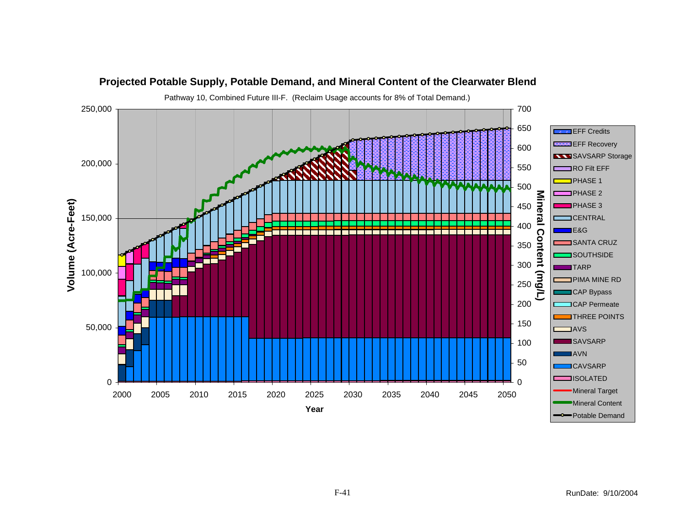![](_page_40_Figure_0.jpeg)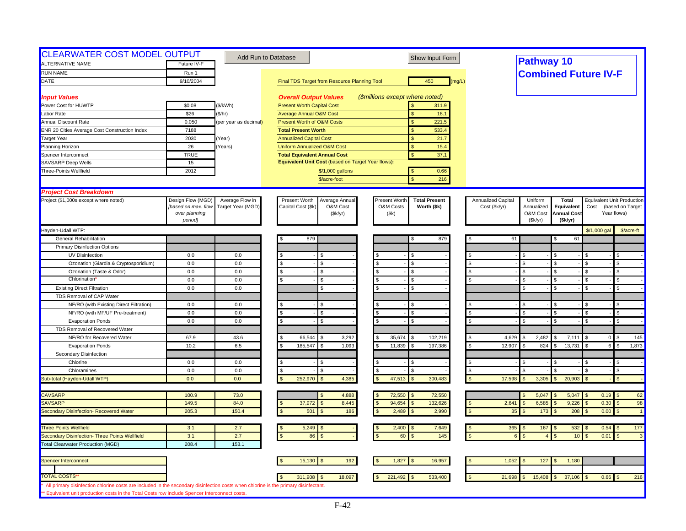| <b>CLEARWATER COST MODEL OUTPUT</b><br>ALTERNATIVE NAME                                                                             | Future IV-F                          |                       | Add Run to Database                                | Show Input Form                       |                            | <b>Pathway 10</b>                                          |                                          |
|-------------------------------------------------------------------------------------------------------------------------------------|--------------------------------------|-----------------------|----------------------------------------------------|---------------------------------------|----------------------------|------------------------------------------------------------|------------------------------------------|
| <b>RUN NAME</b>                                                                                                                     | Run 1                                |                       |                                                    |                                       |                            |                                                            |                                          |
| DATE                                                                                                                                | 9/10/2004                            |                       |                                                    | 450<br>(mq/L)                         |                            | <b>Combined Future IV-F</b>                                |                                          |
|                                                                                                                                     |                                      |                       | Final TDS Target from Resource Planning Tool       |                                       |                            |                                                            |                                          |
| <b>Input Values</b>                                                                                                                 |                                      |                       | <b>Overall Output Values</b>                       | (\$millions except where noted)       |                            |                                                            |                                          |
| Power Cost for HUWTP                                                                                                                | \$0.08                               | (\$/kWh)              | <b>Present Worth Capital Cost</b>                  | 311.9                                 |                            |                                                            |                                          |
| Labor Rate                                                                                                                          | \$26                                 | (\$/hr)               | <b>Average Annual O&amp;M Cost</b>                 | 18.1<br>$\mathbf{s}$                  |                            |                                                            |                                          |
| <b>Annual Discount Rate</b>                                                                                                         | 0.050                                | (per year as decimal) | <b>Present Worth of O&amp;M Costs</b>              | $\mathbf{s}$<br>221.5                 |                            |                                                            |                                          |
| <b>ENR 20 Cities Average Cost Construction Index</b>                                                                                | 7188                                 |                       | <b>Total Present Worth</b>                         | 533.4<br>$\mathbf{s}$                 |                            |                                                            |                                          |
| <b>Target Year</b>                                                                                                                  | 2030                                 | Year)                 | <b>Annualized Capital Cost</b>                     | \$<br>21.7                            |                            |                                                            |                                          |
| Planning Horizon                                                                                                                    | 26                                   | Years)                | <b>Uniform Annualized O&amp;M Cost</b>             | $\mathbf{s}$<br>15.4                  |                            |                                                            |                                          |
| Spencer Interconnect                                                                                                                | <b>TRUE</b>                          |                       | <b>Total Equivalent Annual Cost</b>                | $\mathbf{s}$<br>37.1                  |                            |                                                            |                                          |
| SAVSARP Deep Wells                                                                                                                  | 15                                   |                       | Equivalent Unit Cost (based on Target Year flows): |                                       |                            |                                                            |                                          |
| Three-Points Wellfield                                                                                                              | 2012                                 |                       | \$/1,000 gallons                                   | 0.66<br><b>S</b>                      |                            |                                                            |                                          |
|                                                                                                                                     |                                      |                       | \$/acre-foot                                       | 216<br>$\mathbf{\hat{S}}$             |                            |                                                            |                                          |
|                                                                                                                                     |                                      |                       |                                                    |                                       |                            |                                                            |                                          |
| <b>Project Cost Breakdown</b>                                                                                                       |                                      |                       |                                                    |                                       |                            |                                                            |                                          |
| Project (\$1,000s except where noted)                                                                                               | Design Flow (MGD)                    | Average Flow in       | Present Worth<br>Average Annual                    | Present Worth<br><b>Total Present</b> | Annualized Capital         | Uniform<br><b>Total</b>                                    | <b>Equivalent Unit Production</b>        |
|                                                                                                                                     | [based on max. flow<br>over planning | Target Year (MGD)     | Capital Cost (\$k<br>O&M Cost<br>(\$k/yr)          | O&M Costs<br>Worth (\$k)<br>(Sk)      | Cost (\$k/yr)              | Annualized<br>Equivalent<br>O&M Cost<br><b>Annual Cost</b> | Cost<br>(based on Target<br>Year flows)  |
|                                                                                                                                     | period]                              |                       |                                                    |                                       |                            | (Sk/yr)<br>(\$k/yr)                                        |                                          |
| Hayden-Udall WTP:                                                                                                                   |                                      |                       |                                                    |                                       |                            |                                                            | \$/1,000 gal<br>\$/acre-ft               |
| <b>General Rehabilitation</b>                                                                                                       |                                      |                       | 879                                                | 879<br>S                              | 61                         | 61                                                         |                                          |
| <b>Primary Disinfection Options</b>                                                                                                 |                                      |                       |                                                    |                                       |                            |                                                            |                                          |
| UV Disinfection                                                                                                                     | 0.0                                  | 0.0                   |                                                    | S.                                    | \$.                        |                                                            |                                          |
| Ozonation (Giardia & Cryptosporidium)                                                                                               | 0.0                                  | 0.0                   | \$.<br>\$.                                         | $\mathfrak{L}$<br><b>S</b>            | <b>S</b><br>$\mathfrak{L}$ | ς.                                                         | \$                                       |
| Ozonation (Taste & Odor)                                                                                                            | 0.0                                  | 0.0                   | $\mathbf{s}$<br>s.                                 | <b>S</b>                              | \$                         | l \$                                                       | \$<br>-S                                 |
| Chlorination                                                                                                                        | 0.0                                  | 0.0                   | s.                                                 | $\mathbf{\hat{s}}$                    | $\mathfrak{L}$             | \$                                                         | \$<br>\$.                                |
| <b>Existing Direct Filtration</b>                                                                                                   | 0.0                                  | 0.0                   | \$                                                 | <b>S</b>                              | \$                         | $\mathfrak{L}$                                             | \$                                       |
| TDS Removal of CAP Water                                                                                                            |                                      |                       |                                                    |                                       |                            |                                                            |                                          |
| NF/RO (with Existing Direct Filtration)                                                                                             | 0.0                                  | 0.0                   |                                                    | <b>S</b>                              | S                          |                                                            | \$                                       |
| NF/RO (with MF/UF Pre-treatment)                                                                                                    | 0.0                                  | 0.0                   |                                                    | $\mathbf{s}$<br>£.                    | $\mathfrak{L}$             |                                                            | \$.                                      |
| <b>Evaporation Ponds</b>                                                                                                            | 0.0                                  | 0.0                   | \$<br>ፍ                                            | <b>S</b>                              | \$<br><b>S</b>             | ፍ                                                          | \$<br>ፍ                                  |
| TDS Removal of Recovered Water                                                                                                      |                                      |                       |                                                    |                                       |                            |                                                            |                                          |
| NF/RO for Recovered Water                                                                                                           | 67.9                                 | 43.6                  | 66,544<br>3,292                                    | 35,674<br>102,219                     | 4,629                      | 2,482<br>7,111                                             | 145<br>$\overline{0}$                    |
| <b>Evaporation Ponds</b>                                                                                                            | 10.2                                 | 6.5                   | 185,547<br>1,093                                   | 11,839<br>197,386                     | 12,907<br>\$               | 13,731<br>824<br>\$                                        | 6 <sup>1</sup><br>1,873<br>$\mathfrak s$ |
| Secondary Disinfection                                                                                                              |                                      |                       |                                                    |                                       |                            |                                                            |                                          |
| Chlorine                                                                                                                            | 0.0                                  | 0.0                   |                                                    | l \$                                  | \$.                        |                                                            | $\mathfrak{L}$<br>\$.                    |
| Chloramines                                                                                                                         | 0.0                                  | 0.0                   |                                                    | l \$                                  | $\mathfrak{L}$             |                                                            | \$<br>-S                                 |
| Sub-total (Hayden-Udall WTP)                                                                                                        | 0.0                                  | 0.0                   | 252,970<br>4,385                                   | 47,513<br>300,483                     | 17,598                     | 3,305<br>20,903                                            | $\mathbf{s}$                             |
|                                                                                                                                     |                                      |                       |                                                    |                                       |                            |                                                            |                                          |
| <b>CAVSARP</b>                                                                                                                      | 100.9                                | 73.0                  | 4,888                                              | 72,550<br>72,550<br>l \$              |                            | 5,047<br>5,047                                             | $0.19$ \$<br>62                          |
| <b>SAVSARP</b>                                                                                                                      | 149.5                                | 84.0                  | 8,445<br>37,972                                    | 94,654<br>132,626                     | 2,641                      | 6,585<br>9,226                                             | 0.30<br>98<br>$\mathfrak{L}$             |
| Secondary Disinfection- Recovered Water                                                                                             | 205.3                                | 150.4                 | 501<br>186                                         | 2,990<br>2,489                        | 35                         | 173<br>208                                                 | 0.00<br>$\mathbb{S}$<br>$\mathbf{1}$     |
|                                                                                                                                     |                                      |                       |                                                    |                                       |                            |                                                            |                                          |
| <b>Three Points Wellfield</b>                                                                                                       | 3.1                                  | 2.7                   | 5,249                                              | 2,400<br>7,649                        | 365                        | 167<br>532                                                 | $0.54$ \$<br>177                         |
| Secondary Disinfection- Three Points Wellfield                                                                                      | 3.1                                  | 2.7                   | 86                                                 | 145<br>60                             |                            | 10                                                         | 0.01<br>$\mathfrak{L}$<br>$\mathbf{3}$   |
| <b>Total Clearwater Production (MGD)</b>                                                                                            | 208.4                                | 153.1                 |                                                    |                                       |                            |                                                            |                                          |
|                                                                                                                                     |                                      |                       |                                                    |                                       |                            |                                                            |                                          |
| Spencer Interconnect                                                                                                                |                                      |                       | 192<br>15,130                                      | 1,827<br>16,957                       | 1,052<br>\$                | 127<br>1,180                                               |                                          |
|                                                                                                                                     |                                      |                       |                                                    |                                       |                            |                                                            |                                          |
| <b>TOTAL COSTS</b>                                                                                                                  |                                      |                       | 311,908<br>18,097                                  | 221,492<br>533,400                    | 21,698                     | 15,408<br>37,106                                           | $0.66$ \$<br>216                         |
| All primary disinfection chlorine costs are included in the secondary disinfection costs when chlorine is the primary disinfectant. |                                      |                       |                                                    |                                       |                            |                                                            |                                          |
| ** Equivalent unit production costs in the Total Costs row include Spencer Interconnect costs.                                      |                                      |                       |                                                    |                                       |                            |                                                            |                                          |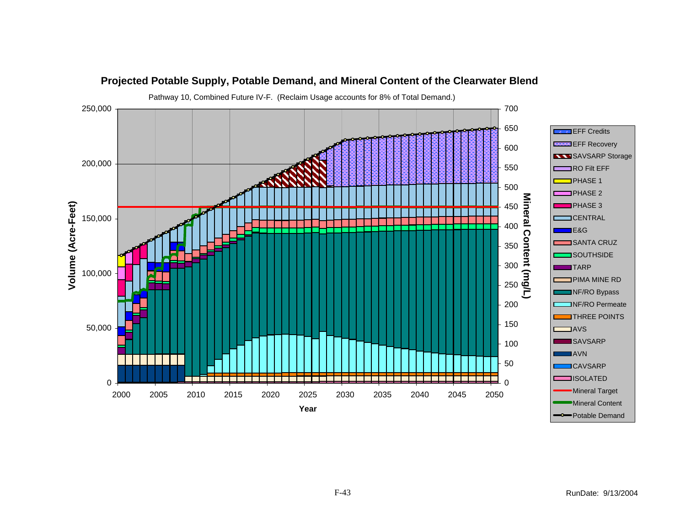![](_page_42_Figure_0.jpeg)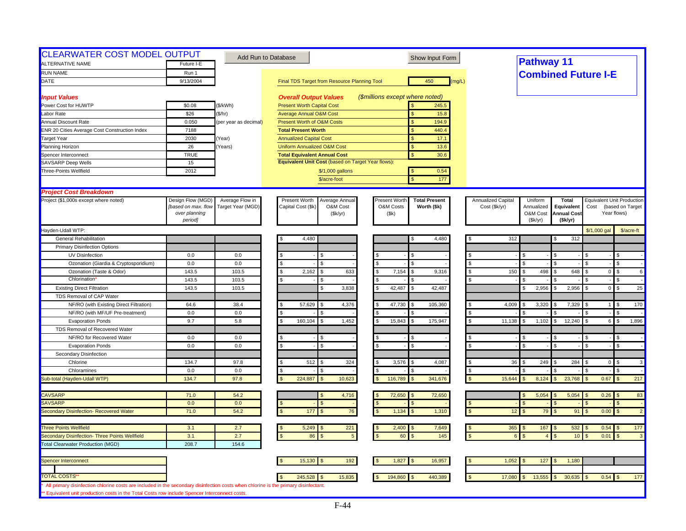| <b>CLEARWATER COST MODEL OUTPUT</b><br>ALTERNATIVE NAME                                                                                                                                                                               | Future I-E                               |                                      | Add Run to Database                                              | Show Input Form                                                   |                                     | <b>Pathway 11</b>     |                            |                            |                                                       |
|---------------------------------------------------------------------------------------------------------------------------------------------------------------------------------------------------------------------------------------|------------------------------------------|--------------------------------------|------------------------------------------------------------------|-------------------------------------------------------------------|-------------------------------------|-----------------------|----------------------------|----------------------------|-------------------------------------------------------|
| <b>RUN NAME</b>                                                                                                                                                                                                                       | Run 1                                    |                                      |                                                                  |                                                                   |                                     |                       |                            |                            |                                                       |
| DATE                                                                                                                                                                                                                                  | 9/13/2004                                |                                      | Final TDS Target from Resource Planning Tool                     | 450<br>(mq/L)                                                     |                                     |                       |                            | <b>Combined Future I-E</b> |                                                       |
|                                                                                                                                                                                                                                       |                                          |                                      |                                                                  |                                                                   |                                     |                       |                            |                            |                                                       |
| <b>Input Values</b>                                                                                                                                                                                                                   |                                          |                                      | <b>Overall Output Values</b>                                     | (\$millions except where noted)                                   |                                     |                       |                            |                            |                                                       |
| Power Cost for HUWTP                                                                                                                                                                                                                  | \$0.08                                   | (\$/kWh)                             | <b>Present Worth Capital Cost</b>                                | 245.5                                                             |                                     |                       |                            |                            |                                                       |
| Labor Rate                                                                                                                                                                                                                            | \$26                                     | (\$/hr)                              | <b>Average Annual O&amp;M Cost</b>                               | 15.8<br>$\mathbf{s}$                                              |                                     |                       |                            |                            |                                                       |
| <b>Annual Discount Rate</b>                                                                                                                                                                                                           | 0.050                                    | (per year as decimal)                | <b>Present Worth of O&amp;M Costs</b>                            | $\mathbf{s}$<br>194.9                                             |                                     |                       |                            |                            |                                                       |
| <b>ENR 20 Cities Average Cost Construction Index</b>                                                                                                                                                                                  | 7188                                     |                                      | <b>Total Present Worth</b>                                       | 440.4<br>$\mathbf{s}$                                             |                                     |                       |                            |                            |                                                       |
| <b>Target Year</b>                                                                                                                                                                                                                    | 2030                                     | Year)                                | <b>Annualized Capital Cost</b>                                   | \$<br>17.1                                                        |                                     |                       |                            |                            |                                                       |
| Planning Horizon                                                                                                                                                                                                                      | 26                                       | Years)                               | <b>Uniform Annualized O&amp;M Cost</b>                           | $\mathbf{s}$<br>13.6                                              |                                     |                       |                            |                            |                                                       |
| Spencer Interconnect                                                                                                                                                                                                                  | <b>TRUE</b>                              |                                      | <b>Total Equivalent Annual Cost</b>                              | $\mathbf{s}$<br>30.6                                              |                                     |                       |                            |                            |                                                       |
| SAVSARP Deep Wells                                                                                                                                                                                                                    | 15                                       |                                      | Equivalent Unit Cost (based on Target Year flows):               |                                                                   |                                     |                       |                            |                            |                                                       |
| Three-Points Wellfield                                                                                                                                                                                                                | 2012                                     |                                      | \$/1,000 gallons                                                 | 0.54                                                              |                                     |                       |                            |                            |                                                       |
|                                                                                                                                                                                                                                       |                                          |                                      | \$/acre-foot                                                     | 177<br>$\mathbf{\hat{S}}$                                         |                                     |                       |                            |                            |                                                       |
|                                                                                                                                                                                                                                       |                                          |                                      |                                                                  |                                                                   |                                     |                       |                            |                            |                                                       |
| <b>Project Cost Breakdown</b>                                                                                                                                                                                                         |                                          |                                      |                                                                  |                                                                   |                                     |                       |                            |                            |                                                       |
| Project (\$1,000s except where noted)                                                                                                                                                                                                 | Design Flow (MGD)<br>[based on max. flow | Average Flow in<br>Target Year (MGD) | Present Worth<br>Average Annual<br>Capital Cost (\$k<br>O&M Cost | Present Worth<br><b>Total Present</b><br>O&M Costs<br>Worth (\$k) | Annualized Capital<br>Cost (\$k/yr) | Uniform<br>Annualized | <b>Total</b><br>Equivalent | Cost                       | <b>Equivalent Unit Production</b><br>(based on Target |
|                                                                                                                                                                                                                                       | over planning                            |                                      | (\$k/yr)                                                         | (Sk)                                                              |                                     | O&M Cost              | <b>Annual Cost</b>         |                            | Year flows)                                           |
|                                                                                                                                                                                                                                       | period]                                  |                                      |                                                                  |                                                                   |                                     | (Sk/yr)               | (\$k/yr)                   |                            |                                                       |
| Hayden-Udall WTP:                                                                                                                                                                                                                     |                                          |                                      |                                                                  |                                                                   |                                     |                       |                            | \$/1,000 gal               | \$/acre-ft                                            |
| <b>General Rehabilitation</b>                                                                                                                                                                                                         |                                          |                                      | 4,480                                                            | 4,480<br>S                                                        |                                     | 312                   | 312                        |                            |                                                       |
| <b>Primary Disinfection Options</b>                                                                                                                                                                                                   |                                          |                                      |                                                                  |                                                                   |                                     |                       |                            |                            |                                                       |
| UV Disinfection                                                                                                                                                                                                                       | 0.0                                      | 0.0                                  |                                                                  |                                                                   |                                     | \$.                   |                            |                            |                                                       |
| Ozonation (Giardia & Cryptosporidium)                                                                                                                                                                                                 | 0.0                                      | 0.0                                  | \$.<br>\$.                                                       | $\mathfrak{L}$<br>$\mathbf{S}$                                    | <b>S</b>                            | $\mathfrak{R}$        |                            |                            | \$                                                    |
| Ozonation (Taste & Odor)                                                                                                                                                                                                              | 143.5                                    | 103.5                                | s.<br>2,162<br>633<br>\$.                                        | 7,154<br>l S<br>9,316                                             | - \$                                | 150<br>498<br>\$      | 648                        | $\overline{0}$             | $\mathfrak{L}$<br>6                                   |
| Chlorination                                                                                                                                                                                                                          | 143.5                                    | 103.5                                | \$                                                               | l \$                                                              |                                     |                       |                            |                            | \$                                                    |
| <b>Existing Direct Filtration</b>                                                                                                                                                                                                     | 143.5                                    | 103.5                                | 3,838                                                            | 42,487<br>42,487<br>l S                                           |                                     | 2,956                 | 2,956                      | $\overline{0}$             | 25<br>$\mathbf S$                                     |
| TDS Removal of CAP Water                                                                                                                                                                                                              |                                          |                                      |                                                                  |                                                                   |                                     |                       |                            |                            |                                                       |
| NF/RO (with Existing Direct Filtration)                                                                                                                                                                                               | 64.6                                     | 38.4                                 | 57,629<br>4,376                                                  | 47,730<br>l \$<br>105,360                                         | 4,009                               | 3,320                 | 7,329                      |                            | 170<br>-S                                             |
| NF/RO (with MF/UF Pre-treatment)                                                                                                                                                                                                      | 0.0                                      | 0.0                                  |                                                                  |                                                                   |                                     |                       |                            |                            |                                                       |
| <b>Evaporation Ponds</b>                                                                                                                                                                                                              | 9.7                                      | 5.8                                  | 160,104<br>1,452<br>s.                                           | 15,843<br>175,947<br>$\sqrt{2}$                                   | 11,138<br><b>S</b>                  | 1,102<br>\$           | 12,240<br>\$.              | 6 <sup>1</sup>             | $\mathfrak{s}$<br>1,896                               |
| TDS Removal of Recovered Water                                                                                                                                                                                                        |                                          |                                      |                                                                  |                                                                   |                                     |                       |                            |                            |                                                       |
| NF/RO for Recovered Water                                                                                                                                                                                                             | 0.0                                      | 0.0                                  |                                                                  |                                                                   |                                     |                       |                            |                            | \$                                                    |
| <b>Evaporation Ponds</b>                                                                                                                                                                                                              | 0.0                                      | 0.0                                  |                                                                  | \$.                                                               |                                     | $\mathfrak{L}$        |                            |                            | $\mathfrak{L}$                                        |
| Secondary Disinfection                                                                                                                                                                                                                |                                          |                                      |                                                                  |                                                                   |                                     |                       |                            |                            |                                                       |
| Chlorine                                                                                                                                                                                                                              | 134.7                                    | 97.8                                 | 512<br>324<br>\$                                                 | 3,576<br>4,087                                                    |                                     | 36<br>249             | 284                        | $\overline{0}$             | $\mathfrak{L}$<br>3                                   |
| Chloramines                                                                                                                                                                                                                           | 0.0                                      | 0.0                                  |                                                                  |                                                                   | $\mathfrak{L}$                      |                       |                            |                            | \$.                                                   |
| Sub-total (Hayden-Udall WTP)                                                                                                                                                                                                          | 134.7                                    | 97.8                                 | 224,887<br>10,623                                                | 116,789<br>341,676                                                | 15,644                              | 8,124                 | 23,768                     | 0.67                       | 217                                                   |
|                                                                                                                                                                                                                                       |                                          |                                      |                                                                  |                                                                   |                                     |                       |                            |                            |                                                       |
| <b>CAVSARP</b>                                                                                                                                                                                                                        | 71.0                                     | 54.2                                 | 4,716                                                            | 72,650<br>72,650<br>l \$                                          |                                     | 5,054                 | 5,054                      | 0.26                       | 83<br>l \$                                            |
| <b>SAVSARP</b>                                                                                                                                                                                                                        | 0.0                                      | 0.0                                  |                                                                  | <sub>S</sub>                                                      |                                     | ፍ                     |                            |                            | $\mathfrak{L}$                                        |
| Secondary Disinfection- Recovered Water                                                                                                                                                                                               | 71.0                                     | 54.2                                 | 177<br>76                                                        | 1,134<br>1,310<br>$\mathbf{s}$                                    |                                     | 79<br>12              | 91                         | 0.00                       | $\overline{2}$<br>$\mathfrak{s}$                      |
|                                                                                                                                                                                                                                       |                                          |                                      |                                                                  |                                                                   |                                     |                       |                            |                            |                                                       |
| <b>Three Points Wellfield</b>                                                                                                                                                                                                         | 3.1                                      | 2.7                                  | 5,249<br>221                                                     | 2,400<br>7,649                                                    |                                     | $365$ \$<br>167       | 532                        | $0.54$ \$                  | 177                                                   |
| Secondary Disinfection- Three Points Wellfield                                                                                                                                                                                        | 3.1                                      | 2.7                                  | 86<br>5                                                          | 145<br>60                                                         |                                     |                       | 10                         | 0.01                       | $\mathbf{\hat{f}}$<br>$\mathbf{3}$                    |
| <b>Total Clearwater Production (MGD)</b>                                                                                                                                                                                              | 208.7                                    | 154.6                                |                                                                  |                                                                   |                                     |                       |                            |                            |                                                       |
|                                                                                                                                                                                                                                       |                                          |                                      |                                                                  |                                                                   |                                     |                       |                            |                            |                                                       |
| Spencer Interconnect                                                                                                                                                                                                                  |                                          |                                      | 192<br>15,130                                                    | 1,827<br>16,957                                                   | 1,052                               | 127<br>\$             | 1,180                      |                            |                                                       |
|                                                                                                                                                                                                                                       |                                          |                                      |                                                                  |                                                                   |                                     |                       |                            |                            |                                                       |
| <b>TOTAL COSTS</b>                                                                                                                                                                                                                    |                                          |                                      | 245,528<br>15,835                                                | 194,860<br>440,389                                                | 17,080                              | 13,555                | 30,635                     | $0.54$ \$                  | 177                                                   |
| All primary disinfection chlorine costs are included in the secondary disinfection costs when chlorine is the primary disinfectant.<br>** Equivalent unit production costs in the Total Costs row include Spencer Interconnect costs. |                                          |                                      |                                                                  |                                                                   |                                     |                       |                            |                            |                                                       |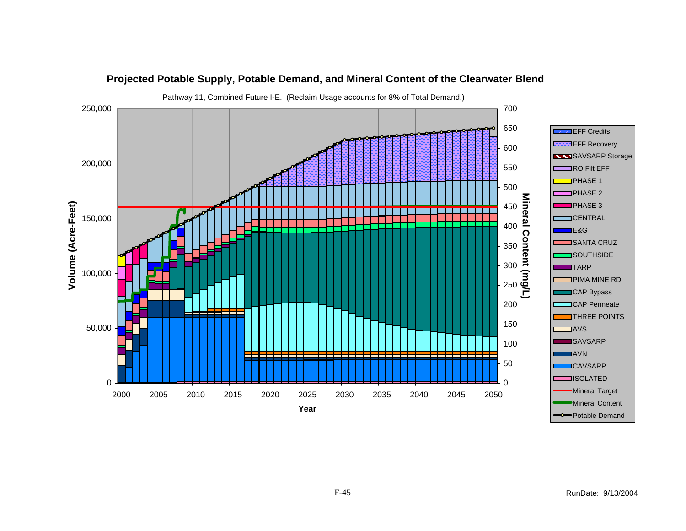![](_page_44_Figure_0.jpeg)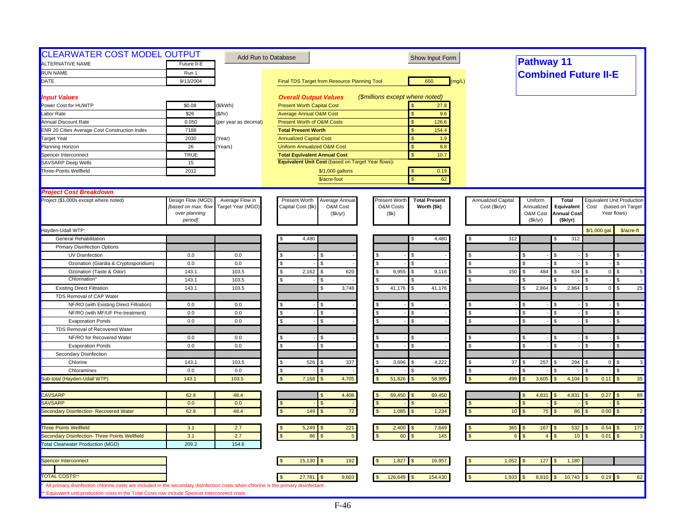| Future II-E<br>Run 1 |                                                                                                                                                                                                                                                                                   |                                                                                                                                                                                                                                                                                                                                                              |                                                                                                                                                                                                                                                                                                                                                                                                                                                                                                                                                                                                                                                                                                                                                 |                                                                                                                                                                                                                                                                                                                                                                                                                                                                                                                                                                                                                                             |                                                                                       |                                                                                                                                                                                                                                                                                                        |                                                                                                                                                          |                                                                                                                                                                                |
|----------------------|-----------------------------------------------------------------------------------------------------------------------------------------------------------------------------------------------------------------------------------------------------------------------------------|--------------------------------------------------------------------------------------------------------------------------------------------------------------------------------------------------------------------------------------------------------------------------------------------------------------------------------------------------------------|-------------------------------------------------------------------------------------------------------------------------------------------------------------------------------------------------------------------------------------------------------------------------------------------------------------------------------------------------------------------------------------------------------------------------------------------------------------------------------------------------------------------------------------------------------------------------------------------------------------------------------------------------------------------------------------------------------------------------------------------------|---------------------------------------------------------------------------------------------------------------------------------------------------------------------------------------------------------------------------------------------------------------------------------------------------------------------------------------------------------------------------------------------------------------------------------------------------------------------------------------------------------------------------------------------------------------------------------------------------------------------------------------------|---------------------------------------------------------------------------------------|--------------------------------------------------------------------------------------------------------------------------------------------------------------------------------------------------------------------------------------------------------------------------------------------------------|----------------------------------------------------------------------------------------------------------------------------------------------------------|--------------------------------------------------------------------------------------------------------------------------------------------------------------------------------|
|                      |                                                                                                                                                                                                                                                                                   |                                                                                                                                                                                                                                                                                                                                                              |                                                                                                                                                                                                                                                                                                                                                                                                                                                                                                                                                                                                                                                                                                                                                 |                                                                                                                                                                                                                                                                                                                                                                                                                                                                                                                                                                                                                                             | <b>Pathway 11</b>                                                                     |                                                                                                                                                                                                                                                                                                        |                                                                                                                                                          |                                                                                                                                                                                |
| 9/13/2004            |                                                                                                                                                                                                                                                                                   |                                                                                                                                                                                                                                                                                                                                                              | 650                                                                                                                                                                                                                                                                                                                                                                                                                                                                                                                                                                                                                                                                                                                                             |                                                                                                                                                                                                                                                                                                                                                                                                                                                                                                                                                                                                                                             | <b>Combined Future II-E</b>                                                           |                                                                                                                                                                                                                                                                                                        |                                                                                                                                                          |                                                                                                                                                                                |
|                      |                                                                                                                                                                                                                                                                                   | Final TDS Target from Resource Planning Tool                                                                                                                                                                                                                                                                                                                 | (mq/L)                                                                                                                                                                                                                                                                                                                                                                                                                                                                                                                                                                                                                                                                                                                                          |                                                                                                                                                                                                                                                                                                                                                                                                                                                                                                                                                                                                                                             |                                                                                       |                                                                                                                                                                                                                                                                                                        |                                                                                                                                                          |                                                                                                                                                                                |
|                      |                                                                                                                                                                                                                                                                                   |                                                                                                                                                                                                                                                                                                                                                              |                                                                                                                                                                                                                                                                                                                                                                                                                                                                                                                                                                                                                                                                                                                                                 |                                                                                                                                                                                                                                                                                                                                                                                                                                                                                                                                                                                                                                             |                                                                                       |                                                                                                                                                                                                                                                                                                        |                                                                                                                                                          |                                                                                                                                                                                |
|                      |                                                                                                                                                                                                                                                                                   |                                                                                                                                                                                                                                                                                                                                                              |                                                                                                                                                                                                                                                                                                                                                                                                                                                                                                                                                                                                                                                                                                                                                 |                                                                                                                                                                                                                                                                                                                                                                                                                                                                                                                                                                                                                                             |                                                                                       |                                                                                                                                                                                                                                                                                                        |                                                                                                                                                          |                                                                                                                                                                                |
|                      |                                                                                                                                                                                                                                                                                   |                                                                                                                                                                                                                                                                                                                                                              | $\mathbf{s}$                                                                                                                                                                                                                                                                                                                                                                                                                                                                                                                                                                                                                                                                                                                                    |                                                                                                                                                                                                                                                                                                                                                                                                                                                                                                                                                                                                                                             |                                                                                       |                                                                                                                                                                                                                                                                                                        |                                                                                                                                                          |                                                                                                                                                                                |
| 0.050                |                                                                                                                                                                                                                                                                                   | <b>Present Worth of O&amp;M Costs</b>                                                                                                                                                                                                                                                                                                                        | 126.6<br>$\mathbf{s}$                                                                                                                                                                                                                                                                                                                                                                                                                                                                                                                                                                                                                                                                                                                           |                                                                                                                                                                                                                                                                                                                                                                                                                                                                                                                                                                                                                                             |                                                                                       |                                                                                                                                                                                                                                                                                                        |                                                                                                                                                          |                                                                                                                                                                                |
|                      |                                                                                                                                                                                                                                                                                   |                                                                                                                                                                                                                                                                                                                                                              | $\mathbf{s}$                                                                                                                                                                                                                                                                                                                                                                                                                                                                                                                                                                                                                                                                                                                                    |                                                                                                                                                                                                                                                                                                                                                                                                                                                                                                                                                                                                                                             |                                                                                       |                                                                                                                                                                                                                                                                                                        |                                                                                                                                                          |                                                                                                                                                                                |
|                      |                                                                                                                                                                                                                                                                                   |                                                                                                                                                                                                                                                                                                                                                              | \$                                                                                                                                                                                                                                                                                                                                                                                                                                                                                                                                                                                                                                                                                                                                              |                                                                                                                                                                                                                                                                                                                                                                                                                                                                                                                                                                                                                                             |                                                                                       |                                                                                                                                                                                                                                                                                                        |                                                                                                                                                          |                                                                                                                                                                                |
|                      |                                                                                                                                                                                                                                                                                   |                                                                                                                                                                                                                                                                                                                                                              |                                                                                                                                                                                                                                                                                                                                                                                                                                                                                                                                                                                                                                                                                                                                                 |                                                                                                                                                                                                                                                                                                                                                                                                                                                                                                                                                                                                                                             |                                                                                       |                                                                                                                                                                                                                                                                                                        |                                                                                                                                                          |                                                                                                                                                                                |
|                      |                                                                                                                                                                                                                                                                                   |                                                                                                                                                                                                                                                                                                                                                              |                                                                                                                                                                                                                                                                                                                                                                                                                                                                                                                                                                                                                                                                                                                                                 |                                                                                                                                                                                                                                                                                                                                                                                                                                                                                                                                                                                                                                             |                                                                                       |                                                                                                                                                                                                                                                                                                        |                                                                                                                                                          |                                                                                                                                                                                |
|                      |                                                                                                                                                                                                                                                                                   |                                                                                                                                                                                                                                                                                                                                                              |                                                                                                                                                                                                                                                                                                                                                                                                                                                                                                                                                                                                                                                                                                                                                 |                                                                                                                                                                                                                                                                                                                                                                                                                                                                                                                                                                                                                                             |                                                                                       |                                                                                                                                                                                                                                                                                                        |                                                                                                                                                          |                                                                                                                                                                                |
|                      |                                                                                                                                                                                                                                                                                   |                                                                                                                                                                                                                                                                                                                                                              |                                                                                                                                                                                                                                                                                                                                                                                                                                                                                                                                                                                                                                                                                                                                                 |                                                                                                                                                                                                                                                                                                                                                                                                                                                                                                                                                                                                                                             |                                                                                       |                                                                                                                                                                                                                                                                                                        |                                                                                                                                                          |                                                                                                                                                                                |
|                      |                                                                                                                                                                                                                                                                                   |                                                                                                                                                                                                                                                                                                                                                              | $\mathbf{\hat{S}}$                                                                                                                                                                                                                                                                                                                                                                                                                                                                                                                                                                                                                                                                                                                              |                                                                                                                                                                                                                                                                                                                                                                                                                                                                                                                                                                                                                                             |                                                                                       |                                                                                                                                                                                                                                                                                                        |                                                                                                                                                          |                                                                                                                                                                                |
|                      |                                                                                                                                                                                                                                                                                   |                                                                                                                                                                                                                                                                                                                                                              |                                                                                                                                                                                                                                                                                                                                                                                                                                                                                                                                                                                                                                                                                                                                                 |                                                                                                                                                                                                                                                                                                                                                                                                                                                                                                                                                                                                                                             |                                                                                       |                                                                                                                                                                                                                                                                                                        |                                                                                                                                                          |                                                                                                                                                                                |
|                      |                                                                                                                                                                                                                                                                                   |                                                                                                                                                                                                                                                                                                                                                              |                                                                                                                                                                                                                                                                                                                                                                                                                                                                                                                                                                                                                                                                                                                                                 |                                                                                                                                                                                                                                                                                                                                                                                                                                                                                                                                                                                                                                             |                                                                                       |                                                                                                                                                                                                                                                                                                        |                                                                                                                                                          |                                                                                                                                                                                |
|                      |                                                                                                                                                                                                                                                                                   |                                                                                                                                                                                                                                                                                                                                                              |                                                                                                                                                                                                                                                                                                                                                                                                                                                                                                                                                                                                                                                                                                                                                 |                                                                                                                                                                                                                                                                                                                                                                                                                                                                                                                                                                                                                                             |                                                                                       |                                                                                                                                                                                                                                                                                                        |                                                                                                                                                          |                                                                                                                                                                                |
|                      |                                                                                                                                                                                                                                                                                   |                                                                                                                                                                                                                                                                                                                                                              |                                                                                                                                                                                                                                                                                                                                                                                                                                                                                                                                                                                                                                                                                                                                                 |                                                                                                                                                                                                                                                                                                                                                                                                                                                                                                                                                                                                                                             |                                                                                       |                                                                                                                                                                                                                                                                                                        |                                                                                                                                                          | (based on Target<br>Year flows)                                                                                                                                                |
| period]              |                                                                                                                                                                                                                                                                                   |                                                                                                                                                                                                                                                                                                                                                              |                                                                                                                                                                                                                                                                                                                                                                                                                                                                                                                                                                                                                                                                                                                                                 |                                                                                                                                                                                                                                                                                                                                                                                                                                                                                                                                                                                                                                             |                                                                                       |                                                                                                                                                                                                                                                                                                        |                                                                                                                                                          |                                                                                                                                                                                |
|                      |                                                                                                                                                                                                                                                                                   |                                                                                                                                                                                                                                                                                                                                                              |                                                                                                                                                                                                                                                                                                                                                                                                                                                                                                                                                                                                                                                                                                                                                 |                                                                                                                                                                                                                                                                                                                                                                                                                                                                                                                                                                                                                                             |                                                                                       |                                                                                                                                                                                                                                                                                                        |                                                                                                                                                          | \$/acre-ft                                                                                                                                                                     |
|                      |                                                                                                                                                                                                                                                                                   |                                                                                                                                                                                                                                                                                                                                                              |                                                                                                                                                                                                                                                                                                                                                                                                                                                                                                                                                                                                                                                                                                                                                 |                                                                                                                                                                                                                                                                                                                                                                                                                                                                                                                                                                                                                                             |                                                                                       |                                                                                                                                                                                                                                                                                                        |                                                                                                                                                          |                                                                                                                                                                                |
|                      |                                                                                                                                                                                                                                                                                   |                                                                                                                                                                                                                                                                                                                                                              |                                                                                                                                                                                                                                                                                                                                                                                                                                                                                                                                                                                                                                                                                                                                                 |                                                                                                                                                                                                                                                                                                                                                                                                                                                                                                                                                                                                                                             |                                                                                       |                                                                                                                                                                                                                                                                                                        |                                                                                                                                                          |                                                                                                                                                                                |
|                      |                                                                                                                                                                                                                                                                                   |                                                                                                                                                                                                                                                                                                                                                              |                                                                                                                                                                                                                                                                                                                                                                                                                                                                                                                                                                                                                                                                                                                                                 |                                                                                                                                                                                                                                                                                                                                                                                                                                                                                                                                                                                                                                             |                                                                                       |                                                                                                                                                                                                                                                                                                        |                                                                                                                                                          |                                                                                                                                                                                |
|                      |                                                                                                                                                                                                                                                                                   |                                                                                                                                                                                                                                                                                                                                                              |                                                                                                                                                                                                                                                                                                                                                                                                                                                                                                                                                                                                                                                                                                                                                 |                                                                                                                                                                                                                                                                                                                                                                                                                                                                                                                                                                                                                                             |                                                                                       |                                                                                                                                                                                                                                                                                                        |                                                                                                                                                          | \$                                                                                                                                                                             |
|                      |                                                                                                                                                                                                                                                                                   |                                                                                                                                                                                                                                                                                                                                                              |                                                                                                                                                                                                                                                                                                                                                                                                                                                                                                                                                                                                                                                                                                                                                 |                                                                                                                                                                                                                                                                                                                                                                                                                                                                                                                                                                                                                                             |                                                                                       |                                                                                                                                                                                                                                                                                                        |                                                                                                                                                          | $\mathfrak{L}$<br>5                                                                                                                                                            |
|                      |                                                                                                                                                                                                                                                                                   |                                                                                                                                                                                                                                                                                                                                                              |                                                                                                                                                                                                                                                                                                                                                                                                                                                                                                                                                                                                                                                                                                                                                 |                                                                                                                                                                                                                                                                                                                                                                                                                                                                                                                                                                                                                                             |                                                                                       |                                                                                                                                                                                                                                                                                                        |                                                                                                                                                          | \$                                                                                                                                                                             |
|                      |                                                                                                                                                                                                                                                                                   |                                                                                                                                                                                                                                                                                                                                                              |                                                                                                                                                                                                                                                                                                                                                                                                                                                                                                                                                                                                                                                                                                                                                 |                                                                                                                                                                                                                                                                                                                                                                                                                                                                                                                                                                                                                                             |                                                                                       |                                                                                                                                                                                                                                                                                                        |                                                                                                                                                          | $\mathbb{S}$<br>25                                                                                                                                                             |
|                      |                                                                                                                                                                                                                                                                                   |                                                                                                                                                                                                                                                                                                                                                              |                                                                                                                                                                                                                                                                                                                                                                                                                                                                                                                                                                                                                                                                                                                                                 |                                                                                                                                                                                                                                                                                                                                                                                                                                                                                                                                                                                                                                             |                                                                                       |                                                                                                                                                                                                                                                                                                        |                                                                                                                                                          |                                                                                                                                                                                |
|                      |                                                                                                                                                                                                                                                                                   |                                                                                                                                                                                                                                                                                                                                                              |                                                                                                                                                                                                                                                                                                                                                                                                                                                                                                                                                                                                                                                                                                                                                 |                                                                                                                                                                                                                                                                                                                                                                                                                                                                                                                                                                                                                                             |                                                                                       |                                                                                                                                                                                                                                                                                                        |                                                                                                                                                          | \$                                                                                                                                                                             |
|                      |                                                                                                                                                                                                                                                                                   |                                                                                                                                                                                                                                                                                                                                                              |                                                                                                                                                                                                                                                                                                                                                                                                                                                                                                                                                                                                                                                                                                                                                 |                                                                                                                                                                                                                                                                                                                                                                                                                                                                                                                                                                                                                                             |                                                                                       |                                                                                                                                                                                                                                                                                                        |                                                                                                                                                          | $\mathfrak{L}$                                                                                                                                                                 |
|                      |                                                                                                                                                                                                                                                                                   |                                                                                                                                                                                                                                                                                                                                                              |                                                                                                                                                                                                                                                                                                                                                                                                                                                                                                                                                                                                                                                                                                                                                 |                                                                                                                                                                                                                                                                                                                                                                                                                                                                                                                                                                                                                                             |                                                                                       |                                                                                                                                                                                                                                                                                                        |                                                                                                                                                          | \$                                                                                                                                                                             |
|                      |                                                                                                                                                                                                                                                                                   |                                                                                                                                                                                                                                                                                                                                                              |                                                                                                                                                                                                                                                                                                                                                                                                                                                                                                                                                                                                                                                                                                                                                 |                                                                                                                                                                                                                                                                                                                                                                                                                                                                                                                                                                                                                                             |                                                                                       |                                                                                                                                                                                                                                                                                                        |                                                                                                                                                          |                                                                                                                                                                                |
|                      |                                                                                                                                                                                                                                                                                   |                                                                                                                                                                                                                                                                                                                                                              |                                                                                                                                                                                                                                                                                                                                                                                                                                                                                                                                                                                                                                                                                                                                                 |                                                                                                                                                                                                                                                                                                                                                                                                                                                                                                                                                                                                                                             |                                                                                       |                                                                                                                                                                                                                                                                                                        |                                                                                                                                                          |                                                                                                                                                                                |
|                      |                                                                                                                                                                                                                                                                                   |                                                                                                                                                                                                                                                                                                                                                              |                                                                                                                                                                                                                                                                                                                                                                                                                                                                                                                                                                                                                                                                                                                                                 |                                                                                                                                                                                                                                                                                                                                                                                                                                                                                                                                                                                                                                             |                                                                                       |                                                                                                                                                                                                                                                                                                        |                                                                                                                                                          | \$<br>$\mathfrak{L}$                                                                                                                                                           |
|                      |                                                                                                                                                                                                                                                                                   |                                                                                                                                                                                                                                                                                                                                                              |                                                                                                                                                                                                                                                                                                                                                                                                                                                                                                                                                                                                                                                                                                                                                 |                                                                                                                                                                                                                                                                                                                                                                                                                                                                                                                                                                                                                                             |                                                                                       |                                                                                                                                                                                                                                                                                                        |                                                                                                                                                          |                                                                                                                                                                                |
|                      |                                                                                                                                                                                                                                                                                   |                                                                                                                                                                                                                                                                                                                                                              |                                                                                                                                                                                                                                                                                                                                                                                                                                                                                                                                                                                                                                                                                                                                                 |                                                                                                                                                                                                                                                                                                                                                                                                                                                                                                                                                                                                                                             |                                                                                       |                                                                                                                                                                                                                                                                                                        |                                                                                                                                                          |                                                                                                                                                                                |
|                      |                                                                                                                                                                                                                                                                                   |                                                                                                                                                                                                                                                                                                                                                              |                                                                                                                                                                                                                                                                                                                                                                                                                                                                                                                                                                                                                                                                                                                                                 |                                                                                                                                                                                                                                                                                                                                                                                                                                                                                                                                                                                                                                             |                                                                                       |                                                                                                                                                                                                                                                                                                        |                                                                                                                                                          | $\mathfrak{L}$<br>$\mathbf{3}$                                                                                                                                                 |
|                      |                                                                                                                                                                                                                                                                                   |                                                                                                                                                                                                                                                                                                                                                              |                                                                                                                                                                                                                                                                                                                                                                                                                                                                                                                                                                                                                                                                                                                                                 |                                                                                                                                                                                                                                                                                                                                                                                                                                                                                                                                                                                                                                             |                                                                                       |                                                                                                                                                                                                                                                                                                        |                                                                                                                                                          | \$                                                                                                                                                                             |
|                      |                                                                                                                                                                                                                                                                                   |                                                                                                                                                                                                                                                                                                                                                              |                                                                                                                                                                                                                                                                                                                                                                                                                                                                                                                                                                                                                                                                                                                                                 |                                                                                                                                                                                                                                                                                                                                                                                                                                                                                                                                                                                                                                             |                                                                                       |                                                                                                                                                                                                                                                                                                        |                                                                                                                                                          | 35                                                                                                                                                                             |
|                      |                                                                                                                                                                                                                                                                                   |                                                                                                                                                                                                                                                                                                                                                              |                                                                                                                                                                                                                                                                                                                                                                                                                                                                                                                                                                                                                                                                                                                                                 |                                                                                                                                                                                                                                                                                                                                                                                                                                                                                                                                                                                                                                             |                                                                                       |                                                                                                                                                                                                                                                                                                        |                                                                                                                                                          |                                                                                                                                                                                |
|                      |                                                                                                                                                                                                                                                                                   |                                                                                                                                                                                                                                                                                                                                                              |                                                                                                                                                                                                                                                                                                                                                                                                                                                                                                                                                                                                                                                                                                                                                 |                                                                                                                                                                                                                                                                                                                                                                                                                                                                                                                                                                                                                                             |                                                                                       |                                                                                                                                                                                                                                                                                                        |                                                                                                                                                          | 89<br>$\mathfrak{L}$                                                                                                                                                           |
|                      |                                                                                                                                                                                                                                                                                   |                                                                                                                                                                                                                                                                                                                                                              |                                                                                                                                                                                                                                                                                                                                                                                                                                                                                                                                                                                                                                                                                                                                                 |                                                                                                                                                                                                                                                                                                                                                                                                                                                                                                                                                                                                                                             |                                                                                       |                                                                                                                                                                                                                                                                                                        |                                                                                                                                                          |                                                                                                                                                                                |
|                      |                                                                                                                                                                                                                                                                                   |                                                                                                                                                                                                                                                                                                                                                              |                                                                                                                                                                                                                                                                                                                                                                                                                                                                                                                                                                                                                                                                                                                                                 |                                                                                                                                                                                                                                                                                                                                                                                                                                                                                                                                                                                                                                             |                                                                                       |                                                                                                                                                                                                                                                                                                        |                                                                                                                                                          | $\overline{2}$<br>$\mathfrak{s}$                                                                                                                                               |
|                      |                                                                                                                                                                                                                                                                                   |                                                                                                                                                                                                                                                                                                                                                              |                                                                                                                                                                                                                                                                                                                                                                                                                                                                                                                                                                                                                                                                                                                                                 |                                                                                                                                                                                                                                                                                                                                                                                                                                                                                                                                                                                                                                             |                                                                                       |                                                                                                                                                                                                                                                                                                        |                                                                                                                                                          | 177                                                                                                                                                                            |
|                      |                                                                                                                                                                                                                                                                                   |                                                                                                                                                                                                                                                                                                                                                              |                                                                                                                                                                                                                                                                                                                                                                                                                                                                                                                                                                                                                                                                                                                                                 |                                                                                                                                                                                                                                                                                                                                                                                                                                                                                                                                                                                                                                             |                                                                                       |                                                                                                                                                                                                                                                                                                        |                                                                                                                                                          | $\mathfrak{L}$<br>$\mathbf{3}$                                                                                                                                                 |
|                      |                                                                                                                                                                                                                                                                                   |                                                                                                                                                                                                                                                                                                                                                              |                                                                                                                                                                                                                                                                                                                                                                                                                                                                                                                                                                                                                                                                                                                                                 |                                                                                                                                                                                                                                                                                                                                                                                                                                                                                                                                                                                                                                             |                                                                                       |                                                                                                                                                                                                                                                                                                        |                                                                                                                                                          |                                                                                                                                                                                |
|                      |                                                                                                                                                                                                                                                                                   |                                                                                                                                                                                                                                                                                                                                                              |                                                                                                                                                                                                                                                                                                                                                                                                                                                                                                                                                                                                                                                                                                                                                 |                                                                                                                                                                                                                                                                                                                                                                                                                                                                                                                                                                                                                                             |                                                                                       |                                                                                                                                                                                                                                                                                                        |                                                                                                                                                          |                                                                                                                                                                                |
|                      |                                                                                                                                                                                                                                                                                   |                                                                                                                                                                                                                                                                                                                                                              |                                                                                                                                                                                                                                                                                                                                                                                                                                                                                                                                                                                                                                                                                                                                                 |                                                                                                                                                                                                                                                                                                                                                                                                                                                                                                                                                                                                                                             | -\$                                                                                   |                                                                                                                                                                                                                                                                                                        |                                                                                                                                                          |                                                                                                                                                                                |
|                      |                                                                                                                                                                                                                                                                                   |                                                                                                                                                                                                                                                                                                                                                              |                                                                                                                                                                                                                                                                                                                                                                                                                                                                                                                                                                                                                                                                                                                                                 |                                                                                                                                                                                                                                                                                                                                                                                                                                                                                                                                                                                                                                             |                                                                                       |                                                                                                                                                                                                                                                                                                        |                                                                                                                                                          |                                                                                                                                                                                |
|                      |                                                                                                                                                                                                                                                                                   |                                                                                                                                                                                                                                                                                                                                                              |                                                                                                                                                                                                                                                                                                                                                                                                                                                                                                                                                                                                                                                                                                                                                 |                                                                                                                                                                                                                                                                                                                                                                                                                                                                                                                                                                                                                                             |                                                                                       |                                                                                                                                                                                                                                                                                                        |                                                                                                                                                          | 62                                                                                                                                                                             |
|                      |                                                                                                                                                                                                                                                                                   |                                                                                                                                                                                                                                                                                                                                                              |                                                                                                                                                                                                                                                                                                                                                                                                                                                                                                                                                                                                                                                                                                                                                 |                                                                                                                                                                                                                                                                                                                                                                                                                                                                                                                                                                                                                                             |                                                                                       |                                                                                                                                                                                                                                                                                                        |                                                                                                                                                          |                                                                                                                                                                                |
|                      | \$0.08<br>\$26<br>7188<br>2030<br>26<br><b>TRUE</b><br>15<br>2012<br>Design Flow (MGD)<br>[based on max. flow<br>over planning<br>0.0<br>0.0<br>143.1<br>143.1<br>143.1<br>0.0<br>0.0<br>0.0<br>0.0<br>0.0<br>143.1<br>0.0<br>143.1<br>62.9<br>0.0<br>62.9<br>3.1<br>3.1<br>209.2 | (\$/kWh)<br>(\$/hr)<br>(per year as decimal)<br>Year)<br>Years)<br>Average Flow in<br>Target Year (MGD)<br>0.0<br>0.0<br>103.5<br>103.5<br>103.5<br>0.0<br>0.0<br>0.0<br>0.0<br>0.0<br>103.5<br>0.0<br>103.5<br>48.4<br>0.0<br>48.4<br>2.7<br>2.7<br>154.6<br>** Equivalent unit production costs in the Total Costs row include Spencer Interconnect costs. | <b>Overall Output Values</b><br><b>Present Worth Capital Cost</b><br><b>Average Annual O&amp;M Cost</b><br><b>Total Present Worth</b><br><b>Annualized Capital Cost</b><br><b>Uniform Annualized O&amp;M Cost</b><br><b>Total Equivalent Annual Cost</b><br>\$/1,000 gallons<br>\$/acre-foot<br>Present Worth<br>Average Annual<br>Capital Cost (\$k)<br>O&M Cost<br>(\$k/yr)<br>4,480<br>\$.<br>\$.<br>s.<br>2,162<br>620<br>\$.<br>\$<br>3,748<br>\$.<br>ፍ<br>s.<br>526<br>337<br>\$<br>\$.<br>7,168<br>4,705<br>4,408<br>149<br>$72\,$<br>5,249<br>221<br>86<br>5<br>15,130<br>192<br>9,603<br>27,781<br>All primary disinfection chlorine costs are included in the secondary disinfection costs when chlorine is the primary disinfectant. | (\$millions except where noted)<br>27.8<br>9.6<br>154.4<br>1.9<br><sub>S</sub><br>8.8<br>\$<br>10.7<br>Equivalent Unit Cost (based on Target Year flows):<br>0.19<br><b>S</b><br>62<br>Present Worth<br><b>Total Present</b><br>O&M Costs<br>Worth (\$k)<br>(Sk)<br>4,480<br>S<br>S.<br>$\mathfrak{L}$<br>$\mathbf{S}$<br>6,955<br>l \$<br>9,116<br>S.<br>41,176<br>41,176<br>$\mathbf{S}$<br>l \$<br>$\mathbf{s}$<br>$\mathbf{s}$<br>\$.<br>3,696<br>4,222<br>.S<br>51,826<br>58,995<br>69,450<br>69,450<br>l \$<br>$\mathbf{s}$<br>1,085<br>1,234<br>$\mathbf{s}$<br>2,400<br>7,649<br>145<br>60<br>1,827<br>16,957<br>126,649<br>154,430 | Annualized Capital<br>Cost (\$k/yr)<br><b>S</b><br>- \$<br><b>S</b><br>$\mathfrak{L}$ | Uniform<br>Annualized<br>O&M Cost<br>(Sk/yr)<br>312<br>\$.<br>$\mathfrak{L}$<br>150<br>484<br>\$<br>2,864<br>\$<br>$\mathfrak{L}$<br>\$<br>$\mathfrak{L}$<br>37<br>257<br>499<br>3,605<br>4,831<br>$\mathfrak{L}$<br>75<br>10 <sup>°</sup><br>\$.<br>$365$ \$<br>167<br>1,052<br>127<br>1,933<br>8,810 | <b>Total</b><br>Equivalent<br><b>Annual Cost</b><br>(\$k/yr)<br>312<br>634<br>2,864<br>\$<br>294<br>4,104<br>4,831<br>86<br>532<br>10<br>1,180<br>10,743 | <b>Equivalent Unit Production</b><br>Cost<br>\$/1,000 gal<br>$\overline{0}$<br>$\overline{0}$<br>$\overline{0}$<br>0.11<br>$0.27$ \$<br>0.00<br>$0.54$ \$<br>0.01<br>$0.19$ \$ |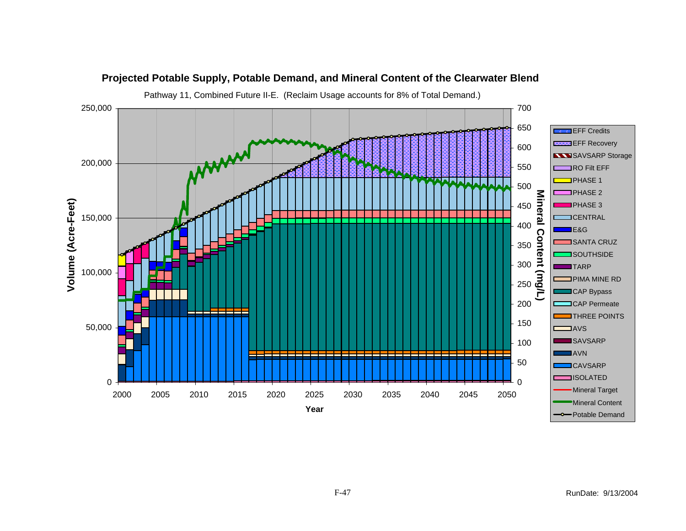![](_page_46_Figure_0.jpeg)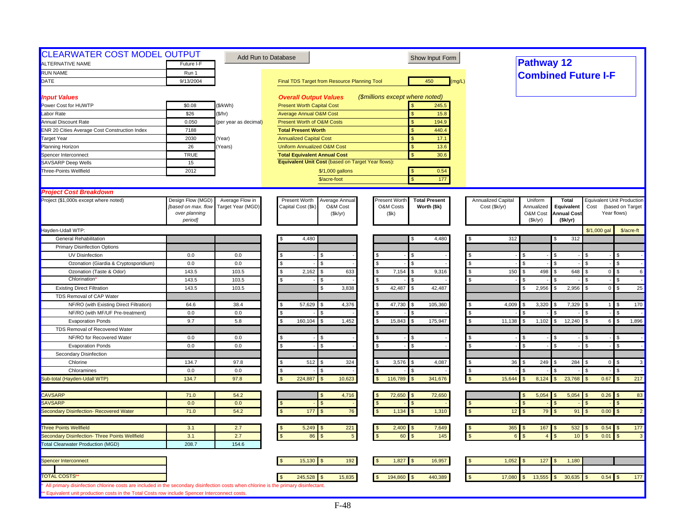| <b>RUN NAME</b><br>Run 1<br><b>Combined Future I-F</b><br>450<br>DATE<br>9/13/2004<br>Final TDS Target from Resource Planning Tool<br>(mq/L)<br>(\$millions except where noted)<br><b>Input Values</b><br><b>Overall Output Values</b><br>245.5<br>Power Cost for HUWTP<br>\$0.08<br>(\$/kWh)<br><b>Present Worth Capital Cost</b><br>\$26<br>(\$/hr)<br>15.8<br>Labor Rate<br><b>Average Annual O&amp;M Cost</b><br>$\mathbf{s}$<br>0.050<br><b>Present Worth of O&amp;M Costs</b><br>$\mathbf{s}$<br>194.9<br><b>Annual Discount Rate</b><br>(per year as decimal)<br>440.4<br><b>ENR 20 Cities Average Cost Construction Index</b><br>7188<br><b>Total Present Worth</b><br>\$<br>2030<br>17.1<br><b>Target Year</b><br>Year)<br><b>Annualized Capital Cost</b><br>Planning Horizon<br>26<br>Years)<br><b>Uniform Annualized O&amp;M Cost</b><br>$\mathbf{s}$<br>13.6<br><b>TRUE</b><br>$\mathbf{s}$<br>30.6<br>Spencer Interconnect<br><b>Total Equivalent Annual Cost</b><br>Equivalent Unit Cost (based on Target Year flows):<br>SAVSARP Deep Wells<br>15<br>Three-Points Wellfield<br>2012<br>0.54<br>\$/1,000 gallons<br>\$/acre-foot<br>177<br>$\mathbf{\hat{S}}$<br><b>Project Cost Breakdown</b><br>Project (\$1,000s except where noted)<br>Design Flow (MGD)<br>Average Flow in<br>Present Worth<br>Average Annual<br>Present Worth<br><b>Total Present</b><br>Annualized Capital<br>Uniform<br><b>Total</b><br><b>Equivalent Unit Production</b><br>O&M Costs<br>[based on max. flow<br>Target Year (MGD)<br>Capital Cost (\$k<br>O&M Cost<br>Worth (\$k)<br>Cost (\$k/yr)<br>Annualized<br>Equivalent<br>Cost<br>(based on Target<br>over planning<br>(\$k/yr)<br>(Sk)<br>O&M Cost<br><b>Annual Cost</b><br>Year flows)<br>period]<br>(Sk/yr)<br>(\$k/yr)<br>Hayden-Udall WTP:<br>\$/1,000 gal<br><b>General Rehabilitation</b><br>4,480<br>312<br>4,480<br>312<br>S<br><b>Primary Disinfection Options</b><br>UV Disinfection<br>0.0<br>0.0<br>\$.<br>Ozonation (Giardia & Cryptosporidium)<br>0.0<br>0.0<br>\$.<br>$\mathfrak{L}$<br>$\mathbf{S}$<br><b>S</b><br>$\mathfrak{R}$<br>\$<br>\$<br>103.5<br>Ozonation (Taste & Odor)<br>143.5<br>s.<br>2,162<br>633<br>7,154<br>150<br>498<br>648<br>$\mathfrak{L}$<br>\$.<br>l S<br>9,316<br>- \$<br>$\overline{0}$<br>\$<br>Chlorination<br>143.5<br>103.5<br>\$<br>\$<br>l \$<br>143.5<br>3,838<br>42,487<br>42,487<br>2,956<br>2,956<br><b>Existing Direct Filtration</b><br>103.5<br>l S<br>$\overline{0}$<br>$\mathbf S$<br>TDS Removal of CAP Water<br>57,629<br>4,009<br>3,320<br>NF/RO (with Existing Direct Filtration)<br>64.6<br>38.4<br>4,376<br>47,730<br>l \$<br>105,360<br>7,329<br>-S<br>NF/RO (with MF/UF Pre-treatment)<br>0.0<br>0.0<br>9.7<br>5.8<br>160,104<br>1,452<br>15,843<br>175,947<br>11,138<br>1,102<br>12,240<br>$\mathfrak{s}$<br><b>Evaporation Ponds</b><br>s.<br>$\sqrt{2}$<br><b>S</b><br>6 <sup>1</sup><br>\$<br>\$.<br>TDS Removal of Recovered Water<br>NF/RO for Recovered Water<br>0.0<br>0.0<br>\$<br>0.0<br><b>Evaporation Ponds</b><br>0.0<br>$\mathfrak{L}$<br>\$.<br>$\mathfrak{L}$<br><b>Secondary Disinfection</b><br>Chlorine<br>134.7<br>97.8<br>512<br>324<br>3,576<br>4,087<br>36<br>249<br>284<br>$\overline{0}$<br>$\mathfrak{L}$<br>Chloramines<br>0.0<br>0.0<br>$\mathfrak{L}$<br>\$.<br>97.8<br>224,887<br>10,623<br>116,789<br>341,676<br>15,644<br>23,768<br>0.67<br>Sub-total (Hayden-Udall WTP)<br>134.7<br>8,124<br><b>CAVSARP</b><br>5,054<br>0.26<br>71.0<br>54.2<br>4,716<br>72,650<br>72,650<br>5,054<br>l \$<br>l \$<br><b>SAVSARP</b><br>0.0<br>0.0<br><sub>S</sub><br>ፍ<br>$\mathfrak{L}$<br>71.0<br>54.2<br>177<br>76<br>1,134<br>1,310<br>79<br>Secondary Disinfection- Recovered Water<br>$\mathbf{s}$<br>12<br>91<br>0.00<br>$\mathfrak{s}$<br><b>Three Points Wellfield</b><br>5,249<br>2,400<br>7,649<br>$365$ \$<br>167<br>532<br>$0.54$ \$<br>3.1<br>221<br>2.7<br>145<br>Secondary Disinfection- Three Points Wellfield<br>3.1<br>2.7<br>86<br>60<br>10<br>0.01<br>5<br>$\mathbf{\hat{f}}$<br><b>Total Clearwater Production (MGD)</b><br>208.7<br>154.6<br>192<br>1,052<br>127<br>1,180<br>15,130<br>1,827<br>16,957<br>Spencer Interconnect<br>\$ | <b>CLEARWATER COST MODEL OUTPUT</b><br>ALTERNATIVE NAME | Future I-F | Add Run to Database | Show Input Form | <b>Pathway 12</b> |  |                |
|-------------------------------------------------------------------------------------------------------------------------------------------------------------------------------------------------------------------------------------------------------------------------------------------------------------------------------------------------------------------------------------------------------------------------------------------------------------------------------------------------------------------------------------------------------------------------------------------------------------------------------------------------------------------------------------------------------------------------------------------------------------------------------------------------------------------------------------------------------------------------------------------------------------------------------------------------------------------------------------------------------------------------------------------------------------------------------------------------------------------------------------------------------------------------------------------------------------------------------------------------------------------------------------------------------------------------------------------------------------------------------------------------------------------------------------------------------------------------------------------------------------------------------------------------------------------------------------------------------------------------------------------------------------------------------------------------------------------------------------------------------------------------------------------------------------------------------------------------------------------------------------------------------------------------------------------------------------------------------------------------------------------------------------------------------------------------------------------------------------------------------------------------------------------------------------------------------------------------------------------------------------------------------------------------------------------------------------------------------------------------------------------------------------------------------------------------------------------------------------------------------------------------------------------------------------------------------------------------------------------------------------------------------------------------------------------------------------------------------------------------------------------------------------------------------------------------------------------------------------------------------------------------------------------------------------------------------------------------------------------------------------------------------------------------------------------------------------------------------------------------------------------------------------------------------------------------------------------------------------------------------------------------------------------------------------------------------------------------------------------------------------------------------------------------------------------------------------------------------------------------------------------------------------------------------------------------------------------------------------------------------------------------------------------------------------------------------------------------------------------------------------------------------------------------------------------------------------------------------------------------------------------------------------------------------------------------------------------------------------------------------------------------------------------------------------------------------------------------------------------------------------------------------------------------------------------------|---------------------------------------------------------|------------|---------------------|-----------------|-------------------|--|----------------|
|                                                                                                                                                                                                                                                                                                                                                                                                                                                                                                                                                                                                                                                                                                                                                                                                                                                                                                                                                                                                                                                                                                                                                                                                                                                                                                                                                                                                                                                                                                                                                                                                                                                                                                                                                                                                                                                                                                                                                                                                                                                                                                                                                                                                                                                                                                                                                                                                                                                                                                                                                                                                                                                                                                                                                                                                                                                                                                                                                                                                                                                                                                                                                                                                                                                                                                                                                                                                                                                                                                                                                                                                                                                                                                                                                                                                                                                                                                                                                                                                                                                                                                                                                                                                 |                                                         |            |                     |                 |                   |  |                |
|                                                                                                                                                                                                                                                                                                                                                                                                                                                                                                                                                                                                                                                                                                                                                                                                                                                                                                                                                                                                                                                                                                                                                                                                                                                                                                                                                                                                                                                                                                                                                                                                                                                                                                                                                                                                                                                                                                                                                                                                                                                                                                                                                                                                                                                                                                                                                                                                                                                                                                                                                                                                                                                                                                                                                                                                                                                                                                                                                                                                                                                                                                                                                                                                                                                                                                                                                                                                                                                                                                                                                                                                                                                                                                                                                                                                                                                                                                                                                                                                                                                                                                                                                                                                 |                                                         |            |                     |                 |                   |  |                |
|                                                                                                                                                                                                                                                                                                                                                                                                                                                                                                                                                                                                                                                                                                                                                                                                                                                                                                                                                                                                                                                                                                                                                                                                                                                                                                                                                                                                                                                                                                                                                                                                                                                                                                                                                                                                                                                                                                                                                                                                                                                                                                                                                                                                                                                                                                                                                                                                                                                                                                                                                                                                                                                                                                                                                                                                                                                                                                                                                                                                                                                                                                                                                                                                                                                                                                                                                                                                                                                                                                                                                                                                                                                                                                                                                                                                                                                                                                                                                                                                                                                                                                                                                                                                 |                                                         |            |                     |                 |                   |  |                |
|                                                                                                                                                                                                                                                                                                                                                                                                                                                                                                                                                                                                                                                                                                                                                                                                                                                                                                                                                                                                                                                                                                                                                                                                                                                                                                                                                                                                                                                                                                                                                                                                                                                                                                                                                                                                                                                                                                                                                                                                                                                                                                                                                                                                                                                                                                                                                                                                                                                                                                                                                                                                                                                                                                                                                                                                                                                                                                                                                                                                                                                                                                                                                                                                                                                                                                                                                                                                                                                                                                                                                                                                                                                                                                                                                                                                                                                                                                                                                                                                                                                                                                                                                                                                 |                                                         |            |                     |                 |                   |  |                |
|                                                                                                                                                                                                                                                                                                                                                                                                                                                                                                                                                                                                                                                                                                                                                                                                                                                                                                                                                                                                                                                                                                                                                                                                                                                                                                                                                                                                                                                                                                                                                                                                                                                                                                                                                                                                                                                                                                                                                                                                                                                                                                                                                                                                                                                                                                                                                                                                                                                                                                                                                                                                                                                                                                                                                                                                                                                                                                                                                                                                                                                                                                                                                                                                                                                                                                                                                                                                                                                                                                                                                                                                                                                                                                                                                                                                                                                                                                                                                                                                                                                                                                                                                                                                 |                                                         |            |                     |                 |                   |  |                |
|                                                                                                                                                                                                                                                                                                                                                                                                                                                                                                                                                                                                                                                                                                                                                                                                                                                                                                                                                                                                                                                                                                                                                                                                                                                                                                                                                                                                                                                                                                                                                                                                                                                                                                                                                                                                                                                                                                                                                                                                                                                                                                                                                                                                                                                                                                                                                                                                                                                                                                                                                                                                                                                                                                                                                                                                                                                                                                                                                                                                                                                                                                                                                                                                                                                                                                                                                                                                                                                                                                                                                                                                                                                                                                                                                                                                                                                                                                                                                                                                                                                                                                                                                                                                 |                                                         |            |                     |                 |                   |  |                |
|                                                                                                                                                                                                                                                                                                                                                                                                                                                                                                                                                                                                                                                                                                                                                                                                                                                                                                                                                                                                                                                                                                                                                                                                                                                                                                                                                                                                                                                                                                                                                                                                                                                                                                                                                                                                                                                                                                                                                                                                                                                                                                                                                                                                                                                                                                                                                                                                                                                                                                                                                                                                                                                                                                                                                                                                                                                                                                                                                                                                                                                                                                                                                                                                                                                                                                                                                                                                                                                                                                                                                                                                                                                                                                                                                                                                                                                                                                                                                                                                                                                                                                                                                                                                 |                                                         |            |                     |                 |                   |  |                |
|                                                                                                                                                                                                                                                                                                                                                                                                                                                                                                                                                                                                                                                                                                                                                                                                                                                                                                                                                                                                                                                                                                                                                                                                                                                                                                                                                                                                                                                                                                                                                                                                                                                                                                                                                                                                                                                                                                                                                                                                                                                                                                                                                                                                                                                                                                                                                                                                                                                                                                                                                                                                                                                                                                                                                                                                                                                                                                                                                                                                                                                                                                                                                                                                                                                                                                                                                                                                                                                                                                                                                                                                                                                                                                                                                                                                                                                                                                                                                                                                                                                                                                                                                                                                 |                                                         |            |                     |                 |                   |  |                |
|                                                                                                                                                                                                                                                                                                                                                                                                                                                                                                                                                                                                                                                                                                                                                                                                                                                                                                                                                                                                                                                                                                                                                                                                                                                                                                                                                                                                                                                                                                                                                                                                                                                                                                                                                                                                                                                                                                                                                                                                                                                                                                                                                                                                                                                                                                                                                                                                                                                                                                                                                                                                                                                                                                                                                                                                                                                                                                                                                                                                                                                                                                                                                                                                                                                                                                                                                                                                                                                                                                                                                                                                                                                                                                                                                                                                                                                                                                                                                                                                                                                                                                                                                                                                 |                                                         |            |                     |                 |                   |  |                |
|                                                                                                                                                                                                                                                                                                                                                                                                                                                                                                                                                                                                                                                                                                                                                                                                                                                                                                                                                                                                                                                                                                                                                                                                                                                                                                                                                                                                                                                                                                                                                                                                                                                                                                                                                                                                                                                                                                                                                                                                                                                                                                                                                                                                                                                                                                                                                                                                                                                                                                                                                                                                                                                                                                                                                                                                                                                                                                                                                                                                                                                                                                                                                                                                                                                                                                                                                                                                                                                                                                                                                                                                                                                                                                                                                                                                                                                                                                                                                                                                                                                                                                                                                                                                 |                                                         |            |                     |                 |                   |  |                |
|                                                                                                                                                                                                                                                                                                                                                                                                                                                                                                                                                                                                                                                                                                                                                                                                                                                                                                                                                                                                                                                                                                                                                                                                                                                                                                                                                                                                                                                                                                                                                                                                                                                                                                                                                                                                                                                                                                                                                                                                                                                                                                                                                                                                                                                                                                                                                                                                                                                                                                                                                                                                                                                                                                                                                                                                                                                                                                                                                                                                                                                                                                                                                                                                                                                                                                                                                                                                                                                                                                                                                                                                                                                                                                                                                                                                                                                                                                                                                                                                                                                                                                                                                                                                 |                                                         |            |                     |                 |                   |  |                |
|                                                                                                                                                                                                                                                                                                                                                                                                                                                                                                                                                                                                                                                                                                                                                                                                                                                                                                                                                                                                                                                                                                                                                                                                                                                                                                                                                                                                                                                                                                                                                                                                                                                                                                                                                                                                                                                                                                                                                                                                                                                                                                                                                                                                                                                                                                                                                                                                                                                                                                                                                                                                                                                                                                                                                                                                                                                                                                                                                                                                                                                                                                                                                                                                                                                                                                                                                                                                                                                                                                                                                                                                                                                                                                                                                                                                                                                                                                                                                                                                                                                                                                                                                                                                 |                                                         |            |                     |                 |                   |  |                |
|                                                                                                                                                                                                                                                                                                                                                                                                                                                                                                                                                                                                                                                                                                                                                                                                                                                                                                                                                                                                                                                                                                                                                                                                                                                                                                                                                                                                                                                                                                                                                                                                                                                                                                                                                                                                                                                                                                                                                                                                                                                                                                                                                                                                                                                                                                                                                                                                                                                                                                                                                                                                                                                                                                                                                                                                                                                                                                                                                                                                                                                                                                                                                                                                                                                                                                                                                                                                                                                                                                                                                                                                                                                                                                                                                                                                                                                                                                                                                                                                                                                                                                                                                                                                 |                                                         |            |                     |                 |                   |  |                |
|                                                                                                                                                                                                                                                                                                                                                                                                                                                                                                                                                                                                                                                                                                                                                                                                                                                                                                                                                                                                                                                                                                                                                                                                                                                                                                                                                                                                                                                                                                                                                                                                                                                                                                                                                                                                                                                                                                                                                                                                                                                                                                                                                                                                                                                                                                                                                                                                                                                                                                                                                                                                                                                                                                                                                                                                                                                                                                                                                                                                                                                                                                                                                                                                                                                                                                                                                                                                                                                                                                                                                                                                                                                                                                                                                                                                                                                                                                                                                                                                                                                                                                                                                                                                 |                                                         |            |                     |                 |                   |  |                |
|                                                                                                                                                                                                                                                                                                                                                                                                                                                                                                                                                                                                                                                                                                                                                                                                                                                                                                                                                                                                                                                                                                                                                                                                                                                                                                                                                                                                                                                                                                                                                                                                                                                                                                                                                                                                                                                                                                                                                                                                                                                                                                                                                                                                                                                                                                                                                                                                                                                                                                                                                                                                                                                                                                                                                                                                                                                                                                                                                                                                                                                                                                                                                                                                                                                                                                                                                                                                                                                                                                                                                                                                                                                                                                                                                                                                                                                                                                                                                                                                                                                                                                                                                                                                 |                                                         |            |                     |                 |                   |  |                |
|                                                                                                                                                                                                                                                                                                                                                                                                                                                                                                                                                                                                                                                                                                                                                                                                                                                                                                                                                                                                                                                                                                                                                                                                                                                                                                                                                                                                                                                                                                                                                                                                                                                                                                                                                                                                                                                                                                                                                                                                                                                                                                                                                                                                                                                                                                                                                                                                                                                                                                                                                                                                                                                                                                                                                                                                                                                                                                                                                                                                                                                                                                                                                                                                                                                                                                                                                                                                                                                                                                                                                                                                                                                                                                                                                                                                                                                                                                                                                                                                                                                                                                                                                                                                 |                                                         |            |                     |                 |                   |  |                |
|                                                                                                                                                                                                                                                                                                                                                                                                                                                                                                                                                                                                                                                                                                                                                                                                                                                                                                                                                                                                                                                                                                                                                                                                                                                                                                                                                                                                                                                                                                                                                                                                                                                                                                                                                                                                                                                                                                                                                                                                                                                                                                                                                                                                                                                                                                                                                                                                                                                                                                                                                                                                                                                                                                                                                                                                                                                                                                                                                                                                                                                                                                                                                                                                                                                                                                                                                                                                                                                                                                                                                                                                                                                                                                                                                                                                                                                                                                                                                                                                                                                                                                                                                                                                 |                                                         |            |                     |                 |                   |  |                |
|                                                                                                                                                                                                                                                                                                                                                                                                                                                                                                                                                                                                                                                                                                                                                                                                                                                                                                                                                                                                                                                                                                                                                                                                                                                                                                                                                                                                                                                                                                                                                                                                                                                                                                                                                                                                                                                                                                                                                                                                                                                                                                                                                                                                                                                                                                                                                                                                                                                                                                                                                                                                                                                                                                                                                                                                                                                                                                                                                                                                                                                                                                                                                                                                                                                                                                                                                                                                                                                                                                                                                                                                                                                                                                                                                                                                                                                                                                                                                                                                                                                                                                                                                                                                 |                                                         |            |                     |                 |                   |  |                |
|                                                                                                                                                                                                                                                                                                                                                                                                                                                                                                                                                                                                                                                                                                                                                                                                                                                                                                                                                                                                                                                                                                                                                                                                                                                                                                                                                                                                                                                                                                                                                                                                                                                                                                                                                                                                                                                                                                                                                                                                                                                                                                                                                                                                                                                                                                                                                                                                                                                                                                                                                                                                                                                                                                                                                                                                                                                                                                                                                                                                                                                                                                                                                                                                                                                                                                                                                                                                                                                                                                                                                                                                                                                                                                                                                                                                                                                                                                                                                                                                                                                                                                                                                                                                 |                                                         |            |                     |                 |                   |  |                |
|                                                                                                                                                                                                                                                                                                                                                                                                                                                                                                                                                                                                                                                                                                                                                                                                                                                                                                                                                                                                                                                                                                                                                                                                                                                                                                                                                                                                                                                                                                                                                                                                                                                                                                                                                                                                                                                                                                                                                                                                                                                                                                                                                                                                                                                                                                                                                                                                                                                                                                                                                                                                                                                                                                                                                                                                                                                                                                                                                                                                                                                                                                                                                                                                                                                                                                                                                                                                                                                                                                                                                                                                                                                                                                                                                                                                                                                                                                                                                                                                                                                                                                                                                                                                 |                                                         |            |                     |                 |                   |  | \$/acre-ft     |
|                                                                                                                                                                                                                                                                                                                                                                                                                                                                                                                                                                                                                                                                                                                                                                                                                                                                                                                                                                                                                                                                                                                                                                                                                                                                                                                                                                                                                                                                                                                                                                                                                                                                                                                                                                                                                                                                                                                                                                                                                                                                                                                                                                                                                                                                                                                                                                                                                                                                                                                                                                                                                                                                                                                                                                                                                                                                                                                                                                                                                                                                                                                                                                                                                                                                                                                                                                                                                                                                                                                                                                                                                                                                                                                                                                                                                                                                                                                                                                                                                                                                                                                                                                                                 |                                                         |            |                     |                 |                   |  |                |
|                                                                                                                                                                                                                                                                                                                                                                                                                                                                                                                                                                                                                                                                                                                                                                                                                                                                                                                                                                                                                                                                                                                                                                                                                                                                                                                                                                                                                                                                                                                                                                                                                                                                                                                                                                                                                                                                                                                                                                                                                                                                                                                                                                                                                                                                                                                                                                                                                                                                                                                                                                                                                                                                                                                                                                                                                                                                                                                                                                                                                                                                                                                                                                                                                                                                                                                                                                                                                                                                                                                                                                                                                                                                                                                                                                                                                                                                                                                                                                                                                                                                                                                                                                                                 |                                                         |            |                     |                 |                   |  |                |
|                                                                                                                                                                                                                                                                                                                                                                                                                                                                                                                                                                                                                                                                                                                                                                                                                                                                                                                                                                                                                                                                                                                                                                                                                                                                                                                                                                                                                                                                                                                                                                                                                                                                                                                                                                                                                                                                                                                                                                                                                                                                                                                                                                                                                                                                                                                                                                                                                                                                                                                                                                                                                                                                                                                                                                                                                                                                                                                                                                                                                                                                                                                                                                                                                                                                                                                                                                                                                                                                                                                                                                                                                                                                                                                                                                                                                                                                                                                                                                                                                                                                                                                                                                                                 |                                                         |            |                     |                 |                   |  |                |
|                                                                                                                                                                                                                                                                                                                                                                                                                                                                                                                                                                                                                                                                                                                                                                                                                                                                                                                                                                                                                                                                                                                                                                                                                                                                                                                                                                                                                                                                                                                                                                                                                                                                                                                                                                                                                                                                                                                                                                                                                                                                                                                                                                                                                                                                                                                                                                                                                                                                                                                                                                                                                                                                                                                                                                                                                                                                                                                                                                                                                                                                                                                                                                                                                                                                                                                                                                                                                                                                                                                                                                                                                                                                                                                                                                                                                                                                                                                                                                                                                                                                                                                                                                                                 |                                                         |            |                     |                 |                   |  |                |
|                                                                                                                                                                                                                                                                                                                                                                                                                                                                                                                                                                                                                                                                                                                                                                                                                                                                                                                                                                                                                                                                                                                                                                                                                                                                                                                                                                                                                                                                                                                                                                                                                                                                                                                                                                                                                                                                                                                                                                                                                                                                                                                                                                                                                                                                                                                                                                                                                                                                                                                                                                                                                                                                                                                                                                                                                                                                                                                                                                                                                                                                                                                                                                                                                                                                                                                                                                                                                                                                                                                                                                                                                                                                                                                                                                                                                                                                                                                                                                                                                                                                                                                                                                                                 |                                                         |            |                     |                 |                   |  | 6              |
|                                                                                                                                                                                                                                                                                                                                                                                                                                                                                                                                                                                                                                                                                                                                                                                                                                                                                                                                                                                                                                                                                                                                                                                                                                                                                                                                                                                                                                                                                                                                                                                                                                                                                                                                                                                                                                                                                                                                                                                                                                                                                                                                                                                                                                                                                                                                                                                                                                                                                                                                                                                                                                                                                                                                                                                                                                                                                                                                                                                                                                                                                                                                                                                                                                                                                                                                                                                                                                                                                                                                                                                                                                                                                                                                                                                                                                                                                                                                                                                                                                                                                                                                                                                                 |                                                         |            |                     |                 |                   |  |                |
|                                                                                                                                                                                                                                                                                                                                                                                                                                                                                                                                                                                                                                                                                                                                                                                                                                                                                                                                                                                                                                                                                                                                                                                                                                                                                                                                                                                                                                                                                                                                                                                                                                                                                                                                                                                                                                                                                                                                                                                                                                                                                                                                                                                                                                                                                                                                                                                                                                                                                                                                                                                                                                                                                                                                                                                                                                                                                                                                                                                                                                                                                                                                                                                                                                                                                                                                                                                                                                                                                                                                                                                                                                                                                                                                                                                                                                                                                                                                                                                                                                                                                                                                                                                                 |                                                         |            |                     |                 |                   |  | 25             |
|                                                                                                                                                                                                                                                                                                                                                                                                                                                                                                                                                                                                                                                                                                                                                                                                                                                                                                                                                                                                                                                                                                                                                                                                                                                                                                                                                                                                                                                                                                                                                                                                                                                                                                                                                                                                                                                                                                                                                                                                                                                                                                                                                                                                                                                                                                                                                                                                                                                                                                                                                                                                                                                                                                                                                                                                                                                                                                                                                                                                                                                                                                                                                                                                                                                                                                                                                                                                                                                                                                                                                                                                                                                                                                                                                                                                                                                                                                                                                                                                                                                                                                                                                                                                 |                                                         |            |                     |                 |                   |  |                |
|                                                                                                                                                                                                                                                                                                                                                                                                                                                                                                                                                                                                                                                                                                                                                                                                                                                                                                                                                                                                                                                                                                                                                                                                                                                                                                                                                                                                                                                                                                                                                                                                                                                                                                                                                                                                                                                                                                                                                                                                                                                                                                                                                                                                                                                                                                                                                                                                                                                                                                                                                                                                                                                                                                                                                                                                                                                                                                                                                                                                                                                                                                                                                                                                                                                                                                                                                                                                                                                                                                                                                                                                                                                                                                                                                                                                                                                                                                                                                                                                                                                                                                                                                                                                 |                                                         |            |                     |                 |                   |  | 170            |
|                                                                                                                                                                                                                                                                                                                                                                                                                                                                                                                                                                                                                                                                                                                                                                                                                                                                                                                                                                                                                                                                                                                                                                                                                                                                                                                                                                                                                                                                                                                                                                                                                                                                                                                                                                                                                                                                                                                                                                                                                                                                                                                                                                                                                                                                                                                                                                                                                                                                                                                                                                                                                                                                                                                                                                                                                                                                                                                                                                                                                                                                                                                                                                                                                                                                                                                                                                                                                                                                                                                                                                                                                                                                                                                                                                                                                                                                                                                                                                                                                                                                                                                                                                                                 |                                                         |            |                     |                 |                   |  |                |
|                                                                                                                                                                                                                                                                                                                                                                                                                                                                                                                                                                                                                                                                                                                                                                                                                                                                                                                                                                                                                                                                                                                                                                                                                                                                                                                                                                                                                                                                                                                                                                                                                                                                                                                                                                                                                                                                                                                                                                                                                                                                                                                                                                                                                                                                                                                                                                                                                                                                                                                                                                                                                                                                                                                                                                                                                                                                                                                                                                                                                                                                                                                                                                                                                                                                                                                                                                                                                                                                                                                                                                                                                                                                                                                                                                                                                                                                                                                                                                                                                                                                                                                                                                                                 |                                                         |            |                     |                 |                   |  | 1,896          |
|                                                                                                                                                                                                                                                                                                                                                                                                                                                                                                                                                                                                                                                                                                                                                                                                                                                                                                                                                                                                                                                                                                                                                                                                                                                                                                                                                                                                                                                                                                                                                                                                                                                                                                                                                                                                                                                                                                                                                                                                                                                                                                                                                                                                                                                                                                                                                                                                                                                                                                                                                                                                                                                                                                                                                                                                                                                                                                                                                                                                                                                                                                                                                                                                                                                                                                                                                                                                                                                                                                                                                                                                                                                                                                                                                                                                                                                                                                                                                                                                                                                                                                                                                                                                 |                                                         |            |                     |                 |                   |  |                |
|                                                                                                                                                                                                                                                                                                                                                                                                                                                                                                                                                                                                                                                                                                                                                                                                                                                                                                                                                                                                                                                                                                                                                                                                                                                                                                                                                                                                                                                                                                                                                                                                                                                                                                                                                                                                                                                                                                                                                                                                                                                                                                                                                                                                                                                                                                                                                                                                                                                                                                                                                                                                                                                                                                                                                                                                                                                                                                                                                                                                                                                                                                                                                                                                                                                                                                                                                                                                                                                                                                                                                                                                                                                                                                                                                                                                                                                                                                                                                                                                                                                                                                                                                                                                 |                                                         |            |                     |                 |                   |  |                |
|                                                                                                                                                                                                                                                                                                                                                                                                                                                                                                                                                                                                                                                                                                                                                                                                                                                                                                                                                                                                                                                                                                                                                                                                                                                                                                                                                                                                                                                                                                                                                                                                                                                                                                                                                                                                                                                                                                                                                                                                                                                                                                                                                                                                                                                                                                                                                                                                                                                                                                                                                                                                                                                                                                                                                                                                                                                                                                                                                                                                                                                                                                                                                                                                                                                                                                                                                                                                                                                                                                                                                                                                                                                                                                                                                                                                                                                                                                                                                                                                                                                                                                                                                                                                 |                                                         |            |                     |                 |                   |  |                |
|                                                                                                                                                                                                                                                                                                                                                                                                                                                                                                                                                                                                                                                                                                                                                                                                                                                                                                                                                                                                                                                                                                                                                                                                                                                                                                                                                                                                                                                                                                                                                                                                                                                                                                                                                                                                                                                                                                                                                                                                                                                                                                                                                                                                                                                                                                                                                                                                                                                                                                                                                                                                                                                                                                                                                                                                                                                                                                                                                                                                                                                                                                                                                                                                                                                                                                                                                                                                                                                                                                                                                                                                                                                                                                                                                                                                                                                                                                                                                                                                                                                                                                                                                                                                 |                                                         |            |                     |                 |                   |  |                |
|                                                                                                                                                                                                                                                                                                                                                                                                                                                                                                                                                                                                                                                                                                                                                                                                                                                                                                                                                                                                                                                                                                                                                                                                                                                                                                                                                                                                                                                                                                                                                                                                                                                                                                                                                                                                                                                                                                                                                                                                                                                                                                                                                                                                                                                                                                                                                                                                                                                                                                                                                                                                                                                                                                                                                                                                                                                                                                                                                                                                                                                                                                                                                                                                                                                                                                                                                                                                                                                                                                                                                                                                                                                                                                                                                                                                                                                                                                                                                                                                                                                                                                                                                                                                 |                                                         |            |                     |                 |                   |  | 3              |
|                                                                                                                                                                                                                                                                                                                                                                                                                                                                                                                                                                                                                                                                                                                                                                                                                                                                                                                                                                                                                                                                                                                                                                                                                                                                                                                                                                                                                                                                                                                                                                                                                                                                                                                                                                                                                                                                                                                                                                                                                                                                                                                                                                                                                                                                                                                                                                                                                                                                                                                                                                                                                                                                                                                                                                                                                                                                                                                                                                                                                                                                                                                                                                                                                                                                                                                                                                                                                                                                                                                                                                                                                                                                                                                                                                                                                                                                                                                                                                                                                                                                                                                                                                                                 |                                                         |            |                     |                 |                   |  |                |
|                                                                                                                                                                                                                                                                                                                                                                                                                                                                                                                                                                                                                                                                                                                                                                                                                                                                                                                                                                                                                                                                                                                                                                                                                                                                                                                                                                                                                                                                                                                                                                                                                                                                                                                                                                                                                                                                                                                                                                                                                                                                                                                                                                                                                                                                                                                                                                                                                                                                                                                                                                                                                                                                                                                                                                                                                                                                                                                                                                                                                                                                                                                                                                                                                                                                                                                                                                                                                                                                                                                                                                                                                                                                                                                                                                                                                                                                                                                                                                                                                                                                                                                                                                                                 |                                                         |            |                     |                 |                   |  | 217            |
|                                                                                                                                                                                                                                                                                                                                                                                                                                                                                                                                                                                                                                                                                                                                                                                                                                                                                                                                                                                                                                                                                                                                                                                                                                                                                                                                                                                                                                                                                                                                                                                                                                                                                                                                                                                                                                                                                                                                                                                                                                                                                                                                                                                                                                                                                                                                                                                                                                                                                                                                                                                                                                                                                                                                                                                                                                                                                                                                                                                                                                                                                                                                                                                                                                                                                                                                                                                                                                                                                                                                                                                                                                                                                                                                                                                                                                                                                                                                                                                                                                                                                                                                                                                                 |                                                         |            |                     |                 |                   |  |                |
|                                                                                                                                                                                                                                                                                                                                                                                                                                                                                                                                                                                                                                                                                                                                                                                                                                                                                                                                                                                                                                                                                                                                                                                                                                                                                                                                                                                                                                                                                                                                                                                                                                                                                                                                                                                                                                                                                                                                                                                                                                                                                                                                                                                                                                                                                                                                                                                                                                                                                                                                                                                                                                                                                                                                                                                                                                                                                                                                                                                                                                                                                                                                                                                                                                                                                                                                                                                                                                                                                                                                                                                                                                                                                                                                                                                                                                                                                                                                                                                                                                                                                                                                                                                                 |                                                         |            |                     |                 |                   |  | 83             |
|                                                                                                                                                                                                                                                                                                                                                                                                                                                                                                                                                                                                                                                                                                                                                                                                                                                                                                                                                                                                                                                                                                                                                                                                                                                                                                                                                                                                                                                                                                                                                                                                                                                                                                                                                                                                                                                                                                                                                                                                                                                                                                                                                                                                                                                                                                                                                                                                                                                                                                                                                                                                                                                                                                                                                                                                                                                                                                                                                                                                                                                                                                                                                                                                                                                                                                                                                                                                                                                                                                                                                                                                                                                                                                                                                                                                                                                                                                                                                                                                                                                                                                                                                                                                 |                                                         |            |                     |                 |                   |  |                |
|                                                                                                                                                                                                                                                                                                                                                                                                                                                                                                                                                                                                                                                                                                                                                                                                                                                                                                                                                                                                                                                                                                                                                                                                                                                                                                                                                                                                                                                                                                                                                                                                                                                                                                                                                                                                                                                                                                                                                                                                                                                                                                                                                                                                                                                                                                                                                                                                                                                                                                                                                                                                                                                                                                                                                                                                                                                                                                                                                                                                                                                                                                                                                                                                                                                                                                                                                                                                                                                                                                                                                                                                                                                                                                                                                                                                                                                                                                                                                                                                                                                                                                                                                                                                 |                                                         |            |                     |                 |                   |  | $\overline{2}$ |
|                                                                                                                                                                                                                                                                                                                                                                                                                                                                                                                                                                                                                                                                                                                                                                                                                                                                                                                                                                                                                                                                                                                                                                                                                                                                                                                                                                                                                                                                                                                                                                                                                                                                                                                                                                                                                                                                                                                                                                                                                                                                                                                                                                                                                                                                                                                                                                                                                                                                                                                                                                                                                                                                                                                                                                                                                                                                                                                                                                                                                                                                                                                                                                                                                                                                                                                                                                                                                                                                                                                                                                                                                                                                                                                                                                                                                                                                                                                                                                                                                                                                                                                                                                                                 |                                                         |            |                     |                 |                   |  |                |
|                                                                                                                                                                                                                                                                                                                                                                                                                                                                                                                                                                                                                                                                                                                                                                                                                                                                                                                                                                                                                                                                                                                                                                                                                                                                                                                                                                                                                                                                                                                                                                                                                                                                                                                                                                                                                                                                                                                                                                                                                                                                                                                                                                                                                                                                                                                                                                                                                                                                                                                                                                                                                                                                                                                                                                                                                                                                                                                                                                                                                                                                                                                                                                                                                                                                                                                                                                                                                                                                                                                                                                                                                                                                                                                                                                                                                                                                                                                                                                                                                                                                                                                                                                                                 |                                                         |            |                     |                 |                   |  | 177            |
|                                                                                                                                                                                                                                                                                                                                                                                                                                                                                                                                                                                                                                                                                                                                                                                                                                                                                                                                                                                                                                                                                                                                                                                                                                                                                                                                                                                                                                                                                                                                                                                                                                                                                                                                                                                                                                                                                                                                                                                                                                                                                                                                                                                                                                                                                                                                                                                                                                                                                                                                                                                                                                                                                                                                                                                                                                                                                                                                                                                                                                                                                                                                                                                                                                                                                                                                                                                                                                                                                                                                                                                                                                                                                                                                                                                                                                                                                                                                                                                                                                                                                                                                                                                                 |                                                         |            |                     |                 |                   |  | $\mathbf{3}$   |
|                                                                                                                                                                                                                                                                                                                                                                                                                                                                                                                                                                                                                                                                                                                                                                                                                                                                                                                                                                                                                                                                                                                                                                                                                                                                                                                                                                                                                                                                                                                                                                                                                                                                                                                                                                                                                                                                                                                                                                                                                                                                                                                                                                                                                                                                                                                                                                                                                                                                                                                                                                                                                                                                                                                                                                                                                                                                                                                                                                                                                                                                                                                                                                                                                                                                                                                                                                                                                                                                                                                                                                                                                                                                                                                                                                                                                                                                                                                                                                                                                                                                                                                                                                                                 |                                                         |            |                     |                 |                   |  |                |
|                                                                                                                                                                                                                                                                                                                                                                                                                                                                                                                                                                                                                                                                                                                                                                                                                                                                                                                                                                                                                                                                                                                                                                                                                                                                                                                                                                                                                                                                                                                                                                                                                                                                                                                                                                                                                                                                                                                                                                                                                                                                                                                                                                                                                                                                                                                                                                                                                                                                                                                                                                                                                                                                                                                                                                                                                                                                                                                                                                                                                                                                                                                                                                                                                                                                                                                                                                                                                                                                                                                                                                                                                                                                                                                                                                                                                                                                                                                                                                                                                                                                                                                                                                                                 |                                                         |            |                     |                 |                   |  |                |
|                                                                                                                                                                                                                                                                                                                                                                                                                                                                                                                                                                                                                                                                                                                                                                                                                                                                                                                                                                                                                                                                                                                                                                                                                                                                                                                                                                                                                                                                                                                                                                                                                                                                                                                                                                                                                                                                                                                                                                                                                                                                                                                                                                                                                                                                                                                                                                                                                                                                                                                                                                                                                                                                                                                                                                                                                                                                                                                                                                                                                                                                                                                                                                                                                                                                                                                                                                                                                                                                                                                                                                                                                                                                                                                                                                                                                                                                                                                                                                                                                                                                                                                                                                                                 |                                                         |            |                     |                 |                   |  |                |
|                                                                                                                                                                                                                                                                                                                                                                                                                                                                                                                                                                                                                                                                                                                                                                                                                                                                                                                                                                                                                                                                                                                                                                                                                                                                                                                                                                                                                                                                                                                                                                                                                                                                                                                                                                                                                                                                                                                                                                                                                                                                                                                                                                                                                                                                                                                                                                                                                                                                                                                                                                                                                                                                                                                                                                                                                                                                                                                                                                                                                                                                                                                                                                                                                                                                                                                                                                                                                                                                                                                                                                                                                                                                                                                                                                                                                                                                                                                                                                                                                                                                                                                                                                                                 |                                                         |            |                     |                 |                   |  |                |
| <b>TOTAL COSTS</b><br>245,528<br>15,835<br>194,860<br>440,389<br>17,080<br>13,555<br>30,635<br>$0.54$ \$                                                                                                                                                                                                                                                                                                                                                                                                                                                                                                                                                                                                                                                                                                                                                                                                                                                                                                                                                                                                                                                                                                                                                                                                                                                                                                                                                                                                                                                                                                                                                                                                                                                                                                                                                                                                                                                                                                                                                                                                                                                                                                                                                                                                                                                                                                                                                                                                                                                                                                                                                                                                                                                                                                                                                                                                                                                                                                                                                                                                                                                                                                                                                                                                                                                                                                                                                                                                                                                                                                                                                                                                                                                                                                                                                                                                                                                                                                                                                                                                                                                                                        |                                                         |            |                     |                 |                   |  | 177            |
| All primary disinfection chlorine costs are included in the secondary disinfection costs when chlorine is the primary disinfectant.                                                                                                                                                                                                                                                                                                                                                                                                                                                                                                                                                                                                                                                                                                                                                                                                                                                                                                                                                                                                                                                                                                                                                                                                                                                                                                                                                                                                                                                                                                                                                                                                                                                                                                                                                                                                                                                                                                                                                                                                                                                                                                                                                                                                                                                                                                                                                                                                                                                                                                                                                                                                                                                                                                                                                                                                                                                                                                                                                                                                                                                                                                                                                                                                                                                                                                                                                                                                                                                                                                                                                                                                                                                                                                                                                                                                                                                                                                                                                                                                                                                             |                                                         |            |                     |                 |                   |  |                |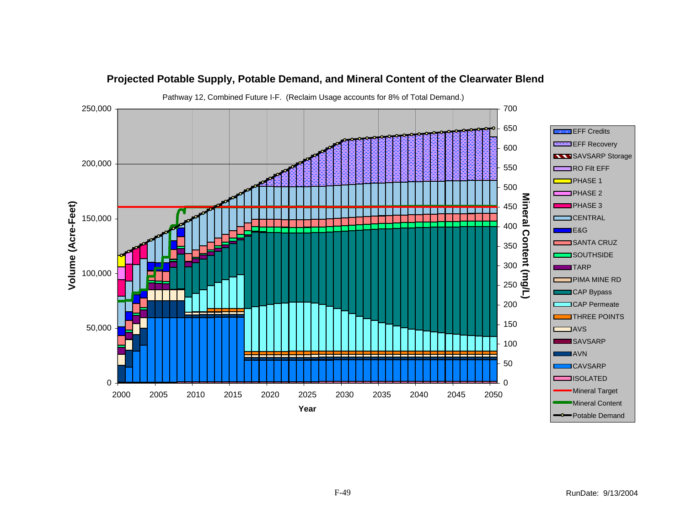![](_page_48_Figure_0.jpeg)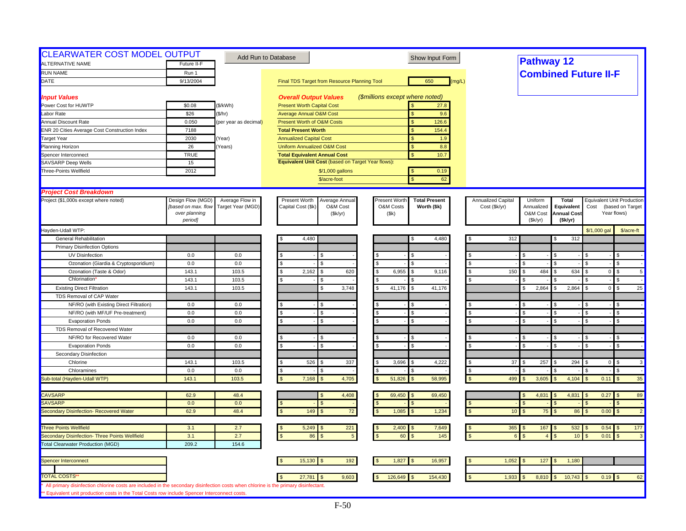| <b>CLEARWATER COST MODEL OUTPUT</b><br>ALTERNATIVE NAME | Future II-F         |                       | Add Run to Database                                |                                 | Show Input Form       |                    | <b>Pathway 12</b>            |                         |                      |                                   |
|---------------------------------------------------------|---------------------|-----------------------|----------------------------------------------------|---------------------------------|-----------------------|--------------------|------------------------------|-------------------------|----------------------|-----------------------------------|
| <b>RUN NAME</b>                                         | Run 1               |                       |                                                    |                                 |                       |                    | <b>Combined Future II-F</b>  |                         |                      |                                   |
| DATE                                                    | 9/13/2004           |                       | Final TDS Target from Resource Planning Tool       |                                 | 650<br>(mq/L)         |                    |                              |                         |                      |                                   |
|                                                         |                     |                       |                                                    |                                 |                       |                    |                              |                         |                      |                                   |
| <b>Input Values</b>                                     |                     |                       | <b>Overall Output Values</b>                       | (\$millions except where noted) |                       |                    |                              |                         |                      |                                   |
| Power Cost for HUWTP                                    | \$0.08              | (\$/kWh)              | <b>Present Worth Capital Cost</b>                  |                                 | 27.8                  |                    |                              |                         |                      |                                   |
| Labor Rate                                              | \$26                | \$/hr)                | <b>Average Annual O&amp;M Cost</b>                 |                                 | 9.6                   |                    |                              |                         |                      |                                   |
| <b>Annual Discount Rate</b>                             | 0.050               | (per year as decimal) | <b>Present Worth of O&amp;M Costs</b>              |                                 | $\mathbf{s}$<br>126.6 |                    |                              |                         |                      |                                   |
| <b>ENR 20 Cities Average Cost Construction Index</b>    | 7188                |                       | <b>Total Present Worth</b>                         |                                 | 154.4<br>\$           |                    |                              |                         |                      |                                   |
| <b>Target Year</b>                                      | 2030                | Year)                 | <b>Annualized Capital Cost</b>                     |                                 | \$<br>1.9             |                    |                              |                         |                      |                                   |
| Planning Horizon                                        | 26                  | Years)                | <b>Uniform Annualized O&amp;M Cost</b>             |                                 | \$<br>8.8             |                    |                              |                         |                      |                                   |
| Spencer Interconnect                                    | <b>TRUE</b>         |                       | <b>Total Equivalent Annual Cost</b>                |                                 | \$<br>10.7            |                    |                              |                         |                      |                                   |
| SAVSARP Deep Wells                                      | 15                  |                       | Equivalent Unit Cost (based on Target Year flows): |                                 |                       |                    |                              |                         |                      |                                   |
| Three-Points Wellfield                                  | 2012                |                       | \$/1,000 gallons                                   |                                 | 0.19                  |                    |                              |                         |                      |                                   |
|                                                         |                     |                       | \$/acre-foot                                       |                                 | 62<br>\$.             |                    |                              |                         |                      |                                   |
|                                                         |                     |                       |                                                    |                                 |                       |                    |                              |                         |                      |                                   |
| <b>Project Cost Breakdown</b>                           |                     |                       |                                                    |                                 |                       |                    |                              |                         |                      |                                   |
| Project (\$1,000s except where noted)                   | Design Flow (MGD)   | Average Flow in       | Present Worth<br>Average Annual                    | <b>Present Worth</b>            | <b>Total Present</b>  | Annualized Capital | Uniform                      | <b>Total</b>            |                      | <b>Equivalent Unit Production</b> |
|                                                         | [based on max. flow | Target Year (MGD)     | Capital Cost (\$k)<br>O&M Cost                     | O&M Costs                       | Worth (\$k)           | Cost (\$k/yr)      | Annualized                   | Equivalent              | Cost                 | (based on Target                  |
|                                                         | over planning       |                       | (\$k/yr)                                           | (Sk)                            |                       |                    | O&M Cost                     | <b>Annual Cost</b>      |                      | Year flows)                       |
|                                                         | period]             |                       |                                                    |                                 |                       |                    | (Sk/yr)                      | (Sk/yr)                 |                      |                                   |
| Hayden-Udall WTP:                                       |                     |                       |                                                    |                                 |                       |                    |                              |                         | \$/1,000 gal         | \$/acre-ft                        |
| General Rehabilitation                                  |                     |                       | 4,480                                              |                                 | 4,480                 | 312                |                              | 312                     |                      |                                   |
| <b>Primary Disinfection Options</b>                     |                     |                       |                                                    |                                 |                       |                    |                              |                         |                      |                                   |
| UV Disinfection                                         | 0.0                 | 0.0                   |                                                    |                                 |                       |                    | -S                           | - \$                    |                      |                                   |
| Ozonation (Giardia & Cryptosporidium)                   | 0.0                 | 0.0                   | \$<br>\$                                           | $\mathfrak{L}$                  |                       | - \$               |                              | $\mathfrak{g}$          | $\mathbf{s}$         | $\mathfrak{L}$                    |
| Ozonation (Taste & Odor)                                | 143.1               | 103.5                 | S.<br>2,162<br>620<br>\$.                          | 6,955                           | S.<br>9,116           | 150<br>- \$        | 484                          | 634<br>- \$             | $\overline{0}$       | 5<br>\$                           |
| Chlorination                                            | 143.1               | 103.5                 | \$<br>S.                                           |                                 |                       |                    |                              |                         |                      | $\mathfrak{s}$                    |
| <b>Existing Direct Filtration</b>                       | 143.1               | 103.5                 | 3,748<br>S                                         | 41,176                          | 41,176                |                    | 2,864<br>\$                  | 2,864<br>$\mathfrak{s}$ | $\overline{0}$       | 25<br>$\mathbf{s}$                |
| TDS Removal of CAP Water                                |                     |                       |                                                    |                                 |                       |                    |                              |                         |                      |                                   |
| NF/RO (with Existing Direct Filtration)                 | 0.0                 | 0.0                   |                                                    |                                 |                       |                    |                              |                         |                      |                                   |
| NF/RO (with MF/UF Pre-treatment)                        | 0.0                 | 0.0                   | \$.<br>\$.                                         |                                 | £.                    |                    | -S                           | - \$                    |                      | $\mathfrak{L}$                    |
| <b>Evaporation Ponds</b>                                | 0.0                 | 0.0                   | \$<br>\$.                                          |                                 | \$                    |                    | $\mathbf{s}$                 | <b>S</b>                | $\mathbf{s}$         | $\mathfrak{s}$                    |
| TDS Removal of Recovered Water                          |                     |                       |                                                    |                                 |                       |                    |                              |                         |                      |                                   |
| NF/RO for Recovered Water                               | 0.0                 | 0.0                   | S                                                  |                                 |                       |                    |                              | - \$                    |                      |                                   |
| <b>Evaporation Ponds</b>                                | 0.0                 | 0.0                   | S<br>\$                                            |                                 |                       |                    | $\mathbf{s}$                 | <b>S</b>                | $\mathbf{s}$         | $\mathfrak{s}$                    |
| Secondary Disinfection                                  |                     |                       |                                                    |                                 |                       |                    |                              |                         |                      |                                   |
| Chlorine                                                | 143.1               | 103.5                 | \$<br>526<br>337                                   | 3,696                           | 4,222                 |                    | 257<br>37                    | 294                     | $\mathbf 0$          | $\overline{\mathbf{3}}$           |
| Chloramines                                             | 0.0                 | 0.0                   | S                                                  |                                 |                       | <b>S</b>           |                              |                         | -S                   |                                   |
| Sub-total (Hayden-Udall WTP)                            | 143.1               | 103.5                 | 7,168<br>4,705                                     | 51,826                          | 58,995                | 499                | 3,605                        | 4,104                   | 0.11                 | 35                                |
|                                                         |                     |                       |                                                    |                                 |                       |                    |                              |                         |                      |                                   |
|                                                         |                     |                       |                                                    |                                 |                       |                    |                              |                         |                      |                                   |
| <b>CAVSARP</b>                                          | 62.9                | 48.4                  | 4,408                                              | 69,450                          | 69,450                |                    | 4,831<br>$\hat{\mathcal{L}}$ | 4,831<br>l \$           | 0.27                 | 89<br><b>SP</b>                   |
| <b>SAVSARP</b>                                          | 0.0                 | 0.0                   | $\mathbf{s}$<br>$\mathfrak{L}$                     |                                 | $\mathfrak{s}$        |                    |                              | $\mathfrak{s}$          | $\mathbf{s}$         | $\mathfrak{s}$                    |
| Secondary Disinfection- Recovered Water                 | 62.9                | 48.4                  | 149<br>$72\,$<br>$\mathfrak{s}$                    | 1,085                           | 1,234<br>$\mathbf{s}$ |                    | 75<br>10 <sup>1</sup>        | 86<br><b>S</b>          | 0.00<br>$\mathbf{s}$ | $\mathfrak{s}$<br>$\vert$ 2       |
|                                                         |                     |                       |                                                    |                                 |                       |                    |                              |                         |                      |                                   |
| <b>Three Points Wellfield</b>                           | 3.1                 | 2.7                   | 5,249<br>221                                       | 2,400                           | 7,649                 |                    | $365$ \$<br>167              | 532<br>۱\$              | 0.54                 | 177                               |
| Secondary Disinfection- Three Points Wellfield          | 3.1                 | 2.7                   | $\hat{\mathbf{s}}$<br>86<br>$5\overline{5}$        | 60                              | 145                   | $\mathbf{\hat{S}}$ | $\overline{A}$               | 10 <sup>1</sup>         | 0.01                 | $\mathbf{3}$                      |
| <b>Total Clearwater Production (MGD)</b>                | 209.2               | 154.6                 |                                                    |                                 |                       |                    |                              |                         |                      |                                   |
|                                                         |                     |                       |                                                    |                                 |                       |                    |                              |                         |                      |                                   |
| Spencer Interconnect                                    |                     |                       | 15,130<br>192                                      | 1,827                           | 16,957                | 1,052              | 127<br>-\$                   | 1,180<br>$\sqrt{3}$     |                      |                                   |
|                                                         |                     |                       |                                                    |                                 |                       |                    |                              |                         |                      |                                   |
| <b>TOTAL COSTS</b>                                      |                     |                       | 9,603<br>27,781                                    | 126,649                         | 154,430               | 1,933              | 8,810                        | 10,743                  | 0.19                 | 62                                |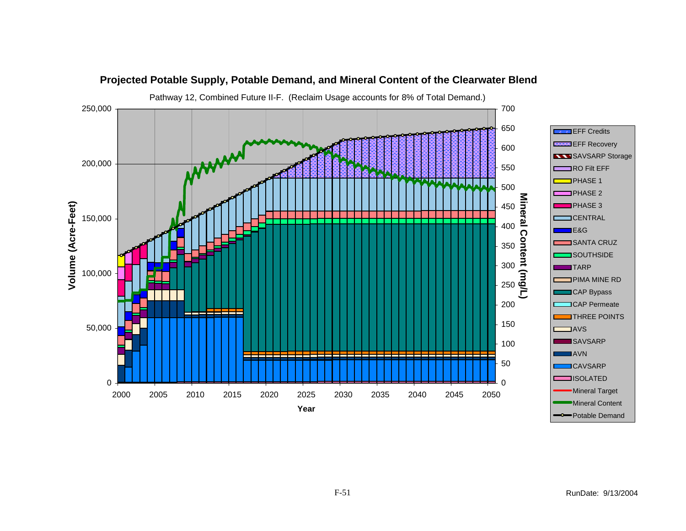![](_page_50_Figure_0.jpeg)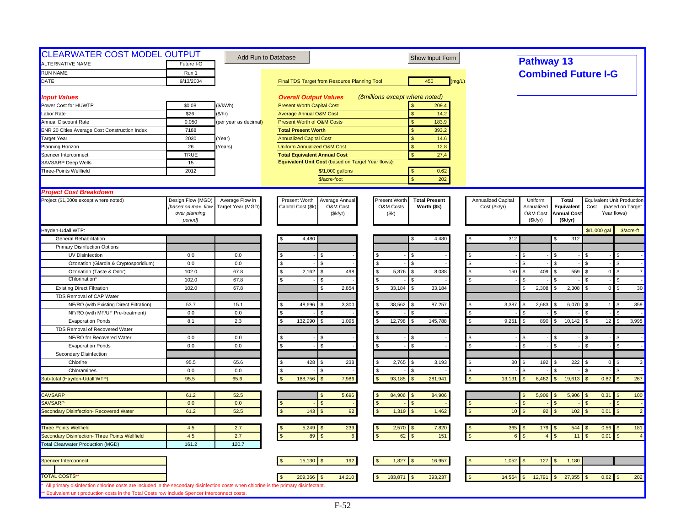| <b>CLEARWATER COST MODEL OUTPUT</b><br><b>ALTERNATIVE NAME</b>                                                                                                                                                                       | Future I-G          | Add Run to Database   |                                                    | Show Input Form                       |                           | <b>Pathway 13</b>       |                    |                            |                                   |
|--------------------------------------------------------------------------------------------------------------------------------------------------------------------------------------------------------------------------------------|---------------------|-----------------------|----------------------------------------------------|---------------------------------------|---------------------------|-------------------------|--------------------|----------------------------|-----------------------------------|
| <b>RUN NAME</b>                                                                                                                                                                                                                      |                     |                       |                                                    |                                       |                           |                         |                    |                            |                                   |
| DATE                                                                                                                                                                                                                                 | Run 1<br>9/13/2004  |                       |                                                    | 450                                   |                           |                         |                    | <b>Combined Future I-G</b> |                                   |
|                                                                                                                                                                                                                                      |                     |                       | Final TDS Target from Resource Planning Tool       | (mg/L)                                |                           |                         |                    |                            |                                   |
| <b>Input Values</b>                                                                                                                                                                                                                  |                     |                       | <b>Overall Output Values</b>                       | (\$millions except where noted)       |                           |                         |                    |                            |                                   |
| Power Cost for HUWTP                                                                                                                                                                                                                 | \$0.08              | (\$/kWh)              | <b>Present Worth Capital Cost</b>                  | 209.4                                 |                           |                         |                    |                            |                                   |
| Labor Rate                                                                                                                                                                                                                           | \$26                | (\$/hr)               | <b>Average Annual O&amp;M Cost</b>                 | 14.2<br>\$                            |                           |                         |                    |                            |                                   |
| <b>Annual Discount Rate</b>                                                                                                                                                                                                          | 0.050               | (per year as decimal) | Present Worth of O&M Costs                         | 183.9<br>$\mathbf{s}$                 |                           |                         |                    |                            |                                   |
| ENR 20 Cities Average Cost Construction Index                                                                                                                                                                                        | 7188                |                       | <b>Total Present Worth</b>                         | 393.2                                 |                           |                         |                    |                            |                                   |
| Target Year                                                                                                                                                                                                                          | 2030                | Year)                 | <b>Annualized Capital Cost</b>                     | <sub>\$</sub><br>14.6                 |                           |                         |                    |                            |                                   |
| Planning Horizon                                                                                                                                                                                                                     | 26                  | Years)                | Uniform Annualized O&M Cost                        | $\mathsf{s}$<br>12.8                  |                           |                         |                    |                            |                                   |
| Spencer Interconnect                                                                                                                                                                                                                 | <b>TRUE</b>         |                       | <b>Total Equivalent Annual Cost</b>                | 27.4<br>$\mathbf{s}$                  |                           |                         |                    |                            |                                   |
| <b>SAVSARP Deep Wells</b>                                                                                                                                                                                                            | 15                  |                       | Equivalent Unit Cost (based on Target Year flows): |                                       |                           |                         |                    |                            |                                   |
| Three-Points Wellfield                                                                                                                                                                                                               | 2012                |                       | \$/1,000 gallons                                   | 0.62                                  |                           |                         |                    |                            |                                   |
|                                                                                                                                                                                                                                      |                     |                       | \$/acre-foot                                       | 202<br>$\mathbf{\hat{S}}$             |                           |                         |                    |                            |                                   |
| <b>Project Cost Breakdown</b>                                                                                                                                                                                                        |                     |                       |                                                    |                                       |                           |                         |                    |                            |                                   |
| Project (\$1,000s except where noted)                                                                                                                                                                                                | Design Flow (MGD)   | Average Flow in       | Present Worth<br>Average Annual                    | Present Worth<br><b>Total Present</b> | <b>Annualized Capital</b> | Uniform                 | Total              |                            | <b>Equivalent Unit Production</b> |
|                                                                                                                                                                                                                                      | [based on max. flow | Target Year (MGD)     | Capital Cost (\$k)<br>O&M Cost                     | O&M Costs<br>Worth (\$k)              | Cost (\$k/yr)             | Annualized              | Equivalent         | Cost                       | (based on Target                  |
|                                                                                                                                                                                                                                      | over planning       |                       | (\$k/yr)                                           | (\$k)                                 |                           | O&M Cost                | <b>Annual Cost</b> |                            | Year flows)                       |
|                                                                                                                                                                                                                                      | period]             |                       |                                                    |                                       |                           | (Sk/yr)                 | (\$k/yr)           |                            |                                   |
| Hayden-Udall WTP:                                                                                                                                                                                                                    |                     |                       |                                                    |                                       |                           |                         |                    | \$/1,000 gal               | \$/acre-ft                        |
| <b>General Rehabilitation</b>                                                                                                                                                                                                        |                     |                       | 4,480                                              | 4,480                                 | 312                       |                         | 312                |                            |                                   |
| <b>Primary Disinfection Options</b>                                                                                                                                                                                                  |                     |                       |                                                    |                                       |                           |                         |                    |                            |                                   |
| UV Disinfection                                                                                                                                                                                                                      | 0.0                 | 0.0                   |                                                    | ¢                                     |                           |                         |                    |                            | \$                                |
| Ozonation (Giardia & Cryptosporidium)                                                                                                                                                                                                | 0.0                 | 0.0                   | \$<br>\$.                                          | l \$                                  |                           | \$                      |                    |                            | \$                                |
| Ozonation (Taste & Odor)                                                                                                                                                                                                             | 102.0               | 67.8                  | 2,162<br>498<br>\$.<br>\$                          | 5,876<br>8,038<br>$\mathbf{S}$        | \$<br>150                 | 409<br>\$               | 559                | $\overline{0}$             | $\overline{7}$<br>$\mathfrak{L}$  |
| Chlorination                                                                                                                                                                                                                         | 102.0               | 67.8                  |                                                    |                                       |                           |                         |                    |                            | $\mathfrak{s}$                    |
| <b>Existing Direct Filtration</b>                                                                                                                                                                                                    | 102.0               | 67.8                  | 2.854                                              | 33,184<br>33,184<br>$\mathcal{F}$     |                           | 2,308<br>\$             | 2,308              | $\overline{0}$             | 30<br>\$                          |
| TDS Removal of CAP Water                                                                                                                                                                                                             |                     |                       |                                                    |                                       |                           |                         |                    |                            |                                   |
| NF/RO (with Existing Direct Filtration)                                                                                                                                                                                              | 53.7                | 15.1                  | 48,696<br>3,300                                    | 38,562<br>87,257                      | 3,387                     | 2,683<br>\$             | 6,070              |                            | 359                               |
| NF/RO (with MF/UF Pre-treatment)                                                                                                                                                                                                     | 0.0                 | $0.0\,$               | \$                                                 |                                       | \$                        |                         |                    |                            |                                   |
| <b>Evaporation Ponds</b>                                                                                                                                                                                                             | 8.1                 | 2.3                   | 132,990<br>1,095                                   | 12,798<br>145,788                     | 9,251                     | 890                     | 10,142             | 12                         | 3,995<br>£.                       |
| TDS Removal of Recovered Water                                                                                                                                                                                                       |                     |                       |                                                    |                                       |                           |                         |                    |                            |                                   |
| NF/RO for Recovered Water                                                                                                                                                                                                            | 0.0                 | 0.0                   |                                                    |                                       |                           | \$                      |                    |                            | \$                                |
| <b>Evaporation Ponds</b>                                                                                                                                                                                                             | 0.0                 | 0.0                   | \$.                                                | $\mathbf{s}$                          |                           | $\mathfrak{L}$          | $\mathcal{F}$      |                            | \$                                |
| Secondary Disinfection                                                                                                                                                                                                               |                     |                       |                                                    |                                       |                           |                         |                    |                            |                                   |
| Chlorine                                                                                                                                                                                                                             | 95.5                | 65.6                  | 428<br>238                                         | 2,765<br>3,193                        | 30                        | 192                     | 222                | $\overline{0}$             | \$<br>3                           |
| Chloramines                                                                                                                                                                                                                          | 0.0                 | 0.0                   |                                                    |                                       | \$                        |                         |                    |                            | $\mathfrak{s}$                    |
| Sub-total (Hayden-Udall WTP)                                                                                                                                                                                                         | 95.5                | 65.6                  | 188,756<br>7,986                                   | 93,185<br>281.941<br>$\mathcal{F}$    | 13,131                    | 6,482<br>$\mathfrak{L}$ | 19,613             | 0.82                       | 267<br>$\sqrt{3}$                 |
| <b>CAVSARP</b>                                                                                                                                                                                                                       | 61.2                | 52.5                  | 5,696                                              | 84,906<br>84,906                      |                           | 5,906                   | 5,906              | 0.31                       | 100<br><b>1.S</b>                 |
| SAVSARP                                                                                                                                                                                                                              | 0.0                 | 0.0                   |                                                    |                                       |                           |                         |                    |                            |                                   |
| Secondary Disinfection- Recovered Water                                                                                                                                                                                              | 61.2                | 52.5                  | 92<br>143                                          | 1,319<br>1,462<br>$\mathbf{s}$        | 10 <sup>°</sup>           | 92                      | 102                | 0.01                       | $\overline{2}$                    |
|                                                                                                                                                                                                                                      |                     |                       |                                                    |                                       |                           |                         |                    |                            |                                   |
| <b>Three Points Wellfield</b>                                                                                                                                                                                                        | 4.5                 | 2.7                   | 5,249<br>239                                       | 2,570<br>7,820                        |                           | $365$ \$<br>179         | 544                | 0.56                       | 181<br>$\sqrt{3}$                 |
| Secondary Disinfection- Three Points Wellfield                                                                                                                                                                                       | 4.5                 | 2.7                   | 89<br>$6\overline{6}$                              | 151<br>62                             | $\epsilon$                | $\overline{A}$          | 11                 | 0.01                       | $\mathfrak{L}$<br>$\overline{4}$  |
| <b>Total Clearwater Production (MGD)</b>                                                                                                                                                                                             | 161.2               | 120.7                 |                                                    |                                       |                           |                         |                    |                            |                                   |
| Spencer Interconnect                                                                                                                                                                                                                 |                     |                       | 15,130<br>192                                      | 1,827<br>16,957                       | 1,052                     | 127                     | 1,180              |                            |                                   |
|                                                                                                                                                                                                                                      |                     |                       |                                                    |                                       |                           |                         |                    |                            |                                   |
| <b>TOTAL COSTS</b>                                                                                                                                                                                                                   |                     |                       | 209,366<br>14,210                                  | 183,871<br>393,237<br>\$              | 14,564                    | 12,791                  | 27,355             | $0.62$ \$                  | 202                               |
| All primary disinfection chlorine costs are included in the secondary disinfection costs when chlorine is the primary disinfectant.<br>** Equivalent unit production costs in the Total Costs row include Spencer Interconnect costs |                     |                       |                                                    |                                       |                           |                         |                    |                            |                                   |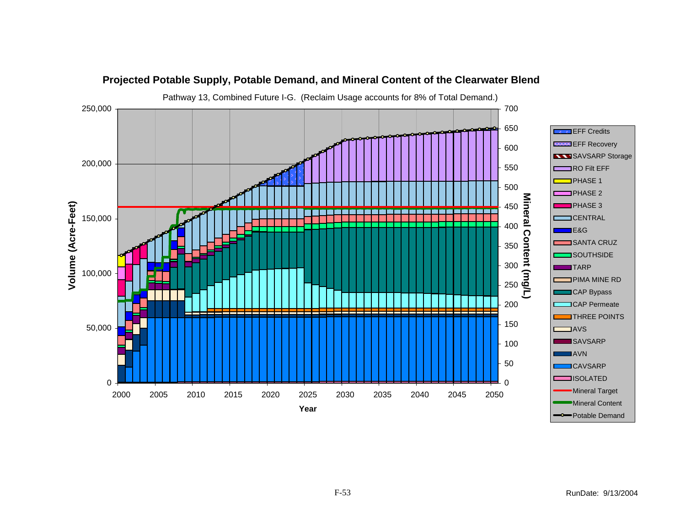![](_page_52_Figure_0.jpeg)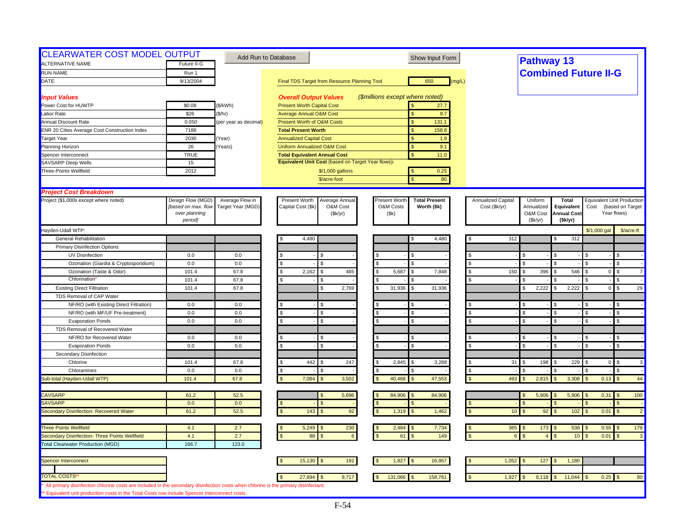| <b>CLEARWATER COST MODEL OUTPUT</b><br>ALTERNATIVE NAME                                                                                                                                                                              | Future II-G                                                          | Add Run to Database                  |                                                                               | Show Input Form                                                            |                                     | <b>Pathway 13</b>                            |                                                              |                             |                                                                      |
|--------------------------------------------------------------------------------------------------------------------------------------------------------------------------------------------------------------------------------------|----------------------------------------------------------------------|--------------------------------------|-------------------------------------------------------------------------------|----------------------------------------------------------------------------|-------------------------------------|----------------------------------------------|--------------------------------------------------------------|-----------------------------|----------------------------------------------------------------------|
| RUN NAME                                                                                                                                                                                                                             | Run 1                                                                |                                      |                                                                               |                                                                            |                                     |                                              |                                                              | <b>Combined Future II-G</b> |                                                                      |
| DATE                                                                                                                                                                                                                                 | 9/13/2004                                                            |                                      | Final TDS Target from Resource Planning Tool                                  | 650<br>(mg/L)                                                              |                                     |                                              |                                                              |                             |                                                                      |
|                                                                                                                                                                                                                                      |                                                                      |                                      |                                                                               |                                                                            |                                     |                                              |                                                              |                             |                                                                      |
| <b>Input Values</b>                                                                                                                                                                                                                  |                                                                      |                                      | <b>Overall Output Values</b>                                                  | (\$millions except where noted)                                            |                                     |                                              |                                                              |                             |                                                                      |
| Power Cost for HUWTP                                                                                                                                                                                                                 | \$0.08                                                               | (\$/kWh)                             | <b>Present Worth Capital Cost</b>                                             | 27.7                                                                       |                                     |                                              |                                                              |                             |                                                                      |
| Labor Rate                                                                                                                                                                                                                           | \$26                                                                 | (\$/hr)                              | <b>Average Annual O&amp;M Cost</b>                                            | 9.7<br><b>S</b>                                                            |                                     |                                              |                                                              |                             |                                                                      |
| Annual Discount Rate                                                                                                                                                                                                                 | 0.050                                                                | (per year as decimal)                | Present Worth of O&M Costs                                                    | $\mathbf{s}$<br>131.1                                                      |                                     |                                              |                                                              |                             |                                                                      |
| ENR 20 Cities Average Cost Construction Index                                                                                                                                                                                        | 7188                                                                 |                                      | <b>Total Present Worth</b>                                                    | 158.8                                                                      |                                     |                                              |                                                              |                             |                                                                      |
| <b>Target Year</b>                                                                                                                                                                                                                   | 2030                                                                 | Year)                                | <b>Annualized Capital Cost</b>                                                | S<br>1.9                                                                   |                                     |                                              |                                                              |                             |                                                                      |
| Planning Horizon                                                                                                                                                                                                                     | 26                                                                   | Years)                               | <b>Uniform Annualized O&amp;M Cost</b>                                        | $\mathbf{s}$<br>9.1                                                        |                                     |                                              |                                                              |                             |                                                                      |
| Spencer Interconnect                                                                                                                                                                                                                 | <b>TRUE</b>                                                          |                                      | <b>Total Equivalent Annual Cost</b>                                           | $\mathbf{s}$<br>11.0                                                       |                                     |                                              |                                                              |                             |                                                                      |
| <b>SAVSARP Deep Wells</b>                                                                                                                                                                                                            | 15                                                                   |                                      | Equivalent Unit Cost (based on Target Year flows):                            |                                                                            |                                     |                                              |                                                              |                             |                                                                      |
| Three-Points Wellfield                                                                                                                                                                                                               | 2012                                                                 |                                      | \$/1,000 gallons<br>\$/acre-foot                                              | 0.25<br>$\sqrt{3}$<br>80<br><b>S</b>                                       |                                     |                                              |                                                              |                             |                                                                      |
|                                                                                                                                                                                                                                      |                                                                      |                                      |                                                                               |                                                                            |                                     |                                              |                                                              |                             |                                                                      |
| <b>Project Cost Breakdown</b>                                                                                                                                                                                                        |                                                                      |                                      |                                                                               |                                                                            |                                     |                                              |                                                              |                             |                                                                      |
| Project (\$1,000s except where noted)                                                                                                                                                                                                | Design Flow (MGD)<br>fbased on max. flow<br>over planning<br>period] | Average Flow in<br>Target Year (MGD) | Present Worth<br>Average Annual<br>Capital Cost (\$k)<br>O&M Cost<br>(\$k/yr) | <b>Total Present</b><br>Present Worth<br>O&M Costs<br>Worth (\$k)<br>(\$k) | Annualized Capital<br>Cost (\$k/yr) | Uniform<br>Annualized<br>O&M Cost<br>(Sk/yr) | <b>Total</b><br>Equivalent<br><b>Annual Cost</b><br>(\$k/yr) | Cost                        | <b>Equivalent Unit Production</b><br>(based on Target<br>Year flows) |
| Hayden-Udall WTP:                                                                                                                                                                                                                    |                                                                      |                                      |                                                                               |                                                                            |                                     |                                              |                                                              | \$/1,000 gal                | \$/acre-ft                                                           |
| <b>General Rehabilitation</b>                                                                                                                                                                                                        |                                                                      |                                      | 4,480                                                                         | 4,480                                                                      | 312                                 |                                              | 312                                                          |                             |                                                                      |
| <b>Primary Disinfection Options</b>                                                                                                                                                                                                  |                                                                      |                                      |                                                                               |                                                                            |                                     |                                              |                                                              |                             |                                                                      |
| <b>UV Disinfection</b>                                                                                                                                                                                                               | 0.0                                                                  | 0.0                                  |                                                                               |                                                                            |                                     | \$                                           |                                                              |                             | \$.                                                                  |
| Ozonation (Giardia & Cryptosporidium)                                                                                                                                                                                                | 0.0                                                                  | 0.0                                  |                                                                               | $\mathcal{S}$                                                              |                                     |                                              |                                                              |                             | \$.                                                                  |
| Ozonation (Taste & Odor)                                                                                                                                                                                                             | 101.4                                                                | 67.8                                 | 2,162<br>485<br>\$.<br>\$.                                                    | 5,687<br>7,848<br>l \$                                                     | 150<br>$\mathfrak{L}$               | 396<br>\$                                    | 546                                                          | $\overline{0}$              | $\mathfrak{L}$<br>$\overline{7}$                                     |
| Chlorination                                                                                                                                                                                                                         | 101.4                                                                | 67.8                                 |                                                                               |                                                                            |                                     |                                              |                                                              |                             | \$                                                                   |
| <b>Existing Direct Filtration</b>                                                                                                                                                                                                    | 101.4                                                                | 67.8                                 | 2,769<br>\$.                                                                  | 31,936<br>31,936<br>$\mathbf{S}$                                           |                                     | 2,222<br>\$                                  | 2,222                                                        | $\overline{0}$              | 29<br>\$                                                             |
| TDS Removal of CAP Water                                                                                                                                                                                                             |                                                                      |                                      |                                                                               |                                                                            |                                     |                                              |                                                              |                             |                                                                      |
| NF/RO (with Existing Direct Filtration)                                                                                                                                                                                              | 0.0                                                                  | 0.0                                  |                                                                               | $\mathbf{s}$                                                               |                                     |                                              |                                                              |                             |                                                                      |
| NF/RO (with MF/UF Pre-treatment)                                                                                                                                                                                                     | 0.0                                                                  | 0.0                                  | s.<br>\$                                                                      | <b>S</b>                                                                   | <b>S</b>                            | \$                                           |                                                              |                             | $\mathfrak{L}$                                                       |
| <b>Evaporation Ponds</b>                                                                                                                                                                                                             | 0.0                                                                  | 0.0                                  | \$<br>s.                                                                      | <b>S</b>                                                                   |                                     | \$                                           |                                                              | \$.                         | \$.                                                                  |
| TDS Removal of Recovered Water                                                                                                                                                                                                       |                                                                      |                                      |                                                                               |                                                                            |                                     |                                              |                                                              |                             |                                                                      |
| NF/RO for Recovered Water                                                                                                                                                                                                            | 0.0                                                                  | 0.0                                  |                                                                               | S.                                                                         |                                     | \$                                           |                                                              |                             | <b>S</b>                                                             |
| <b>Evaporation Ponds</b>                                                                                                                                                                                                             | 0.0                                                                  | 0.0                                  | \$                                                                            | $\mathbf{s}$                                                               |                                     | $\mathbf{\hat{s}}$                           | $\mathbf{s}$                                                 | £.                          | $\mathbf{\$}$                                                        |
| Secondary Disinfection                                                                                                                                                                                                               |                                                                      |                                      |                                                                               |                                                                            |                                     |                                              |                                                              |                             |                                                                      |
| Chlorine                                                                                                                                                                                                                             | 101.4                                                                | 67.8                                 | 442<br>247                                                                    | 2,845<br>3,288                                                             | 31                                  | 198                                          | 229                                                          | 0                           | 3<br>\$                                                              |
| Chloramines                                                                                                                                                                                                                          | 0.0                                                                  | 0.0                                  | S                                                                             |                                                                            | \$                                  |                                              |                                                              |                             | \$                                                                   |
| Sub-total (Hayden-Udall WTP)                                                                                                                                                                                                         | 101.4                                                                | 67.8                                 | 7,084<br>3,502                                                                | 40,468<br>47,553<br>$\mathcal{S}$                                          | 493                                 | 2,815<br>\$.                                 | 3,308                                                        | 0.13                        | $\mathfrak{s}$<br>44                                                 |
|                                                                                                                                                                                                                                      |                                                                      |                                      |                                                                               |                                                                            |                                     |                                              |                                                              |                             |                                                                      |
| <b>CAVSARP</b>                                                                                                                                                                                                                       | 61.2                                                                 | 52.5                                 | 5,696                                                                         | 84,906<br>84,906                                                           |                                     | 5,906<br>\$.                                 | 5,906                                                        | 0.31                        | 100<br>$\sqrt{3}$                                                    |
| SAVSARP                                                                                                                                                                                                                              | 0.0                                                                  | 0.0                                  |                                                                               |                                                                            |                                     |                                              |                                                              |                             | $\mathfrak{F}$                                                       |
| Secondary Disinfection- Recovered Water                                                                                                                                                                                              | 61.2                                                                 | 52.5                                 | 92<br>143                                                                     | 1,319<br>1,462<br>$\mathbf{s}$                                             | 10                                  | 92                                           | 102                                                          | 0.01                        | $\overline{2}$                                                       |
| <b>Three Points Wellfield</b>                                                                                                                                                                                                        | 4.1                                                                  | 2.7                                  | 5,249<br>230                                                                  | 2,484<br>7,734<br>$\mathbf{s}$                                             | $365$ \$                            | 173                                          | 538                                                          | 0.55                        | 179<br>\$                                                            |
| Secondary Disinfection- Three Points Wellfield                                                                                                                                                                                       | 4.1                                                                  | 2.7                                  | 88<br>$6\phantom{1}$                                                          | 149<br>61                                                                  | $\epsilon$                          | $\overline{A}$                               | 10                                                           | 0.01                        | $\mathfrak{L}$<br>$\mathbf{3}$                                       |
| <b>Total Clearwater Production (MGD)</b>                                                                                                                                                                                             | 166.7                                                                | 123.0                                |                                                                               |                                                                            |                                     |                                              |                                                              |                             |                                                                      |
| Spencer Interconnect                                                                                                                                                                                                                 |                                                                      |                                      | 15,130<br>192                                                                 | 16,957<br>1,827                                                            | 1,052                               | 127                                          | 1,180                                                        |                             |                                                                      |
|                                                                                                                                                                                                                                      |                                                                      |                                      |                                                                               |                                                                            |                                     |                                              |                                                              |                             |                                                                      |
| <b>TOTAL COSTS</b>                                                                                                                                                                                                                   |                                                                      |                                      | 27,694<br>9,717                                                               | 131,066<br>158,761<br>\$                                                   | 1,927                               | 9,118                                        | 11,044                                                       | $0.25$ \$                   | 80                                                                   |
| All primary disinfection chlorine costs are included in the secondary disinfection costs when chlorine is the primary disinfectant.<br>** Equivalent unit production costs in the Total Costs row include Spencer Interconnect costs |                                                                      |                                      |                                                                               |                                                                            |                                     |                                              |                                                              |                             |                                                                      |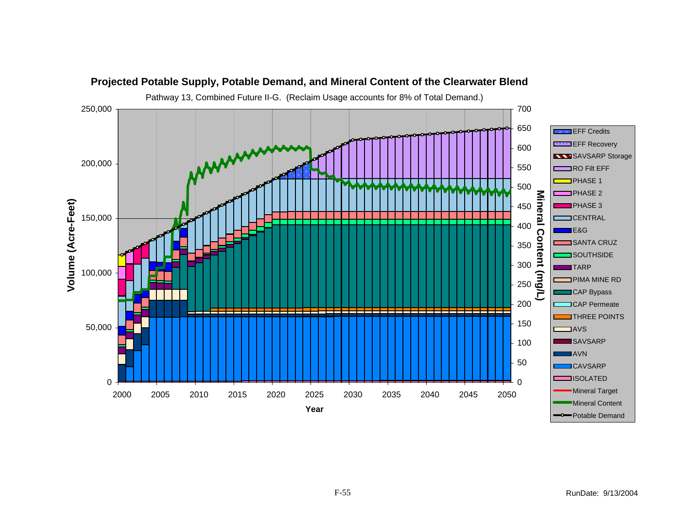![](_page_54_Figure_0.jpeg)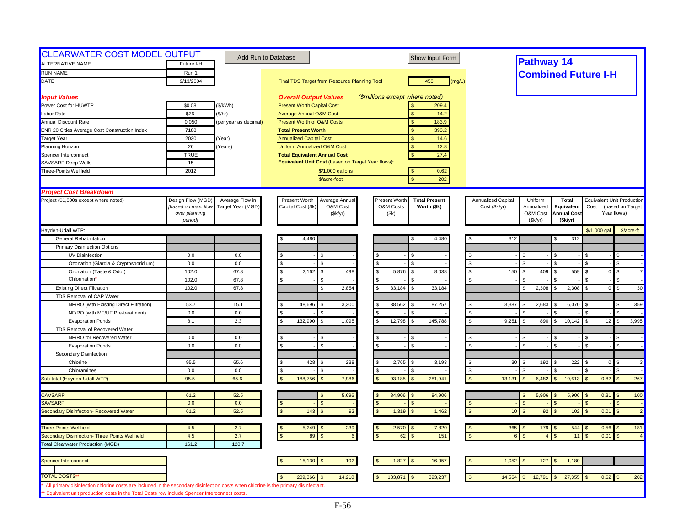| <b>CLEARWATER COST MODEL OUTPUT</b><br>ALTERNATIVE NAME | Future I-H                           | Add Run to Database   |                                                    | Show Input Form                       |                    | <b>Pathway 14</b>          |                                  |                |                                      |
|---------------------------------------------------------|--------------------------------------|-----------------------|----------------------------------------------------|---------------------------------------|--------------------|----------------------------|----------------------------------|----------------|--------------------------------------|
| <b>RUN NAME</b>                                         | Run 1                                |                       |                                                    |                                       |                    |                            |                                  |                |                                      |
| DATE                                                    | 9/13/2004                            |                       |                                                    | 450<br>(mq/L)                         |                    | <b>Combined Future I-H</b> |                                  |                |                                      |
|                                                         |                                      |                       | Final TDS Target from Resource Planning Tool       |                                       |                    |                            |                                  |                |                                      |
| <b>Input Values</b>                                     |                                      |                       | <b>Overall Output Values</b>                       | (\$millions except where noted)       |                    |                            |                                  |                |                                      |
| Power Cost for HUWTP                                    | \$0.08                               | (\$/kWh)              | <b>Present Worth Capital Cost</b>                  | 209.4                                 |                    |                            |                                  |                |                                      |
| Labor Rate                                              | \$26                                 | (\$/hr)               | <b>Average Annual O&amp;M Cost</b>                 | 14.2<br>$\mathbf{s}$                  |                    |                            |                                  |                |                                      |
| <b>Annual Discount Rate</b>                             | 0.050                                | (per year as decimal) | <b>Present Worth of O&amp;M Costs</b>              | $\mathbf{s}$<br>183.9                 |                    |                            |                                  |                |                                      |
| <b>ENR 20 Cities Average Cost Construction Index</b>    | 7188                                 |                       | <b>Total Present Worth</b>                         | 393.2<br>$\mathbf{s}$                 |                    |                            |                                  |                |                                      |
| <b>Target Year</b>                                      | 2030                                 | Year)                 | <b>Annualized Capital Cost</b>                     | \$<br>14.6                            |                    |                            |                                  |                |                                      |
| Planning Horizon                                        | 26                                   | Years)                | <b>Uniform Annualized O&amp;M Cost</b>             | <sub>S</sub><br>12.8                  |                    |                            |                                  |                |                                      |
| Spencer Interconnect                                    | <b>TRUE</b>                          |                       | <b>Total Equivalent Annual Cost</b>                | \$<br>27.4                            |                    |                            |                                  |                |                                      |
| SAVSARP Deep Wells                                      | 15                                   |                       | Equivalent Unit Cost (based on Target Year flows): |                                       |                    |                            |                                  |                |                                      |
| Three-Points Wellfield                                  | 2012                                 |                       | \$/1,000 gallons                                   | 0.62<br><b>S</b>                      |                    |                            |                                  |                |                                      |
|                                                         |                                      |                       | \$/acre-foot                                       | 202<br>$\mathbf{\hat{S}}$             |                    |                            |                                  |                |                                      |
|                                                         |                                      |                       |                                                    |                                       |                    |                            |                                  |                |                                      |
| <b>Project Cost Breakdown</b>                           |                                      |                       |                                                    |                                       |                    |                            |                                  |                |                                      |
| Project (\$1,000s except where noted)                   | Design Flow (MGD)                    | Average Flow in       | Present Worth<br>Average Annual                    | Present Worth<br><b>Total Present</b> | Annualized Capital | Uniform                    | <b>Total</b>                     |                | <b>Equivalent Unit Production</b>    |
|                                                         | [based on max. flow<br>over planning | Target Year (MGD)     | Capital Cost (\$k<br>O&M Cost<br>(\$k/yr)          | O&M Costs<br>Worth (\$k)<br>(Sk)      | Cost (\$k/yr)      | Annualized<br>O&M Cost     | Equivalent<br><b>Annual Cost</b> | Cost           | (based on Target<br>Year flows)      |
|                                                         | period]                              |                       |                                                    |                                       |                    | (Sk/yr)                    | (\$k/yr)                         |                |                                      |
| Hayden-Udall WTP:                                       |                                      |                       |                                                    |                                       |                    |                            |                                  | \$/1,000 gal   | \$/acre-ft                           |
| <b>General Rehabilitation</b>                           |                                      |                       | 4,480                                              | 4,480<br>S                            | 312                |                            | 312                              |                |                                      |
| <b>Primary Disinfection Options</b>                     |                                      |                       |                                                    |                                       |                    |                            |                                  |                |                                      |
| UV Disinfection                                         | 0.0                                  | 0.0                   |                                                    |                                       |                    | \$.                        |                                  |                |                                      |
| Ozonation (Giardia & Cryptosporidium)                   | 0.0                                  | 0.0                   | \$.<br>\$                                          | $\mathfrak{L}$<br>$\mathbf{S}$        | <b>S</b>           | $\mathfrak{L}$             |                                  |                | \$                                   |
| Ozonation (Taste & Odor)                                | 102.0                                | 67.8                  | s.<br>2,162<br>498<br>\$.                          | 5,876<br>8,038<br>l S                 | 150<br>- \$        | 409<br>\$                  | 559                              | $\overline{0}$ | $\mathfrak{L}$<br>$\overline{7}$     |
| Chlorination                                            | 102.0                                | 67.8                  | \$                                                 | l \$                                  |                    |                            |                                  |                | \$                                   |
| <b>Existing Direct Filtration</b>                       | 102.0                                | 67.8                  | 2,854                                              | 33,184<br>33,184<br>l S               |                    | 2,308<br>\$                | 2,308                            | $\overline{0}$ | $\mathbf S$<br>30                    |
| TDS Removal of CAP Water                                |                                      |                       |                                                    |                                       |                    |                            |                                  |                |                                      |
| NF/RO (with Existing Direct Filtration)                 | 53.7                                 | 15.1                  | 48,696<br>3,300                                    | 38,562<br>87,257<br><b>S</b>          | 3,387              | 2,683<br>\$                | 6,070                            |                | 359<br>-S                            |
|                                                         | 0.0                                  | 0.0                   |                                                    |                                       |                    |                            |                                  |                |                                      |
| NF/RO (with MF/UF Pre-treatment)                        | 8.1                                  | 2.3                   | 132,990<br>1,095                                   | 12,798<br>145,788<br>$\sqrt{2}$       | 9,251<br><b>S</b>  | 890                        | 10,142                           | 12             | \$<br>3,995                          |
| <b>Evaporation Ponds</b>                                |                                      |                       |                                                    |                                       |                    |                            |                                  |                |                                      |
| TDS Removal of Recovered Water                          |                                      |                       |                                                    |                                       |                    |                            |                                  |                |                                      |
| NF/RO for Recovered Water                               | 0.0                                  | 0.0                   |                                                    |                                       |                    |                            |                                  |                | \$<br>$\mathfrak{L}$                 |
| <b>Evaporation Ponds</b>                                | 0.0                                  | 0.0                   |                                                    | $\mathbf{s}$                          |                    | $\mathfrak{L}$             |                                  |                |                                      |
| <b>Secondary Disinfection</b>                           |                                      |                       |                                                    |                                       |                    |                            |                                  |                |                                      |
| Chlorine                                                | 95.5                                 | 65.6                  | 428<br>238                                         | 2,765<br>3,193                        | 30                 | 192                        | 222                              | $\overline{0}$ | $\mathfrak{L}$<br>$\mathbf{3}$       |
| Chloramines                                             | 0.0                                  | 0.0                   |                                                    | .S                                    | $\mathfrak{L}$     |                            |                                  |                | \$                                   |
| Sub-total (Hayden-Udall WTP)                            | 95.5                                 | 65.6                  | 188,756<br>7,986                                   | 93,185<br>281,941                     | 13,131             | 6,482                      | 19,613                           | 0.82           | 267                                  |
|                                                         |                                      |                       |                                                    |                                       |                    |                            |                                  |                |                                      |
| <b>CAVSARP</b>                                          | 61.2                                 | 52.5<br>0.0           | 5,696                                              | 84,906<br>84,906<br><b>S</b>          |                    | 5,906<br>ፍ                 | 5,906                            | $0.31$ \$      | 100                                  |
| <b>SAVSARP</b>                                          | 0.0                                  |                       |                                                    | $\mathbf{s}$                          |                    |                            |                                  |                | $\mathfrak{s}$                       |
| Secondary Disinfection- Recovered Water                 | 61.2                                 | 52.5                  | 143<br>92                                          | 1,319<br>1,462<br>$\mathbf{s}$        | 10 <sup>°</sup>    | 92                         | 102                              | 0.01           | $\overline{2}$<br>$\sqrt{3}$         |
| <b>Three Points Wellfield</b>                           | 4.5                                  | 2.7                   | 5,249<br>239                                       | 2,570<br>7,820                        |                    | $365$ \$<br>179            | 544                              | $0.56$ \$      | 181                                  |
| Secondary Disinfection- Three Points Wellfield          | 4.5                                  | 2.7                   | 89<br>$6\phantom{a}$                               | 151<br>62                             |                    |                            | 11                               | 0.01           | $\mathbf{\hat{f}}$<br>$\overline{4}$ |
| <b>Total Clearwater Production (MGD)</b>                | 161.2                                | 120.7                 |                                                    |                                       |                    |                            |                                  |                |                                      |
|                                                         |                                      |                       |                                                    |                                       |                    |                            |                                  |                |                                      |
| Spencer Interconnect                                    |                                      |                       | 192<br>15,130                                      | 1,827<br>16,957                       | 1,052              | 127<br>\$                  | 1,180                            |                |                                      |
|                                                         |                                      |                       |                                                    |                                       |                    |                            |                                  |                |                                      |
| <b>TOTAL COSTS</b>                                      |                                      |                       |                                                    | 183,871<br>393,237                    | 14,564             | 12,791                     | 27,355                           |                | $0.62$ \$<br>202                     |
|                                                         |                                      |                       | 14,210<br>209,366                                  |                                       |                    |                            |                                  |                |                                      |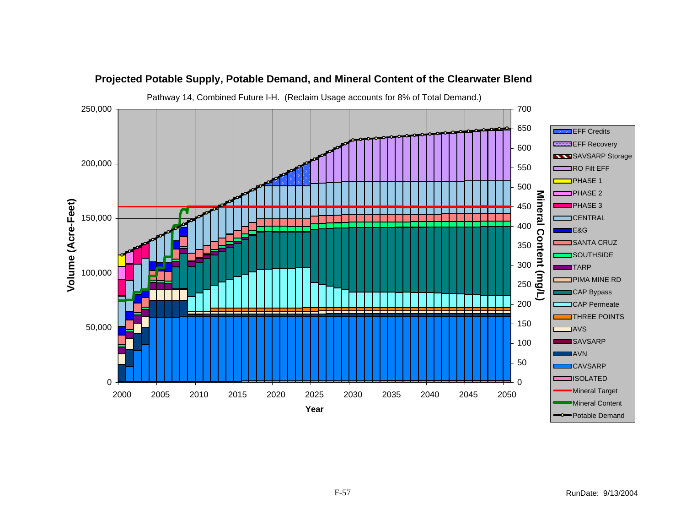![](_page_56_Figure_0.jpeg)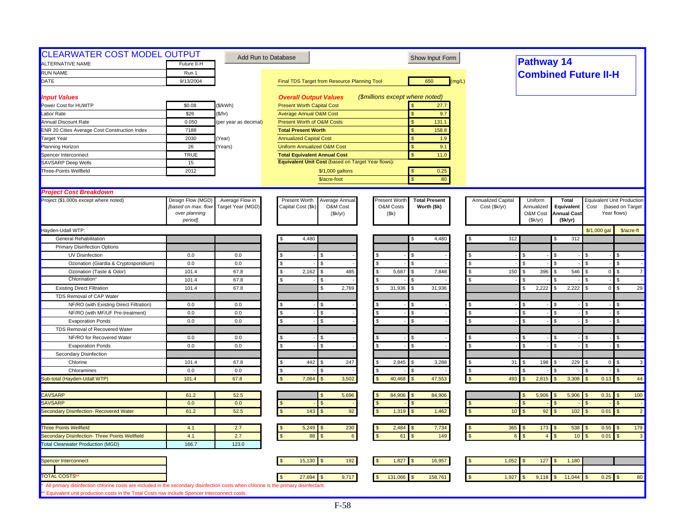| <b>CLEARWATER COST MODEL OUTPUT</b>                                                                                                                       |                          |                       | Add Run to Database                                | Show Input Form                       |                           | Pathway 14                 |                    |                             |                                   |
|-----------------------------------------------------------------------------------------------------------------------------------------------------------|--------------------------|-----------------------|----------------------------------------------------|---------------------------------------|---------------------------|----------------------------|--------------------|-----------------------------|-----------------------------------|
| <b>ALTERNATIVE NAME</b>                                                                                                                                   | Future II-H              |                       |                                                    |                                       |                           |                            |                    |                             |                                   |
| <b>RUN NAME</b>                                                                                                                                           | Run 1                    |                       |                                                    |                                       |                           |                            |                    | <b>Combined Future II-H</b> |                                   |
| DATE                                                                                                                                                      | 9/13/2004                |                       | Final TDS Target from Resource Planning Tool       | 650<br>(mg/L)                         |                           |                            |                    |                             |                                   |
| <b>Input Values</b>                                                                                                                                       |                          |                       | <b>Overall Output Values</b>                       | (\$millions except where noted)       |                           |                            |                    |                             |                                   |
| Power Cost for HUWTP                                                                                                                                      | \$0.08                   | (\$/kWh)              | <b>Present Worth Capital Cost</b>                  | 27.7                                  |                           |                            |                    |                             |                                   |
| Labor Rate                                                                                                                                                | \$26                     | (\$/hr)               | <b>Average Annual O&amp;M Cost</b>                 | \$<br>9.7                             |                           |                            |                    |                             |                                   |
| Annual Discount Rate                                                                                                                                      | 0.050                    | (per year as decimal) | Present Worth of O&M Costs                         | S<br>131.1                            |                           |                            |                    |                             |                                   |
| ENR 20 Cities Average Cost Construction Index                                                                                                             | 7188                     |                       | <b>Total Present Worth</b>                         | 158.8                                 |                           |                            |                    |                             |                                   |
| Target Year                                                                                                                                               | 2030                     | Year)                 | <b>Annualized Capital Cost</b>                     | <sub>\$</sub><br>1.9                  |                           |                            |                    |                             |                                   |
| Planning Horizon                                                                                                                                          | 26                       | Years)                | Uniform Annualized O&M Cost                        | $\mathsf{S}$<br>9.1                   |                           |                            |                    |                             |                                   |
| Spencer Interconnect                                                                                                                                      | <b>TRUE</b>              |                       | <b>Total Equivalent Annual Cost</b>                | 11.0<br>$\mathbf{s}$                  |                           |                            |                    |                             |                                   |
| <b>SAVSARP Deep Wells</b>                                                                                                                                 | 15                       |                       | Equivalent Unit Cost (based on Target Year flows): |                                       |                           |                            |                    |                             |                                   |
| Three-Points Wellfield                                                                                                                                    | 2012                     |                       | \$/1,000 gallons                                   | 0.25                                  |                           |                            |                    |                             |                                   |
|                                                                                                                                                           |                          |                       | \$/acre-foot                                       | 80<br>$\mathbf{\hat{S}}$              |                           |                            |                    |                             |                                   |
| <b>Project Cost Breakdown</b>                                                                                                                             |                          |                       |                                                    |                                       |                           |                            |                    |                             |                                   |
| Project (\$1,000s except where noted)                                                                                                                     | Design Flow (MGD)        | Average Flow in       | Present Worth<br>Average Annual                    | Present Worth<br><b>Total Present</b> | <b>Annualized Capital</b> | Uniform                    | Total              |                             | <b>Equivalent Unit Production</b> |
|                                                                                                                                                           | [based on max. flow      | Target Year (MGD)     | Capital Cost (\$k)<br>O&M Cost                     | O&M Costs<br>Worth (\$k)              | Cost (\$k/yr)             | Annualized                 | Equivalent         | Cost                        | (based on Target                  |
|                                                                                                                                                           | over planning<br>period] |                       | (\$k/yr)                                           | (\$k)                                 |                           | O&M Cost<br>(Sk/yr)        | <b>Annual Cost</b> |                             | Year flows)                       |
| Hayden-Udall WTP:                                                                                                                                         |                          |                       |                                                    |                                       |                           |                            | (\$k/yr)           | \$/1,000 gal                | \$/acre-ft                        |
| <b>General Rehabilitation</b>                                                                                                                             |                          |                       | 4,480                                              | 4,480                                 | 312                       |                            | 312                |                             |                                   |
|                                                                                                                                                           |                          |                       |                                                    |                                       |                           |                            |                    |                             |                                   |
| <b>Primary Disinfection Options</b>                                                                                                                       |                          |                       |                                                    |                                       |                           |                            |                    |                             |                                   |
| UV Disinfection                                                                                                                                           | 0.0                      | 0.0                   |                                                    | ¢                                     |                           | \$                         |                    |                             | \$                                |
| Ozonation (Giardia & Cryptosporidium)                                                                                                                     | 0.0                      | 0.0                   | \$<br>\$.                                          | <b>S</b>                              |                           | \$                         |                    |                             | \$                                |
| Ozonation (Taste & Odor)                                                                                                                                  | 101.4                    | 67.8                  | 2,162<br>485<br>\$.<br>£.                          | 5,687<br>7,848<br>$\mathbf{s}$<br>£.  | \$<br>150                 | 396<br>\$                  | 546<br>ς.          | $\overline{0}$              | $\mathbf{s}$<br>$\overline{7}$    |
| Chlorination                                                                                                                                              | 101.4                    | 67.8                  |                                                    |                                       |                           |                            |                    |                             | $\mathfrak{s}$                    |
| <b>Existing Direct Filtration</b>                                                                                                                         | 101.4                    | 67.8                  | 2.769<br>\$.                                       | 31.936<br>31,936<br>$\mathcal{F}$     |                           | 2,222<br>£.                | 2,222              | $\overline{0}$              | 29<br>\$                          |
| TDS Removal of CAP Water                                                                                                                                  |                          |                       |                                                    |                                       |                           |                            |                    |                             |                                   |
| NF/RO (with Existing Direct Filtration)                                                                                                                   | 0.0                      | 0.0                   |                                                    |                                       |                           |                            |                    |                             |                                   |
| NF/RO (with MF/UF Pre-treatment)                                                                                                                          | 0.0                      | 0.0                   | \$.<br>ፍ                                           | $\mathbf{s}$                          |                           | \$                         |                    |                             | \$                                |
| <b>Evaporation Ponds</b>                                                                                                                                  | 0.0                      | 0.0                   | \$.                                                | <b>S</b>                              |                           | $\mathfrak{L}$             |                    |                             | $\mathfrak{L}$                    |
| TDS Removal of Recovered Water                                                                                                                            |                          |                       |                                                    |                                       |                           |                            |                    |                             |                                   |
| NF/RO for Recovered Water                                                                                                                                 | 0.0                      | 0.0                   |                                                    | .S                                    |                           | $\mathfrak{L}$             |                    |                             | \$                                |
| <b>Evaporation Ponds</b>                                                                                                                                  | 0.0                      | 0.0                   | \$.                                                | $\mathbf{s}$                          |                           | $\mathfrak{L}$             | $\mathcal{F}$      | ፍ                           | \$                                |
| Secondary Disinfection                                                                                                                                    |                          |                       |                                                    |                                       |                           |                            |                    |                             |                                   |
| Chlorine                                                                                                                                                  | 101.4                    | 67.8                  | 442<br>247                                         | 2,845<br>3,288                        | 31                        | 198                        | 229                | $\overline{0}$              | \$<br>3                           |
| Chloramines                                                                                                                                               | 0.0                      | 0.0                   | \$                                                 |                                       | \$                        |                            |                    |                             | \$                                |
| Sub-total (Hayden-Udall WTP)                                                                                                                              | 101.4                    | 67.8                  | 3,502<br>7,084                                     | 47,553<br>40,468<br>$\mathcal{F}$     | 493                       | 2,815<br>$\mathfrak{L}$    | 3,308              | 0.13                        | 44<br>$\sqrt{3}$                  |
| <b>CAVSARP</b>                                                                                                                                            | 61.2                     | 52.5                  | 5,696                                              | 84,906<br>84,906                      |                           | 5,906                      | 5,906              | $0.31$ \$                   | 100                               |
| SAVSARP                                                                                                                                                   | 0.0                      | 0.0                   |                                                    |                                       |                           |                            |                    |                             | $\mathfrak{L}$                    |
| Secondary Disinfection- Recovered Water                                                                                                                   | 61.2                     | 52.5                  | 92<br>143                                          | 1,319<br>1,462<br><sub>S</sub>        | 10 <sup>°</sup>           | 92                         | 102                | 0.01                        | $\overline{2}$                    |
| <b>Three Points Wellfield</b>                                                                                                                             | 4.1                      |                       | 5,249                                              | 2,484                                 |                           | $365$ \$<br>173            | 538                | 0.55                        | 179                               |
|                                                                                                                                                           |                          | 2.7                   | 230                                                | 7,734<br><b>S</b>                     | - \$                      | $\kappa$<br>$\overline{A}$ |                    |                             | $\sqrt{3}$<br>$\mathfrak{L}$      |
| Secondary Disinfection- Three Points Wellfield<br><b>Total Clearwater Production (MGD)</b>                                                                | 4.1<br>166.7             | 2.7<br>123.0          | 88<br>$6\overline{6}$                              | 149<br>61                             |                           |                            | 10                 | 0.01                        | $\mathbf{3}$                      |
|                                                                                                                                                           |                          |                       |                                                    |                                       |                           |                            |                    |                             |                                   |
| Spencer Interconnect                                                                                                                                      |                          |                       | 15,130<br>192                                      | 1,827<br>16,957                       | 1,052                     | 127                        | 1,180              |                             |                                   |
|                                                                                                                                                           |                          |                       |                                                    |                                       |                           |                            |                    |                             |                                   |
| <b>TOTAL COSTS</b><br>All primary disinfection chlorine costs are included in the secondary disinfection costs when chlorine is the primary disinfectant. |                          |                       | 27,694<br>9,717                                    | 131,066<br>158,761<br>\$              | 1,927                     | 9,118                      | 11,044             | $0.25$ \$                   | 80                                |
| ** Equivalent unit production costs in the Total Costs row include Spencer Interconnect costs                                                             |                          |                       |                                                    |                                       |                           |                            |                    |                             |                                   |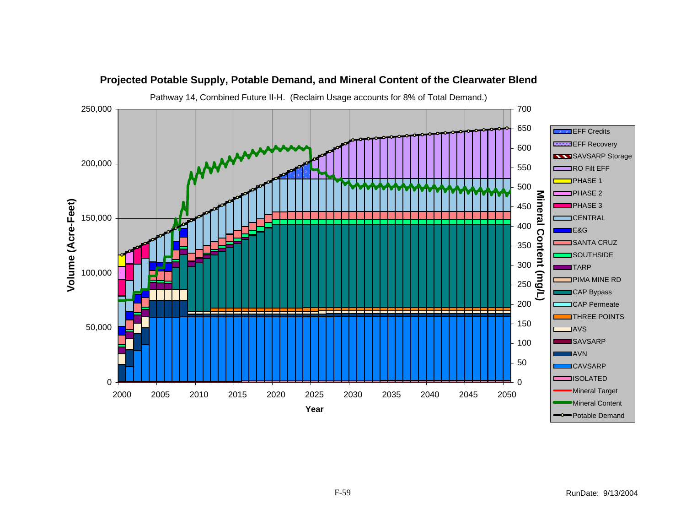![](_page_58_Figure_0.jpeg)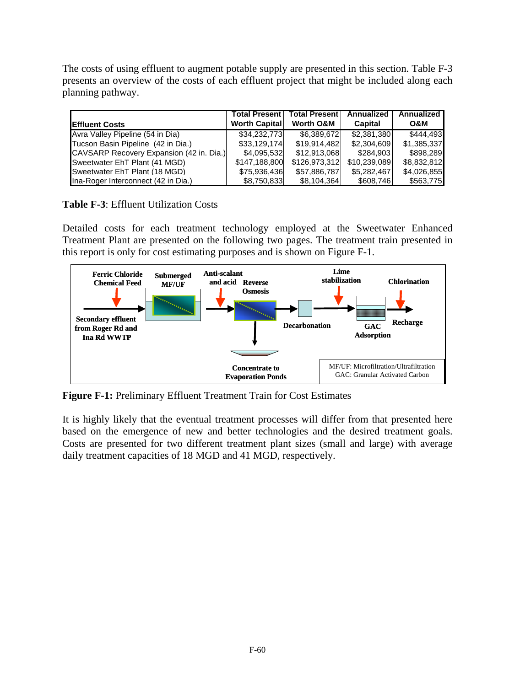The costs of using effluent to augment potable supply are presented in this section. Table F-3 presents an overview of the costs of each effluent project that might be included along each planning pathway.

|                                          | <b>Total Present I</b> | <b>Total Present</b> | Annualized     | Annualized  |
|------------------------------------------|------------------------|----------------------|----------------|-------------|
| <b>Effluent Costs</b>                    | <b>Worth Capital</b>   | <b>Worth O&amp;M</b> | <b>Capital</b> | O&M         |
| Avra Valley Pipeline (54 in Dia)         | \$34.232.773           | \$6,389,672          | \$2.381.380    | \$444.493   |
| Tucson Basin Pipeline (42 in Dia.)       | \$33,129,174           | \$19,914,482         | \$2,304,609    | \$1,385,337 |
| CAVSARP Recovery Expansion (42 in. Dia.) | \$4,095,532            | \$12,913,068         | \$284,903      | \$898,289   |
| Sweetwater EhT Plant (41 MGD)            | \$147,188,800          | \$126,973,312        | \$10,239,089   | \$8,832,812 |
| Sweetwater EhT Plant (18 MGD)            | \$75,936,436           | \$57,886,787         | \$5,282,467    | \$4,026,855 |
| Ina-Roger Interconnect (42 in Dia.)      | \$8,750,833            | \$8,104,364          | \$608,746      | \$563,775   |

## **Table F-3**: Effluent Utilization Costs

Detailed costs for each treatment technology employed at the Sweetwater Enhanced Treatment Plant are presented on the following two pages. The treatment train presented in this report is only for cost estimating purposes and is shown on Figure F-1.

![](_page_59_Figure_4.jpeg)

**Figure F-1:** Preliminary Effluent Treatment Train for Cost Estimates

It is highly likely that the eventual treatment processes will differ from that presented here based on the emergence of new and better technologies and the desired treatment goals. Costs are presented for two different treatment plant sizes (small and large) with average daily treatment capacities of 18 MGD and 41 MGD, respectively.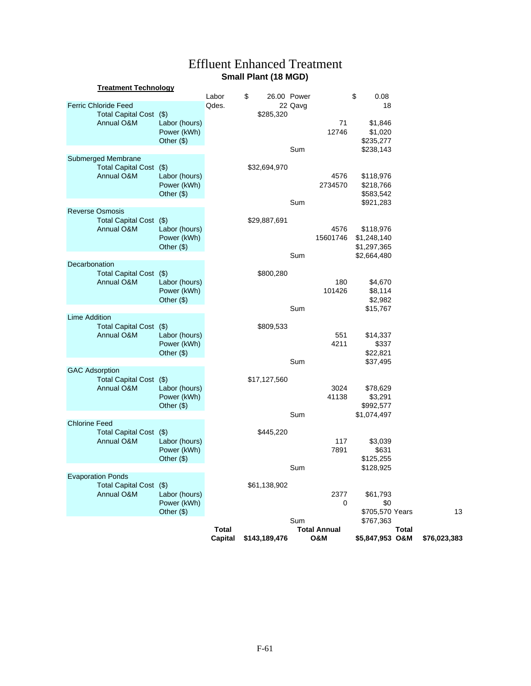# Effluent Enhanced Treatment **Small Plant (18 MGD)**

|                       | <b>Treatment Technology</b>                                          |                                                               |                         |                 |                        |                            |                                                        |              |              |    |
|-----------------------|----------------------------------------------------------------------|---------------------------------------------------------------|-------------------------|-----------------|------------------------|----------------------------|--------------------------------------------------------|--------------|--------------|----|
|                       | <b>Ferric Chloride Feed</b><br>Total Capital Cost (\$)<br>Annual O&M | Labor (hours)                                                 | Labor<br>Qdes.          | \$<br>\$285,320 | 26.00 Power<br>22 Qavg | 71                         | \$<br>0.08<br>18<br>\$1,846                            |              |              |    |
|                       |                                                                      | Power (kWh)<br>Other $(\$)$                                   |                         |                 | Sum                    | 12746                      | \$1,020<br>\$235,277<br>\$238,143                      |              |              |    |
|                       | Submerged Membrane<br>Total Capital Cost (\$)<br>Annual O&M          | Labor (hours)<br>Power (kWh)<br>Other $(\$)$                  |                         | \$32,694,970    |                        | 4576<br>2734570            | \$118,976<br>\$218,766<br>\$583,542                    |              |              |    |
|                       | <b>Reverse Osmosis</b>                                               |                                                               |                         |                 | Sum                    |                            | \$921,283                                              |              |              |    |
|                       | Total Capital Cost (\$)<br>Annual O&M                                | Labor (hours)<br>Power (kWh)<br>Other $(\$)$                  |                         | \$29,887,691    | Sum                    | 4576<br>15601746           | \$118,976<br>\$1,248,140<br>\$1,297,365<br>\$2,664,480 |              |              |    |
| Decarbonation         |                                                                      |                                                               |                         |                 |                        |                            |                                                        |              |              |    |
|                       | Total Capital Cost (\$)<br>Annual O&M                                | Labor (hours)<br>Power (kWh)<br>Other $(\$)$                  |                         | \$800,280       |                        | 180<br>101426              | \$4,670<br>\$8,114<br>\$2,982                          |              |              |    |
| <b>Lime Addition</b>  |                                                                      |                                                               |                         |                 | Sum                    |                            | \$15,767                                               |              |              |    |
|                       | <b>Total Capital Cost</b><br>Annual O&M                              | $\mathcal{S}$<br>Labor (hours)<br>Power (kWh)<br>Other $(\$)$ |                         | \$809,533       |                        | 551<br>4211                | \$14,337<br>\$337<br>\$22,821                          |              |              |    |
|                       |                                                                      |                                                               |                         |                 | Sum                    |                            | \$37,495                                               |              |              |    |
| <b>GAC Adsorption</b> | <b>Total Capital Cost</b><br>Annual O&M                              | (3)<br>Labor (hours)<br>Power (kWh)<br>Other $(\$)$           |                         | \$17,127,560    |                        | 3024<br>41138              | \$78,629<br>\$3,291<br>\$992,577                       |              |              |    |
|                       |                                                                      |                                                               |                         |                 | Sum                    |                            | \$1,074,497                                            |              |              |    |
| <b>Chlorine Feed</b>  | Total Capital Cost (\$)<br>Annual O&M                                | Labor (hours)<br>Power (kWh)<br>Other $(\$)$                  |                         | \$445,220       |                        | 117<br>7891                | \$3,039<br>\$631<br>\$125,255                          |              |              |    |
|                       |                                                                      |                                                               |                         |                 | Sum                    |                            | \$128,925                                              |              |              |    |
|                       | <b>Evaporation Ponds</b><br>Total Capital Cost (\$)<br>Annual O&M    | Labor (hours)<br>Power (kWh)<br>Other (\$)                    |                         | \$61,138,902    |                        | 2377<br>$\mathbf 0$        | \$61,793<br>\$0<br>\$705,570 Years                     |              |              | 13 |
|                       |                                                                      |                                                               |                         |                 | Sum                    |                            | \$767,363                                              |              |              |    |
|                       |                                                                      |                                                               | <b>Total</b><br>Capital | \$143,189,476   |                        | <b>Total Annual</b><br>O&M | \$5,847,953 O&M                                        | <b>Total</b> | \$76,023,383 |    |